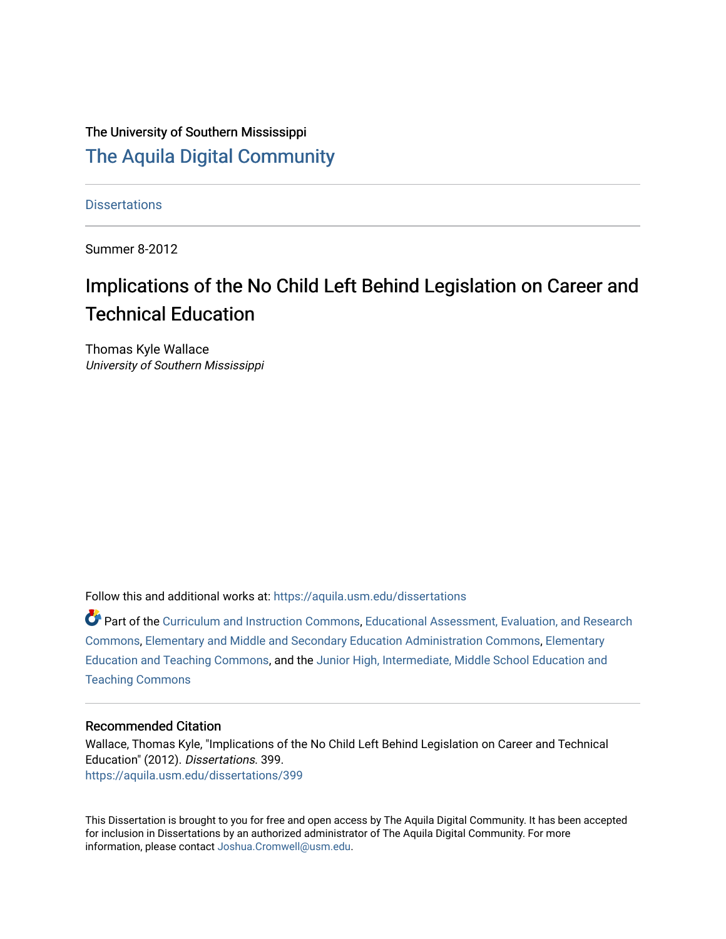# The University of Southern Mississippi [The Aquila Digital Community](https://aquila.usm.edu/)

**Dissertations** 

Summer 8-2012

# Implications of the No Child Left Behind Legislation on Career and Technical Education

Thomas Kyle Wallace University of Southern Mississippi

Follow this and additional works at: [https://aquila.usm.edu/dissertations](https://aquila.usm.edu/dissertations?utm_source=aquila.usm.edu%2Fdissertations%2F399&utm_medium=PDF&utm_campaign=PDFCoverPages) 

Part of the [Curriculum and Instruction Commons,](http://network.bepress.com/hgg/discipline/786?utm_source=aquila.usm.edu%2Fdissertations%2F399&utm_medium=PDF&utm_campaign=PDFCoverPages) [Educational Assessment, Evaluation, and Research](http://network.bepress.com/hgg/discipline/796?utm_source=aquila.usm.edu%2Fdissertations%2F399&utm_medium=PDF&utm_campaign=PDFCoverPages)  [Commons](http://network.bepress.com/hgg/discipline/796?utm_source=aquila.usm.edu%2Fdissertations%2F399&utm_medium=PDF&utm_campaign=PDFCoverPages), [Elementary and Middle and Secondary Education Administration Commons,](http://network.bepress.com/hgg/discipline/790?utm_source=aquila.usm.edu%2Fdissertations%2F399&utm_medium=PDF&utm_campaign=PDFCoverPages) [Elementary](http://network.bepress.com/hgg/discipline/805?utm_source=aquila.usm.edu%2Fdissertations%2F399&utm_medium=PDF&utm_campaign=PDFCoverPages) [Education and Teaching Commons,](http://network.bepress.com/hgg/discipline/805?utm_source=aquila.usm.edu%2Fdissertations%2F399&utm_medium=PDF&utm_campaign=PDFCoverPages) and the [Junior High, Intermediate, Middle School Education and](http://network.bepress.com/hgg/discipline/807?utm_source=aquila.usm.edu%2Fdissertations%2F399&utm_medium=PDF&utm_campaign=PDFCoverPages) [Teaching Commons](http://network.bepress.com/hgg/discipline/807?utm_source=aquila.usm.edu%2Fdissertations%2F399&utm_medium=PDF&utm_campaign=PDFCoverPages)

#### Recommended Citation

Wallace, Thomas Kyle, "Implications of the No Child Left Behind Legislation on Career and Technical Education" (2012). Dissertations. 399. [https://aquila.usm.edu/dissertations/399](https://aquila.usm.edu/dissertations/399?utm_source=aquila.usm.edu%2Fdissertations%2F399&utm_medium=PDF&utm_campaign=PDFCoverPages) 

This Dissertation is brought to you for free and open access by The Aquila Digital Community. It has been accepted for inclusion in Dissertations by an authorized administrator of The Aquila Digital Community. For more information, please contact [Joshua.Cromwell@usm.edu.](mailto:Joshua.Cromwell@usm.edu)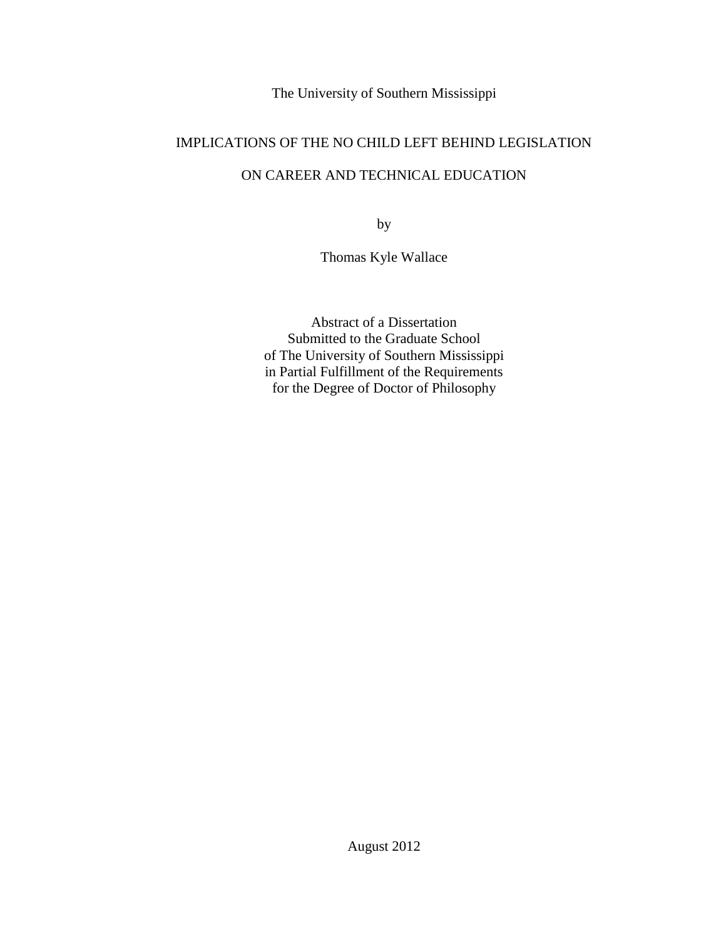The University of Southern Mississippi

# IMPLICATIONS OF THE NO CHILD LEFT BEHIND LEGISLATION

## ON CAREER AND TECHNICAL EDUCATION

by

Thomas Kyle Wallace

Abstract of a Dissertation Submitted to the Graduate School of The University of Southern Mississippi in Partial Fulfillment of the Requirements for the Degree of Doctor of Philosophy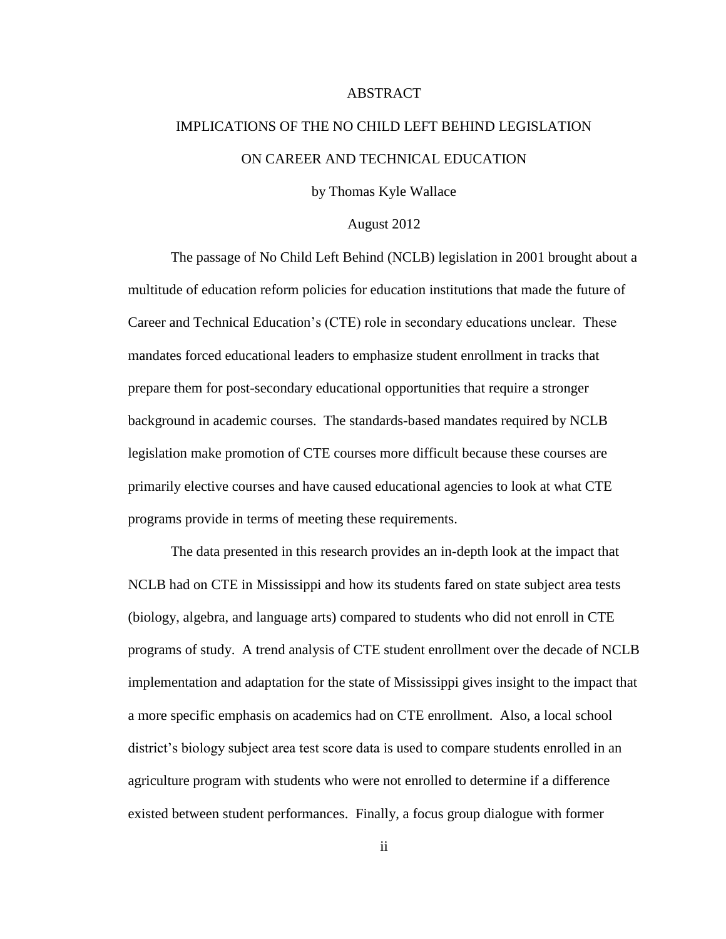#### ABSTRACT

# IMPLICATIONS OF THE NO CHILD LEFT BEHIND LEGISLATION ON CAREER AND TECHNICAL EDUCATION

by Thomas Kyle Wallace

#### August 2012

The passage of No Child Left Behind (NCLB) legislation in 2001 brought about a multitude of education reform policies for education institutions that made the future of Career and Technical Education's (CTE) role in secondary educations unclear. These mandates forced educational leaders to emphasize student enrollment in tracks that prepare them for post-secondary educational opportunities that require a stronger background in academic courses. The standards-based mandates required by NCLB legislation make promotion of CTE courses more difficult because these courses are primarily elective courses and have caused educational agencies to look at what CTE programs provide in terms of meeting these requirements.

The data presented in this research provides an in-depth look at the impact that NCLB had on CTE in Mississippi and how its students fared on state subject area tests (biology, algebra, and language arts) compared to students who did not enroll in CTE programs of study. A trend analysis of CTE student enrollment over the decade of NCLB implementation and adaptation for the state of Mississippi gives insight to the impact that a more specific emphasis on academics had on CTE enrollment. Also, a local school district's biology subject area test score data is used to compare students enrolled in an agriculture program with students who were not enrolled to determine if a difference existed between student performances. Finally, a focus group dialogue with former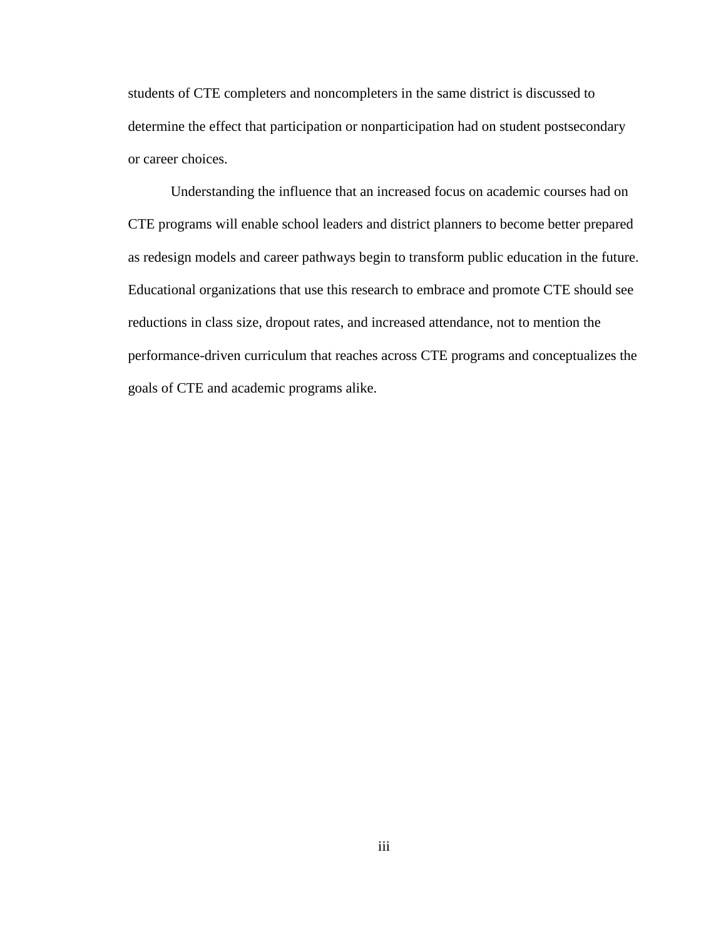students of CTE completers and noncompleters in the same district is discussed to determine the effect that participation or nonparticipation had on student postsecondary or career choices.

Understanding the influence that an increased focus on academic courses had on CTE programs will enable school leaders and district planners to become better prepared as redesign models and career pathways begin to transform public education in the future. Educational organizations that use this research to embrace and promote CTE should see reductions in class size, dropout rates, and increased attendance, not to mention the performance-driven curriculum that reaches across CTE programs and conceptualizes the goals of CTE and academic programs alike.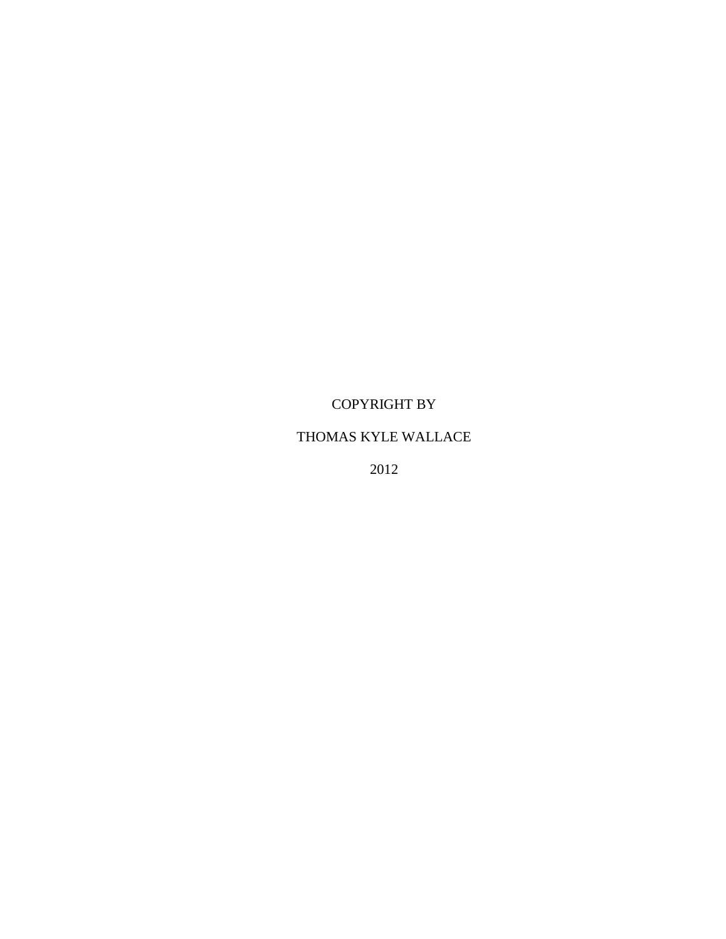# COPYRIGHT BY

## THOMAS KYLE WALLACE

2012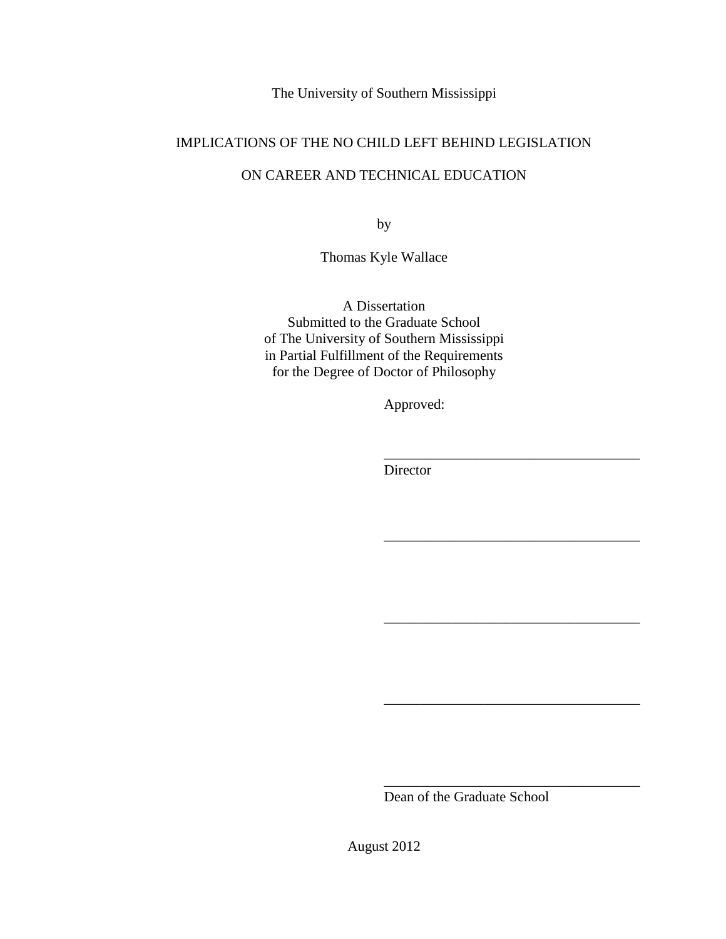The University of Southern Mississippi

## IMPLICATIONS OF THE NO CHILD LEFT BEHIND LEGISLATION

# ON CAREER AND TECHNICAL EDUCATION

by

Thomas Kyle Wallace

A Dissertation Submitted to the Graduate School of The University of Southern Mississippi in Partial Fulfillment of the Requirements for the Degree of Doctor of Philosophy

Approved:

\_\_\_\_\_\_\_\_\_\_\_\_\_\_\_\_\_\_\_\_\_\_\_\_\_\_\_\_\_\_\_\_\_\_\_\_

\_\_\_\_\_\_\_\_\_\_\_\_\_\_\_\_\_\_\_\_\_\_\_\_\_\_\_\_\_\_\_\_\_\_\_\_

\_\_\_\_\_\_\_\_\_\_\_\_\_\_\_\_\_\_\_\_\_\_\_\_\_\_\_\_\_\_\_\_\_\_\_\_

\_\_\_\_\_\_\_\_\_\_\_\_\_\_\_\_\_\_\_\_\_\_\_\_\_\_\_\_\_\_\_\_\_\_\_\_

\_\_\_\_\_\_\_\_\_\_\_\_\_\_\_\_\_\_\_\_\_\_\_\_\_\_\_\_\_\_\_\_\_\_\_\_

Director

Dean of the Graduate School

August 2012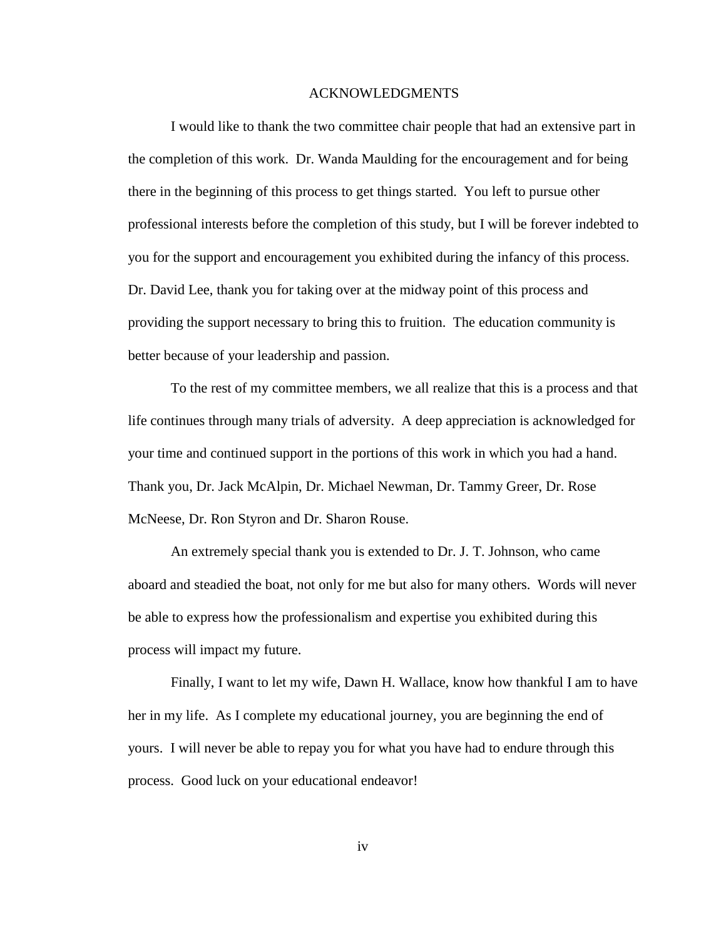#### ACKNOWLEDGMENTS

I would like to thank the two committee chair people that had an extensive part in the completion of this work. Dr. Wanda Maulding for the encouragement and for being there in the beginning of this process to get things started. You left to pursue other professional interests before the completion of this study, but I will be forever indebted to you for the support and encouragement you exhibited during the infancy of this process. Dr. David Lee, thank you for taking over at the midway point of this process and providing the support necessary to bring this to fruition. The education community is better because of your leadership and passion.

To the rest of my committee members, we all realize that this is a process and that life continues through many trials of adversity. A deep appreciation is acknowledged for your time and continued support in the portions of this work in which you had a hand. Thank you, Dr. Jack McAlpin, Dr. Michael Newman, Dr. Tammy Greer, Dr. Rose McNeese, Dr. Ron Styron and Dr. Sharon Rouse.

An extremely special thank you is extended to Dr. J. T. Johnson, who came aboard and steadied the boat, not only for me but also for many others. Words will never be able to express how the professionalism and expertise you exhibited during this process will impact my future.

Finally, I want to let my wife, Dawn H. Wallace, know how thankful I am to have her in my life. As I complete my educational journey, you are beginning the end of yours. I will never be able to repay you for what you have had to endure through this process. Good luck on your educational endeavor!

iv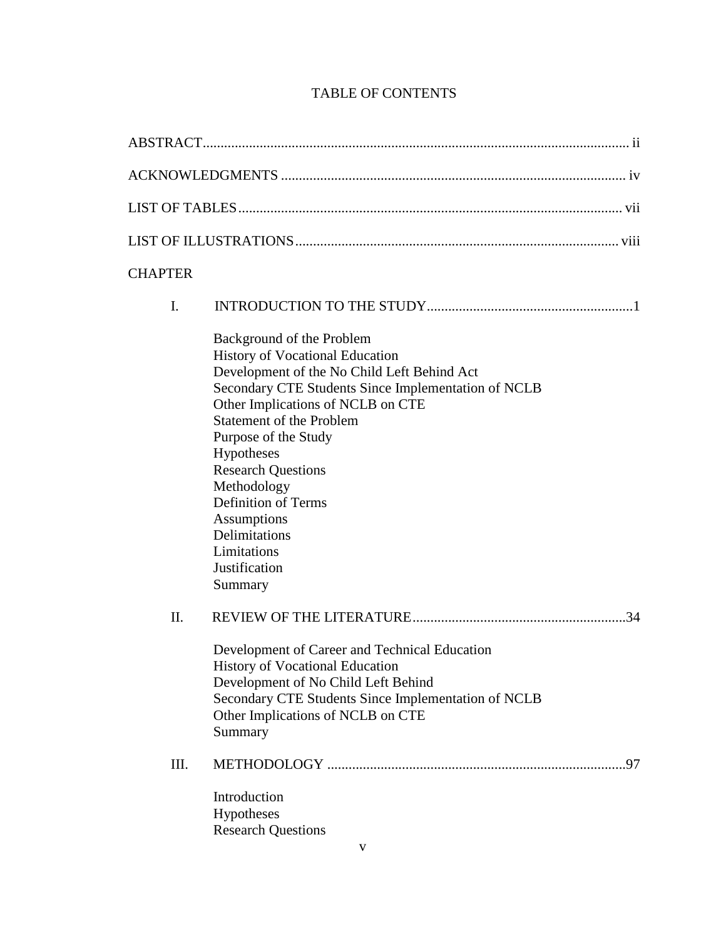# TABLE OF CONTENTS

| <b>CHAPTER</b> |                                                                                                                                                                                                                                                                                                                                                                                                                                              |  |  |  |
|----------------|----------------------------------------------------------------------------------------------------------------------------------------------------------------------------------------------------------------------------------------------------------------------------------------------------------------------------------------------------------------------------------------------------------------------------------------------|--|--|--|
| I.             |                                                                                                                                                                                                                                                                                                                                                                                                                                              |  |  |  |
|                | Background of the Problem<br><b>History of Vocational Education</b><br>Development of the No Child Left Behind Act<br>Secondary CTE Students Since Implementation of NCLB<br>Other Implications of NCLB on CTE<br><b>Statement of the Problem</b><br>Purpose of the Study<br>Hypotheses<br><b>Research Questions</b><br>Methodology<br><b>Definition of Terms</b><br>Assumptions<br>Delimitations<br>Limitations<br>Justification<br>Summary |  |  |  |
| II.            | Development of Career and Technical Education<br>History of Vocational Education<br>Development of No Child Left Behind<br>Secondary CTE Students Since Implementation of NCLB<br>Other Implications of NCLB on CTE<br>Summary                                                                                                                                                                                                               |  |  |  |
| Ш.             | Introduction<br>Hypotheses<br><b>Research Questions</b>                                                                                                                                                                                                                                                                                                                                                                                      |  |  |  |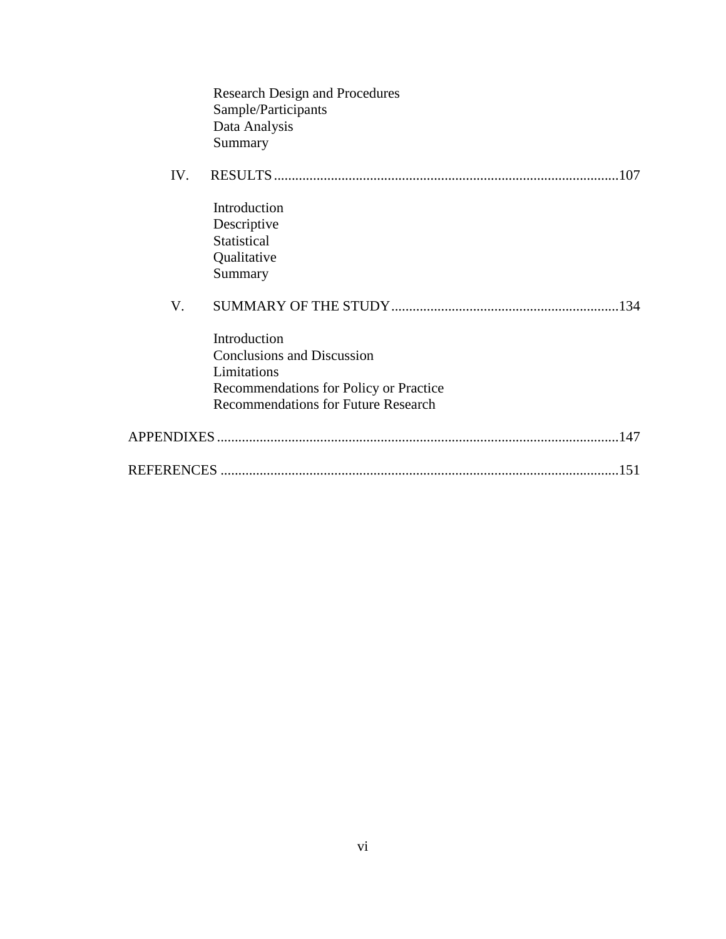|     | <b>Research Design and Procedures</b><br>Sample/Participants<br>Data Analysis<br>Summary                                                                 |      |
|-----|----------------------------------------------------------------------------------------------------------------------------------------------------------|------|
| IV. |                                                                                                                                                          | 107  |
|     | Introduction<br>Descriptive<br>Statistical<br>Qualitative<br>Summary                                                                                     |      |
| V.  |                                                                                                                                                          | .134 |
|     | Introduction<br><b>Conclusions and Discussion</b><br>Limitations<br>Recommendations for Policy or Practice<br><b>Recommendations for Future Research</b> |      |
|     |                                                                                                                                                          | .147 |
|     |                                                                                                                                                          | .151 |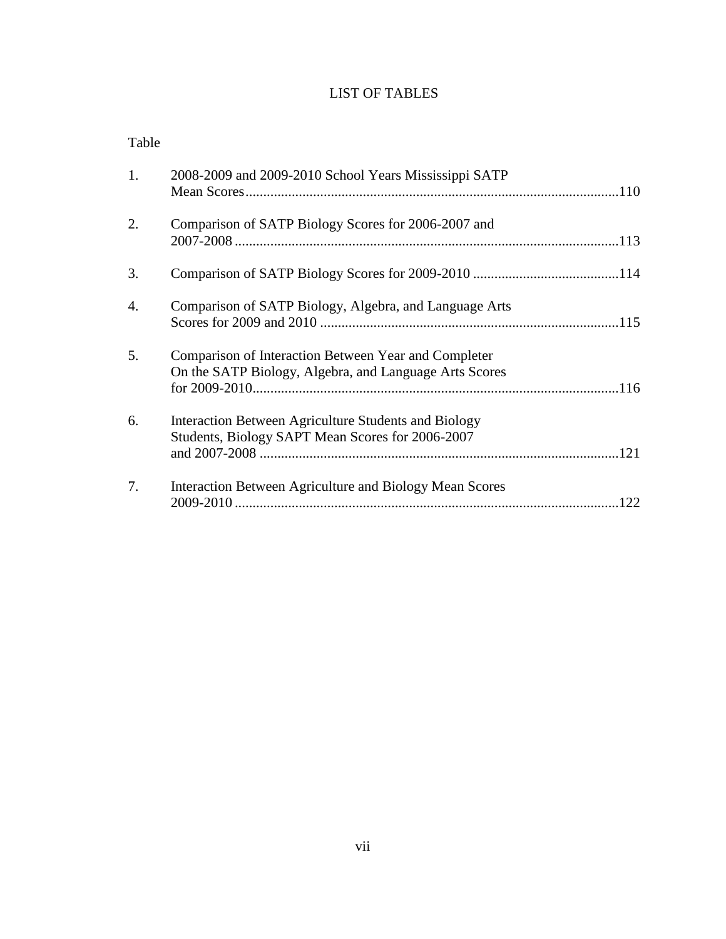## LIST OF TABLES

| 1.               | 2008-2009 and 2009-2010 School Years Mississippi SATP                                                          |     |
|------------------|----------------------------------------------------------------------------------------------------------------|-----|
| 2.               | Comparison of SATP Biology Scores for 2006-2007 and                                                            |     |
| 3.               |                                                                                                                |     |
| $\overline{4}$ . | Comparison of SATP Biology, Algebra, and Language Arts                                                         |     |
| 5.               | Comparison of Interaction Between Year and Completer<br>On the SATP Biology, Algebra, and Language Arts Scores |     |
| 6.               | Interaction Between Agriculture Students and Biology<br>Students, Biology SAPT Mean Scores for 2006-2007       |     |
| 7.               | Interaction Between Agriculture and Biology Mean Scores                                                        | 122 |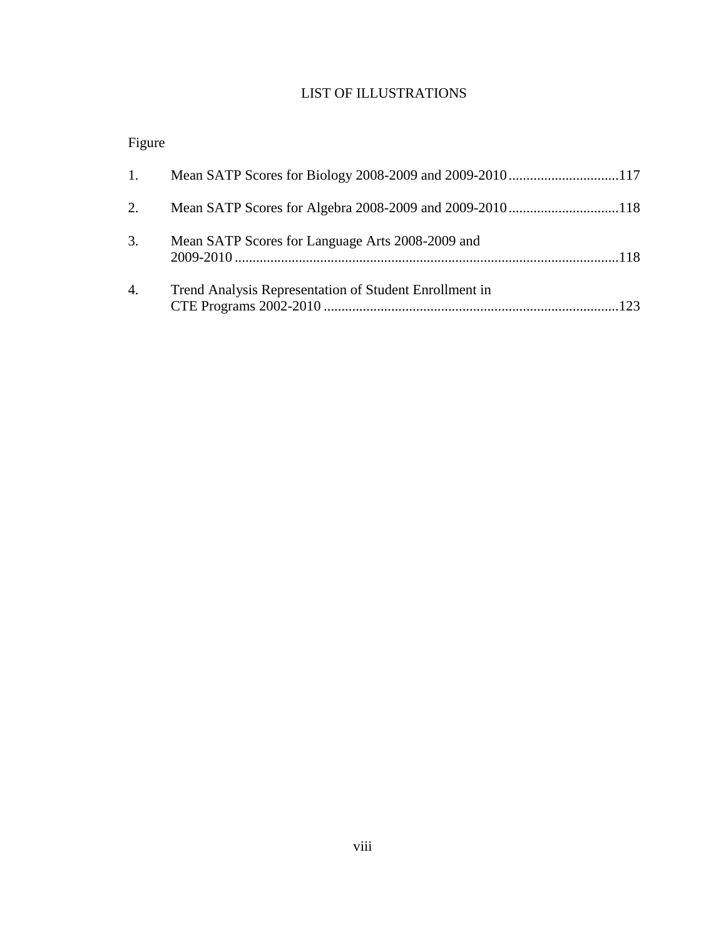## LIST OF ILLUSTRATIONS

# Figure

| 1. |                                                        |  |
|----|--------------------------------------------------------|--|
| 2. |                                                        |  |
| 3. | Mean SATP Scores for Language Arts 2008-2009 and       |  |
| 4. | Trend Analysis Representation of Student Enrollment in |  |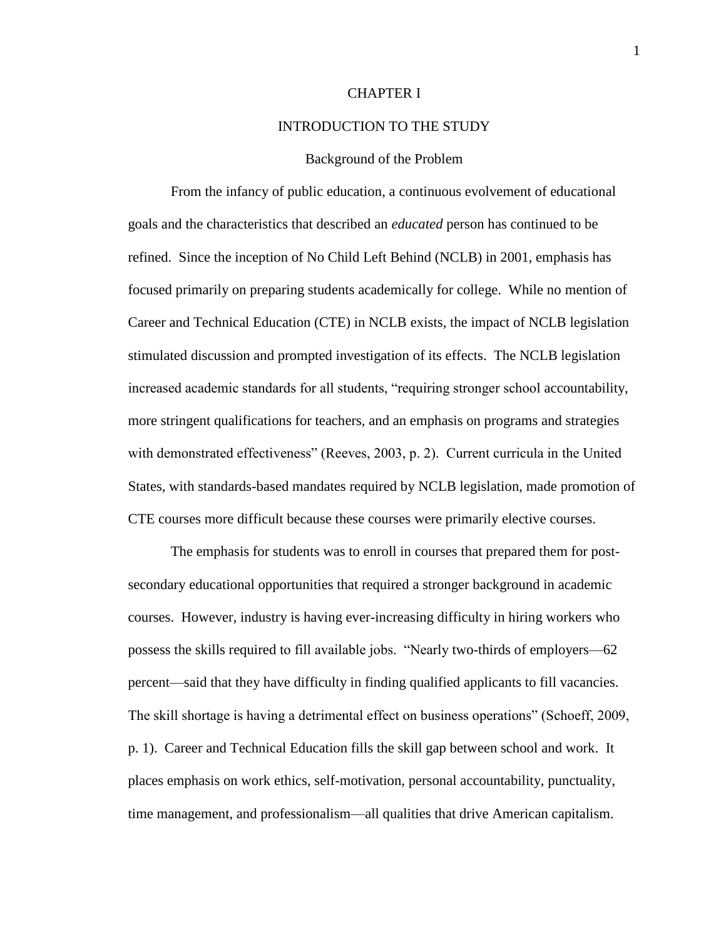#### CHAPTER I

#### INTRODUCTION TO THE STUDY

#### Background of the Problem

From the infancy of public education, a continuous evolvement of educational goals and the characteristics that described an *educated* person has continued to be refined. Since the inception of No Child Left Behind (NCLB) in 2001, emphasis has focused primarily on preparing students academically for college. While no mention of Career and Technical Education (CTE) in NCLB exists, the impact of NCLB legislation stimulated discussion and prompted investigation of its effects. The NCLB legislation increased academic standards for all students, "requiring stronger school accountability, more stringent qualifications for teachers, and an emphasis on programs and strategies with demonstrated effectiveness" (Reeves, 2003, p. 2). Current curricula in the United States, with standards-based mandates required by NCLB legislation, made promotion of CTE courses more difficult because these courses were primarily elective courses.

The emphasis for students was to enroll in courses that prepared them for postsecondary educational opportunities that required a stronger background in academic courses. However, industry is having ever-increasing difficulty in hiring workers who possess the skills required to fill available jobs. "Nearly two-thirds of employers—62 percent—said that they have difficulty in finding qualified applicants to fill vacancies. The skill shortage is having a detrimental effect on business operations" (Schoeff, 2009, p. 1). Career and Technical Education fills the skill gap between school and work. It places emphasis on work ethics, self-motivation, personal accountability, punctuality, time management, and professionalism—all qualities that drive American capitalism.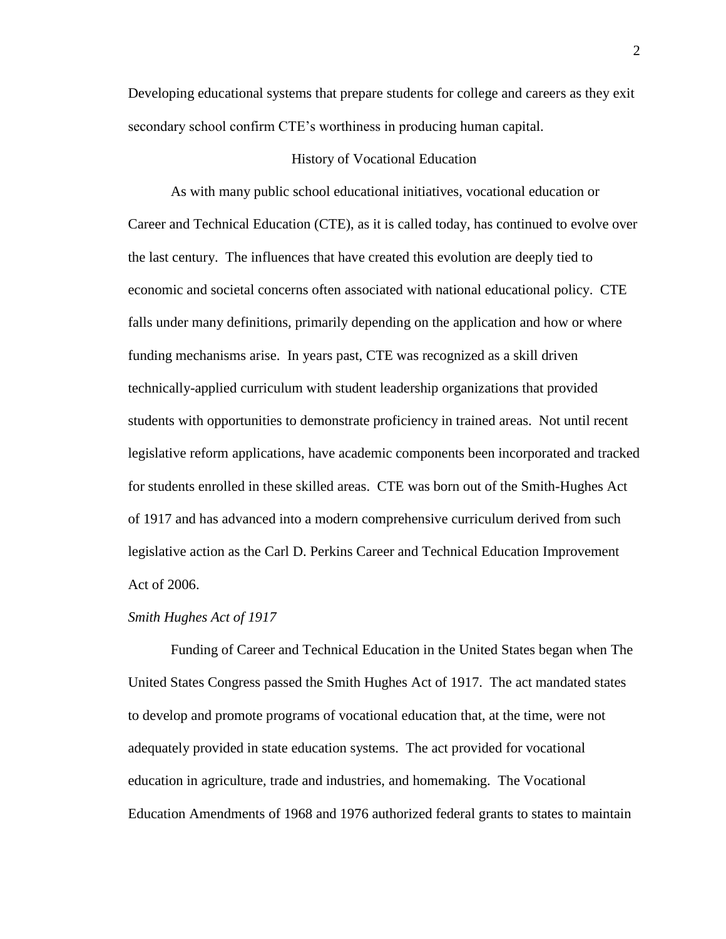Developing educational systems that prepare students for college and careers as they exit secondary school confirm CTE's worthiness in producing human capital.

#### History of Vocational Education

As with many public school educational initiatives, vocational education or Career and Technical Education (CTE), as it is called today, has continued to evolve over the last century. The influences that have created this evolution are deeply tied to economic and societal concerns often associated with national educational policy. CTE falls under many definitions, primarily depending on the application and how or where funding mechanisms arise. In years past, CTE was recognized as a skill driven technically-applied curriculum with student leadership organizations that provided students with opportunities to demonstrate proficiency in trained areas. Not until recent legislative reform applications, have academic components been incorporated and tracked for students enrolled in these skilled areas. CTE was born out of the Smith-Hughes Act of 1917 and has advanced into a modern comprehensive curriculum derived from such legislative action as the Carl D. Perkins Career and Technical Education Improvement Act of 2006.

#### *Smith Hughes Act of 1917*

Funding of Career and Technical Education in the United States began when The United States Congress passed the Smith Hughes Act of 1917. The act mandated states to develop and promote programs of vocational education that, at the time, were not adequately provided in state education systems. The act provided for vocational education in agriculture, trade and industries, and homemaking. The Vocational Education Amendments of 1968 and 1976 authorized federal grants to states to maintain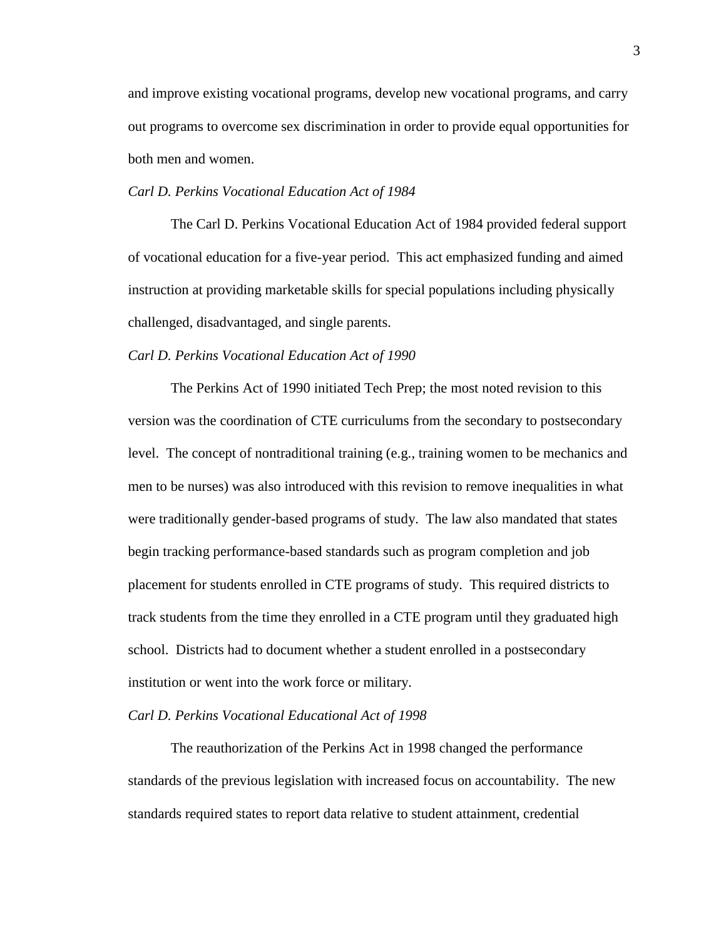and improve existing vocational programs, develop new vocational programs, and carry out programs to overcome sex discrimination in order to provide equal opportunities for both men and women.

#### *Carl D. Perkins Vocational Education Act of 1984*

The Carl D. Perkins Vocational Education Act of 1984 provided federal support of vocational education for a five-year period. This act emphasized funding and aimed instruction at providing marketable skills for special populations including physically challenged, disadvantaged, and single parents.

#### *Carl D. Perkins Vocational Education Act of 1990*

The Perkins Act of 1990 initiated Tech Prep; the most noted revision to this version was the coordination of CTE curriculums from the secondary to postsecondary level. The concept of nontraditional training (e.g., training women to be mechanics and men to be nurses) was also introduced with this revision to remove inequalities in what were traditionally gender-based programs of study. The law also mandated that states begin tracking performance-based standards such as program completion and job placement for students enrolled in CTE programs of study. This required districts to track students from the time they enrolled in a CTE program until they graduated high school. Districts had to document whether a student enrolled in a postsecondary institution or went into the work force or military.

#### *Carl D. Perkins Vocational Educational Act of 1998*

The reauthorization of the Perkins Act in 1998 changed the performance standards of the previous legislation with increased focus on accountability. The new standards required states to report data relative to student attainment, credential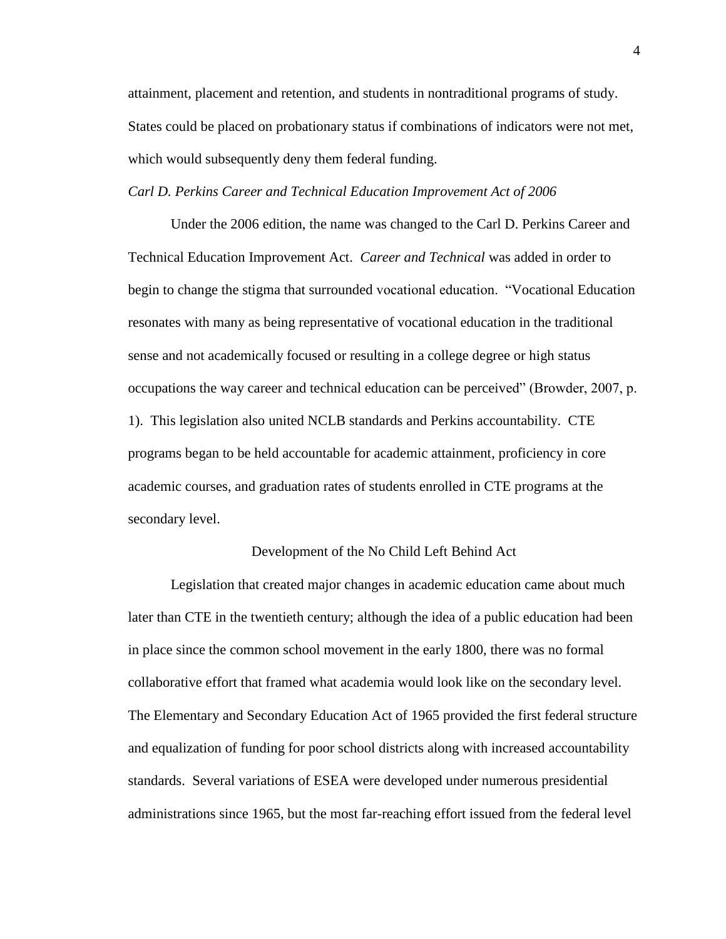attainment, placement and retention, and students in nontraditional programs of study. States could be placed on probationary status if combinations of indicators were not met, which would subsequently deny them federal funding.

#### *Carl D. Perkins Career and Technical Education Improvement Act of 2006*

Under the 2006 edition, the name was changed to the Carl D. Perkins Career and Technical Education Improvement Act. *Career and Technical* was added in order to begin to change the stigma that surrounded vocational education. "Vocational Education resonates with many as being representative of vocational education in the traditional sense and not academically focused or resulting in a college degree or high status occupations the way career and technical education can be perceived" (Browder, 2007, p. 1). This legislation also united NCLB standards and Perkins accountability. CTE programs began to be held accountable for academic attainment, proficiency in core academic courses, and graduation rates of students enrolled in CTE programs at the secondary level.

#### Development of the No Child Left Behind Act

Legislation that created major changes in academic education came about much later than CTE in the twentieth century; although the idea of a public education had been in place since the common school movement in the early 1800, there was no formal collaborative effort that framed what academia would look like on the secondary level. The Elementary and Secondary Education Act of 1965 provided the first federal structure and equalization of funding for poor school districts along with increased accountability standards. Several variations of ESEA were developed under numerous presidential administrations since 1965, but the most far-reaching effort issued from the federal level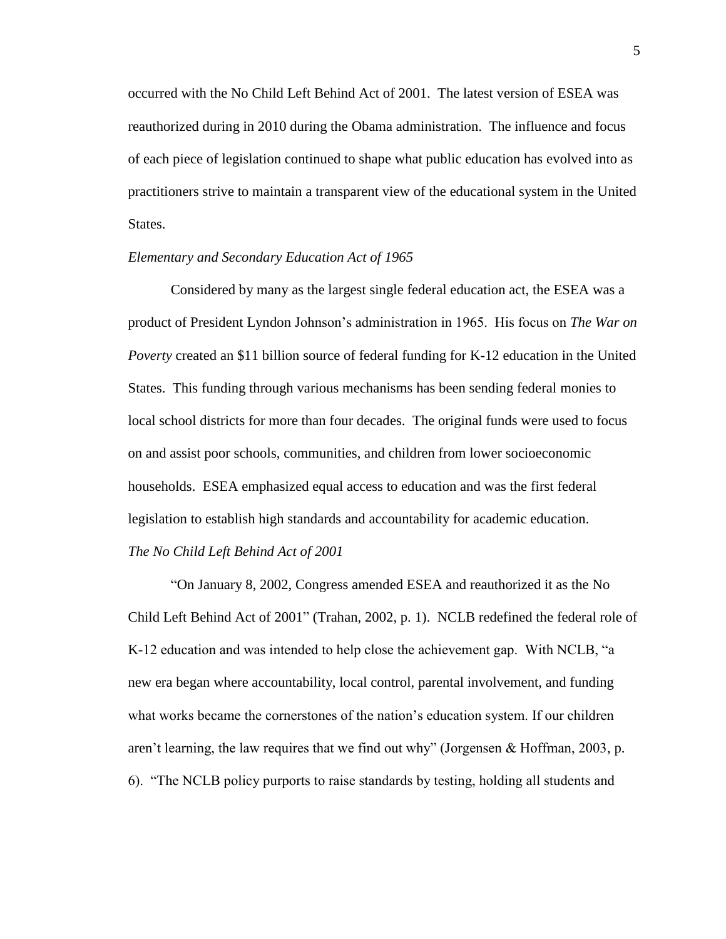occurred with the No Child Left Behind Act of 2001. The latest version of ESEA was reauthorized during in 2010 during the Obama administration. The influence and focus of each piece of legislation continued to shape what public education has evolved into as practitioners strive to maintain a transparent view of the educational system in the United States.

#### *Elementary and Secondary Education Act of 1965*

Considered by many as the largest single federal education act, the ESEA was a product of President Lyndon Johnson's administration in 1965. His focus on *The War on Poverty* created an \$11 billion source of federal funding for K-12 education in the United States. This funding through various mechanisms has been sending federal monies to local school districts for more than four decades. The original funds were used to focus on and assist poor schools, communities, and children from lower socioeconomic households. ESEA emphasized equal access to education and was the first federal legislation to establish high standards and accountability for academic education. *The No Child Left Behind Act of 2001*

"On January 8, 2002, Congress amended ESEA and reauthorized it as the No Child Left Behind Act of 2001" (Trahan, 2002, p. 1). NCLB redefined the federal role of K-12 education and was intended to help close the achievement gap. With NCLB, "a new era began where accountability, local control, parental involvement, and funding what works became the cornerstones of the nation's education system. If our children aren't learning, the law requires that we find out why" (Jorgensen & Hoffman, 2003, p. 6). "The NCLB policy purports to raise standards by testing, holding all students and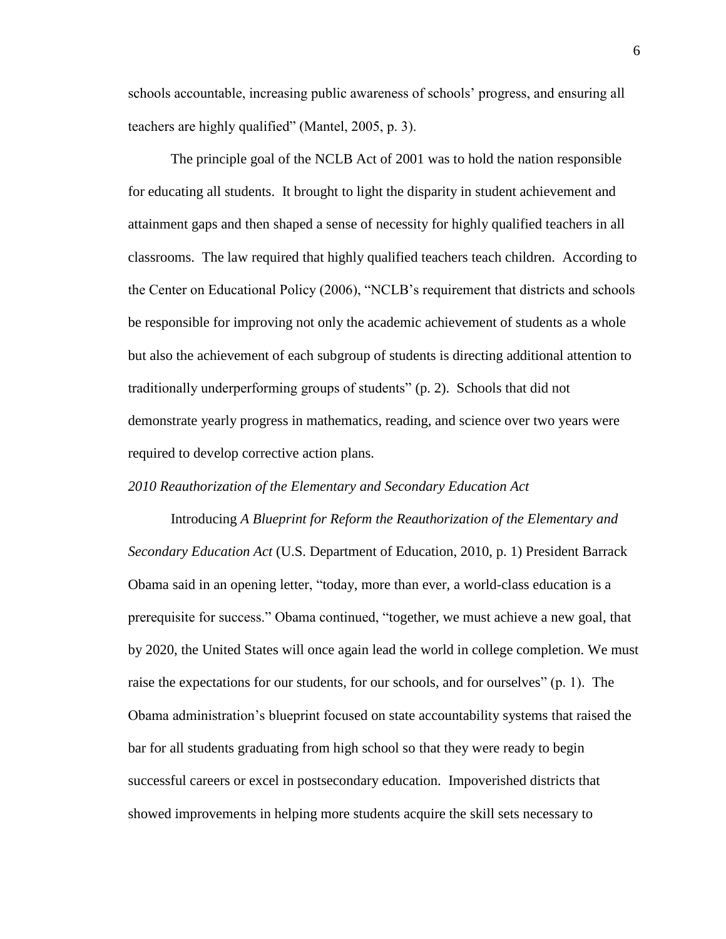schools accountable, increasing public awareness of schools' progress, and ensuring all teachers are highly qualified" (Mantel, 2005, p. 3).

The principle goal of the NCLB Act of 2001 was to hold the nation responsible for educating all students. It brought to light the disparity in student achievement and attainment gaps and then shaped a sense of necessity for highly qualified teachers in all classrooms. The law required that highly qualified teachers teach children. According to the Center on Educational Policy (2006), "NCLB's requirement that districts and schools be responsible for improving not only the academic achievement of students as a whole but also the achievement of each subgroup of students is directing additional attention to traditionally underperforming groups of students" (p. 2). Schools that did not demonstrate yearly progress in mathematics, reading, and science over two years were required to develop corrective action plans.

#### *2010 Reauthorization of the Elementary and Secondary Education Act*

Introducing *A Blueprint for Reform the Reauthorization of the Elementary and Secondary Education Act* (U.S. Department of Education, 2010, p. 1) President Barrack Obama said in an opening letter, "today, more than ever, a world-class education is a prerequisite for success." Obama continued, "together, we must achieve a new goal, that by 2020, the United States will once again lead the world in college completion. We must raise the expectations for our students, for our schools, and for ourselves" (p. 1). The Obama administration's blueprint focused on state accountability systems that raised the bar for all students graduating from high school so that they were ready to begin successful careers or excel in postsecondary education. Impoverished districts that showed improvements in helping more students acquire the skill sets necessary to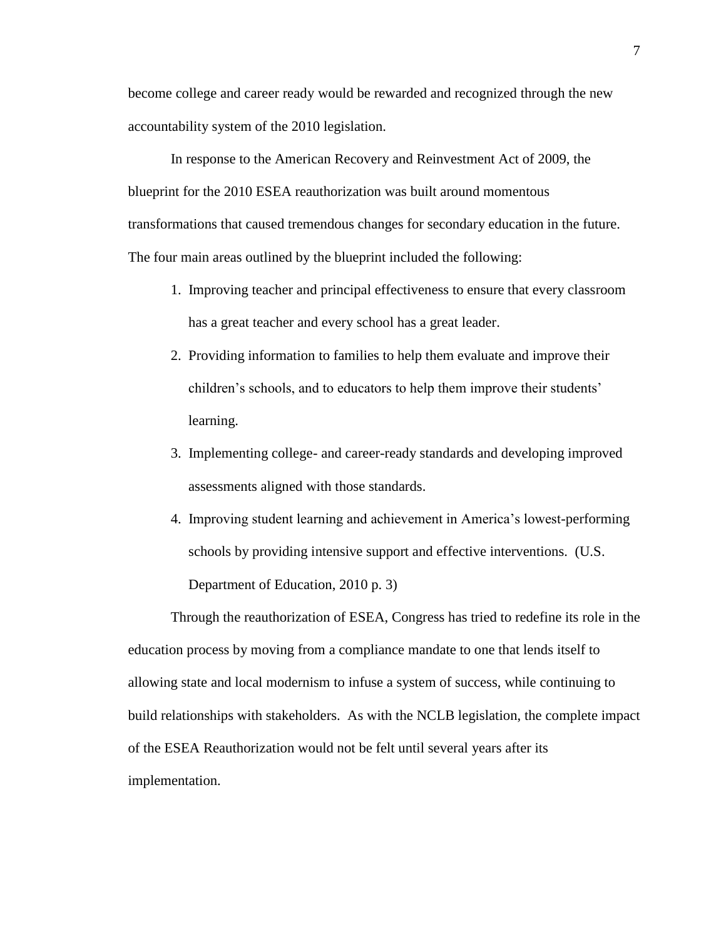become college and career ready would be rewarded and recognized through the new accountability system of the 2010 legislation.

In response to the American Recovery and Reinvestment Act of 2009, the blueprint for the 2010 ESEA reauthorization was built around momentous transformations that caused tremendous changes for secondary education in the future. The four main areas outlined by the blueprint included the following:

- 1. Improving teacher and principal effectiveness to ensure that every classroom has a great teacher and every school has a great leader.
- 2. Providing information to families to help them evaluate and improve their children's schools, and to educators to help them improve their students' learning.
- 3. Implementing college- and career-ready standards and developing improved assessments aligned with those standards.
- 4. Improving student learning and achievement in America's lowest-performing schools by providing intensive support and effective interventions. (U.S. Department of Education, 2010 p. 3)

Through the reauthorization of ESEA, Congress has tried to redefine its role in the education process by moving from a compliance mandate to one that lends itself to allowing state and local modernism to infuse a system of success, while continuing to build relationships with stakeholders. As with the NCLB legislation, the complete impact of the ESEA Reauthorization would not be felt until several years after its implementation.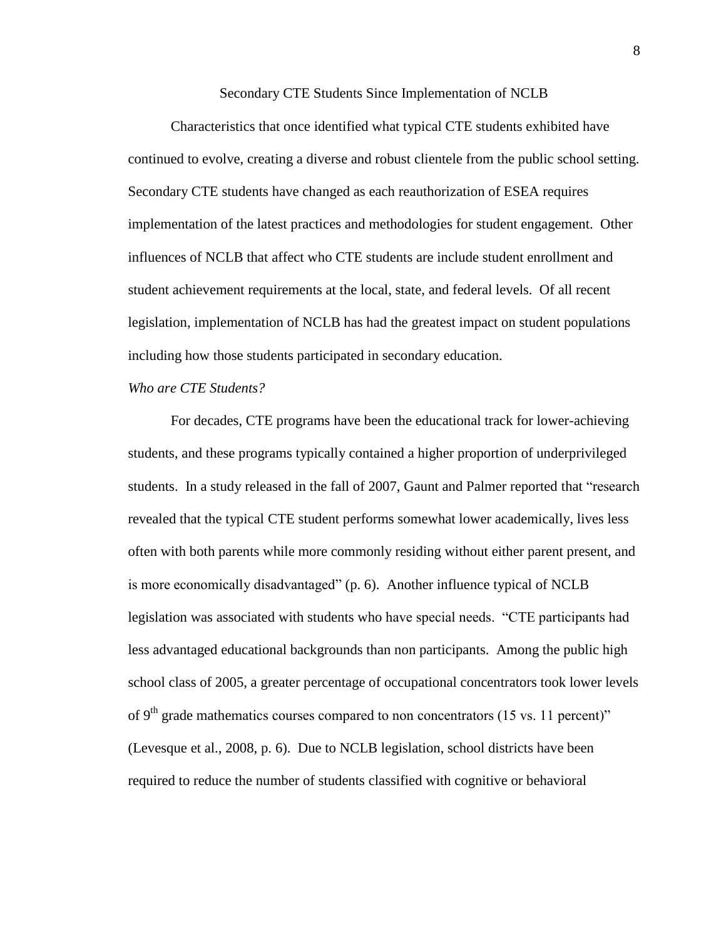Secondary CTE Students Since Implementation of NCLB

Characteristics that once identified what typical CTE students exhibited have continued to evolve, creating a diverse and robust clientele from the public school setting. Secondary CTE students have changed as each reauthorization of ESEA requires implementation of the latest practices and methodologies for student engagement. Other influences of NCLB that affect who CTE students are include student enrollment and student achievement requirements at the local, state, and federal levels. Of all recent legislation, implementation of NCLB has had the greatest impact on student populations including how those students participated in secondary education.

#### *Who are CTE Students?*

For decades, CTE programs have been the educational track for lower-achieving students, and these programs typically contained a higher proportion of underprivileged students. In a study released in the fall of 2007, Gaunt and Palmer reported that "research revealed that the typical CTE student performs somewhat lower academically, lives less often with both parents while more commonly residing without either parent present, and is more economically disadvantaged" (p. 6). Another influence typical of NCLB legislation was associated with students who have special needs. "CTE participants had less advantaged educational backgrounds than non participants. Among the public high school class of 2005, a greater percentage of occupational concentrators took lower levels of 9<sup>th</sup> grade mathematics courses compared to non concentrators (15 vs. 11 percent)" (Levesque et al., 2008, p. 6). Due to NCLB legislation, school districts have been required to reduce the number of students classified with cognitive or behavioral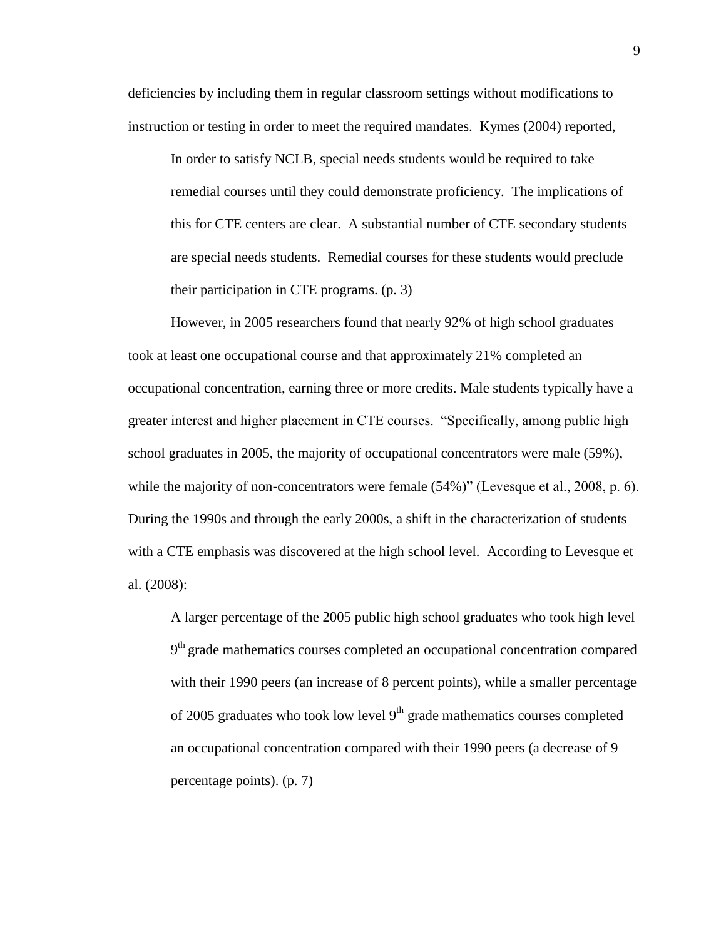deficiencies by including them in regular classroom settings without modifications to instruction or testing in order to meet the required mandates. Kymes (2004) reported,

In order to satisfy NCLB, special needs students would be required to take remedial courses until they could demonstrate proficiency. The implications of this for CTE centers are clear. A substantial number of CTE secondary students are special needs students. Remedial courses for these students would preclude their participation in CTE programs. (p. 3)

However, in 2005 researchers found that nearly 92% of high school graduates took at least one occupational course and that approximately 21% completed an occupational concentration, earning three or more credits. Male students typically have a greater interest and higher placement in CTE courses. "Specifically, among public high school graduates in 2005, the majority of occupational concentrators were male (59%), while the majority of non-concentrators were female  $(54%)$ " (Levesque et al., 2008, p. 6). During the 1990s and through the early 2000s, a shift in the characterization of students with a CTE emphasis was discovered at the high school level. According to Levesque et al. (2008):

A larger percentage of the 2005 public high school graduates who took high level 9<sup>th</sup> grade mathematics courses completed an occupational concentration compared with their 1990 peers (an increase of 8 percent points), while a smaller percentage of 2005 graduates who took low level  $9<sup>th</sup>$  grade mathematics courses completed an occupational concentration compared with their 1990 peers (a decrease of 9 percentage points). (p. 7)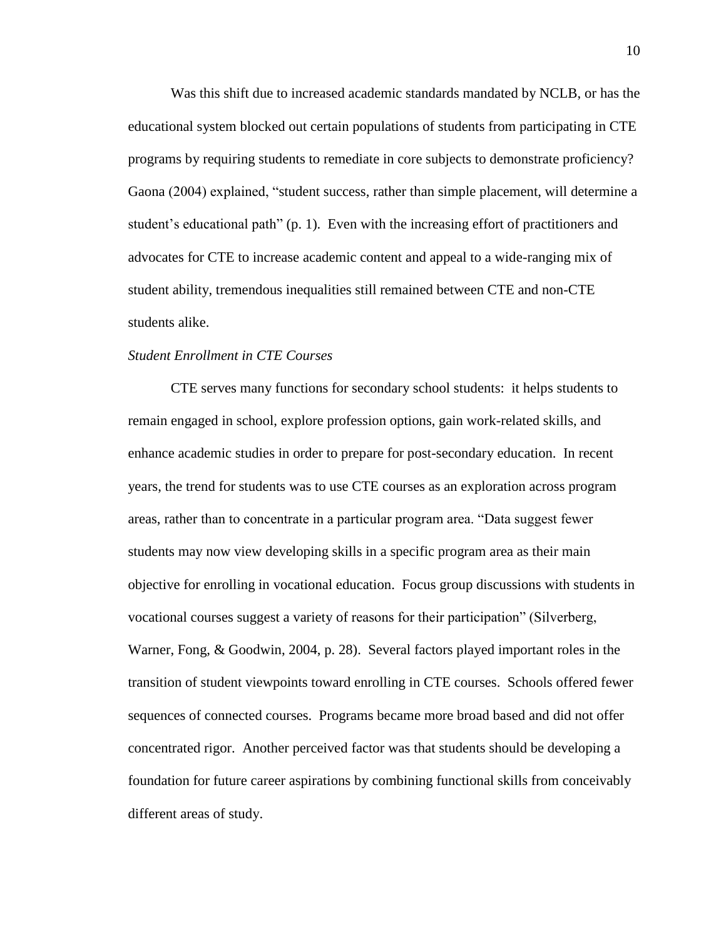Was this shift due to increased academic standards mandated by NCLB, or has the educational system blocked out certain populations of students from participating in CTE programs by requiring students to remediate in core subjects to demonstrate proficiency? Gaona (2004) explained, "student success, rather than simple placement, will determine a student's educational path" (p. 1). Even with the increasing effort of practitioners and advocates for CTE to increase academic content and appeal to a wide-ranging mix of student ability, tremendous inequalities still remained between CTE and non-CTE students alike.

#### *Student Enrollment in CTE Courses*

CTE serves many functions for secondary school students: it helps students to remain engaged in school, explore profession options, gain work-related skills, and enhance academic studies in order to prepare for post-secondary education. In recent years, the trend for students was to use CTE courses as an exploration across program areas, rather than to concentrate in a particular program area. "Data suggest fewer students may now view developing skills in a specific program area as their main objective for enrolling in vocational education. Focus group discussions with students in vocational courses suggest a variety of reasons for their participation" (Silverberg, Warner, Fong, & Goodwin, 2004, p. 28). Several factors played important roles in the transition of student viewpoints toward enrolling in CTE courses. Schools offered fewer sequences of connected courses. Programs became more broad based and did not offer concentrated rigor. Another perceived factor was that students should be developing a foundation for future career aspirations by combining functional skills from conceivably different areas of study.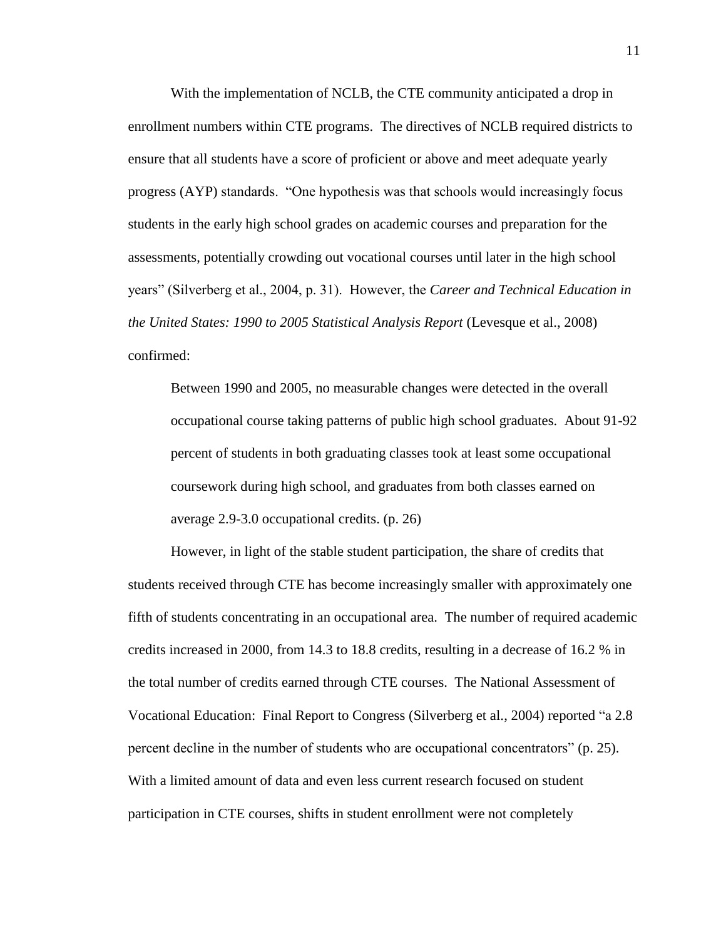With the implementation of NCLB, the CTE community anticipated a drop in enrollment numbers within CTE programs. The directives of NCLB required districts to ensure that all students have a score of proficient or above and meet adequate yearly progress (AYP) standards. "One hypothesis was that schools would increasingly focus students in the early high school grades on academic courses and preparation for the assessments, potentially crowding out vocational courses until later in the high school years" (Silverberg et al., 2004, p. 31). However, the *Career and Technical Education in the United States: 1990 to 2005 Statistical Analysis Report* (Levesque et al., 2008) confirmed:

Between 1990 and 2005, no measurable changes were detected in the overall occupational course taking patterns of public high school graduates. About 91-92 percent of students in both graduating classes took at least some occupational coursework during high school, and graduates from both classes earned on average 2.9-3.0 occupational credits. (p. 26)

However, in light of the stable student participation, the share of credits that students received through CTE has become increasingly smaller with approximately one fifth of students concentrating in an occupational area. The number of required academic credits increased in 2000, from 14.3 to 18.8 credits, resulting in a decrease of 16.2 % in the total number of credits earned through CTE courses. The National Assessment of Vocational Education: Final Report to Congress (Silverberg et al., 2004) reported "a 2.8 percent decline in the number of students who are occupational concentrators" (p. 25). With a limited amount of data and even less current research focused on student participation in CTE courses, shifts in student enrollment were not completely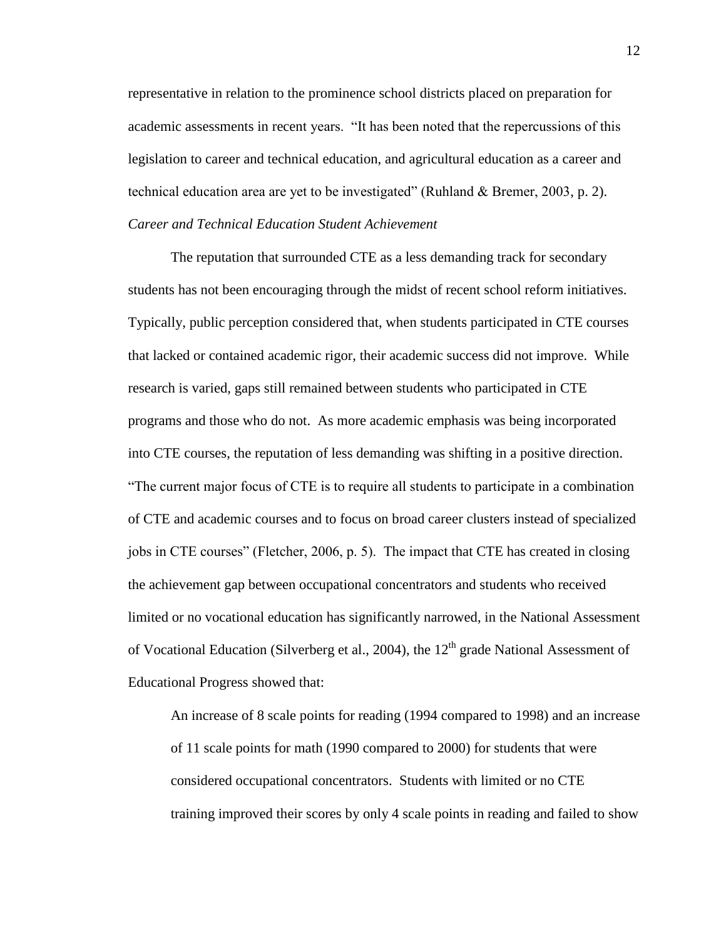representative in relation to the prominence school districts placed on preparation for academic assessments in recent years. "It has been noted that the repercussions of this legislation to career and technical education, and agricultural education as a career and technical education area are yet to be investigated" (Ruhland & Bremer, 2003, p. 2). *Career and Technical Education Student Achievement*

The reputation that surrounded CTE as a less demanding track for secondary students has not been encouraging through the midst of recent school reform initiatives. Typically, public perception considered that, when students participated in CTE courses that lacked or contained academic rigor, their academic success did not improve. While research is varied, gaps still remained between students who participated in CTE programs and those who do not. As more academic emphasis was being incorporated into CTE courses, the reputation of less demanding was shifting in a positive direction. "The current major focus of CTE is to require all students to participate in a combination of CTE and academic courses and to focus on broad career clusters instead of specialized jobs in CTE courses" (Fletcher, 2006, p. 5). The impact that CTE has created in closing the achievement gap between occupational concentrators and students who received limited or no vocational education has significantly narrowed, in the National Assessment of Vocational Education (Silverberg et al., 2004), the  $12<sup>th</sup>$  grade National Assessment of Educational Progress showed that:

An increase of 8 scale points for reading (1994 compared to 1998) and an increase of 11 scale points for math (1990 compared to 2000) for students that were considered occupational concentrators. Students with limited or no CTE training improved their scores by only 4 scale points in reading and failed to show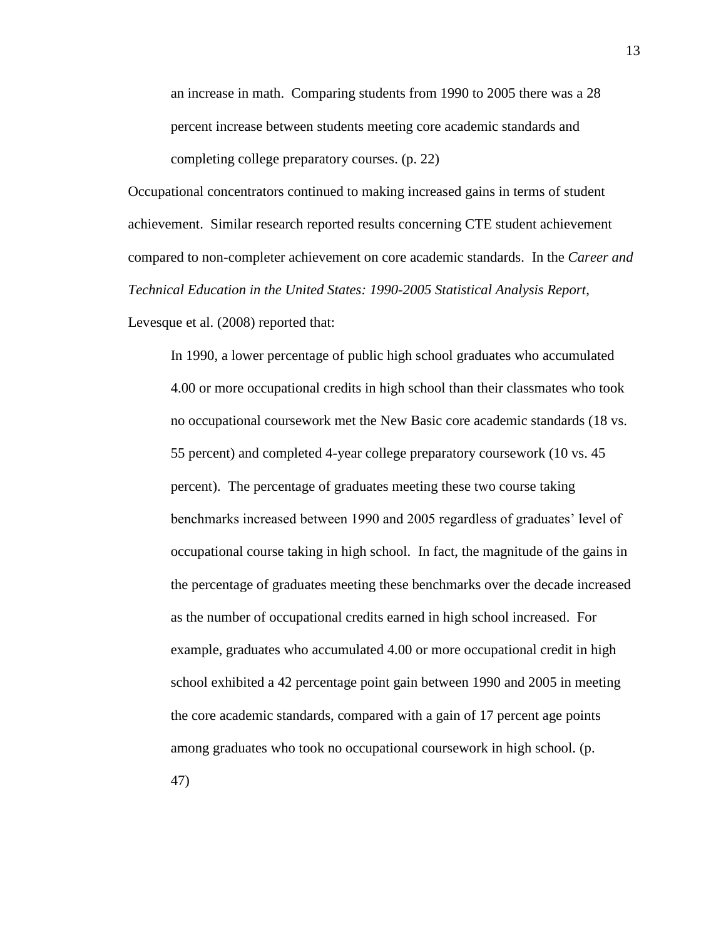an increase in math. Comparing students from 1990 to 2005 there was a 28 percent increase between students meeting core academic standards and completing college preparatory courses. (p. 22)

Occupational concentrators continued to making increased gains in terms of student achievement. Similar research reported results concerning CTE student achievement compared to non-completer achievement on core academic standards. In the *Career and Technical Education in the United States: 1990-2005 Statistical Analysis Report*,

Levesque et al. (2008) reported that:

In 1990, a lower percentage of public high school graduates who accumulated 4.00 or more occupational credits in high school than their classmates who took no occupational coursework met the New Basic core academic standards (18 vs. 55 percent) and completed 4-year college preparatory coursework (10 vs. 45 percent). The percentage of graduates meeting these two course taking benchmarks increased between 1990 and 2005 regardless of graduates' level of occupational course taking in high school. In fact, the magnitude of the gains in the percentage of graduates meeting these benchmarks over the decade increased as the number of occupational credits earned in high school increased. For example, graduates who accumulated 4.00 or more occupational credit in high school exhibited a 42 percentage point gain between 1990 and 2005 in meeting the core academic standards, compared with a gain of 17 percent age points among graduates who took no occupational coursework in high school. (p. 47)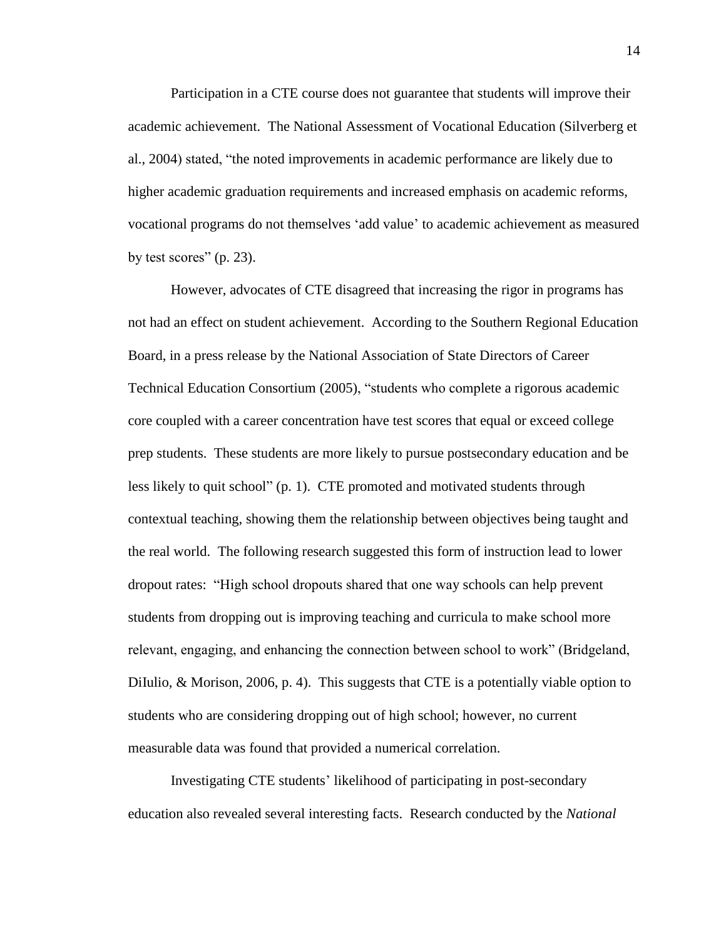Participation in a CTE course does not guarantee that students will improve their academic achievement. The National Assessment of Vocational Education (Silverberg et al., 2004) stated, "the noted improvements in academic performance are likely due to higher academic graduation requirements and increased emphasis on academic reforms, vocational programs do not themselves 'add value' to academic achievement as measured by test scores" (p. 23).

However, advocates of CTE disagreed that increasing the rigor in programs has not had an effect on student achievement. According to the Southern Regional Education Board, in a press release by the National Association of State Directors of Career Technical Education Consortium (2005), "students who complete a rigorous academic core coupled with a career concentration have test scores that equal or exceed college prep students. These students are more likely to pursue postsecondary education and be less likely to quit school" (p. 1). CTE promoted and motivated students through contextual teaching, showing them the relationship between objectives being taught and the real world. The following research suggested this form of instruction lead to lower dropout rates: "High school dropouts shared that one way schools can help prevent students from dropping out is improving teaching and curricula to make school more relevant, engaging, and enhancing the connection between school to work" (Bridgeland, Difulio, & Morison, 2006, p. 4). This suggests that CTE is a potentially viable option to students who are considering dropping out of high school; however, no current measurable data was found that provided a numerical correlation.

Investigating CTE students' likelihood of participating in post-secondary education also revealed several interesting facts. Research conducted by the *National*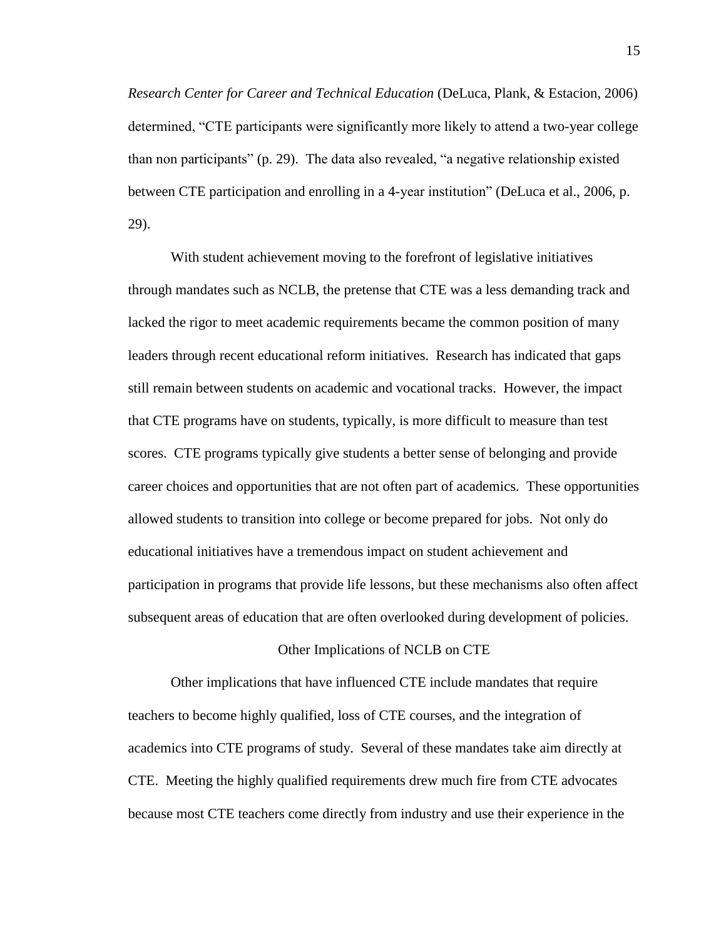*Research Center for Career and Technical Education* (DeLuca, Plank, & Estacion, 2006) determined, "CTE participants were significantly more likely to attend a two-year college than non participants" (p. 29). The data also revealed, "a negative relationship existed between CTE participation and enrolling in a 4-year institution" (DeLuca et al., 2006, p. 29).

With student achievement moving to the forefront of legislative initiatives through mandates such as NCLB, the pretense that CTE was a less demanding track and lacked the rigor to meet academic requirements became the common position of many leaders through recent educational reform initiatives. Research has indicated that gaps still remain between students on academic and vocational tracks. However, the impact that CTE programs have on students, typically, is more difficult to measure than test scores. CTE programs typically give students a better sense of belonging and provide career choices and opportunities that are not often part of academics. These opportunities allowed students to transition into college or become prepared for jobs. Not only do educational initiatives have a tremendous impact on student achievement and participation in programs that provide life lessons, but these mechanisms also often affect subsequent areas of education that are often overlooked during development of policies.

#### Other Implications of NCLB on CTE

Other implications that have influenced CTE include mandates that require teachers to become highly qualified, loss of CTE courses, and the integration of academics into CTE programs of study. Several of these mandates take aim directly at CTE. Meeting the highly qualified requirements drew much fire from CTE advocates because most CTE teachers come directly from industry and use their experience in the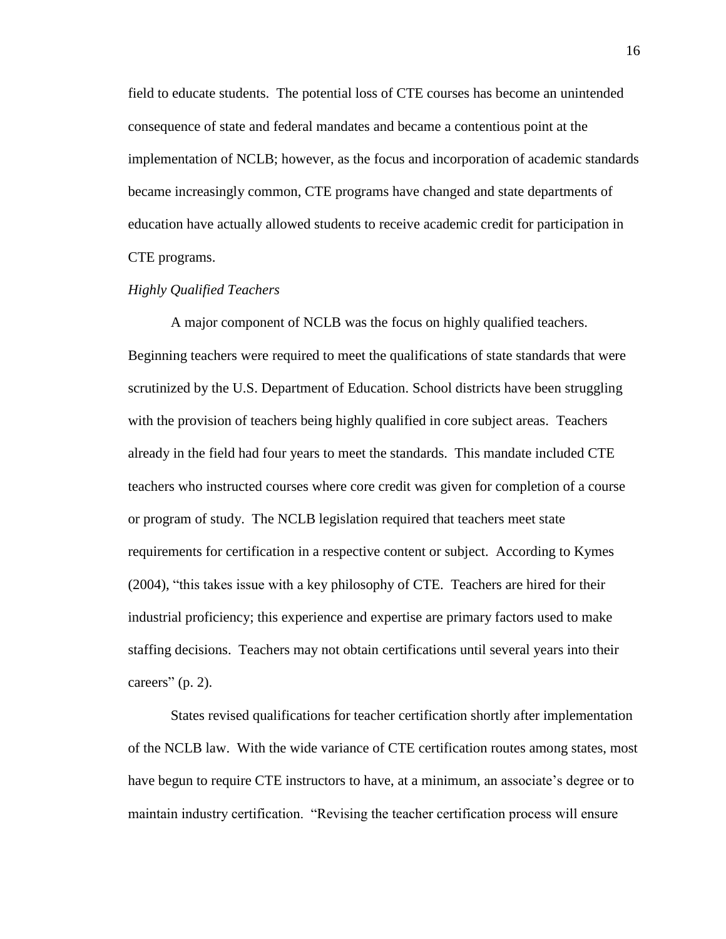field to educate students. The potential loss of CTE courses has become an unintended consequence of state and federal mandates and became a contentious point at the implementation of NCLB; however, as the focus and incorporation of academic standards became increasingly common, CTE programs have changed and state departments of education have actually allowed students to receive academic credit for participation in CTE programs.

#### *Highly Qualified Teachers*

A major component of NCLB was the focus on highly qualified teachers. Beginning teachers were required to meet the qualifications of state standards that were scrutinized by the U.S. Department of Education. School districts have been struggling with the provision of teachers being highly qualified in core subject areas. Teachers already in the field had four years to meet the standards. This mandate included CTE teachers who instructed courses where core credit was given for completion of a course or program of study. The NCLB legislation required that teachers meet state requirements for certification in a respective content or subject. According to Kymes (2004), "this takes issue with a key philosophy of CTE. Teachers are hired for their industrial proficiency; this experience and expertise are primary factors used to make staffing decisions. Teachers may not obtain certifications until several years into their careers"  $(p. 2)$ .

States revised qualifications for teacher certification shortly after implementation of the NCLB law. With the wide variance of CTE certification routes among states, most have begun to require CTE instructors to have, at a minimum, an associate's degree or to maintain industry certification. "Revising the teacher certification process will ensure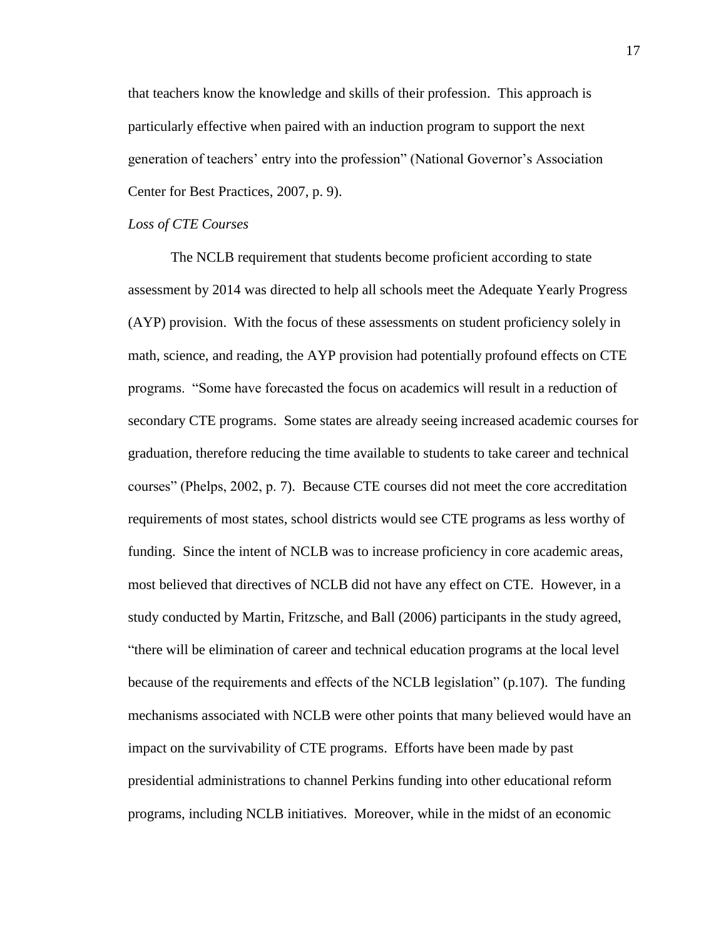that teachers know the knowledge and skills of their profession. This approach is particularly effective when paired with an induction program to support the next generation of teachers' entry into the profession" (National Governor's Association Center for Best Practices, 2007, p. 9).

#### *Loss of CTE Courses*

The NCLB requirement that students become proficient according to state assessment by 2014 was directed to help all schools meet the Adequate Yearly Progress (AYP) provision. With the focus of these assessments on student proficiency solely in math, science, and reading, the AYP provision had potentially profound effects on CTE programs. "Some have forecasted the focus on academics will result in a reduction of secondary CTE programs. Some states are already seeing increased academic courses for graduation, therefore reducing the time available to students to take career and technical courses" (Phelps, 2002, p. 7). Because CTE courses did not meet the core accreditation requirements of most states, school districts would see CTE programs as less worthy of funding. Since the intent of NCLB was to increase proficiency in core academic areas, most believed that directives of NCLB did not have any effect on CTE. However, in a study conducted by Martin, Fritzsche, and Ball (2006) participants in the study agreed, "there will be elimination of career and technical education programs at the local level because of the requirements and effects of the NCLB legislation" (p.107). The funding mechanisms associated with NCLB were other points that many believed would have an impact on the survivability of CTE programs. Efforts have been made by past presidential administrations to channel Perkins funding into other educational reform programs, including NCLB initiatives. Moreover, while in the midst of an economic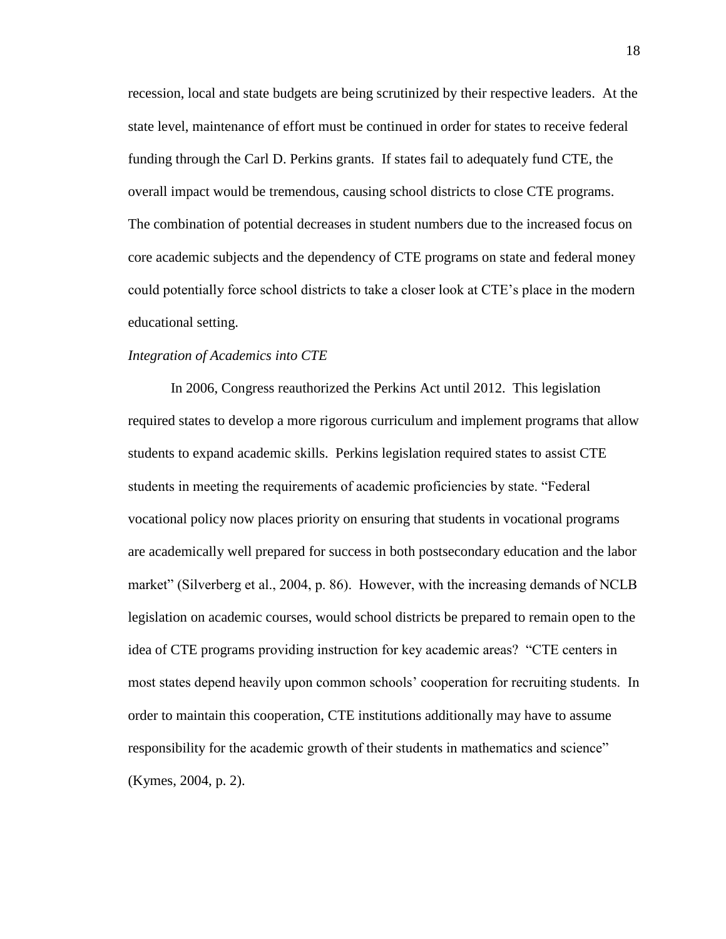recession, local and state budgets are being scrutinized by their respective leaders. At the state level, maintenance of effort must be continued in order for states to receive federal funding through the Carl D. Perkins grants. If states fail to adequately fund CTE, the overall impact would be tremendous, causing school districts to close CTE programs. The combination of potential decreases in student numbers due to the increased focus on core academic subjects and the dependency of CTE programs on state and federal money could potentially force school districts to take a closer look at CTE's place in the modern educational setting.

#### *Integration of Academics into CTE*

In 2006, Congress reauthorized the Perkins Act until 2012. This legislation required states to develop a more rigorous curriculum and implement programs that allow students to expand academic skills. Perkins legislation required states to assist CTE students in meeting the requirements of academic proficiencies by state. "Federal vocational policy now places priority on ensuring that students in vocational programs are academically well prepared for success in both postsecondary education and the labor market" (Silverberg et al., 2004, p. 86). However, with the increasing demands of NCLB legislation on academic courses, would school districts be prepared to remain open to the idea of CTE programs providing instruction for key academic areas? "CTE centers in most states depend heavily upon common schools' cooperation for recruiting students. In order to maintain this cooperation, CTE institutions additionally may have to assume responsibility for the academic growth of their students in mathematics and science" (Kymes, 2004, p. 2).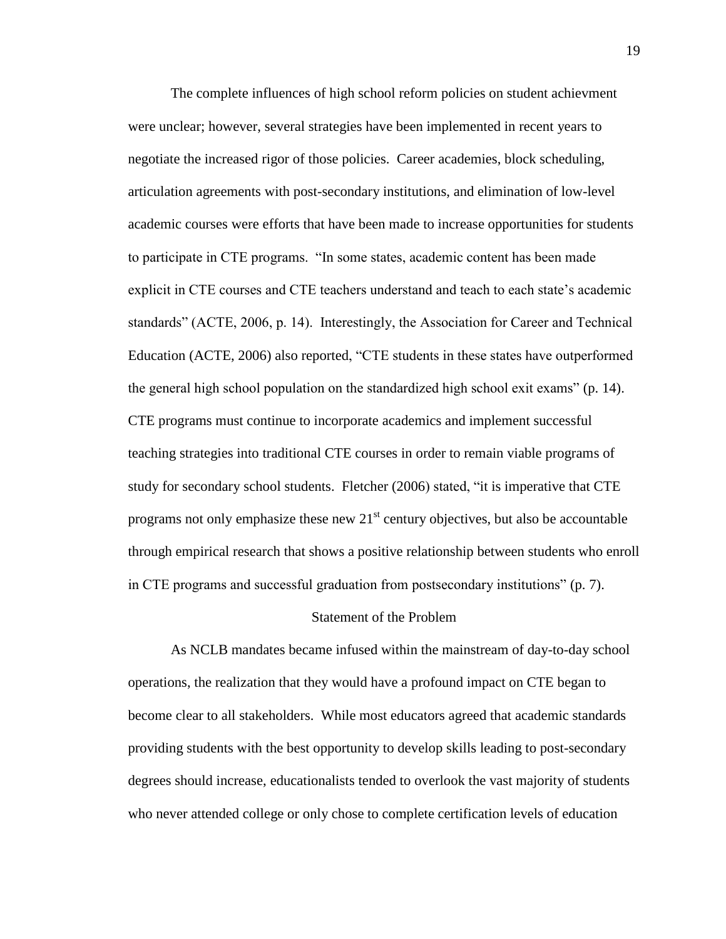The complete influences of high school reform policies on student achievment were unclear; however, several strategies have been implemented in recent years to negotiate the increased rigor of those policies. Career academies, block scheduling, articulation agreements with post-secondary institutions, and elimination of low-level academic courses were efforts that have been made to increase opportunities for students to participate in CTE programs. "In some states, academic content has been made explicit in CTE courses and CTE teachers understand and teach to each state's academic standards" (ACTE, 2006, p. 14). Interestingly, the Association for Career and Technical Education (ACTE, 2006) also reported, "CTE students in these states have outperformed the general high school population on the standardized high school exit exams" (p. 14). CTE programs must continue to incorporate academics and implement successful teaching strategies into traditional CTE courses in order to remain viable programs of study for secondary school students. Fletcher (2006) stated, "it is imperative that CTE programs not only emphasize these new  $21<sup>st</sup>$  century objectives, but also be accountable through empirical research that shows a positive relationship between students who enroll in CTE programs and successful graduation from postsecondary institutions" (p. 7).

#### Statement of the Problem

As NCLB mandates became infused within the mainstream of day-to-day school operations, the realization that they would have a profound impact on CTE began to become clear to all stakeholders. While most educators agreed that academic standards providing students with the best opportunity to develop skills leading to post-secondary degrees should increase, educationalists tended to overlook the vast majority of students who never attended college or only chose to complete certification levels of education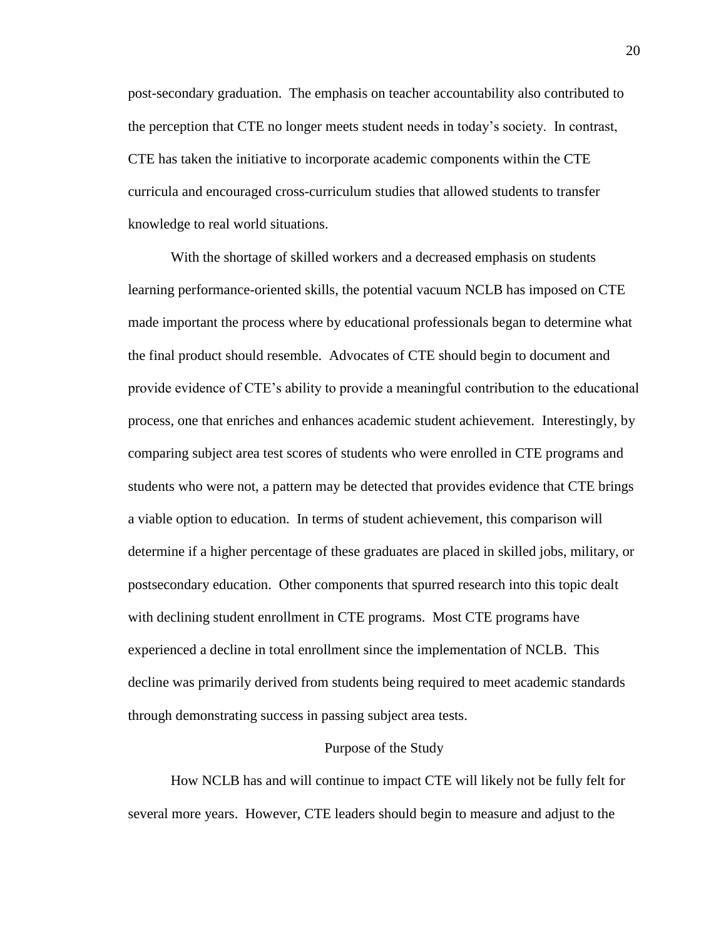post-secondary graduation. The emphasis on teacher accountability also contributed to the perception that CTE no longer meets student needs in today's society. In contrast, CTE has taken the initiative to incorporate academic components within the CTE curricula and encouraged cross-curriculum studies that allowed students to transfer knowledge to real world situations.

With the shortage of skilled workers and a decreased emphasis on students learning performance-oriented skills, the potential vacuum NCLB has imposed on CTE made important the process where by educational professionals began to determine what the final product should resemble. Advocates of CTE should begin to document and provide evidence of CTE's ability to provide a meaningful contribution to the educational process, one that enriches and enhances academic student achievement. Interestingly, by comparing subject area test scores of students who were enrolled in CTE programs and students who were not, a pattern may be detected that provides evidence that CTE brings a viable option to education. In terms of student achievement, this comparison will determine if a higher percentage of these graduates are placed in skilled jobs, military, or postsecondary education. Other components that spurred research into this topic dealt with declining student enrollment in CTE programs. Most CTE programs have experienced a decline in total enrollment since the implementation of NCLB. This decline was primarily derived from students being required to meet academic standards through demonstrating success in passing subject area tests.

#### Purpose of the Study

How NCLB has and will continue to impact CTE will likely not be fully felt for several more years. However, CTE leaders should begin to measure and adjust to the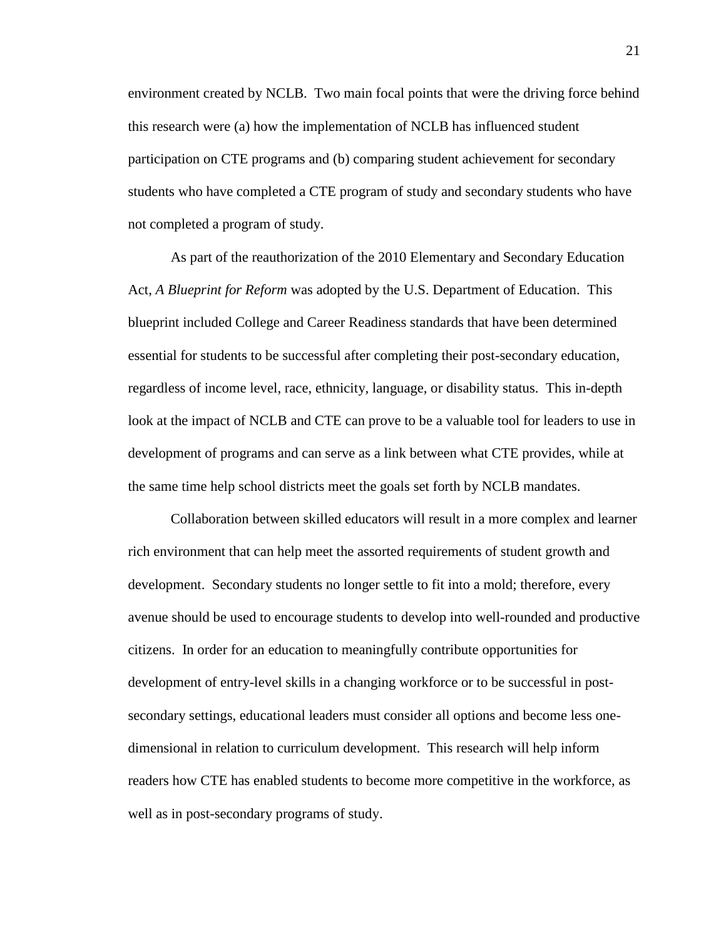environment created by NCLB. Two main focal points that were the driving force behind this research were (a) how the implementation of NCLB has influenced student participation on CTE programs and (b) comparing student achievement for secondary students who have completed a CTE program of study and secondary students who have not completed a program of study.

As part of the reauthorization of the 2010 Elementary and Secondary Education Act, *A Blueprint for Reform* was adopted by the U.S. Department of Education. This blueprint included College and Career Readiness standards that have been determined essential for students to be successful after completing their post-secondary education, regardless of income level, race, ethnicity, language, or disability status. This in-depth look at the impact of NCLB and CTE can prove to be a valuable tool for leaders to use in development of programs and can serve as a link between what CTE provides, while at the same time help school districts meet the goals set forth by NCLB mandates.

Collaboration between skilled educators will result in a more complex and learner rich environment that can help meet the assorted requirements of student growth and development. Secondary students no longer settle to fit into a mold; therefore, every avenue should be used to encourage students to develop into well-rounded and productive citizens. In order for an education to meaningfully contribute opportunities for development of entry-level skills in a changing workforce or to be successful in postsecondary settings, educational leaders must consider all options and become less onedimensional in relation to curriculum development. This research will help inform readers how CTE has enabled students to become more competitive in the workforce, as well as in post-secondary programs of study.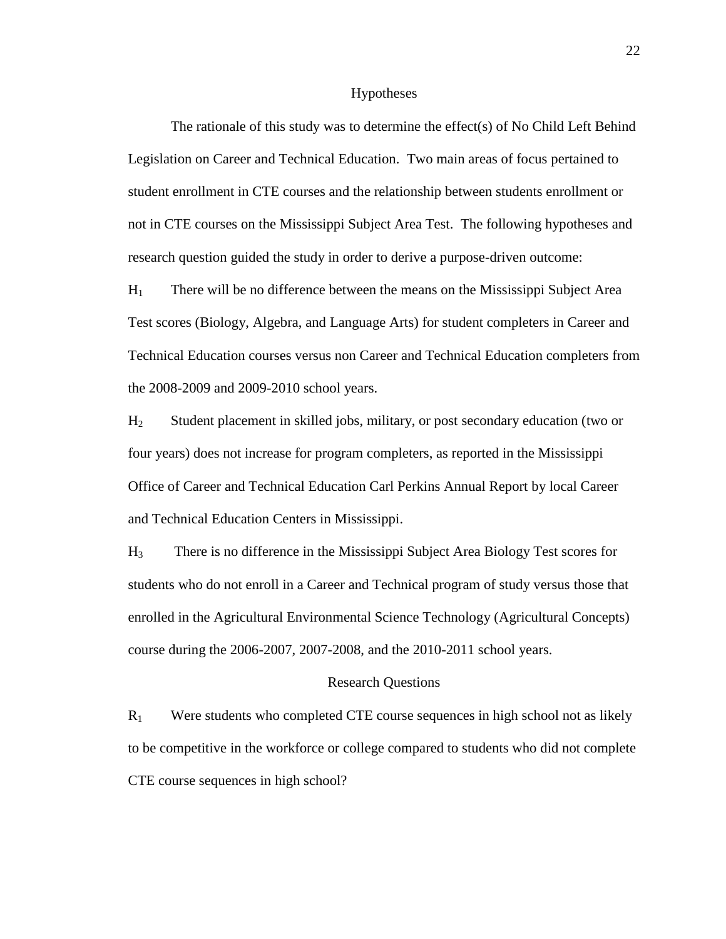#### Hypotheses

The rationale of this study was to determine the effect(s) of No Child Left Behind Legislation on Career and Technical Education. Two main areas of focus pertained to student enrollment in CTE courses and the relationship between students enrollment or not in CTE courses on the Mississippi Subject Area Test. The following hypotheses and research question guided the study in order to derive a purpose-driven outcome:

 $H<sub>1</sub>$  There will be no difference between the means on the Mississippi Subject Area Test scores (Biology, Algebra, and Language Arts) for student completers in Career and Technical Education courses versus non Career and Technical Education completers from the 2008-2009 and 2009-2010 school years.

H<sup>2</sup> Student placement in skilled jobs, military, or post secondary education (two or four years) does not increase for program completers, as reported in the Mississippi Office of Career and Technical Education Carl Perkins Annual Report by local Career and Technical Education Centers in Mississippi.

H<sup>3</sup> There is no difference in the Mississippi Subject Area Biology Test scores for students who do not enroll in a Career and Technical program of study versus those that enrolled in the Agricultural Environmental Science Technology (Agricultural Concepts) course during the 2006-2007, 2007-2008, and the 2010-2011 school years.

#### Research Questions

 $R_1$  Were students who completed CTE course sequences in high school not as likely to be competitive in the workforce or college compared to students who did not complete CTE course sequences in high school?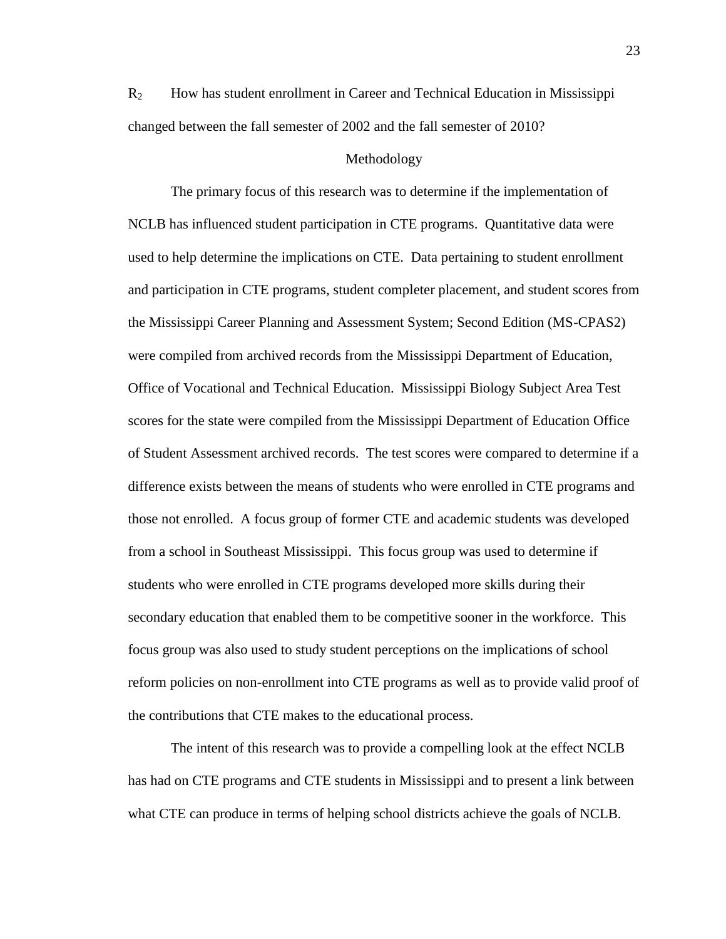R<sup>2</sup> How has student enrollment in Career and Technical Education in Mississippi changed between the fall semester of 2002 and the fall semester of 2010?

#### Methodology

The primary focus of this research was to determine if the implementation of NCLB has influenced student participation in CTE programs. Quantitative data were used to help determine the implications on CTE. Data pertaining to student enrollment and participation in CTE programs, student completer placement, and student scores from the Mississippi Career Planning and Assessment System; Second Edition (MS-CPAS2) were compiled from archived records from the Mississippi Department of Education, Office of Vocational and Technical Education. Mississippi Biology Subject Area Test scores for the state were compiled from the Mississippi Department of Education Office of Student Assessment archived records. The test scores were compared to determine if a difference exists between the means of students who were enrolled in CTE programs and those not enrolled. A focus group of former CTE and academic students was developed from a school in Southeast Mississippi. This focus group was used to determine if students who were enrolled in CTE programs developed more skills during their secondary education that enabled them to be competitive sooner in the workforce. This focus group was also used to study student perceptions on the implications of school reform policies on non-enrollment into CTE programs as well as to provide valid proof of the contributions that CTE makes to the educational process.

The intent of this research was to provide a compelling look at the effect NCLB has had on CTE programs and CTE students in Mississippi and to present a link between what CTE can produce in terms of helping school districts achieve the goals of NCLB.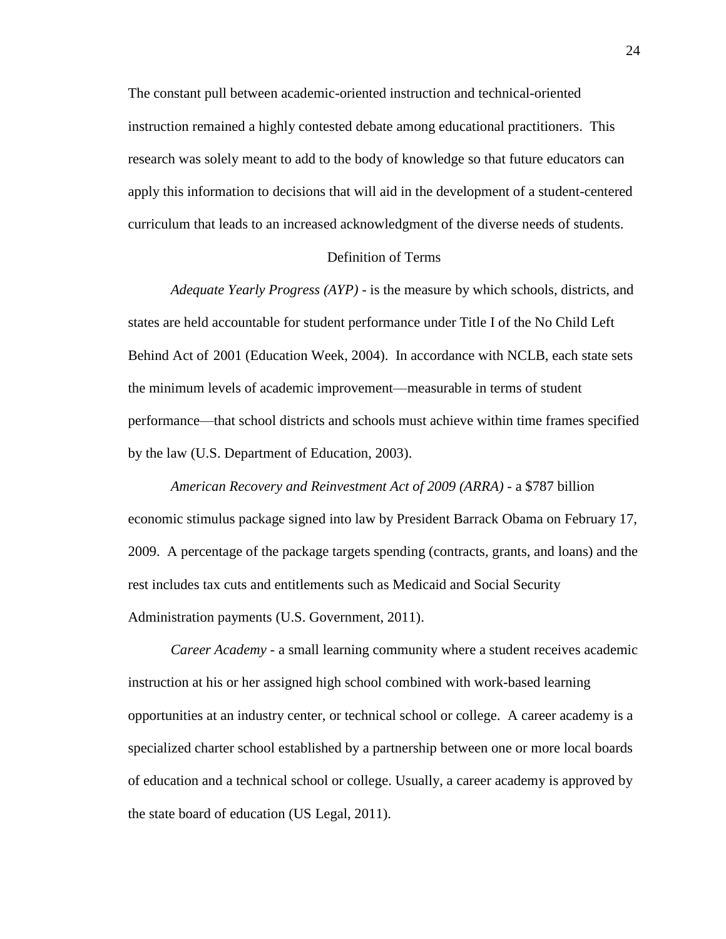The constant pull between academic-oriented instruction and technical-oriented instruction remained a highly contested debate among educational practitioners. This research was solely meant to add to the body of knowledge so that future educators can apply this information to decisions that will aid in the development of a student-centered curriculum that leads to an increased acknowledgment of the diverse needs of students.

#### Definition of Terms

*Adequate Yearly Progress (AYP)* - is the measure by which schools, districts, and states are held accountable for student performance under Title I of the No Child Left Behind Act of 2001 (Education Week, 2004). In accordance with NCLB, each state sets the minimum levels of academic improvement—measurable in terms of student performance—that school districts and schools must achieve within time frames specified by the law (U.S. Department of Education, 2003).

*American Recovery and Reinvestment Act of 2009 (ARRA)* - a \$787 billion economic stimulus package signed into law by President Barrack Obama on February 17, 2009. A percentage of the package targets spending (contracts, grants, and loans) and the rest includes tax cuts and entitlements such as Medicaid and Social Security Administration payments (U.S. Government, 2011).

*Career Academy* - a small learning community where a student receives academic instruction at his or her assigned high school combined with work-based learning opportunities at an industry center, or technical school or college. A career academy is a specialized charter school established by a partnership between one or more local boards of education and a technical school or college. Usually, a career academy is approved by the state board of education (US Legal, 2011).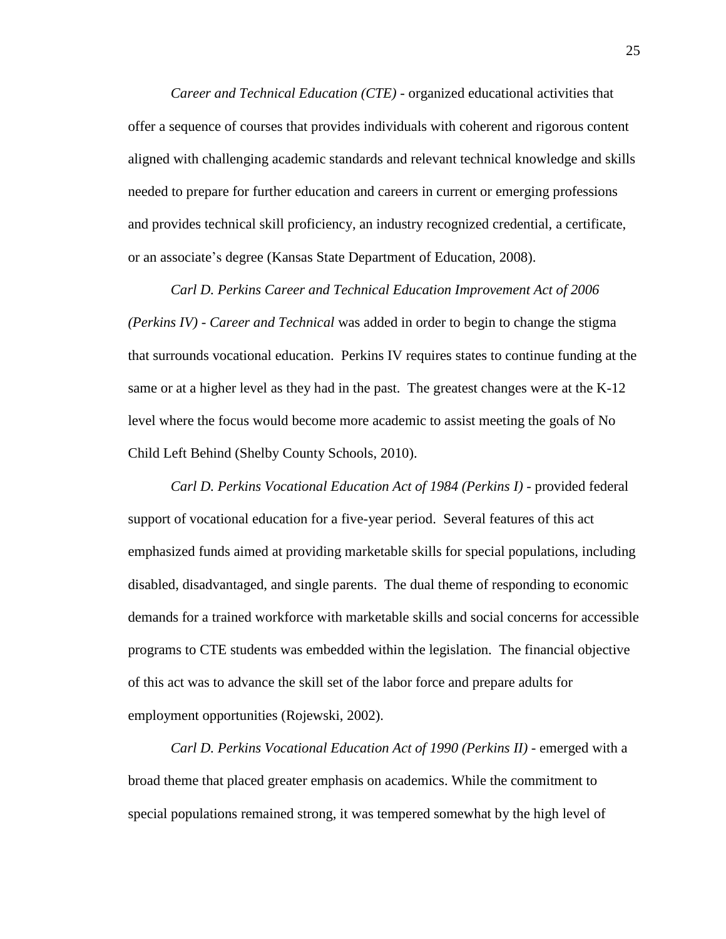*Career and Technical Education (CTE)* - organized educational activities that offer a sequence of courses that provides individuals with coherent and rigorous content aligned with challenging academic standards and relevant technical knowledge and skills needed to prepare for further education and careers in current or emerging professions and provides technical skill proficiency, an industry recognized credential, a certificate, or an associate's degree (Kansas State Department of Education, 2008).

*Carl D. Perkins Career and Technical Education Improvement Act of 2006 (Perkins IV) - Career and Technical* was added in order to begin to change the stigma that surrounds vocational education. Perkins IV requires states to continue funding at the same or at a higher level as they had in the past. The greatest changes were at the K-12 level where the focus would become more academic to assist meeting the goals of No Child Left Behind (Shelby County Schools, 2010).

*Carl D. Perkins Vocational Education Act of 1984 (Perkins I) -* provided federal support of vocational education for a five-year period. Several features of this act emphasized funds aimed at providing marketable skills for special populations, including disabled, disadvantaged, and single parents. The dual theme of responding to economic demands for a trained workforce with marketable skills and social concerns for accessible programs to CTE students was embedded within the legislation. The financial objective of this act was to advance the skill set of the labor force and prepare adults for employment opportunities (Rojewski, 2002).

*Carl D. Perkins Vocational Education Act of 1990 (Perkins II) -* emerged with a broad theme that placed greater emphasis on academics. While the commitment to special populations remained strong, it was tempered somewhat by the high level of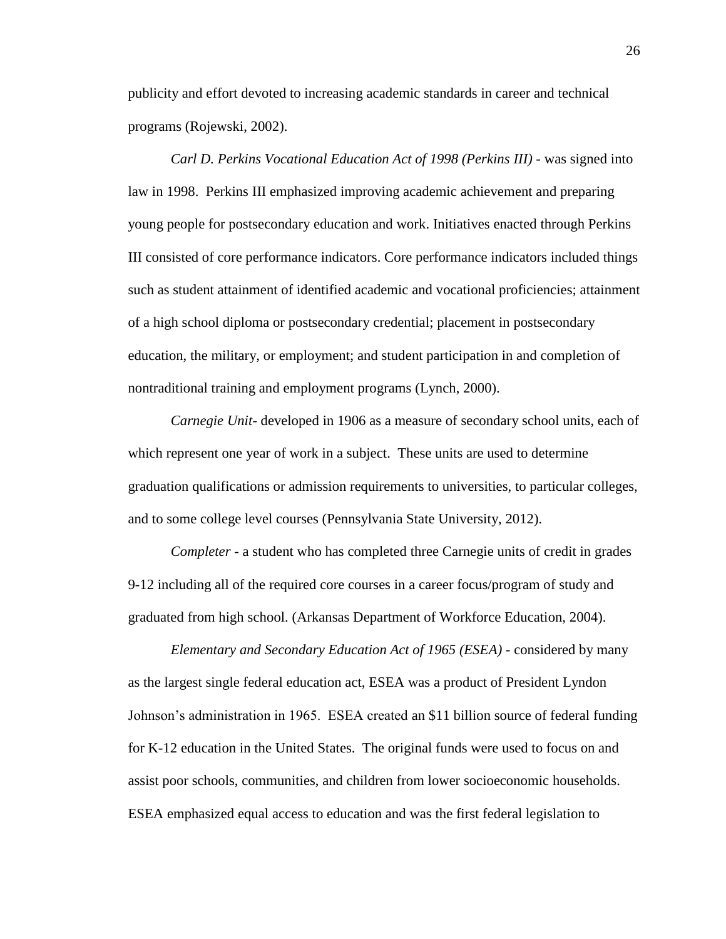publicity and effort devoted to increasing academic standards in career and technical programs (Rojewski, 2002).

*Carl D. Perkins Vocational Education Act of 1998 (Perkins III) -* was signed into law in 1998. Perkins III emphasized improving academic achievement and preparing young people for postsecondary education and work. Initiatives enacted through Perkins III consisted of core performance indicators. Core performance indicators included things such as student attainment of identified academic and vocational proficiencies; attainment of a high school diploma or postsecondary credential; placement in postsecondary education, the military, or employment; and student participation in and completion of nontraditional training and employment programs (Lynch, 2000).

*Carnegie Unit*- developed in 1906 as a measure of secondary school units, each of which represent one year of work in a subject. These units are used to determine graduation qualifications or admission requirements to universities, to particular colleges, and to some college level courses (Pennsylvania State University, 2012).

*Completer -* a student who has completed three Carnegie units of credit in grades 9-12 including all of the required core courses in a career focus/program of study and graduated from high school. (Arkansas Department of Workforce Education, 2004).

*Elementary and Secondary Education Act of 1965 (ESEA) -* considered by many as the largest single federal education act, ESEA was a product of President Lyndon Johnson's administration in 1965. ESEA created an \$11 billion source of federal funding for K-12 education in the United States. The original funds were used to focus on and assist poor schools, communities, and children from lower socioeconomic households. ESEA emphasized equal access to education and was the first federal legislation to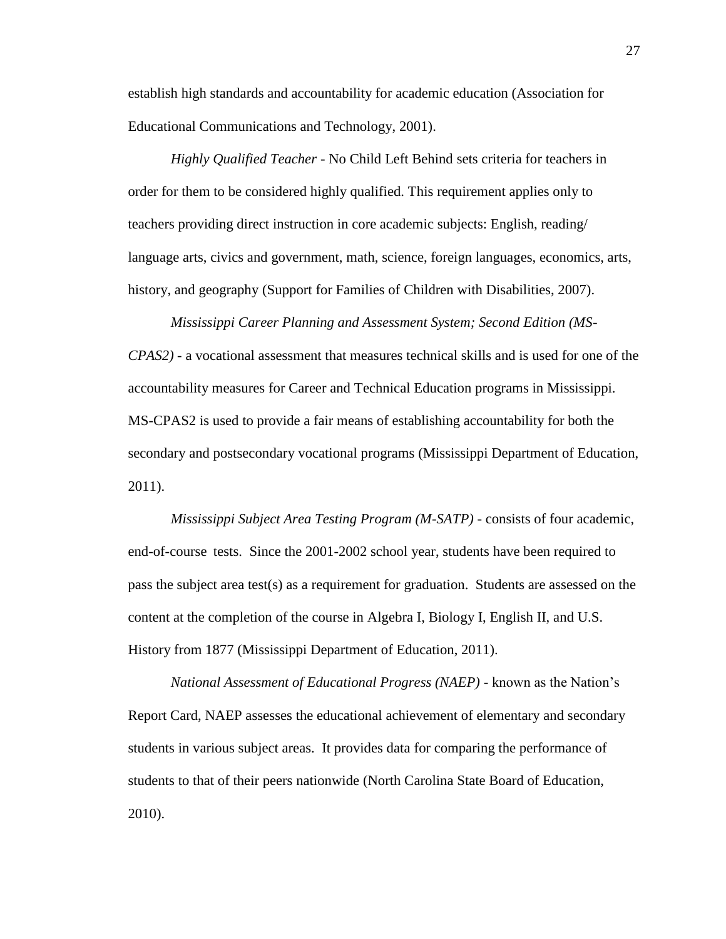establish high standards and accountability for academic education (Association for Educational Communications and Technology, 2001).

*Highly Qualified Teacher -* No Child Left Behind sets criteria for teachers in order for them to be considered highly qualified. This requirement applies only to teachers providing direct instruction in core academic subjects: English, reading/ language arts, civics and government, math, science, foreign languages, economics, arts, history, and geography (Support for Families of Children with Disabilities, 2007).

*Mississippi Career Planning and Assessment System; Second Edition (MS-CPAS2) -* a vocational assessment that measures technical skills and is used for one of the accountability measures for Career and Technical Education programs in Mississippi. MS-CPAS2 is used to provide a fair means of establishing accountability for both the secondary and postsecondary vocational programs (Mississippi Department of Education, 2011).

*Mississippi Subject Area Testing Program (M-SATP) -* consists of four academic, end-of-course tests. Since the 2001-2002 school year, students have been required to pass the subject area test(s) as a requirement for graduation. Students are assessed on the content at the completion of the course in Algebra I, Biology I, English II, and U.S. History from 1877 (Mississippi Department of Education, 2011).

*National Assessment of Educational Progress (NAEP) -* known as the Nation's Report Card, NAEP assesses the educational achievement of elementary and secondary students in various subject areas. It provides data for comparing the performance of students to that of their peers nationwide (North Carolina State Board of Education, 2010).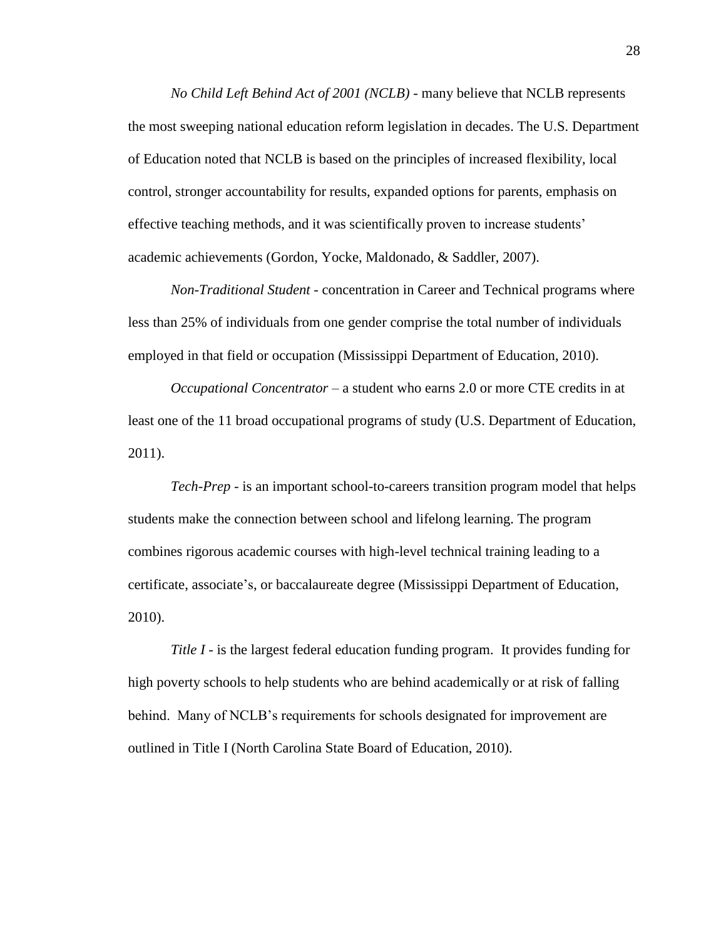*No Child Left Behind Act of 2001 (NCLB) -* many believe that NCLB represents the most sweeping national education reform legislation in decades. The U.S. Department of Education noted that NCLB is based on the principles of increased flexibility, local control, stronger accountability for results, expanded options for parents, emphasis on effective teaching methods, and it was scientifically proven to increase students' academic achievements (Gordon, Yocke, Maldonado, & Saddler, 2007).

*Non-Traditional Student -* concentration in Career and Technical programs where less than 25% of individuals from one gender comprise the total number of individuals employed in that field or occupation (Mississippi Department of Education, 2010).

*Occupational Concentrator –* a student who earns 2.0 or more CTE credits in at least one of the 11 broad occupational programs of study (U.S. Department of Education, 2011).

*Tech-Prep -* is an important school-to-careers transition program model that helps students make the connection between school and lifelong learning. The program combines rigorous academic courses with high-level technical training leading to a certificate, associate's, or baccalaureate degree (Mississippi Department of Education, 2010).

*Title I -* is the largest federal education funding program. It provides funding for high poverty schools to help students who are behind academically or at risk of falling behind. Many of NCLB's requirements for schools designated for improvement are outlined in Title I (North Carolina State Board of Education, 2010).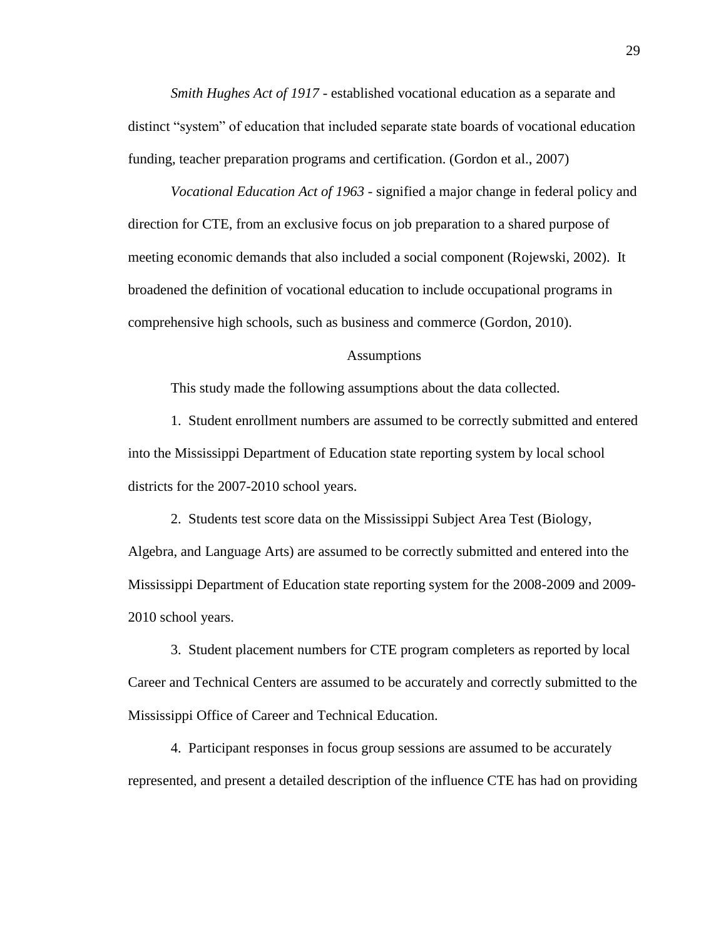*Smith Hughes Act of 1917 -* established vocational education as a separate and distinct "system" of education that included separate state boards of vocational education funding, teacher preparation programs and certification. (Gordon et al., 2007)

*Vocational Education Act of 1963 -* signified a major change in federal policy and direction for CTE, from an exclusive focus on job preparation to a shared purpose of meeting economic demands that also included a social component (Rojewski, 2002). It broadened the definition of vocational education to include occupational programs in comprehensive high schools, such as business and commerce (Gordon, 2010).

### Assumptions

This study made the following assumptions about the data collected.

1. Student enrollment numbers are assumed to be correctly submitted and entered into the Mississippi Department of Education state reporting system by local school districts for the 2007-2010 school years.

2. Students test score data on the Mississippi Subject Area Test (Biology, Algebra, and Language Arts) are assumed to be correctly submitted and entered into the Mississippi Department of Education state reporting system for the 2008-2009 and 2009- 2010 school years.

3. Student placement numbers for CTE program completers as reported by local Career and Technical Centers are assumed to be accurately and correctly submitted to the Mississippi Office of Career and Technical Education.

4. Participant responses in focus group sessions are assumed to be accurately represented, and present a detailed description of the influence CTE has had on providing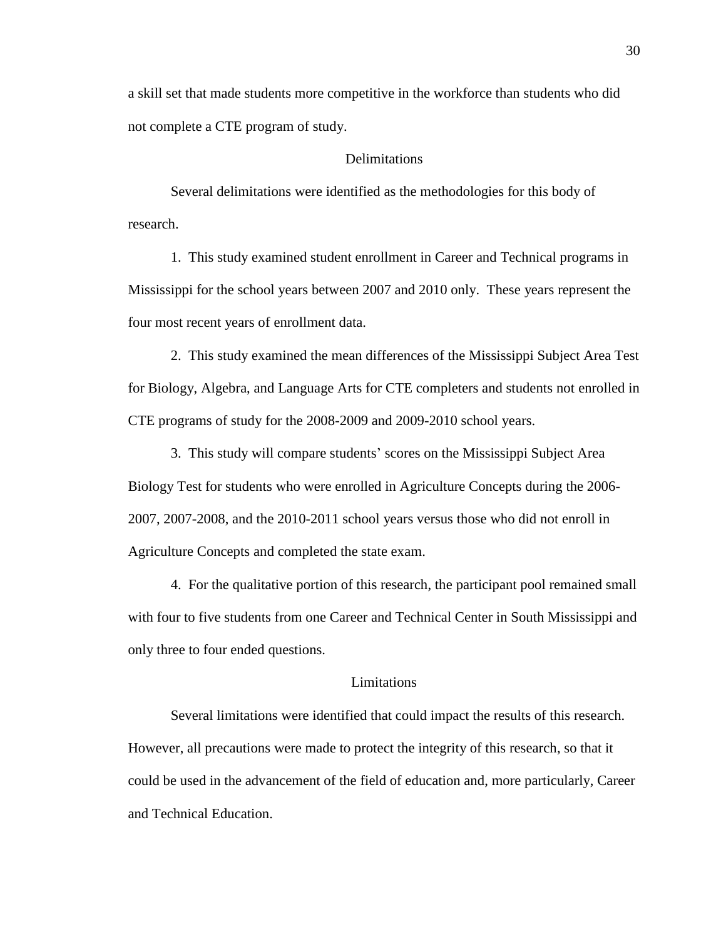a skill set that made students more competitive in the workforce than students who did not complete a CTE program of study.

### **Delimitations**

Several delimitations were identified as the methodologies for this body of research.

1. This study examined student enrollment in Career and Technical programs in Mississippi for the school years between 2007 and 2010 only. These years represent the four most recent years of enrollment data.

2. This study examined the mean differences of the Mississippi Subject Area Test for Biology, Algebra, and Language Arts for CTE completers and students not enrolled in CTE programs of study for the 2008-2009 and 2009-2010 school years.

3. This study will compare students' scores on the Mississippi Subject Area Biology Test for students who were enrolled in Agriculture Concepts during the 2006- 2007, 2007-2008, and the 2010-2011 school years versus those who did not enroll in Agriculture Concepts and completed the state exam.

4. For the qualitative portion of this research, the participant pool remained small with four to five students from one Career and Technical Center in South Mississippi and only three to four ended questions.

# Limitations

Several limitations were identified that could impact the results of this research. However, all precautions were made to protect the integrity of this research, so that it could be used in the advancement of the field of education and, more particularly, Career and Technical Education.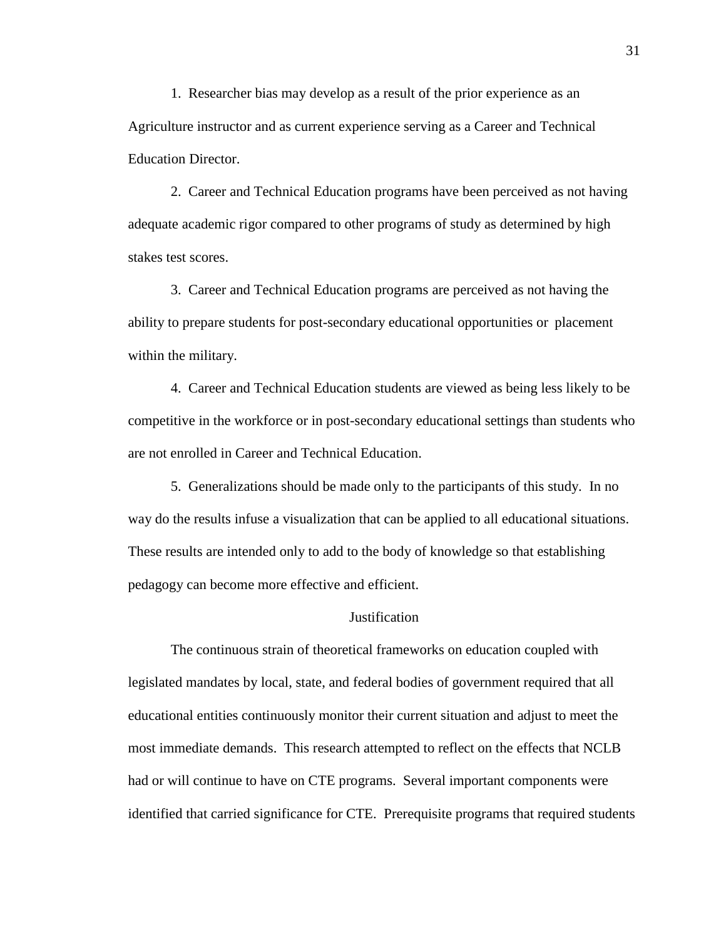1. Researcher bias may develop as a result of the prior experience as an Agriculture instructor and as current experience serving as a Career and Technical Education Director.

2. Career and Technical Education programs have been perceived as not having adequate academic rigor compared to other programs of study as determined by high stakes test scores.

3. Career and Technical Education programs are perceived as not having the ability to prepare students for post-secondary educational opportunities or placement within the military.

4. Career and Technical Education students are viewed as being less likely to be competitive in the workforce or in post-secondary educational settings than students who are not enrolled in Career and Technical Education.

5. Generalizations should be made only to the participants of this study. In no way do the results infuse a visualization that can be applied to all educational situations. These results are intended only to add to the body of knowledge so that establishing pedagogy can become more effective and efficient.

# **Justification**

The continuous strain of theoretical frameworks on education coupled with legislated mandates by local, state, and federal bodies of government required that all educational entities continuously monitor their current situation and adjust to meet the most immediate demands. This research attempted to reflect on the effects that NCLB had or will continue to have on CTE programs. Several important components were identified that carried significance for CTE. Prerequisite programs that required students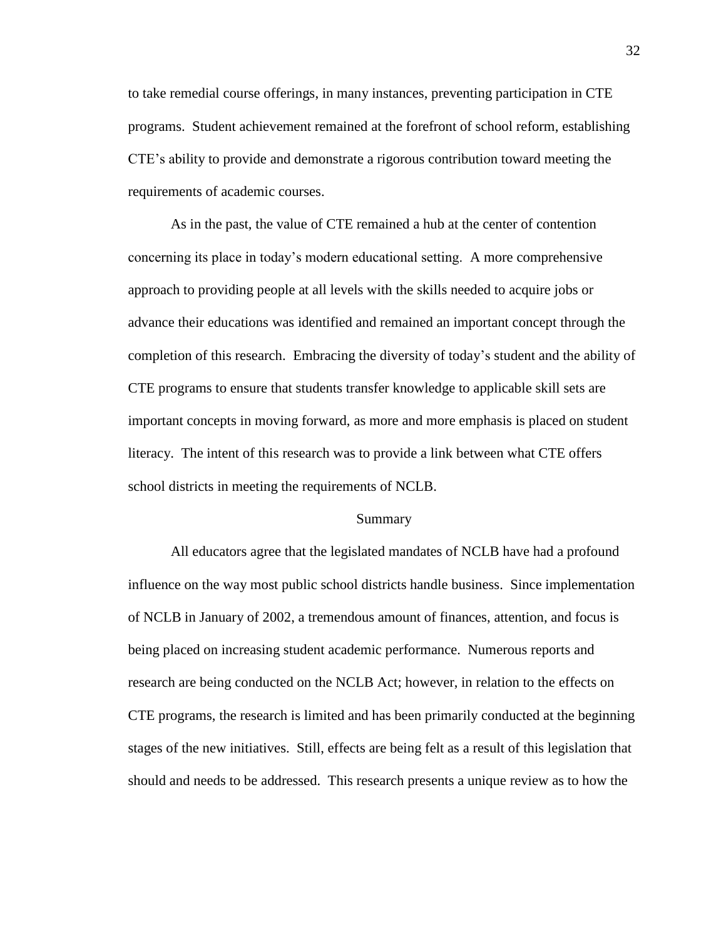to take remedial course offerings, in many instances, preventing participation in CTE programs. Student achievement remained at the forefront of school reform, establishing CTE's ability to provide and demonstrate a rigorous contribution toward meeting the requirements of academic courses.

As in the past, the value of CTE remained a hub at the center of contention concerning its place in today's modern educational setting. A more comprehensive approach to providing people at all levels with the skills needed to acquire jobs or advance their educations was identified and remained an important concept through the completion of this research. Embracing the diversity of today's student and the ability of CTE programs to ensure that students transfer knowledge to applicable skill sets are important concepts in moving forward, as more and more emphasis is placed on student literacy. The intent of this research was to provide a link between what CTE offers school districts in meeting the requirements of NCLB.

#### Summary

All educators agree that the legislated mandates of NCLB have had a profound influence on the way most public school districts handle business. Since implementation of NCLB in January of 2002, a tremendous amount of finances, attention, and focus is being placed on increasing student academic performance. Numerous reports and research are being conducted on the NCLB Act; however, in relation to the effects on CTE programs, the research is limited and has been primarily conducted at the beginning stages of the new initiatives. Still, effects are being felt as a result of this legislation that should and needs to be addressed. This research presents a unique review as to how the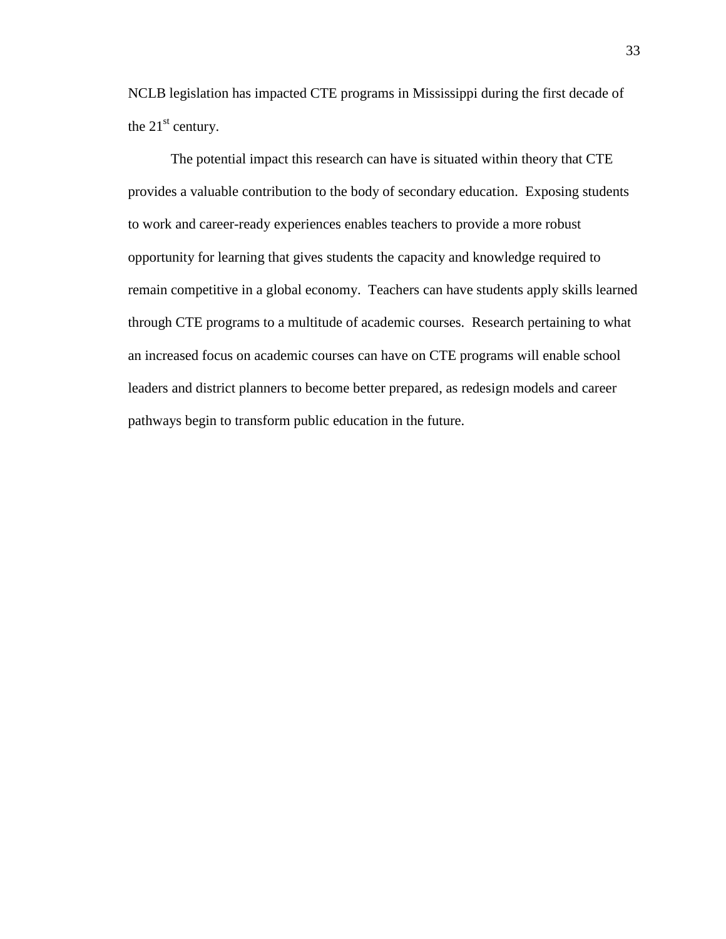NCLB legislation has impacted CTE programs in Mississippi during the first decade of the  $21<sup>st</sup>$  century.

The potential impact this research can have is situated within theory that CTE provides a valuable contribution to the body of secondary education. Exposing students to work and career-ready experiences enables teachers to provide a more robust opportunity for learning that gives students the capacity and knowledge required to remain competitive in a global economy. Teachers can have students apply skills learned through CTE programs to a multitude of academic courses. Research pertaining to what an increased focus on academic courses can have on CTE programs will enable school leaders and district planners to become better prepared, as redesign models and career pathways begin to transform public education in the future.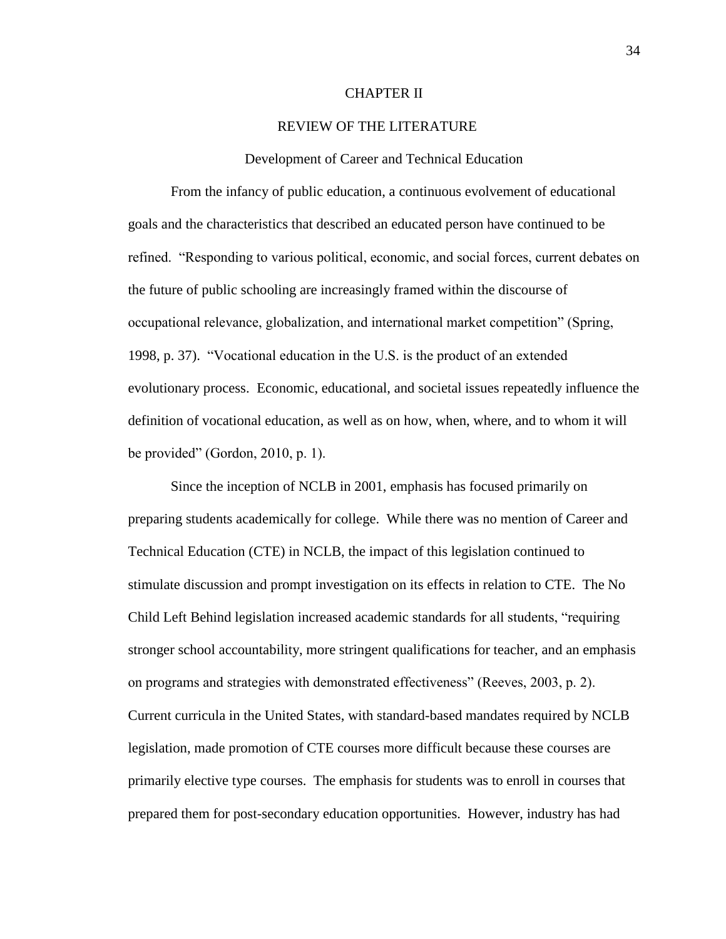#### CHAPTER II

# REVIEW OF THE LITERATURE

#### Development of Career and Technical Education

From the infancy of public education, a continuous evolvement of educational goals and the characteristics that described an educated person have continued to be refined. "Responding to various political, economic, and social forces, current debates on the future of public schooling are increasingly framed within the discourse of occupational relevance, globalization, and international market competition" (Spring, 1998, p. 37). "Vocational education in the U.S. is the product of an extended evolutionary process. Economic, educational, and societal issues repeatedly influence the definition of vocational education, as well as on how, when, where, and to whom it will be provided" (Gordon, 2010, p. 1).

Since the inception of NCLB in 2001, emphasis has focused primarily on preparing students academically for college. While there was no mention of Career and Technical Education (CTE) in NCLB, the impact of this legislation continued to stimulate discussion and prompt investigation on its effects in relation to CTE. The No Child Left Behind legislation increased academic standards for all students, "requiring stronger school accountability, more stringent qualifications for teacher, and an emphasis on programs and strategies with demonstrated effectiveness" (Reeves, 2003, p. 2). Current curricula in the United States, with standard-based mandates required by NCLB legislation, made promotion of CTE courses more difficult because these courses are primarily elective type courses. The emphasis for students was to enroll in courses that prepared them for post-secondary education opportunities. However, industry has had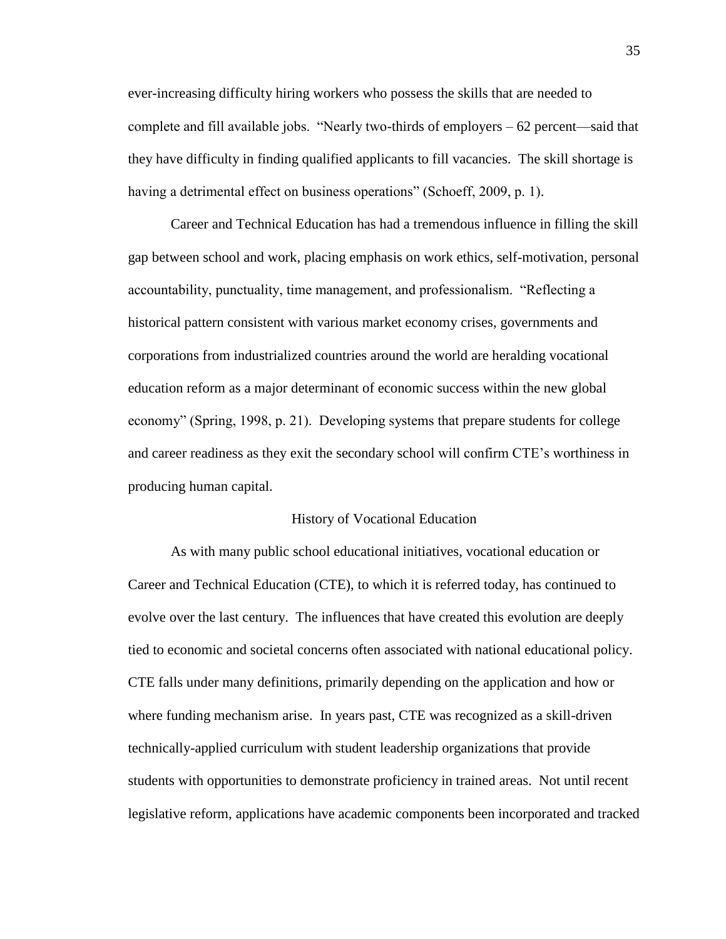ever-increasing difficulty hiring workers who possess the skills that are needed to complete and fill available jobs. "Nearly two-thirds of employers – 62 percent—said that they have difficulty in finding qualified applicants to fill vacancies. The skill shortage is having a detrimental effect on business operations" (Schoeff, 2009, p. 1).

Career and Technical Education has had a tremendous influence in filling the skill gap between school and work, placing emphasis on work ethics, self-motivation, personal accountability, punctuality, time management, and professionalism. "Reflecting a historical pattern consistent with various market economy crises, governments and corporations from industrialized countries around the world are heralding vocational education reform as a major determinant of economic success within the new global economy" (Spring, 1998, p. 21). Developing systems that prepare students for college and career readiness as they exit the secondary school will confirm CTE's worthiness in producing human capital.

#### History of Vocational Education

As with many public school educational initiatives, vocational education or Career and Technical Education (CTE), to which it is referred today, has continued to evolve over the last century. The influences that have created this evolution are deeply tied to economic and societal concerns often associated with national educational policy. CTE falls under many definitions, primarily depending on the application and how or where funding mechanism arise. In years past, CTE was recognized as a skill-driven technically-applied curriculum with student leadership organizations that provide students with opportunities to demonstrate proficiency in trained areas. Not until recent legislative reform, applications have academic components been incorporated and tracked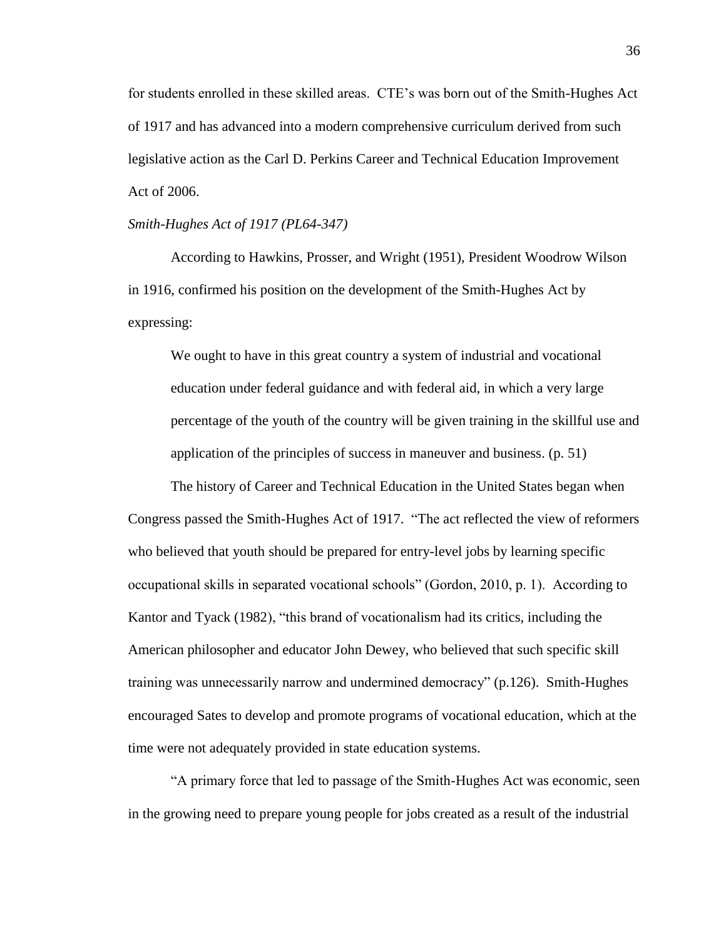for students enrolled in these skilled areas. CTE's was born out of the Smith-Hughes Act of 1917 and has advanced into a modern comprehensive curriculum derived from such legislative action as the Carl D. Perkins Career and Technical Education Improvement Act of 2006.

### *Smith-Hughes Act of 1917 (PL64-347)*

According to Hawkins, Prosser, and Wright (1951), President Woodrow Wilson in 1916, confirmed his position on the development of the Smith-Hughes Act by expressing:

We ought to have in this great country a system of industrial and vocational education under federal guidance and with federal aid, in which a very large percentage of the youth of the country will be given training in the skillful use and application of the principles of success in maneuver and business. (p. 51)

The history of Career and Technical Education in the United States began when Congress passed the Smith-Hughes Act of 1917. "The act reflected the view of reformers who believed that youth should be prepared for entry-level jobs by learning specific occupational skills in separated vocational schools" (Gordon, 2010, p. 1). According to Kantor and Tyack (1982), "this brand of vocationalism had its critics, including the American philosopher and educator John Dewey, who believed that such specific skill training was unnecessarily narrow and undermined democracy" (p.126). Smith-Hughes encouraged Sates to develop and promote programs of vocational education, which at the time were not adequately provided in state education systems.

"A primary force that led to passage of the Smith-Hughes Act was economic, seen in the growing need to prepare young people for jobs created as a result of the industrial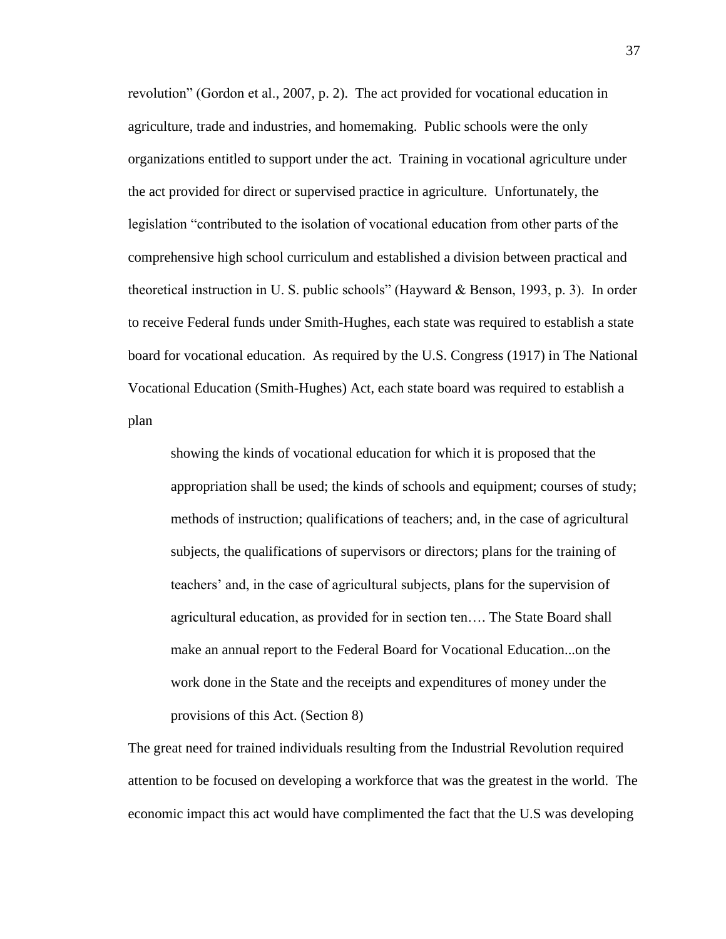revolution" (Gordon et al., 2007, p. 2). The act provided for vocational education in agriculture, trade and industries, and homemaking. Public schools were the only organizations entitled to support under the act. Training in vocational agriculture under the act provided for direct or supervised practice in agriculture. Unfortunately, the legislation "contributed to the isolation of vocational education from other parts of the comprehensive high school curriculum and established a division between practical and theoretical instruction in U. S. public schools" (Hayward & Benson, 1993, p. 3). In order to receive Federal funds under Smith-Hughes, each state was required to establish a state board for vocational education. As required by the U.S. Congress (1917) in The National Vocational Education (Smith-Hughes) Act, each state board was required to establish a plan

showing the kinds of vocational education for which it is proposed that the appropriation shall be used; the kinds of schools and equipment; courses of study; methods of instruction; qualifications of teachers; and, in the case of agricultural subjects, the qualifications of supervisors or directors; plans for the training of teachers' and, in the case of agricultural subjects, plans for the supervision of agricultural education, as provided for in section ten…. The State Board shall make an annual report to the Federal Board for Vocational Education...on the work done in the State and the receipts and expenditures of money under the provisions of this Act. (Section 8)

The great need for trained individuals resulting from the Industrial Revolution required attention to be focused on developing a workforce that was the greatest in the world. The economic impact this act would have complimented the fact that the U.S was developing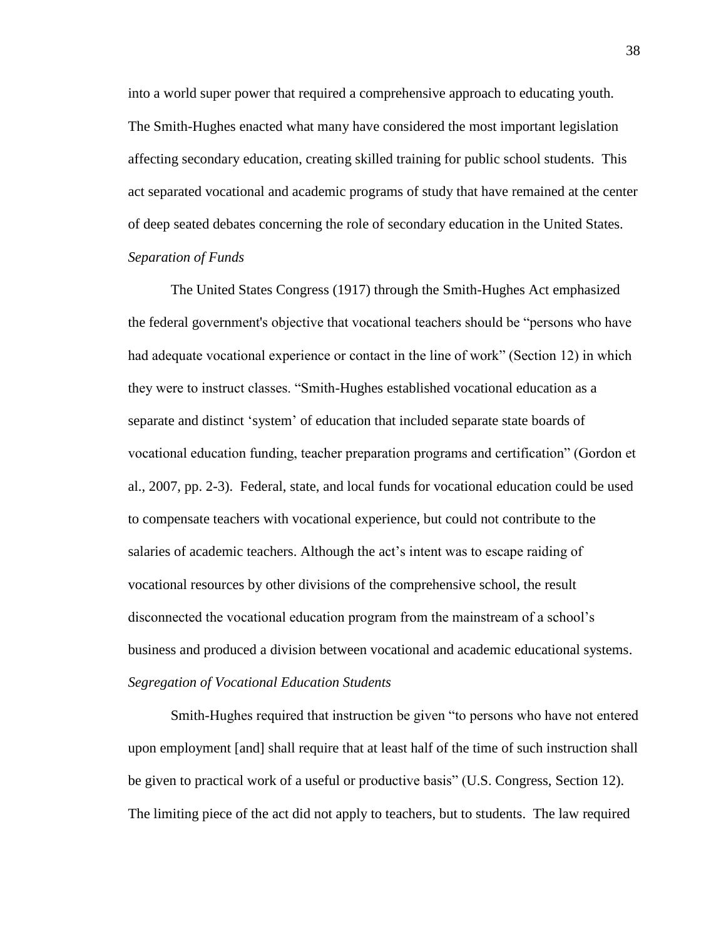into a world super power that required a comprehensive approach to educating youth. The Smith-Hughes enacted what many have considered the most important legislation affecting secondary education, creating skilled training for public school students. This act separated vocational and academic programs of study that have remained at the center of deep seated debates concerning the role of secondary education in the United States. *Separation of Funds*

The United States Congress (1917) through the Smith-Hughes Act emphasized the federal government's objective that vocational teachers should be "persons who have had adequate vocational experience or contact in the line of work" (Section 12) in which they were to instruct classes. "Smith-Hughes established vocational education as a separate and distinct 'system' of education that included separate state boards of vocational education funding, teacher preparation programs and certification" (Gordon et al., 2007, pp. 2-3). Federal, state, and local funds for vocational education could be used to compensate teachers with vocational experience, but could not contribute to the salaries of academic teachers. Although the act's intent was to escape raiding of vocational resources by other divisions of the comprehensive school, the result disconnected the vocational education program from the mainstream of a school's business and produced a division between vocational and academic educational systems. *Segregation of Vocational Education Students*

Smith-Hughes required that instruction be given "to persons who have not entered upon employment [and] shall require that at least half of the time of such instruction shall be given to practical work of a useful or productive basis" (U.S. Congress, Section 12). The limiting piece of the act did not apply to teachers, but to students. The law required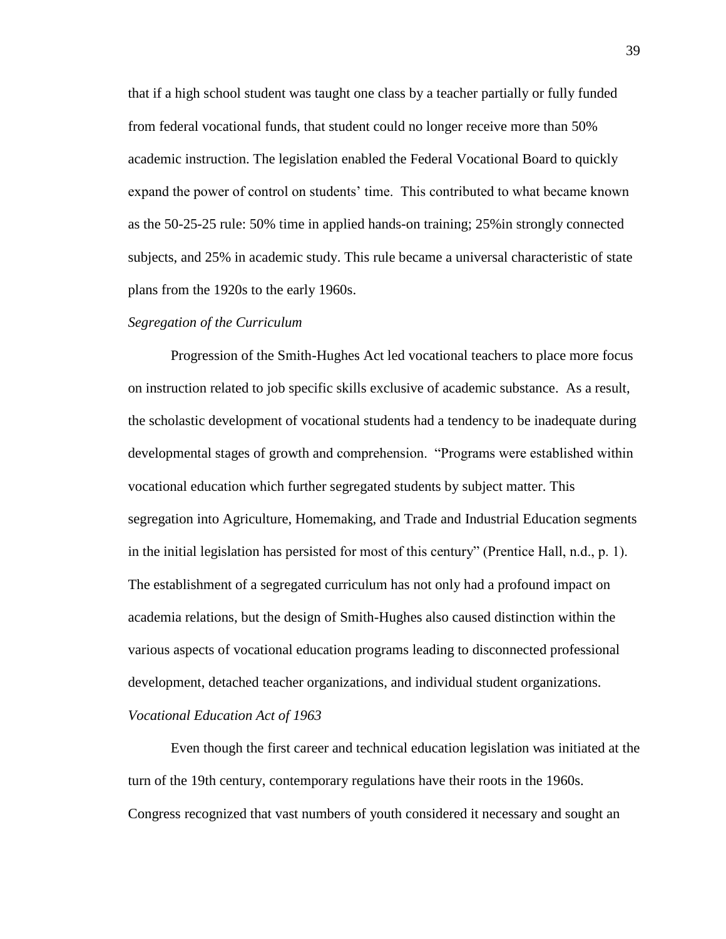that if a high school student was taught one class by a teacher partially or fully funded from federal vocational funds, that student could no longer receive more than 50% academic instruction. The legislation enabled the Federal Vocational Board to quickly expand the power of control on students' time. This contributed to what became known as the 50-25-25 rule: 50% time in applied hands-on training; 25%in strongly connected subjects, and 25% in academic study. This rule became a universal characteristic of state plans from the 1920s to the early 1960s.

#### *Segregation of the Curriculum*

Progression of the Smith-Hughes Act led vocational teachers to place more focus on instruction related to job specific skills exclusive of academic substance. As a result, the scholastic development of vocational students had a tendency to be inadequate during developmental stages of growth and comprehension. "Programs were established within vocational education which further segregated students by subject matter. This segregation into Agriculture, Homemaking, and Trade and Industrial Education segments in the initial legislation has persisted for most of this century" (Prentice Hall, n.d., p. 1). The establishment of a segregated curriculum has not only had a profound impact on academia relations, but the design of Smith-Hughes also caused distinction within the various aspects of vocational education programs leading to disconnected professional development, detached teacher organizations, and individual student organizations. *Vocational Education Act of 1963*

Even though the first career and technical education legislation was initiated at the turn of the 19th century, contemporary regulations have their roots in the 1960s. Congress recognized that vast numbers of youth considered it necessary and sought an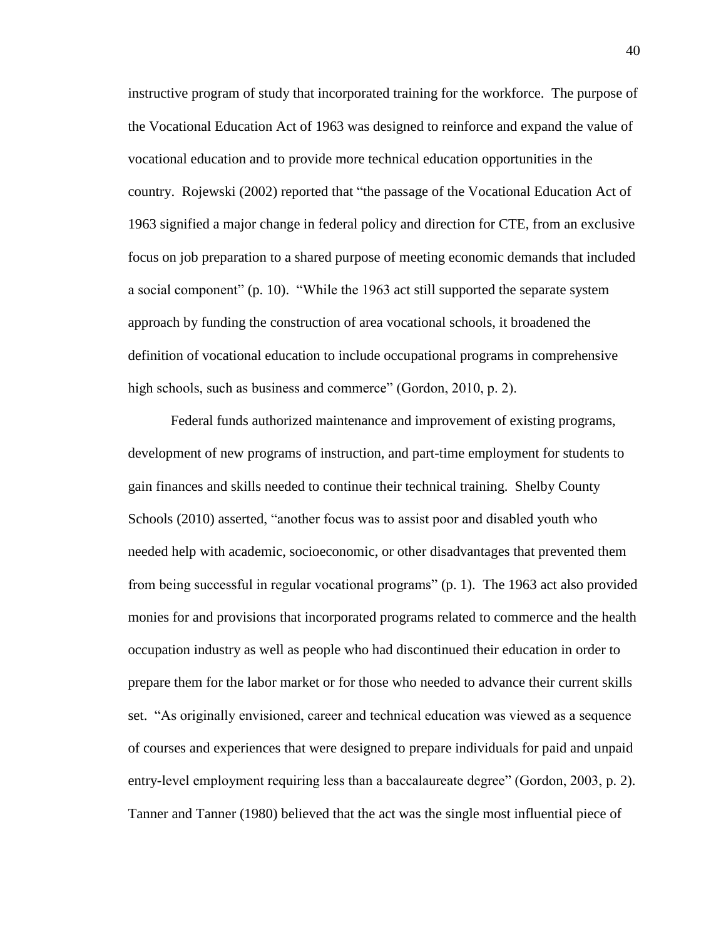instructive program of study that incorporated training for the workforce. The purpose of the Vocational Education Act of 1963 was designed to reinforce and expand the value of vocational education and to provide more technical education opportunities in the country. Rojewski (2002) reported that "the passage of the Vocational Education Act of 1963 signified a major change in federal policy and direction for CTE, from an exclusive focus on job preparation to a shared purpose of meeting economic demands that included a social component" (p. 10). "While the 1963 act still supported the separate system approach by funding the construction of area vocational schools, it broadened the definition of vocational education to include occupational programs in comprehensive high schools, such as business and commerce" (Gordon, 2010, p. 2).

Federal funds authorized maintenance and improvement of existing programs, development of new programs of instruction, and part-time employment for students to gain finances and skills needed to continue their technical training. Shelby County Schools (2010) asserted, "another focus was to assist poor and disabled youth who needed help with academic, socioeconomic, or other disadvantages that prevented them from being successful in regular vocational programs" (p. 1). The 1963 act also provided monies for and provisions that incorporated programs related to commerce and the health occupation industry as well as people who had discontinued their education in order to prepare them for the labor market or for those who needed to advance their current skills set. "As originally envisioned, career and technical education was viewed as a sequence of courses and experiences that were designed to prepare individuals for paid and unpaid entry-level employment requiring less than a baccalaureate degree" (Gordon, 2003, p. 2). Tanner and Tanner (1980) believed that the act was the single most influential piece of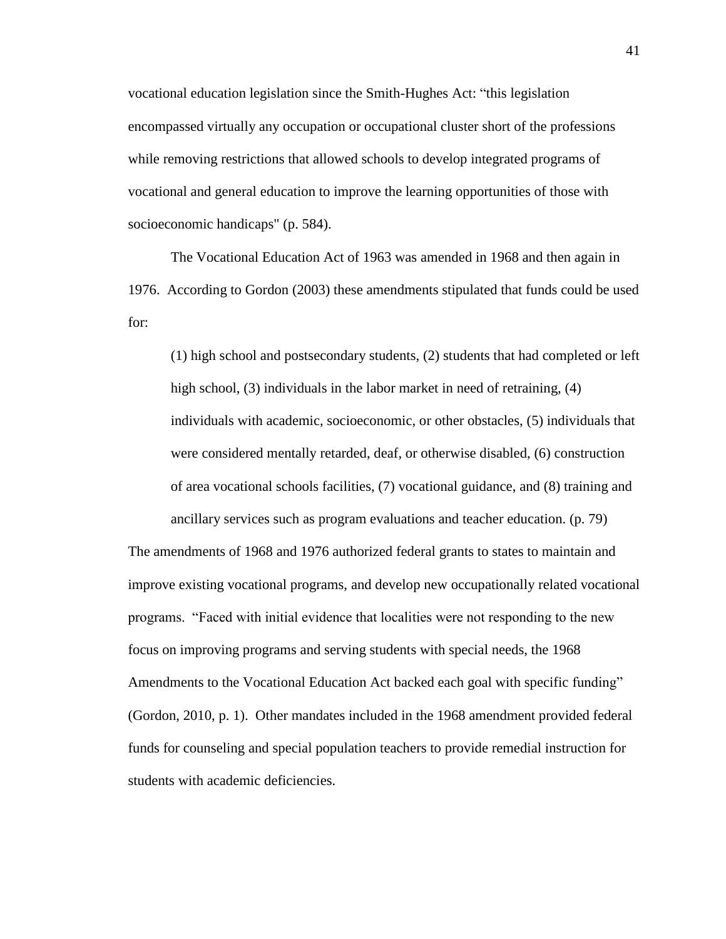vocational education legislation since the Smith-Hughes Act: "this legislation encompassed virtually any occupation or occupational cluster short of the professions while removing restrictions that allowed schools to develop integrated programs of vocational and general education to improve the learning opportunities of those with socioeconomic handicaps" (p. 584).

The Vocational Education Act of 1963 was amended in 1968 and then again in 1976. According to Gordon (2003) these amendments stipulated that funds could be used for:

(1) high school and postsecondary students, (2) students that had completed or left high school, (3) individuals in the labor market in need of retraining, (4) individuals with academic, socioeconomic, or other obstacles, (5) individuals that were considered mentally retarded, deaf, or otherwise disabled, (6) construction of area vocational schools facilities, (7) vocational guidance, and (8) training and ancillary services such as program evaluations and teacher education. (p. 79)

The amendments of 1968 and 1976 authorized federal grants to states to maintain and improve existing vocational programs, and develop new occupationally related vocational programs. "Faced with initial evidence that localities were not responding to the new focus on improving programs and serving students with special needs, the 1968 Amendments to the Vocational Education Act backed each goal with specific funding" (Gordon, 2010, p. 1). Other mandates included in the 1968 amendment provided federal funds for counseling and special population teachers to provide remedial instruction for students with academic deficiencies.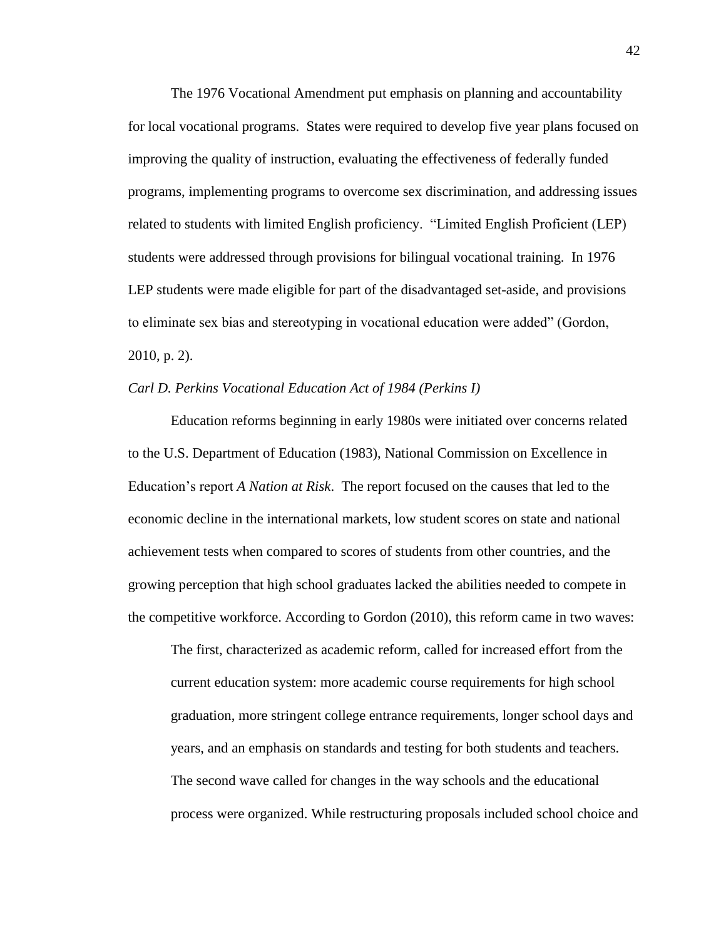The 1976 Vocational Amendment put emphasis on planning and accountability for local vocational programs. States were required to develop five year plans focused on improving the quality of instruction, evaluating the effectiveness of federally funded programs, implementing programs to overcome sex discrimination, and addressing issues related to students with limited English proficiency. "Limited English Proficient (LEP) students were addressed through provisions for bilingual vocational training. In 1976 LEP students were made eligible for part of the disadvantaged set-aside, and provisions to eliminate sex bias and stereotyping in vocational education were added" (Gordon, 2010, p. 2).

# *Carl D. Perkins Vocational Education Act of 1984 (Perkins I)*

Education reforms beginning in early 1980s were initiated over concerns related to the U.S. Department of Education (1983), National Commission on Excellence in Education's report *A Nation at Risk*. The report focused on the causes that led to the economic decline in the international markets, low student scores on state and national achievement tests when compared to scores of students from other countries, and the growing perception that high school graduates lacked the abilities needed to compete in the competitive workforce. According to Gordon (2010), this reform came in two waves:

The first, characterized as academic reform, called for increased effort from the current education system: more academic course requirements for high school graduation, more stringent college entrance requirements, longer school days and years, and an emphasis on standards and testing for both students and teachers. The second wave called for changes in the way schools and the educational process were organized. While restructuring proposals included school choice and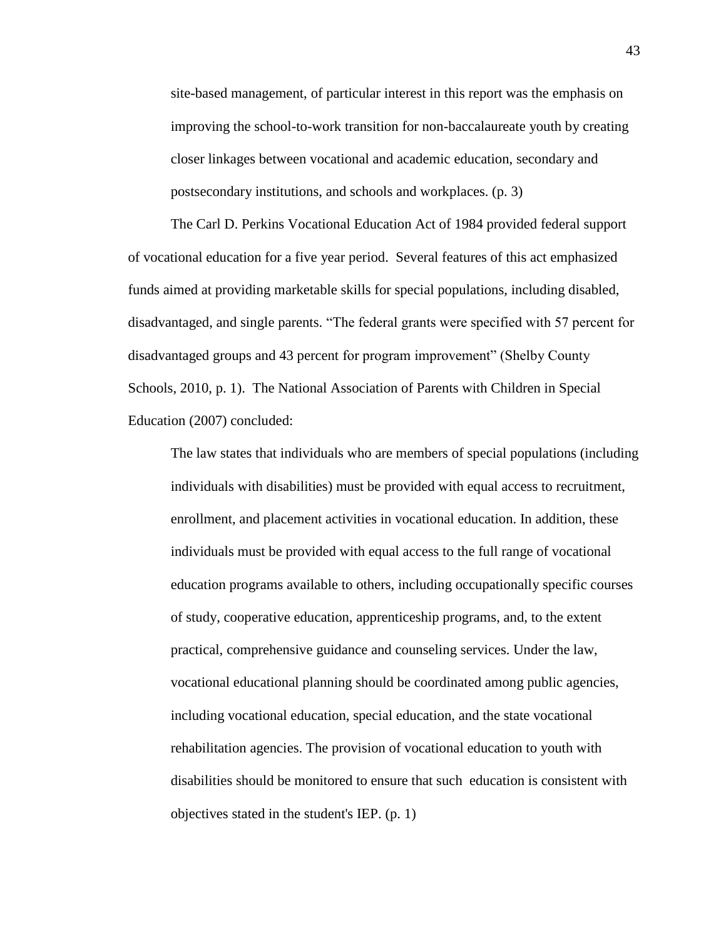site-based management, of particular interest in this report was the emphasis on improving the school-to-work transition for non-baccalaureate youth by creating closer linkages between vocational and academic education, secondary and postsecondary institutions, and schools and workplaces. (p. 3)

The Carl D. Perkins Vocational Education Act of 1984 provided federal support of vocational education for a five year period. Several features of this act emphasized funds aimed at providing marketable skills for special populations, including disabled, disadvantaged, and single parents. "The federal grants were specified with 57 percent for disadvantaged groups and 43 percent for program improvement" (Shelby County Schools, 2010, p. 1). The National Association of Parents with Children in Special Education (2007) concluded:

The law states that individuals who are members of special populations (including individuals with disabilities) must be provided with equal access to recruitment, enrollment, and placement activities in vocational education. In addition, these individuals must be provided with equal access to the full range of vocational education programs available to others, including occupationally specific courses of study, cooperative education, apprenticeship programs, and, to the extent practical, comprehensive guidance and counseling services. Under the law, vocational educational planning should be coordinated among public agencies, including vocational education, special education, and the state vocational rehabilitation agencies. The provision of vocational education to youth with disabilities should be monitored to ensure that such education is consistent with objectives stated in the student's IEP. (p. 1)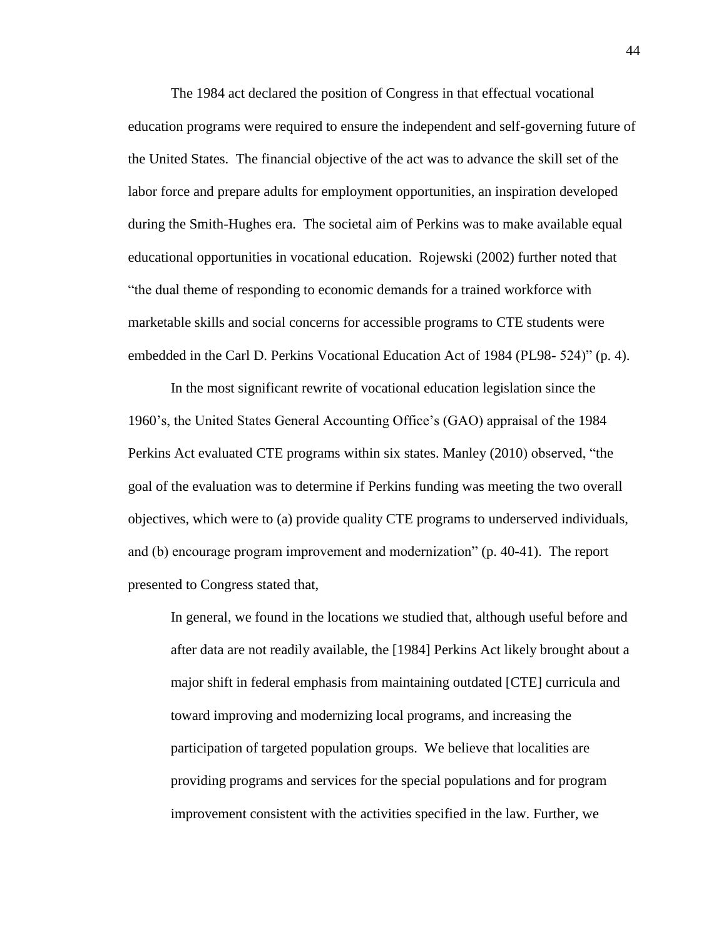The 1984 act declared the position of Congress in that effectual vocational education programs were required to ensure the independent and self-governing future of the United States. The financial objective of the act was to advance the skill set of the labor force and prepare adults for employment opportunities, an inspiration developed during the Smith-Hughes era. The societal aim of Perkins was to make available equal educational opportunities in vocational education. Rojewski (2002) further noted that "the dual theme of responding to economic demands for a trained workforce with marketable skills and social concerns for accessible programs to CTE students were embedded in the Carl D. Perkins Vocational Education Act of 1984 (PL98- 524)" (p. 4).

In the most significant rewrite of vocational education legislation since the 1960's, the United States General Accounting Office's (GAO) appraisal of the 1984 Perkins Act evaluated CTE programs within six states. Manley (2010) observed, "the goal of the evaluation was to determine if Perkins funding was meeting the two overall objectives, which were to (a) provide quality CTE programs to underserved individuals, and (b) encourage program improvement and modernization" (p. 40-41). The report presented to Congress stated that,

In general, we found in the locations we studied that, although useful before and after data are not readily available, the [1984] Perkins Act likely brought about a major shift in federal emphasis from maintaining outdated [CTE] curricula and toward improving and modernizing local programs, and increasing the participation of targeted population groups. We believe that localities are providing programs and services for the special populations and for program improvement consistent with the activities specified in the law. Further, we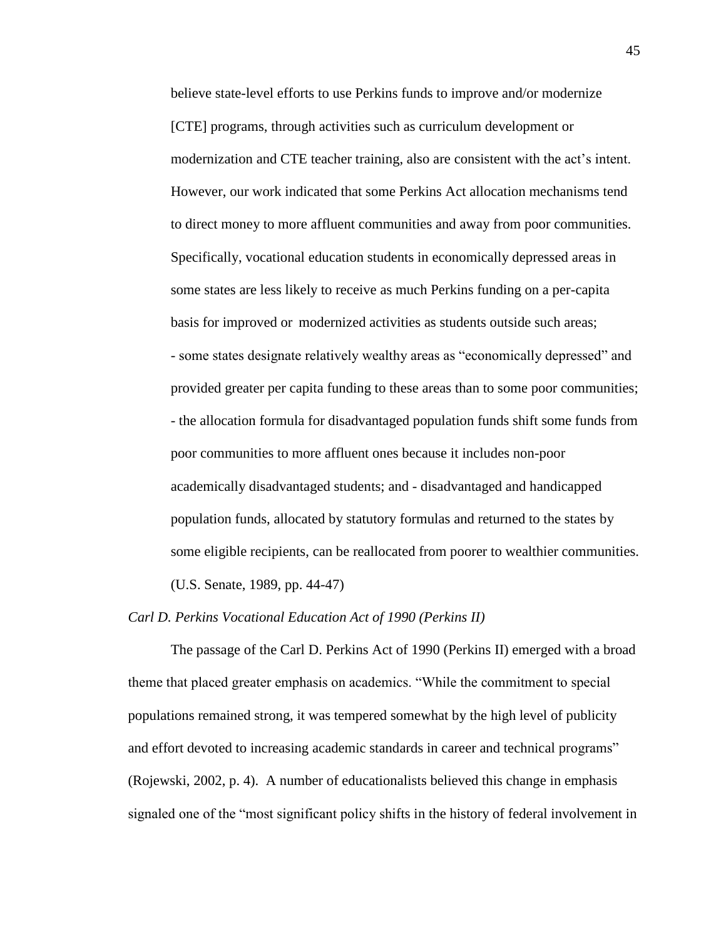believe state-level efforts to use Perkins funds to improve and/or modernize [CTE] programs, through activities such as curriculum development or modernization and CTE teacher training, also are consistent with the act's intent. However, our work indicated that some Perkins Act allocation mechanisms tend to direct money to more affluent communities and away from poor communities. Specifically, vocational education students in economically depressed areas in some states are less likely to receive as much Perkins funding on a per-capita basis for improved or modernized activities as students outside such areas; - some states designate relatively wealthy areas as "economically depressed" and provided greater per capita funding to these areas than to some poor communities; - the allocation formula for disadvantaged population funds shift some funds from poor communities to more affluent ones because it includes non-poor academically disadvantaged students; and - disadvantaged and handicapped population funds, allocated by statutory formulas and returned to the states by some eligible recipients, can be reallocated from poorer to wealthier communities. (U.S. Senate, 1989, pp. 44-47)

# *Carl D. Perkins Vocational Education Act of 1990 (Perkins II)*

The passage of the Carl D. Perkins Act of 1990 (Perkins II) emerged with a broad theme that placed greater emphasis on academics. "While the commitment to special populations remained strong, it was tempered somewhat by the high level of publicity and effort devoted to increasing academic standards in career and technical programs" (Rojewski, 2002, p. 4). A number of educationalists believed this change in emphasis signaled one of the "most significant policy shifts in the history of federal involvement in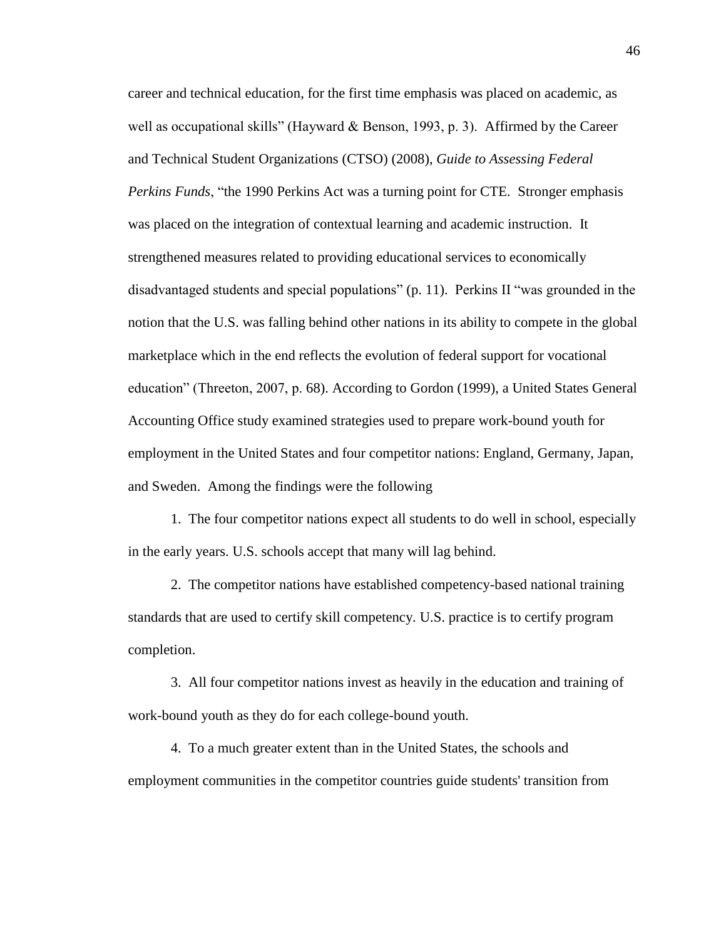career and technical education, for the first time emphasis was placed on academic, as well as occupational skills" (Hayward & Benson, 1993, p. 3). Affirmed by the Career and Technical Student Organizations (CTSO) (2008), *Guide to Assessing Federal Perkins Funds*, "the 1990 Perkins Act was a turning point for CTE. Stronger emphasis was placed on the integration of contextual learning and academic instruction. It strengthened measures related to providing educational services to economically disadvantaged students and special populations" (p. 11). Perkins II "was grounded in the notion that the U.S. was falling behind other nations in its ability to compete in the global marketplace which in the end reflects the evolution of federal support for vocational education" (Threeton, 2007, p. 68). According to Gordon (1999), a United States General Accounting Office study examined strategies used to prepare work-bound youth for employment in the United States and four competitor nations: England, Germany, Japan, and Sweden. Among the findings were the following

1. The four competitor nations expect all students to do well in school, especially in the early years. U.S. schools accept that many will lag behind.

2. The competitor nations have established competency-based national training standards that are used to certify skill competency. U.S. practice is to certify program completion.

3. All four competitor nations invest as heavily in the education and training of work-bound youth as they do for each college-bound youth.

4. To a much greater extent than in the United States, the schools and employment communities in the competitor countries guide students' transition from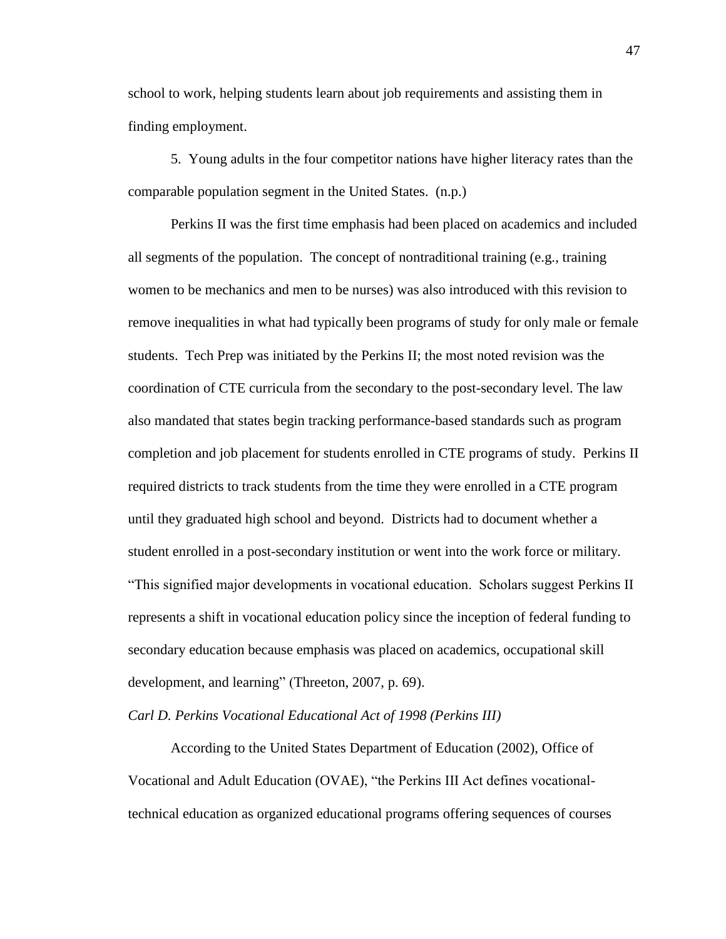school to work, helping students learn about job requirements and assisting them in finding employment.

5. Young adults in the four competitor nations have higher literacy rates than the comparable population segment in the United States. (n.p.)

Perkins II was the first time emphasis had been placed on academics and included all segments of the population. The concept of nontraditional training (e.g., training women to be mechanics and men to be nurses) was also introduced with this revision to remove inequalities in what had typically been programs of study for only male or female students. Tech Prep was initiated by the Perkins II; the most noted revision was the coordination of CTE curricula from the secondary to the post-secondary level. The law also mandated that states begin tracking performance-based standards such as program completion and job placement for students enrolled in CTE programs of study. Perkins II required districts to track students from the time they were enrolled in a CTE program until they graduated high school and beyond. Districts had to document whether a student enrolled in a post-secondary institution or went into the work force or military. "This signified major developments in vocational education. Scholars suggest Perkins II represents a shift in vocational education policy since the inception of federal funding to secondary education because emphasis was placed on academics, occupational skill development, and learning" (Threeton, 2007, p. 69).

### *Carl D. Perkins Vocational Educational Act of 1998 (Perkins III)*

According to the United States Department of Education (2002), Office of Vocational and Adult Education (OVAE), "the Perkins III Act defines vocationaltechnical education as organized educational programs offering sequences of courses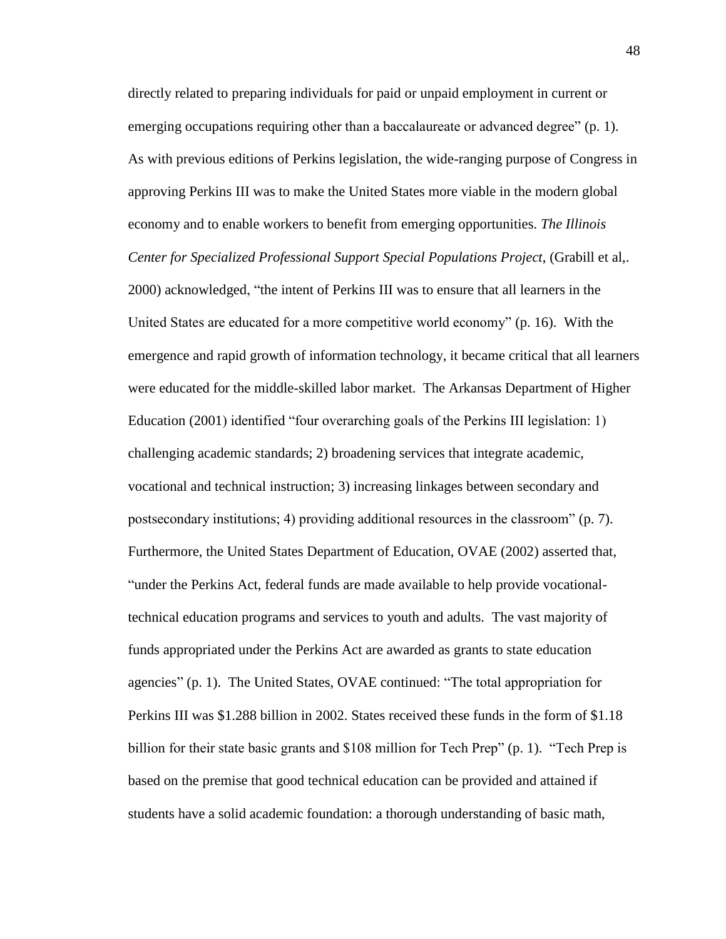directly related to preparing individuals for paid or unpaid employment in current or emerging occupations requiring other than a baccalaureate or advanced degree" (p. 1). As with previous editions of Perkins legislation, the wide-ranging purpose of Congress in approving Perkins III was to make the United States more viable in the modern global economy and to enable workers to benefit from emerging opportunities. *The Illinois Center for Specialized Professional Support Special Populations Project*, (Grabill et al,. 2000) acknowledged, "the intent of Perkins III was to ensure that all learners in the United States are educated for a more competitive world economy" (p. 16). With the emergence and rapid growth of information technology, it became critical that all learners were educated for the middle-skilled labor market. The Arkansas Department of Higher Education (2001) identified "four overarching goals of the Perkins III legislation: 1) challenging academic standards; 2) broadening services that integrate academic, vocational and technical instruction; 3) increasing linkages between secondary and postsecondary institutions; 4) providing additional resources in the classroom" (p. 7). Furthermore, the United States Department of Education, OVAE (2002) asserted that, "under the Perkins Act, federal funds are made available to help provide vocationaltechnical education programs and services to youth and adults. The vast majority of funds appropriated under the Perkins Act are awarded as grants to state education agencies" (p. 1). The United States, OVAE continued: "The total appropriation for Perkins III was \$1.288 billion in 2002. States received these funds in the form of \$1.18 billion for their state basic grants and \$108 million for Tech Prep" (p. 1). "Tech Prep is based on the premise that good technical education can be provided and attained if students have a solid academic foundation: a thorough understanding of basic math,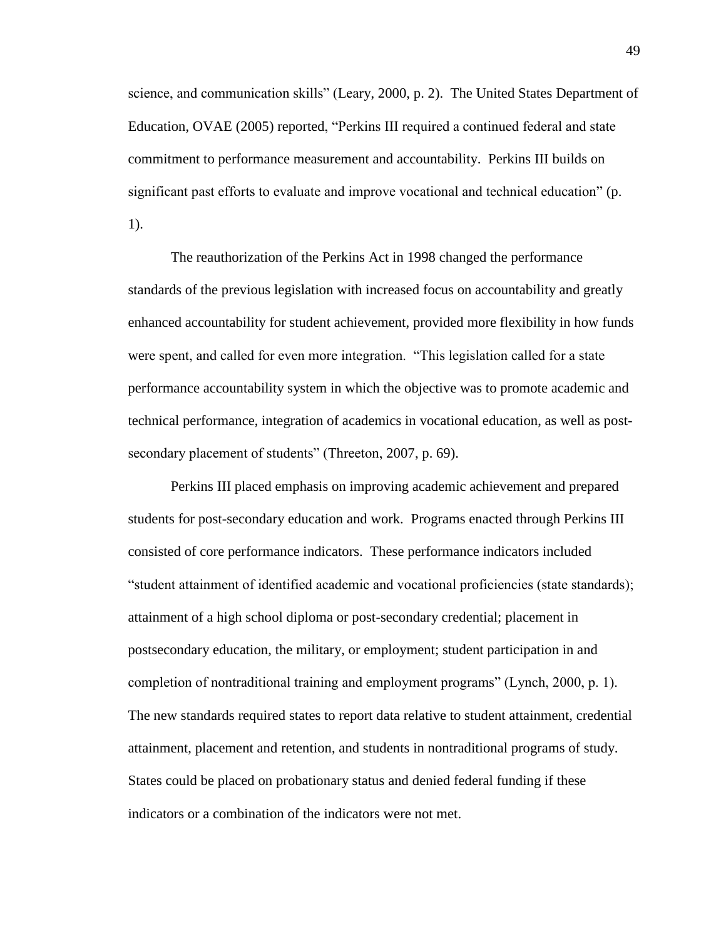science, and communication skills" (Leary, 2000, p. 2). The United States Department of Education, OVAE (2005) reported, "Perkins III required a continued federal and state commitment to performance measurement and accountability. Perkins III builds on significant past efforts to evaluate and improve vocational and technical education" (p. 1).

The reauthorization of the Perkins Act in 1998 changed the performance standards of the previous legislation with increased focus on accountability and greatly enhanced accountability for student achievement, provided more flexibility in how funds were spent, and called for even more integration. "This legislation called for a state performance accountability system in which the objective was to promote academic and technical performance, integration of academics in vocational education, as well as postsecondary placement of students" (Threeton, 2007, p. 69).

Perkins III placed emphasis on improving academic achievement and prepared students for post-secondary education and work. Programs enacted through Perkins III consisted of core performance indicators. These performance indicators included "student attainment of identified academic and vocational proficiencies (state standards); attainment of a high school diploma or post-secondary credential; placement in postsecondary education, the military, or employment; student participation in and completion of nontraditional training and employment programs" (Lynch, 2000, p. 1). The new standards required states to report data relative to student attainment, credential attainment, placement and retention, and students in nontraditional programs of study. States could be placed on probationary status and denied federal funding if these indicators or a combination of the indicators were not met.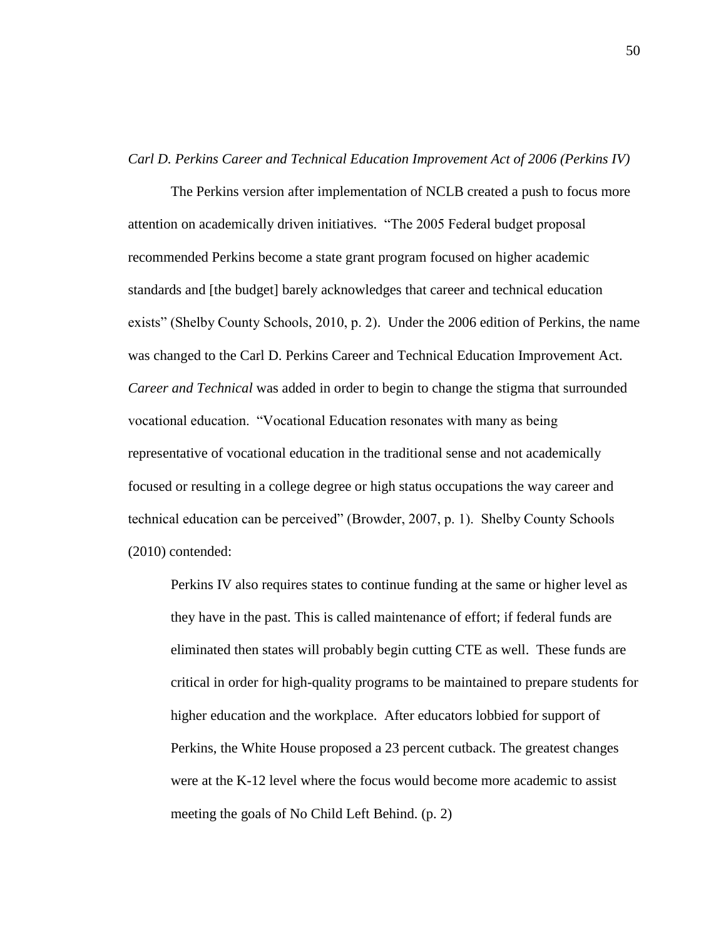#### *Carl D. Perkins Career and Technical Education Improvement Act of 2006 (Perkins IV)*

The Perkins version after implementation of NCLB created a push to focus more attention on academically driven initiatives. "The 2005 Federal budget proposal recommended Perkins become a state grant program focused on higher academic standards and [the budget] barely acknowledges that career and technical education exists" (Shelby County Schools, 2010, p. 2). Under the 2006 edition of Perkins, the name was changed to the Carl D. Perkins Career and Technical Education Improvement Act. *Career and Technical* was added in order to begin to change the stigma that surrounded vocational education. "Vocational Education resonates with many as being representative of vocational education in the traditional sense and not academically focused or resulting in a college degree or high status occupations the way career and technical education can be perceived" (Browder, 2007, p. 1). Shelby County Schools (2010) contended:

Perkins IV also requires states to continue funding at the same or higher level as they have in the past. This is called maintenance of effort; if federal funds are eliminated then states will probably begin cutting CTE as well. These funds are critical in order for high-quality programs to be maintained to prepare students for higher education and the workplace. After educators lobbied for support of Perkins, the White House proposed a 23 percent cutback. The greatest changes were at the K-12 level where the focus would become more academic to assist meeting the goals of No Child Left Behind. (p. 2)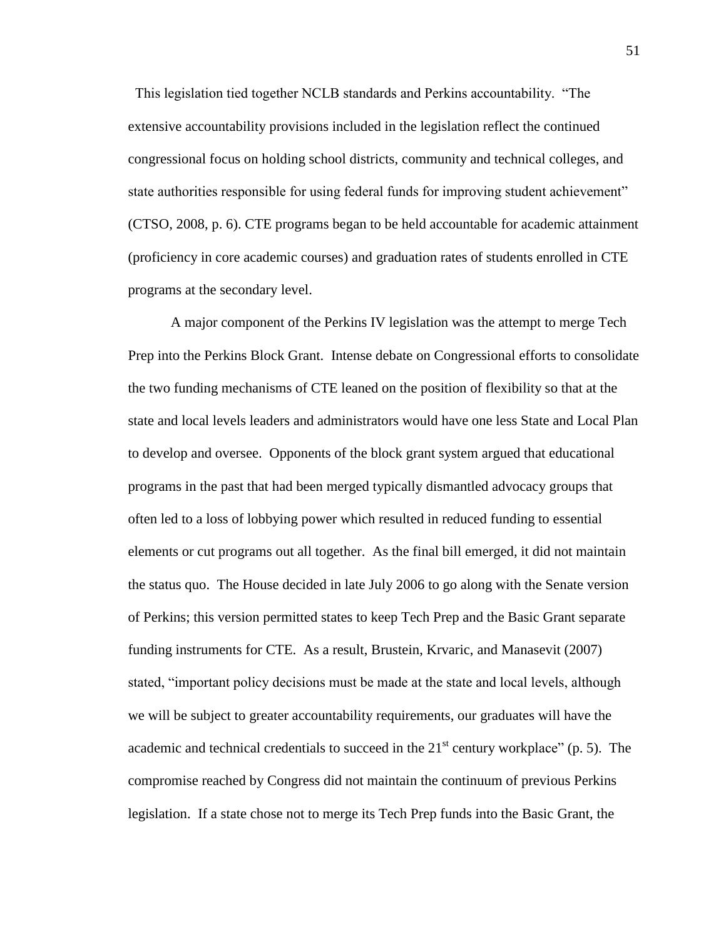This legislation tied together NCLB standards and Perkins accountability. "The extensive accountability provisions included in the legislation reflect the continued congressional focus on holding school districts, community and technical colleges, and state authorities responsible for using federal funds for improving student achievement" (CTSO, 2008, p. 6). CTE programs began to be held accountable for academic attainment (proficiency in core academic courses) and graduation rates of students enrolled in CTE programs at the secondary level.

A major component of the Perkins IV legislation was the attempt to merge Tech Prep into the Perkins Block Grant. Intense debate on Congressional efforts to consolidate the two funding mechanisms of CTE leaned on the position of flexibility so that at the state and local levels leaders and administrators would have one less State and Local Plan to develop and oversee. Opponents of the block grant system argued that educational programs in the past that had been merged typically dismantled advocacy groups that often led to a loss of lobbying power which resulted in reduced funding to essential elements or cut programs out all together. As the final bill emerged, it did not maintain the status quo. The House decided in late July 2006 to go along with the Senate version of Perkins; this version permitted states to keep Tech Prep and the Basic Grant separate funding instruments for CTE. As a result, Brustein, Krvaric, and Manasevit (2007) stated, "important policy decisions must be made at the state and local levels, although we will be subject to greater accountability requirements, our graduates will have the academic and technical credentials to succeed in the  $21<sup>st</sup>$  century workplace" (p. 5). The compromise reached by Congress did not maintain the continuum of previous Perkins legislation. If a state chose not to merge its Tech Prep funds into the Basic Grant, the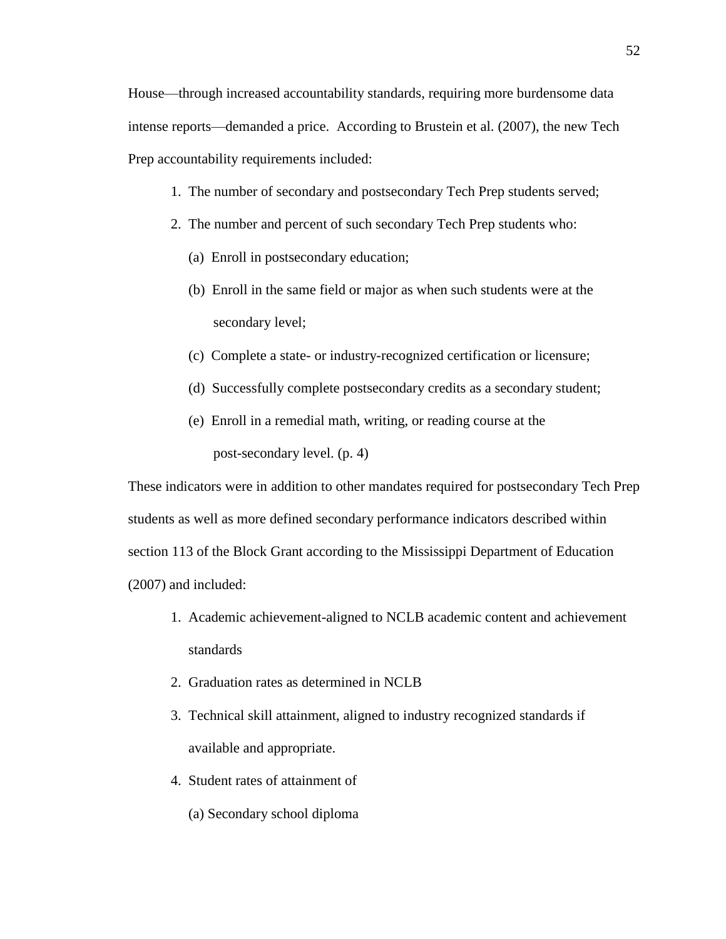- 1. The number of secondary and postsecondary Tech Prep students served;
- 2. The number and percent of such secondary Tech Prep students who:
	- (a) Enroll in postsecondary education;
	- (b) Enroll in the same field or major as when such students were at the secondary level;
	- (c) Complete a state- or industry-recognized certification or licensure;
	- (d) Successfully complete postsecondary credits as a secondary student;
	- (e) Enroll in a remedial math, writing, or reading course at the post-secondary level. (p. 4)

These indicators were in addition to other mandates required for postsecondary Tech Prep students as well as more defined secondary performance indicators described within section 113 of the Block Grant according to the Mississippi Department of Education (2007) and included:

- 1. Academic achievement-aligned to NCLB academic content and achievement standards
- 2. Graduation rates as determined in NCLB
- 3. Technical skill attainment, aligned to industry recognized standards if available and appropriate.
- 4. Student rates of attainment of
	- (a) Secondary school diploma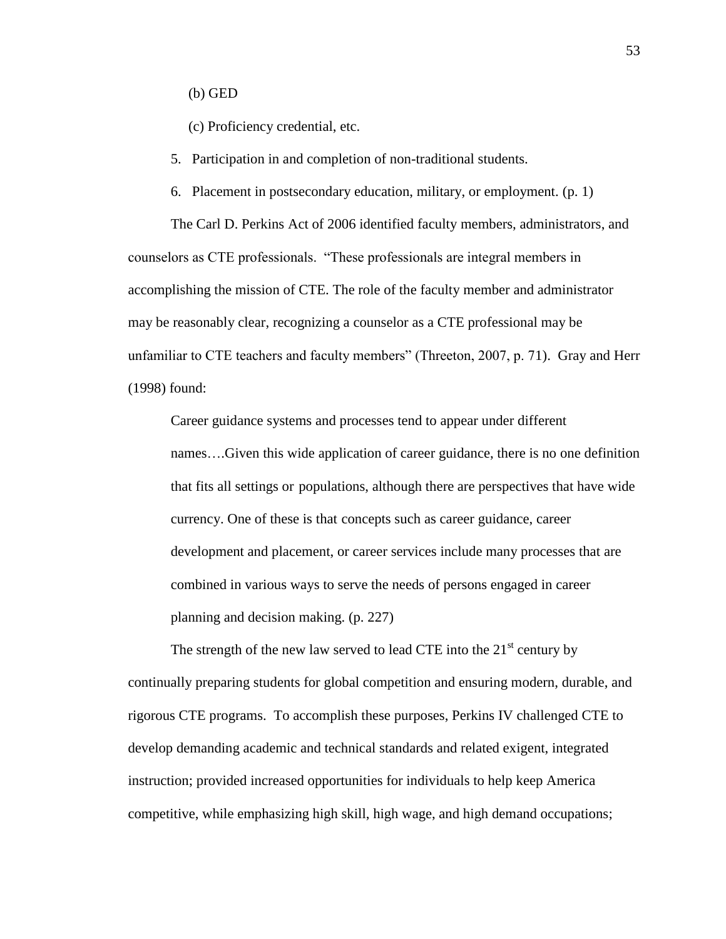(b) GED

(c) Proficiency credential, etc.

5. Participation in and completion of non-traditional students.

6. Placement in postsecondary education, military, or employment. (p. 1)

The Carl D. Perkins Act of 2006 identified faculty members, administrators, and counselors as CTE professionals. "These professionals are integral members in accomplishing the mission of CTE. The role of the faculty member and administrator may be reasonably clear, recognizing a counselor as a CTE professional may be unfamiliar to CTE teachers and faculty members" (Threeton, 2007, p. 71). Gray and Herr (1998) found:

Career guidance systems and processes tend to appear under different names….Given this wide application of career guidance, there is no one definition that fits all settings or populations, although there are perspectives that have wide currency. One of these is that concepts such as career guidance, career development and placement, or career services include many processes that are combined in various ways to serve the needs of persons engaged in career planning and decision making. (p. 227)

The strength of the new law served to lead CTE into the  $21<sup>st</sup>$  century by continually preparing students for global competition and ensuring modern, durable, and rigorous CTE programs. To accomplish these purposes, Perkins IV challenged CTE to develop demanding academic and technical standards and related exigent, integrated instruction; provided increased opportunities for individuals to help keep America competitive, while emphasizing high skill, high wage, and high demand occupations;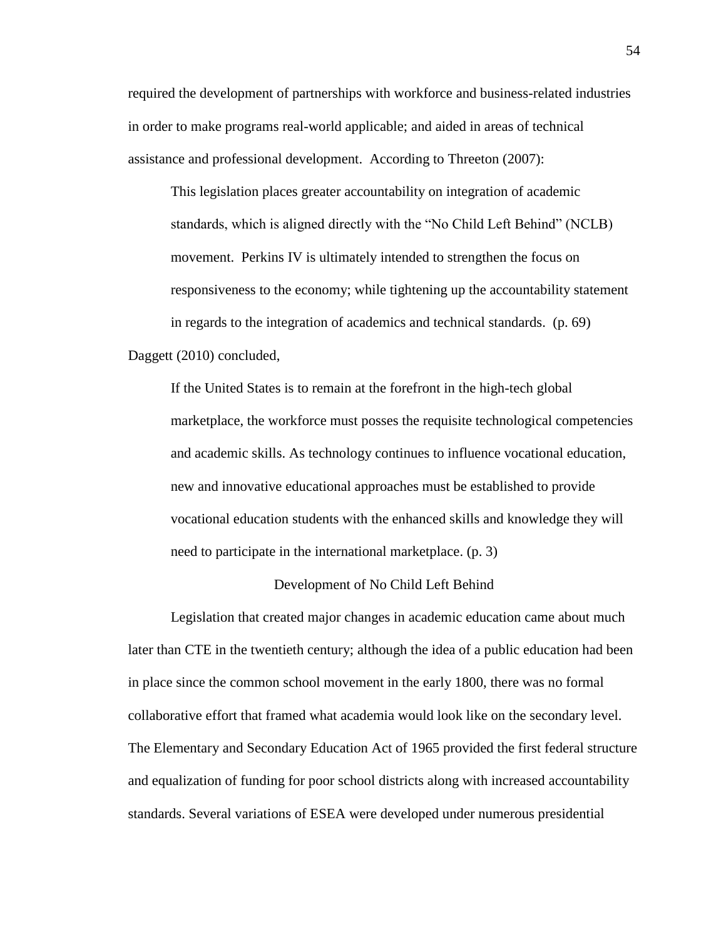required the development of partnerships with workforce and business-related industries in order to make programs real-world applicable; and aided in areas of technical assistance and professional development. According to Threeton (2007):

This legislation places greater accountability on integration of academic standards, which is aligned directly with the "No Child Left Behind" (NCLB) movement. Perkins IV is ultimately intended to strengthen the focus on responsiveness to the economy; while tightening up the accountability statement in regards to the integration of academics and technical standards. (p. 69) Daggett (2010) concluded,

If the United States is to remain at the forefront in the high-tech global marketplace, the workforce must posses the requisite technological competencies and academic skills. As technology continues to influence vocational education, new and innovative educational approaches must be established to provide vocational education students with the enhanced skills and knowledge they will need to participate in the international marketplace. (p. 3)

### Development of No Child Left Behind

Legislation that created major changes in academic education came about much later than CTE in the twentieth century; although the idea of a public education had been in place since the common school movement in the early 1800, there was no formal collaborative effort that framed what academia would look like on the secondary level. The Elementary and Secondary Education Act of 1965 provided the first federal structure and equalization of funding for poor school districts along with increased accountability standards. Several variations of ESEA were developed under numerous presidential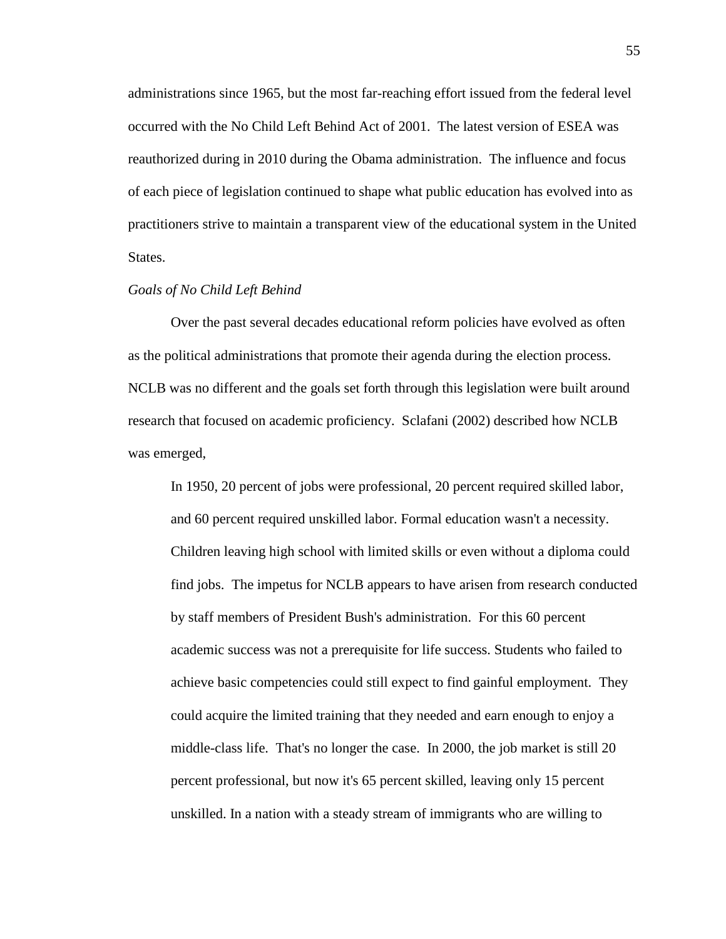administrations since 1965, but the most far-reaching effort issued from the federal level occurred with the No Child Left Behind Act of 2001. The latest version of ESEA was reauthorized during in 2010 during the Obama administration. The influence and focus of each piece of legislation continued to shape what public education has evolved into as practitioners strive to maintain a transparent view of the educational system in the United States.

### *Goals of No Child Left Behind*

Over the past several decades educational reform policies have evolved as often as the political administrations that promote their agenda during the election process. NCLB was no different and the goals set forth through this legislation were built around research that focused on academic proficiency. Sclafani (2002) described how NCLB was emerged,

In 1950, 20 percent of jobs were professional, 20 percent required skilled labor, and 60 percent required unskilled labor. Formal education wasn't a necessity. Children leaving high school with limited skills or even without a diploma could find jobs. The impetus for NCLB appears to have arisen from research conducted by staff members of President Bush's administration. For this 60 percent academic success was not a prerequisite for life success. Students who failed to achieve basic competencies could still expect to find gainful employment. They could acquire the limited training that they needed and earn enough to enjoy a middle-class life. That's no longer the case. In 2000, the job market is still 20 percent professional, but now it's 65 percent skilled, leaving only 15 percent unskilled. In a nation with a steady stream of immigrants who are willing to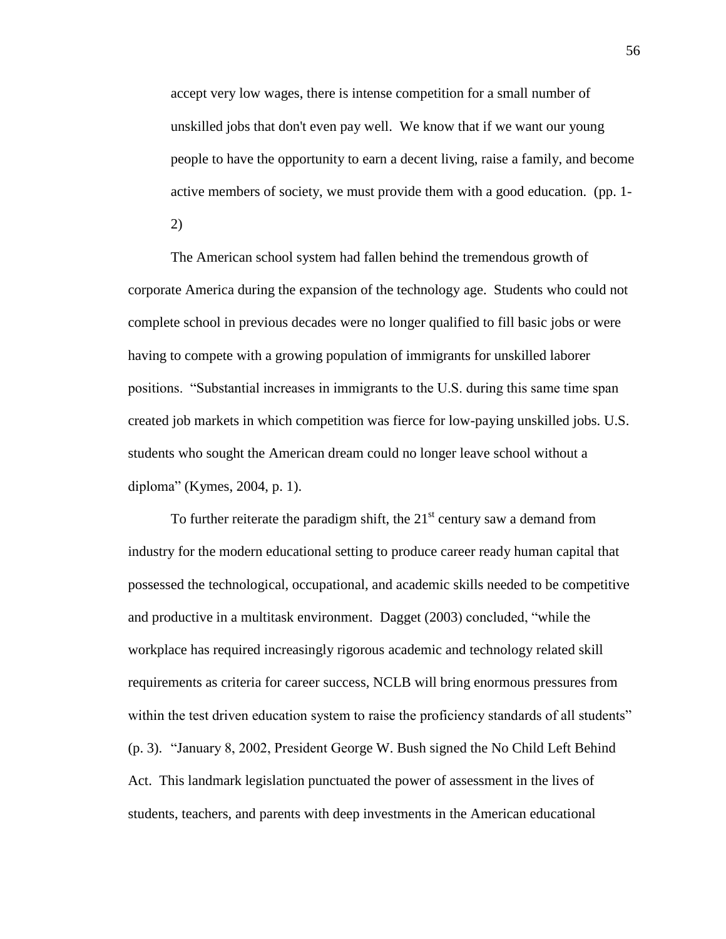accept very low wages, there is intense competition for a small number of unskilled jobs that don't even pay well. We know that if we want our young people to have the opportunity to earn a decent living, raise a family, and become active members of society, we must provide them with a good education. (pp. 1- 2)

The American school system had fallen behind the tremendous growth of corporate America during the expansion of the technology age. Students who could not complete school in previous decades were no longer qualified to fill basic jobs or were having to compete with a growing population of immigrants for unskilled laborer positions. "Substantial increases in immigrants to the U.S. during this same time span created job markets in which competition was fierce for low-paying unskilled jobs. U.S. students who sought the American dream could no longer leave school without a diploma" (Kymes, 2004, p. 1).

To further reiterate the paradigm shift, the  $21<sup>st</sup>$  century saw a demand from industry for the modern educational setting to produce career ready human capital that possessed the technological, occupational, and academic skills needed to be competitive and productive in a multitask environment. Dagget (2003) concluded, "while the workplace has required increasingly rigorous academic and technology related skill requirements as criteria for career success, NCLB will bring enormous pressures from within the test driven education system to raise the proficiency standards of all students" (p. 3). "January 8, 2002, President George W. Bush signed the No Child Left Behind Act. This landmark legislation punctuated the power of assessment in the lives of students, teachers, and parents with deep investments in the American educational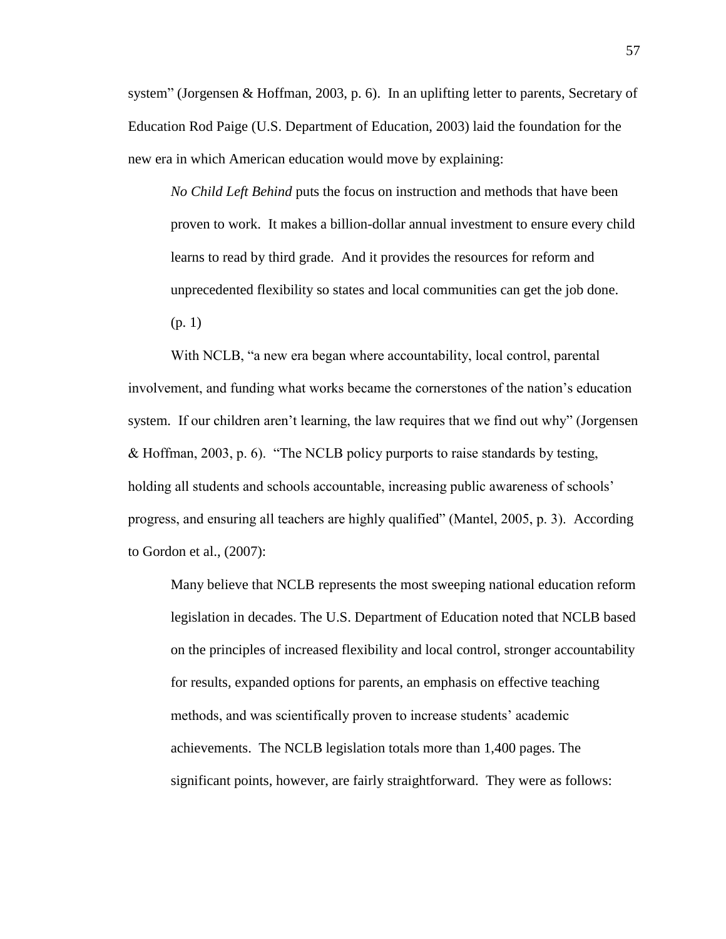system" (Jorgensen & Hoffman, 2003, p. 6). In an uplifting letter to parents, Secretary of Education Rod Paige (U.S. Department of Education, 2003) laid the foundation for the new era in which American education would move by explaining:

*No Child Left Behind* puts the focus on instruction and methods that have been proven to work. It makes a billion-dollar annual investment to ensure every child learns to read by third grade. And it provides the resources for reform and unprecedented flexibility so states and local communities can get the job done. (p. 1)

With NCLB, "a new era began where accountability, local control, parental involvement, and funding what works became the cornerstones of the nation's education system. If our children aren't learning, the law requires that we find out why" (Jorgensen & Hoffman, 2003, p. 6). "The NCLB policy purports to raise standards by testing, holding all students and schools accountable, increasing public awareness of schools' progress, and ensuring all teachers are highly qualified" (Mantel, 2005, p. 3). According to Gordon et al., (2007):

Many believe that NCLB represents the most sweeping national education reform legislation in decades. The U.S. Department of Education noted that NCLB based on the principles of increased flexibility and local control, stronger accountability for results, expanded options for parents, an emphasis on effective teaching methods, and was scientifically proven to increase students' academic achievements. The NCLB legislation totals more than 1,400 pages. The significant points, however, are fairly straightforward. They were as follows: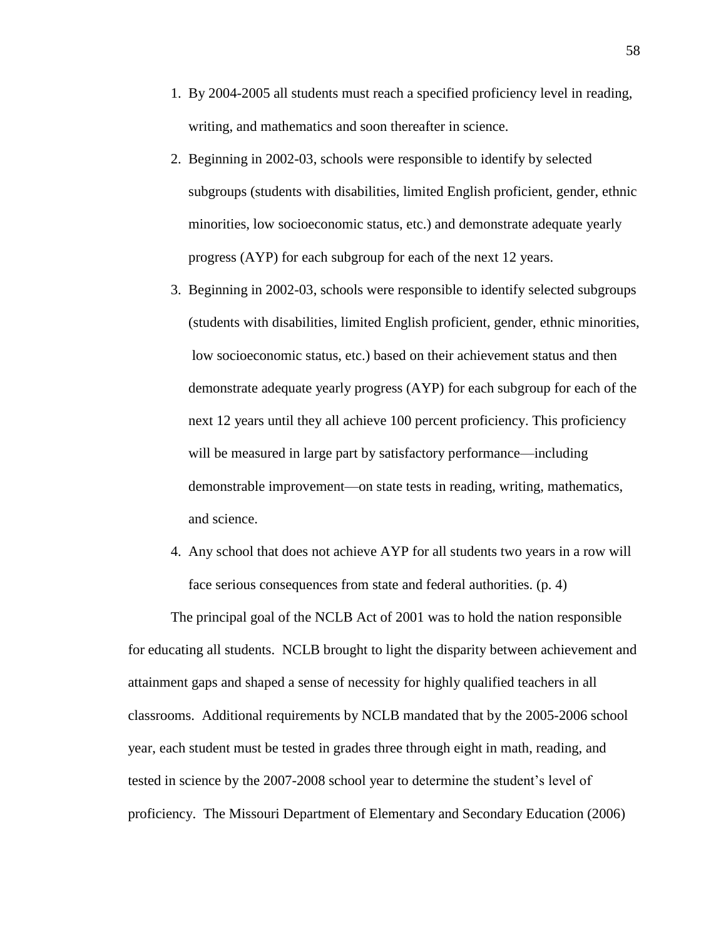- 1. By 2004-2005 all students must reach a specified proficiency level in reading, writing, and mathematics and soon thereafter in science.
- 2. Beginning in 2002-03, schools were responsible to identify by selected subgroups (students with disabilities, limited English proficient, gender, ethnic minorities, low socioeconomic status, etc.) and demonstrate adequate yearly progress (AYP) for each subgroup for each of the next 12 years.
- 3. Beginning in 2002-03, schools were responsible to identify selected subgroups (students with disabilities, limited English proficient, gender, ethnic minorities, low socioeconomic status, etc.) based on their achievement status and then demonstrate adequate yearly progress (AYP) for each subgroup for each of the next 12 years until they all achieve 100 percent proficiency. This proficiency will be measured in large part by satisfactory performance—including demonstrable improvement—on state tests in reading, writing, mathematics, and science.
- 4. Any school that does not achieve AYP for all students two years in a row will face serious consequences from state and federal authorities. (p. 4)

The principal goal of the NCLB Act of 2001 was to hold the nation responsible for educating all students. NCLB brought to light the disparity between achievement and attainment gaps and shaped a sense of necessity for highly qualified teachers in all classrooms. Additional requirements by NCLB mandated that by the 2005-2006 school year, each student must be tested in grades three through eight in math, reading, and tested in science by the 2007-2008 school year to determine the student's level of proficiency. The Missouri Department of Elementary and Secondary Education (2006)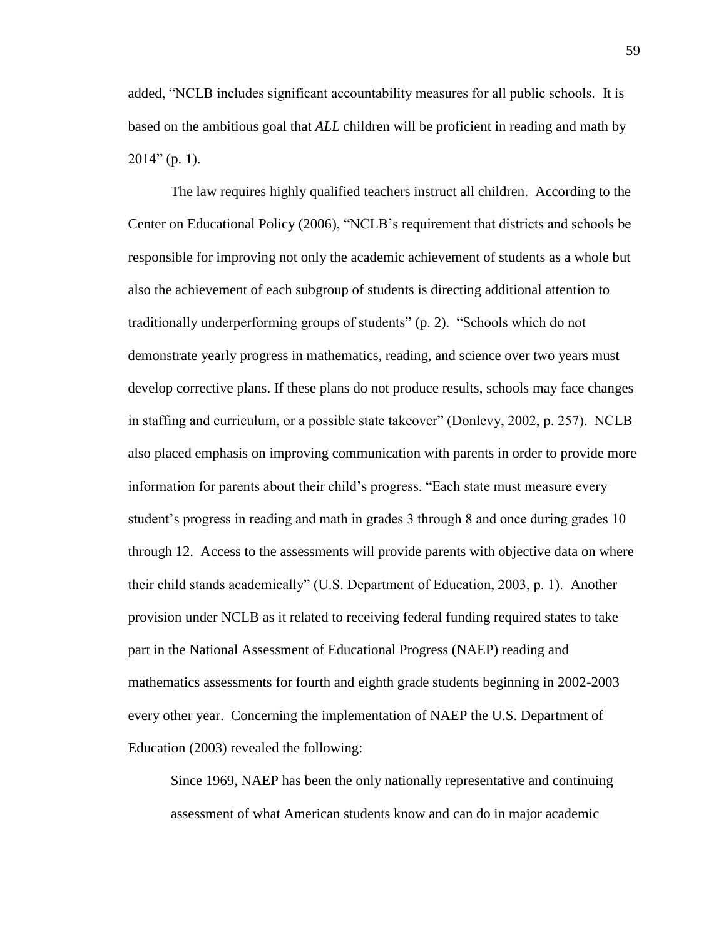added, "NCLB includes significant accountability measures for all public schools. It is based on the ambitious goal that *ALL* children will be proficient in reading and math by 2014" (p. 1).

The law requires highly qualified teachers instruct all children. According to the Center on Educational Policy (2006), "NCLB's requirement that districts and schools be responsible for improving not only the academic achievement of students as a whole but also the achievement of each subgroup of students is directing additional attention to traditionally underperforming groups of students" (p. 2). "Schools which do not demonstrate yearly progress in mathematics, reading, and science over two years must develop corrective plans. If these plans do not produce results, schools may face changes in staffing and curriculum, or a possible state takeover" (Donlevy, 2002, p. 257). NCLB also placed emphasis on improving communication with parents in order to provide more information for parents about their child's progress. "Each state must measure every student's progress in reading and math in grades 3 through 8 and once during grades 10 through 12. Access to the assessments will provide parents with objective data on where their child stands academically" (U.S. Department of Education, 2003, p. 1). Another provision under NCLB as it related to receiving federal funding required states to take part in the National Assessment of Educational Progress (NAEP) reading and mathematics assessments for fourth and eighth grade students beginning in 2002-2003 every other year. Concerning the implementation of NAEP the U.S. Department of Education (2003) revealed the following:

Since 1969, NAEP has been the only nationally representative and continuing assessment of what American students know and can do in major academic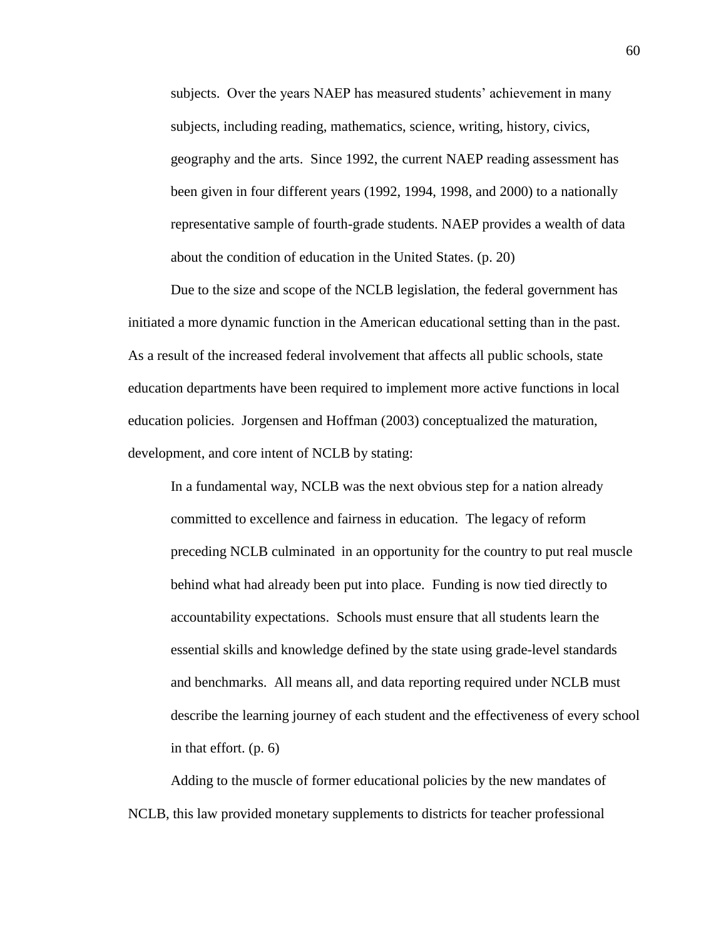subjects. Over the years NAEP has measured students' achievement in many subjects, including reading, mathematics, science, writing, history, civics, geography and the arts. Since 1992, the current NAEP reading assessment has been given in four different years (1992, 1994, 1998, and 2000) to a nationally representative sample of fourth-grade students. NAEP provides a wealth of data about the condition of education in the United States. (p. 20)

Due to the size and scope of the NCLB legislation, the federal government has initiated a more dynamic function in the American educational setting than in the past. As a result of the increased federal involvement that affects all public schools, state education departments have been required to implement more active functions in local education policies. Jorgensen and Hoffman (2003) conceptualized the maturation, development, and core intent of NCLB by stating:

In a fundamental way, NCLB was the next obvious step for a nation already committed to excellence and fairness in education. The legacy of reform preceding NCLB culminated in an opportunity for the country to put real muscle behind what had already been put into place. Funding is now tied directly to accountability expectations. Schools must ensure that all students learn the essential skills and knowledge defined by the state using grade-level standards and benchmarks. All means all, and data reporting required under NCLB must describe the learning journey of each student and the effectiveness of every school in that effort. (p. 6)

Adding to the muscle of former educational policies by the new mandates of NCLB, this law provided monetary supplements to districts for teacher professional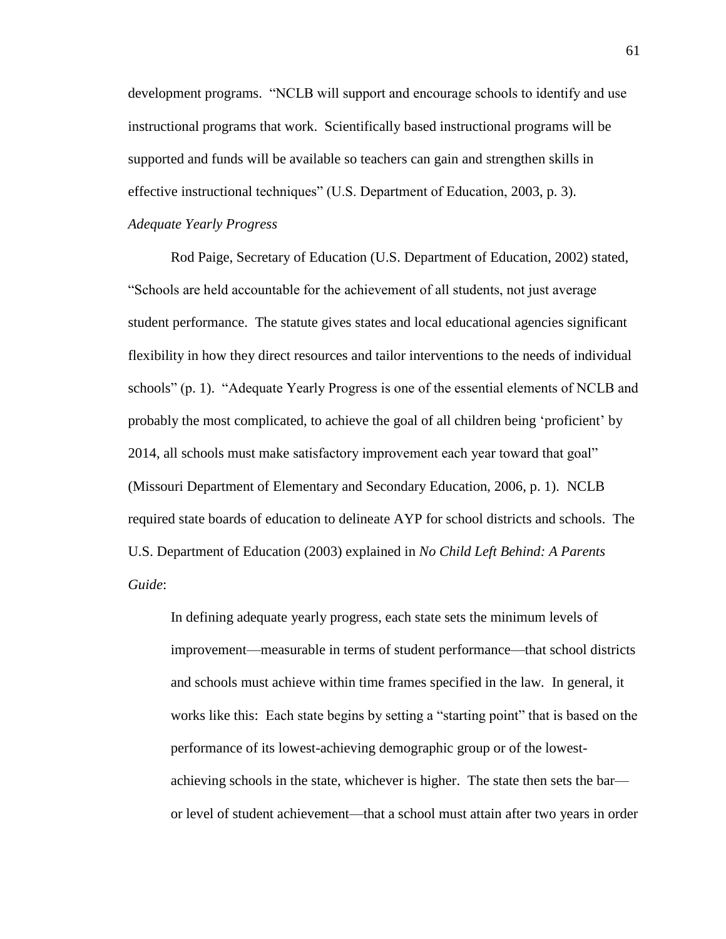development programs. "NCLB will support and encourage schools to identify and use instructional programs that work. Scientifically based instructional programs will be supported and funds will be available so teachers can gain and strengthen skills in effective instructional techniques" (U.S. Department of Education, 2003, p. 3). *Adequate Yearly Progress*

Rod Paige, Secretary of Education (U.S. Department of Education, 2002) stated, "Schools are held accountable for the achievement of all students, not just average student performance. The statute gives states and local educational agencies significant flexibility in how they direct resources and tailor interventions to the needs of individual schools" (p. 1). "Adequate Yearly Progress is one of the essential elements of NCLB and probably the most complicated, to achieve the goal of all children being 'proficient' by 2014, all schools must make satisfactory improvement each year toward that goal" (Missouri Department of Elementary and Secondary Education, 2006, p. 1). NCLB required state boards of education to delineate AYP for school districts and schools. The U.S. Department of Education (2003) explained in *No Child Left Behind: A Parents Guide*:

In defining adequate yearly progress, each state sets the minimum levels of improvement—measurable in terms of student performance—that school districts and schools must achieve within time frames specified in the law*.* In general, it works like this: Each state begins by setting a "starting point" that is based on the performance of its lowest-achieving demographic group or of the lowestachieving schools in the state, whichever is higher. The state then sets the bar or level of student achievement—that a school must attain after two years in order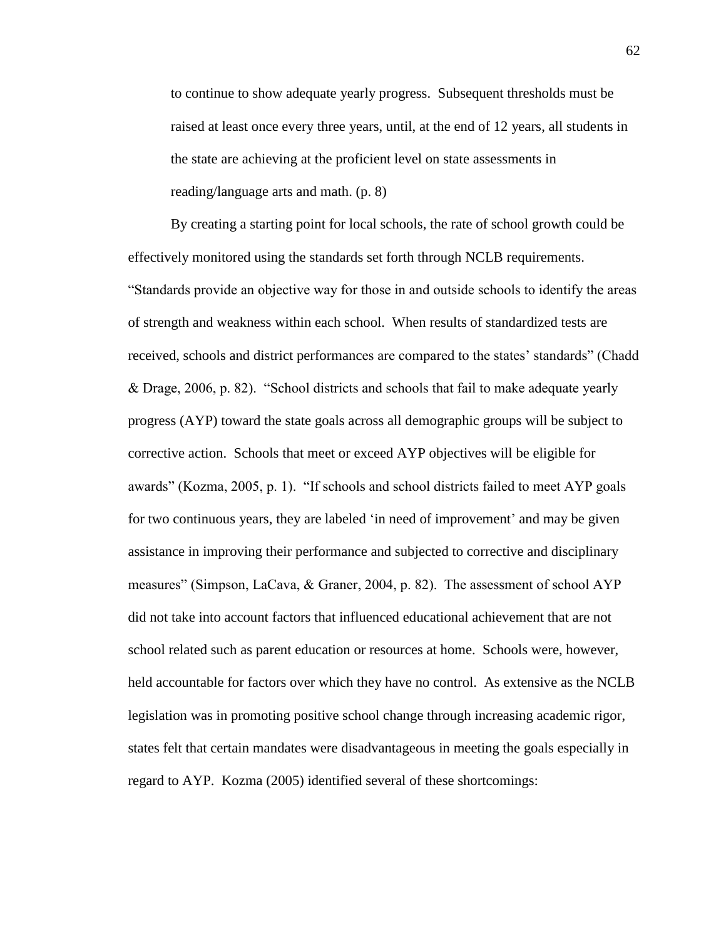to continue to show adequate yearly progress. Subsequent thresholds must be raised at least once every three years, until, at the end of 12 years, all students in the state are achieving at the proficient level on state assessments in reading/language arts and math. (p. 8)

By creating a starting point for local schools, the rate of school growth could be effectively monitored using the standards set forth through NCLB requirements. "Standards provide an objective way for those in and outside schools to identify the areas of strength and weakness within each school. When results of standardized tests are received, schools and district performances are compared to the states' standards" (Chadd & Drage, 2006, p. 82). "School districts and schools that fail to make adequate yearly progress (AYP) toward the state goals across all demographic groups will be subject to corrective action. Schools that meet or exceed AYP objectives will be eligible for awards" (Kozma, 2005, p. 1). "If schools and school districts failed to meet AYP goals for two continuous years, they are labeled 'in need of improvement' and may be given assistance in improving their performance and subjected to corrective and disciplinary measures" (Simpson, LaCava, & Graner, 2004, p. 82). The assessment of school AYP did not take into account factors that influenced educational achievement that are not school related such as parent education or resources at home. Schools were, however, held accountable for factors over which they have no control. As extensive as the NCLB legislation was in promoting positive school change through increasing academic rigor, states felt that certain mandates were disadvantageous in meeting the goals especially in regard to AYP. Kozma (2005) identified several of these shortcomings: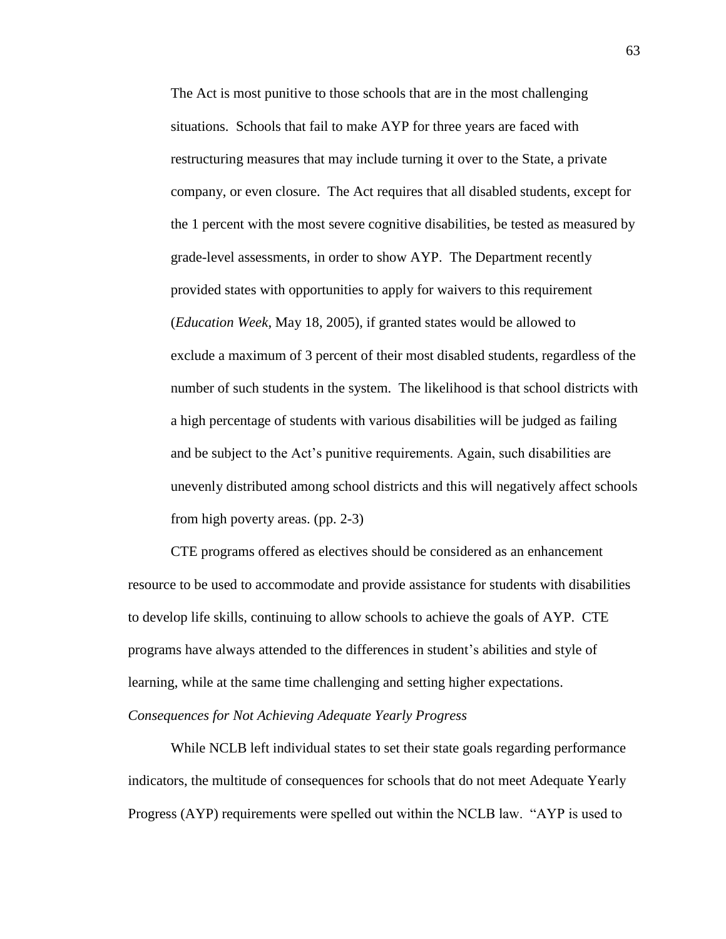The Act is most punitive to those schools that are in the most challenging situations. Schools that fail to make AYP for three years are faced with restructuring measures that may include turning it over to the State, a private company, or even closure. The Act requires that all disabled students, except for the 1 percent with the most severe cognitive disabilities, be tested as measured by grade-level assessments, in order to show AYP. The Department recently provided states with opportunities to apply for waivers to this requirement (*Education Week*, May 18, 2005), if granted states would be allowed to exclude a maximum of 3 percent of their most disabled students, regardless of the number of such students in the system. The likelihood is that school districts with a high percentage of students with various disabilities will be judged as failing and be subject to the Act's punitive requirements. Again, such disabilities are unevenly distributed among school districts and this will negatively affect schools from high poverty areas. (pp. 2-3)

CTE programs offered as electives should be considered as an enhancement resource to be used to accommodate and provide assistance for students with disabilities to develop life skills, continuing to allow schools to achieve the goals of AYP. CTE programs have always attended to the differences in student's abilities and style of learning, while at the same time challenging and setting higher expectations. *Consequences for Not Achieving Adequate Yearly Progress*

While NCLB left individual states to set their state goals regarding performance indicators, the multitude of consequences for schools that do not meet Adequate Yearly Progress (AYP) requirements were spelled out within the NCLB law. "AYP is used to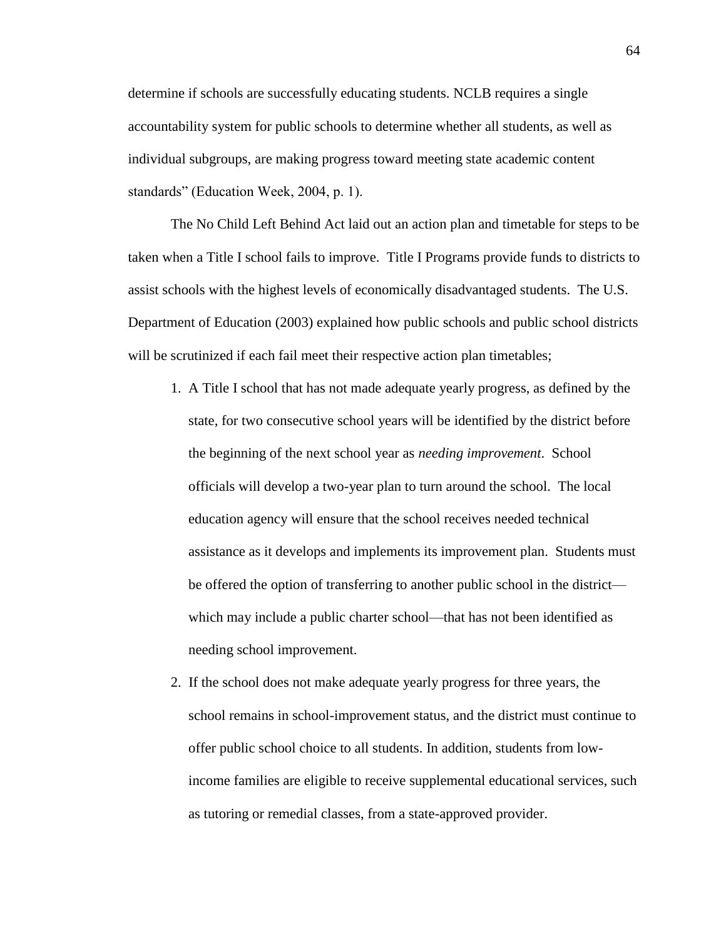determine if schools are successfully educating students. NCLB requires a single accountability system for public schools to determine whether all students, as well as individual subgroups, are making progress toward meeting state academic content standards" (Education Week, 2004, p. 1).

The No Child Left Behind Act laid out an action plan and timetable for steps to be taken when a Title I school fails to improve. Title I Programs provide funds to districts to assist schools with the highest levels of economically disadvantaged students. The U.S. Department of Education (2003) explained how public schools and public school districts will be scrutinized if each fail meet their respective action plan timetables;

- 1. A Title I school that has not made adequate yearly progress, as defined by the state, for two consecutive school years will be identified by the district before the beginning of the next school year as *needing improvement*. School officials will develop a two-year plan to turn around the school. The local education agency will ensure that the school receives needed technical assistance as it develops and implements its improvement plan. Students must be offered the option of transferring to another public school in the district which may include a public charter school—that has not been identified as needing school improvement.
- 2. If the school does not make adequate yearly progress for three years, the school remains in school-improvement status, and the district must continue to offer public school choice to all students. In addition, students from low income families are eligible to receive supplemental educational services, such as tutoring or remedial classes, from a state-approved provider.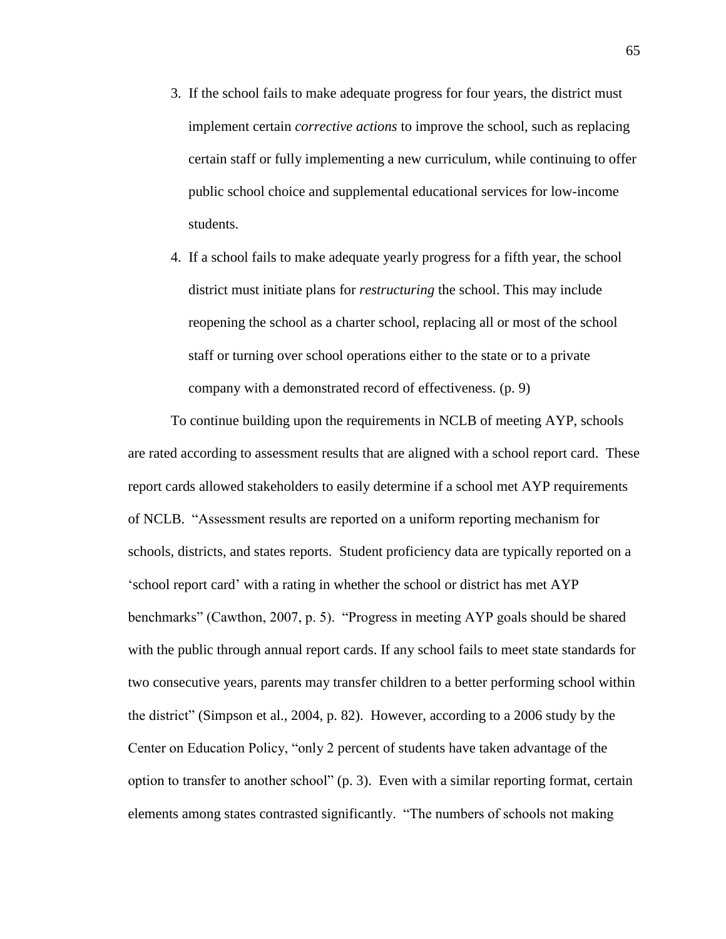- 3. If the school fails to make adequate progress for four years, the district must implement certain *corrective actions* to improve the school, such as replacing certain staff or fully implementing a new curriculum, while continuing to offer public school choice and supplemental educational services for low-income students.
- 4. If a school fails to make adequate yearly progress for a fifth year, the school district must initiate plans for *restructuring* the school. This may include reopening the school as a charter school, replacing all or most of the school staff or turning over school operations either to the state or to a private company with a demonstrated record of effectiveness. (p. 9)

To continue building upon the requirements in NCLB of meeting AYP, schools are rated according to assessment results that are aligned with a school report card. These report cards allowed stakeholders to easily determine if a school met AYP requirements of NCLB. "Assessment results are reported on a uniform reporting mechanism for schools, districts, and states reports. Student proficiency data are typically reported on a 'school report card' with a rating in whether the school or district has met AYP benchmarks" (Cawthon, 2007, p. 5). "Progress in meeting AYP goals should be shared with the public through annual report cards. If any school fails to meet state standards for two consecutive years, parents may transfer children to a better performing school within the district" (Simpson et al., 2004, p. 82). However, according to a 2006 study by the Center on Education Policy, "only 2 percent of students have taken advantage of the option to transfer to another school" (p. 3). Even with a similar reporting format, certain elements among states contrasted significantly. "The numbers of schools not making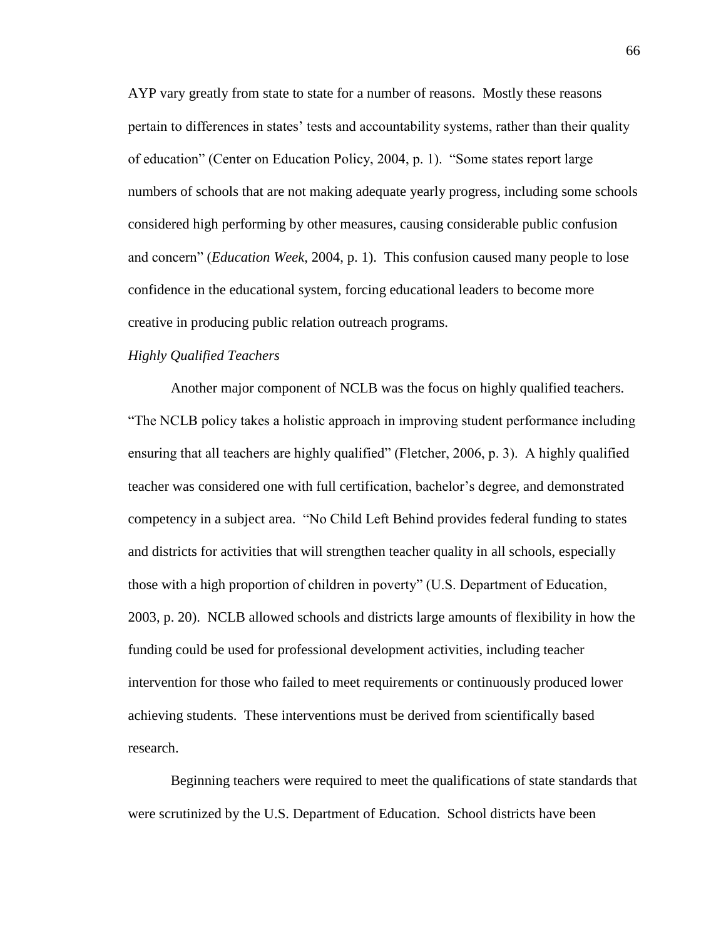AYP vary greatly from state to state for a number of reasons. Mostly these reasons pertain to differences in states' tests and accountability systems, rather than their quality of education" (Center on Education Policy, 2004, p. 1). "Some states report large numbers of schools that are not making adequate yearly progress, including some schools considered high performing by other measures, causing considerable public confusion and concern" (*Education Week*, 2004, p. 1). This confusion caused many people to lose confidence in the educational system, forcing educational leaders to become more creative in producing public relation outreach programs.

# *Highly Qualified Teachers*

Another major component of NCLB was the focus on highly qualified teachers. "The NCLB policy takes a holistic approach in improving student performance including ensuring that all teachers are highly qualified" (Fletcher, 2006, p. 3). A highly qualified teacher was considered one with full certification, bachelor's degree, and demonstrated competency in a subject area. "No Child Left Behind provides federal funding to states and districts for activities that will strengthen teacher quality in all schools, especially those with a high proportion of children in poverty" (U.S. Department of Education, 2003, p. 20). NCLB allowed schools and districts large amounts of flexibility in how the funding could be used for professional development activities, including teacher intervention for those who failed to meet requirements or continuously produced lower achieving students. These interventions must be derived from scientifically based research.

Beginning teachers were required to meet the qualifications of state standards that were scrutinized by the U.S. Department of Education. School districts have been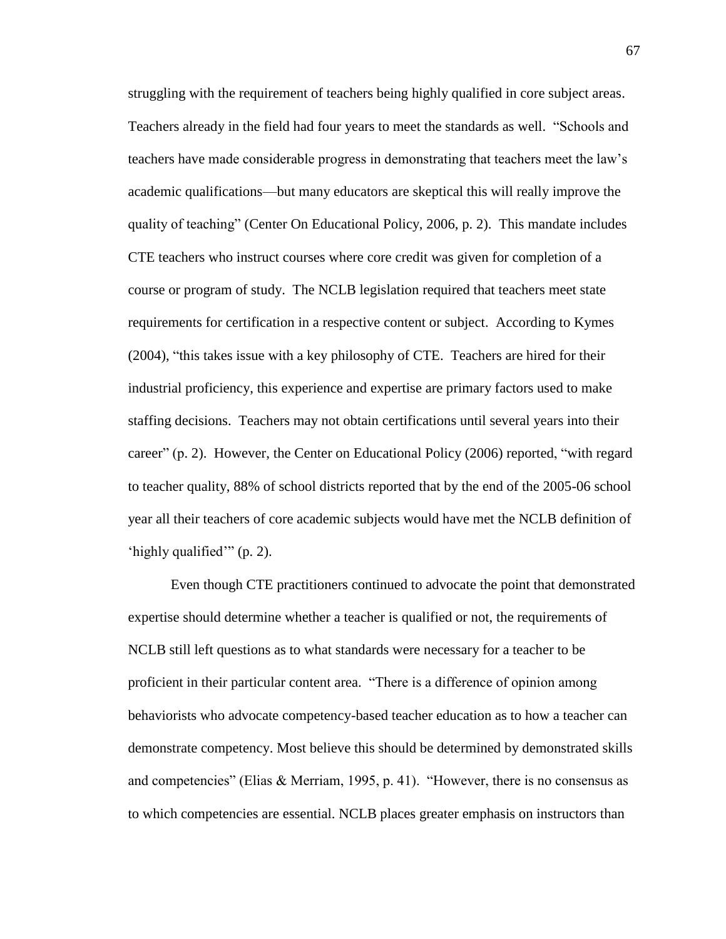struggling with the requirement of teachers being highly qualified in core subject areas. Teachers already in the field had four years to meet the standards as well. "Schools and teachers have made considerable progress in demonstrating that teachers meet the law's academic qualifications—but many educators are skeptical this will really improve the quality of teaching" (Center On Educational Policy, 2006, p. 2). This mandate includes CTE teachers who instruct courses where core credit was given for completion of a course or program of study. The NCLB legislation required that teachers meet state requirements for certification in a respective content or subject. According to Kymes (2004), "this takes issue with a key philosophy of CTE. Teachers are hired for their industrial proficiency, this experience and expertise are primary factors used to make staffing decisions. Teachers may not obtain certifications until several years into their career" (p. 2). However, the Center on Educational Policy (2006) reported, "with regard to teacher quality, 88% of school districts reported that by the end of the 2005-06 school year all their teachers of core academic subjects would have met the NCLB definition of 'highly qualified'" (p. 2).

Even though CTE practitioners continued to advocate the point that demonstrated expertise should determine whether a teacher is qualified or not, the requirements of NCLB still left questions as to what standards were necessary for a teacher to be proficient in their particular content area. "There is a difference of opinion among behaviorists who advocate competency-based teacher education as to how a teacher can demonstrate competency. Most believe this should be determined by demonstrated skills and competencies" (Elias & Merriam, 1995, p. 41). "However, there is no consensus as to which competencies are essential. NCLB places greater emphasis on instructors than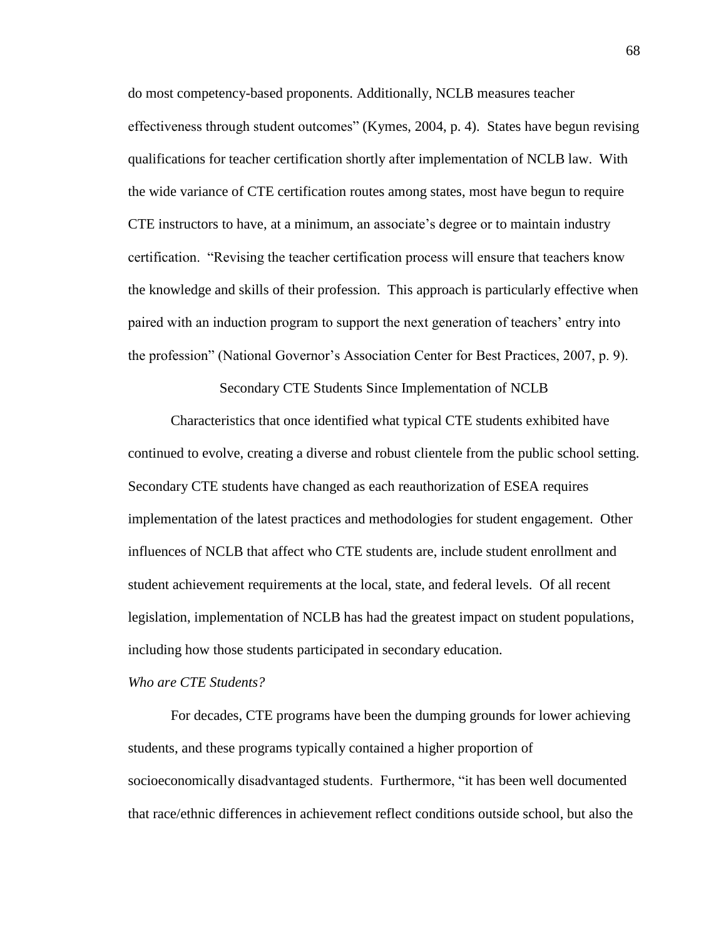do most competency-based proponents. Additionally, NCLB measures teacher effectiveness through student outcomes" (Kymes, 2004, p. 4). States have begun revising qualifications for teacher certification shortly after implementation of NCLB law. With the wide variance of CTE certification routes among states, most have begun to require CTE instructors to have, at a minimum, an associate's degree or to maintain industry certification. "Revising the teacher certification process will ensure that teachers know the knowledge and skills of their profession. This approach is particularly effective when paired with an induction program to support the next generation of teachers' entry into the profession" (National Governor's Association Center for Best Practices, 2007, p. 9).

Secondary CTE Students Since Implementation of NCLB

Characteristics that once identified what typical CTE students exhibited have continued to evolve, creating a diverse and robust clientele from the public school setting. Secondary CTE students have changed as each reauthorization of ESEA requires implementation of the latest practices and methodologies for student engagement. Other influences of NCLB that affect who CTE students are, include student enrollment and student achievement requirements at the local, state, and federal levels. Of all recent legislation, implementation of NCLB has had the greatest impact on student populations, including how those students participated in secondary education.

## *Who are CTE Students?*

For decades, CTE programs have been the dumping grounds for lower achieving students, and these programs typically contained a higher proportion of socioeconomically disadvantaged students. Furthermore, "it has been well documented that race/ethnic differences in achievement reflect conditions outside school, but also the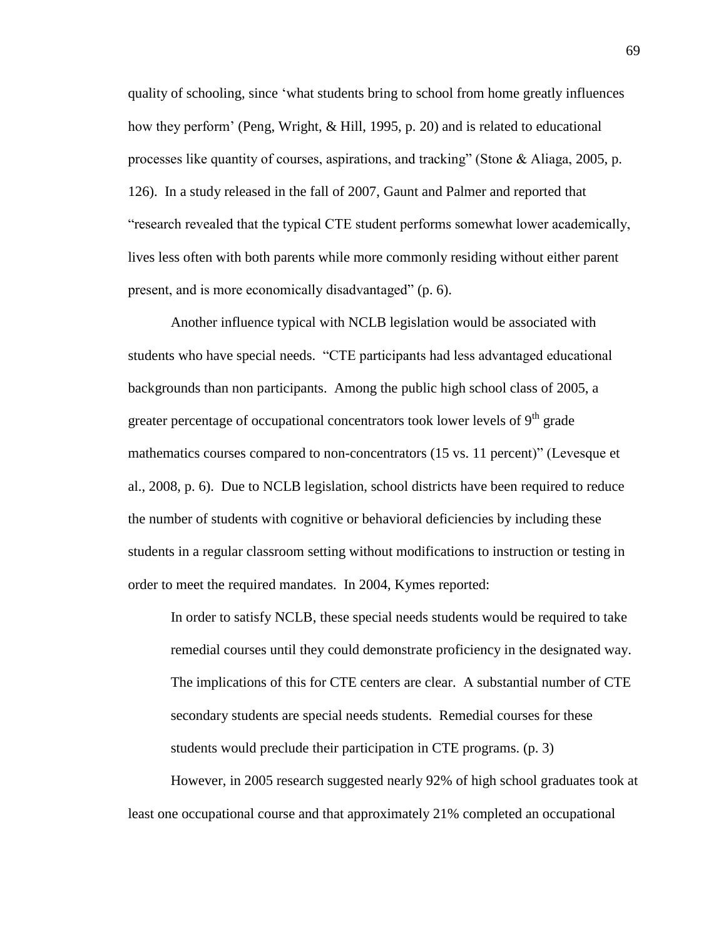quality of schooling, since 'what students bring to school from home greatly influences how they perform' (Peng, Wright, & Hill, 1995, p. 20) and is related to educational processes like quantity of courses, aspirations, and tracking" (Stone  $\&$  Aliaga, 2005, p. 126). In a study released in the fall of 2007, Gaunt and Palmer and reported that "research revealed that the typical CTE student performs somewhat lower academically, lives less often with both parents while more commonly residing without either parent present, and is more economically disadvantaged" (p. 6).

Another influence typical with NCLB legislation would be associated with students who have special needs. "CTE participants had less advantaged educational backgrounds than non participants. Among the public high school class of 2005, a greater percentage of occupational concentrators took lower levels of  $9<sup>th</sup>$  grade mathematics courses compared to non-concentrators (15 vs. 11 percent)" (Levesque et al., 2008, p. 6). Due to NCLB legislation, school districts have been required to reduce the number of students with cognitive or behavioral deficiencies by including these students in a regular classroom setting without modifications to instruction or testing in order to meet the required mandates. In 2004, Kymes reported:

In order to satisfy NCLB, these special needs students would be required to take remedial courses until they could demonstrate proficiency in the designated way. The implications of this for CTE centers are clear. A substantial number of CTE secondary students are special needs students. Remedial courses for these students would preclude their participation in CTE programs. (p. 3)

However, in 2005 research suggested nearly 92% of high school graduates took at least one occupational course and that approximately 21% completed an occupational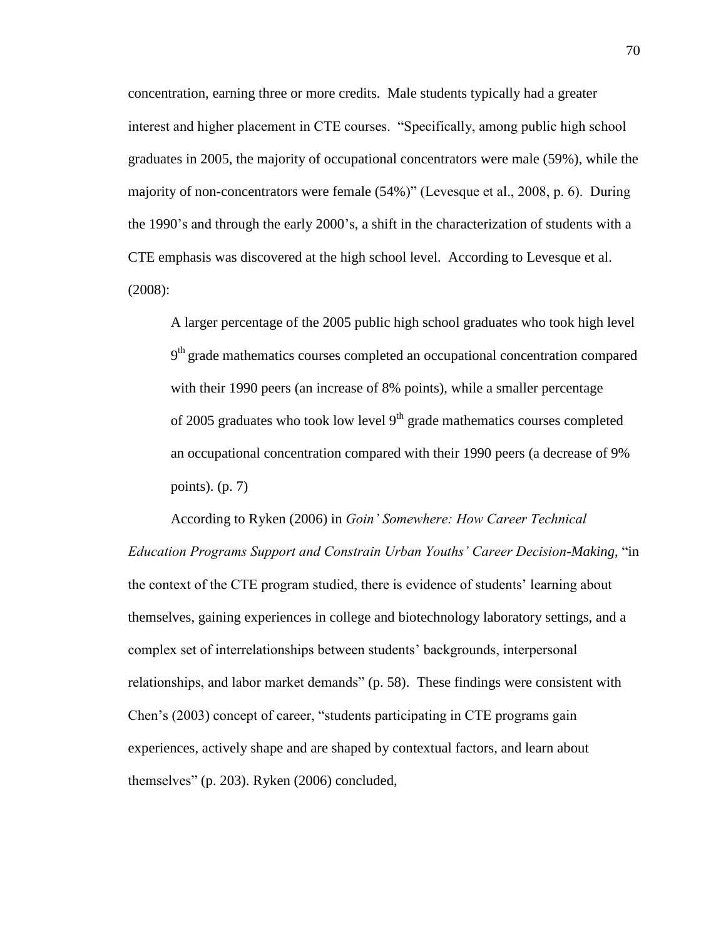concentration, earning three or more credits. Male students typically had a greater interest and higher placement in CTE courses. "Specifically, among public high school graduates in 2005, the majority of occupational concentrators were male (59%), while the majority of non-concentrators were female (54%)" (Levesque et al., 2008, p. 6). During the 1990's and through the early 2000's, a shift in the characterization of students with a CTE emphasis was discovered at the high school level. According to Levesque et al. (2008):

A larger percentage of the 2005 public high school graduates who took high level 9<sup>th</sup> grade mathematics courses completed an occupational concentration compared with their 1990 peers (an increase of 8% points), while a smaller percentage of 2005 graduates who took low level  $9<sup>th</sup>$  grade mathematics courses completed an occupational concentration compared with their 1990 peers (a decrease of 9% points). (p. 7)

According to Ryken (2006) in *Goin' Somewhere: How Career Technical Education Programs Support and Constrain Urban Youths' Career Decision-Making*, "in the context of the CTE program studied, there is evidence of students' learning about themselves, gaining experiences in college and biotechnology laboratory settings, and a complex set of interrelationships between students' backgrounds, interpersonal relationships, and labor market demands" (p. 58). These findings were consistent with Chen's (2003) concept of career, "students participating in CTE programs gain experiences, actively shape and are shaped by contextual factors, and learn about themselves" (p. 203). Ryken (2006) concluded,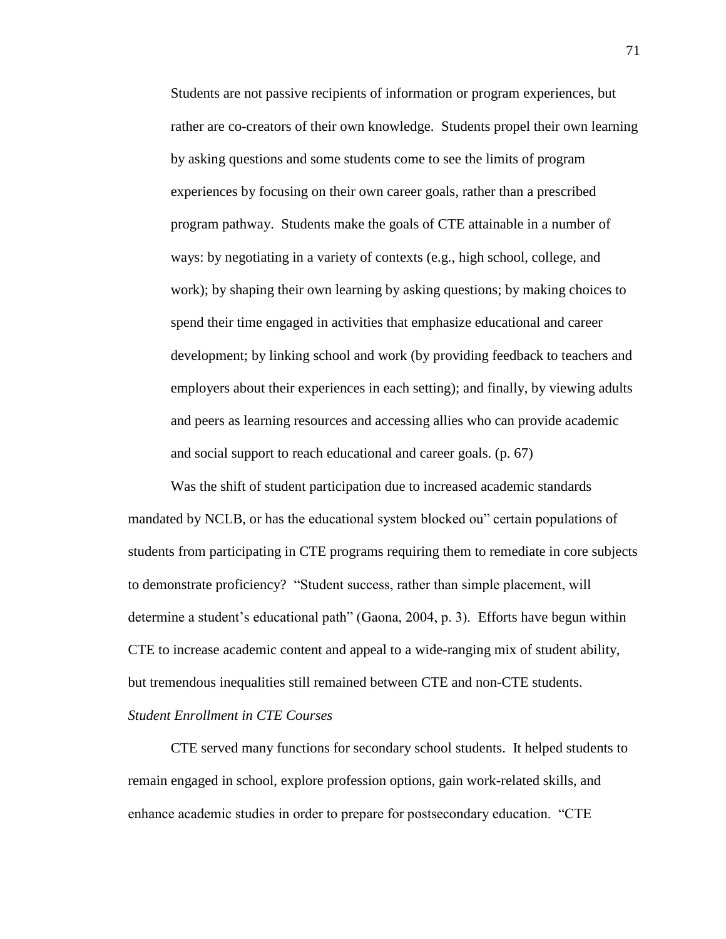Students are not passive recipients of information or program experiences, but rather are co-creators of their own knowledge. Students propel their own learning by asking questions and some students come to see the limits of program experiences by focusing on their own career goals, rather than a prescribed program pathway. Students make the goals of CTE attainable in a number of ways: by negotiating in a variety of contexts (e.g., high school, college, and work); by shaping their own learning by asking questions; by making choices to spend their time engaged in activities that emphasize educational and career development; by linking school and work (by providing feedback to teachers and employers about their experiences in each setting); and finally, by viewing adults and peers as learning resources and accessing allies who can provide academic and social support to reach educational and career goals. (p. 67)

Was the shift of student participation due to increased academic standards mandated by NCLB, or has the educational system blocked ou" certain populations of students from participating in CTE programs requiring them to remediate in core subjects to demonstrate proficiency? "Student success, rather than simple placement, will determine a student's educational path" (Gaona, 2004, p. 3). Efforts have begun within CTE to increase academic content and appeal to a wide-ranging mix of student ability, but tremendous inequalities still remained between CTE and non-CTE students. *Student Enrollment in CTE Courses*

CTE served many functions for secondary school students. It helped students to remain engaged in school, explore profession options, gain work-related skills, and enhance academic studies in order to prepare for postsecondary education. "CTE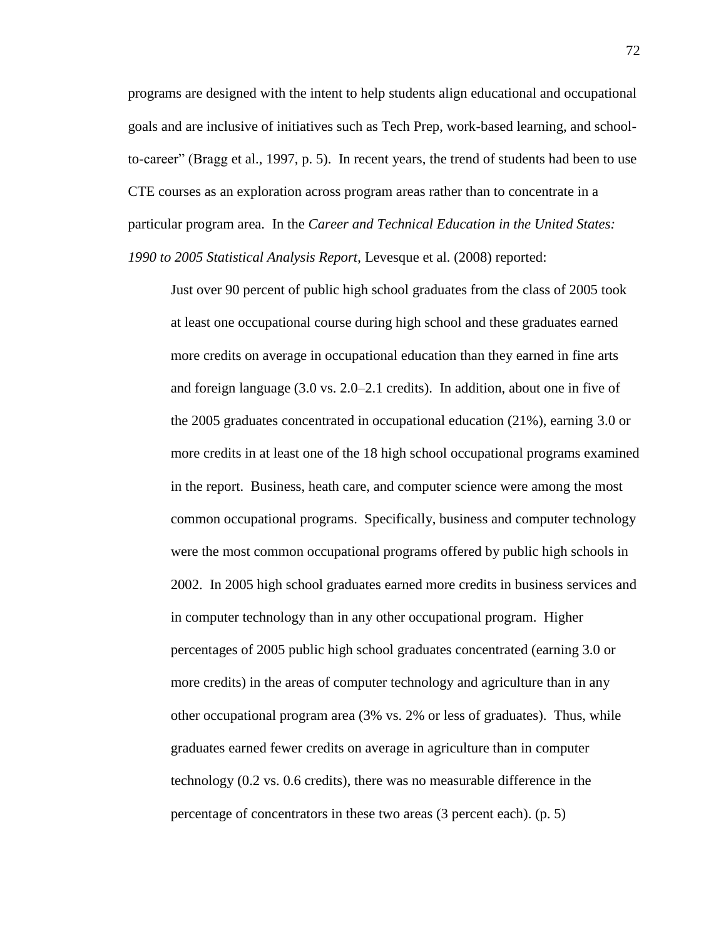programs are designed with the intent to help students align educational and occupational goals and are inclusive of initiatives such as Tech Prep, work-based learning, and schoolto-career" (Bragg et al., 1997, p. 5). In recent years, the trend of students had been to use CTE courses as an exploration across program areas rather than to concentrate in a particular program area. In the *Career and Technical Education in the United States: 1990 to 2005 Statistical Analysis Report*, Levesque et al. (2008) reported:

Just over 90 percent of public high school graduates from the class of 2005 took at least one occupational course during high school and these graduates earned more credits on average in occupational education than they earned in fine arts and foreign language (3.0 vs. 2.0–2.1 credits). In addition, about one in five of the 2005 graduates concentrated in occupational education (21%), earning 3.0 or more credits in at least one of the 18 high school occupational programs examined in the report. Business, heath care, and computer science were among the most common occupational programs. Specifically, business and computer technology were the most common occupational programs offered by public high schools in 2002. In 2005 high school graduates earned more credits in business services and in computer technology than in any other occupational program. Higher percentages of 2005 public high school graduates concentrated (earning 3.0 or more credits) in the areas of computer technology and agriculture than in any other occupational program area (3% vs. 2% or less of graduates). Thus, while graduates earned fewer credits on average in agriculture than in computer technology (0.2 vs. 0.6 credits), there was no measurable difference in the percentage of concentrators in these two areas (3 percent each). (p. 5)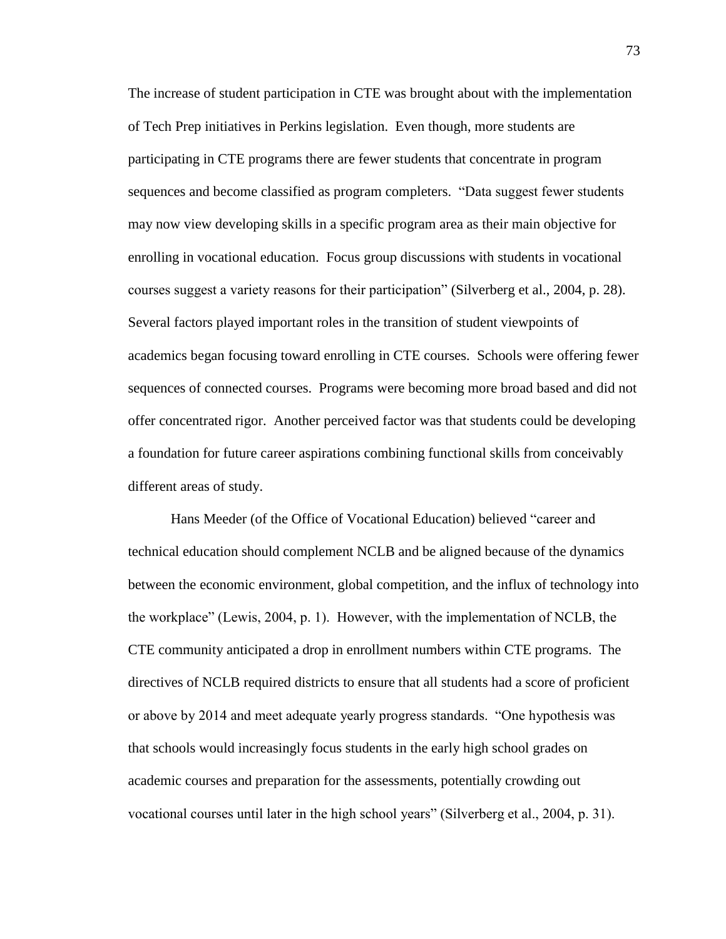The increase of student participation in CTE was brought about with the implementation of Tech Prep initiatives in Perkins legislation. Even though, more students are participating in CTE programs there are fewer students that concentrate in program sequences and become classified as program completers. "Data suggest fewer students may now view developing skills in a specific program area as their main objective for enrolling in vocational education. Focus group discussions with students in vocational courses suggest a variety reasons for their participation" (Silverberg et al., 2004, p. 28). Several factors played important roles in the transition of student viewpoints of academics began focusing toward enrolling in CTE courses. Schools were offering fewer sequences of connected courses. Programs were becoming more broad based and did not offer concentrated rigor. Another perceived factor was that students could be developing a foundation for future career aspirations combining functional skills from conceivably different areas of study.

Hans Meeder (of the Office of Vocational Education) believed "career and technical education should complement NCLB and be aligned because of the dynamics between the economic environment, global competition, and the influx of technology into the workplace" (Lewis, 2004, p. 1). However, with the implementation of NCLB, the CTE community anticipated a drop in enrollment numbers within CTE programs. The directives of NCLB required districts to ensure that all students had a score of proficient or above by 2014 and meet adequate yearly progress standards. "One hypothesis was that schools would increasingly focus students in the early high school grades on academic courses and preparation for the assessments, potentially crowding out vocational courses until later in the high school years" (Silverberg et al., 2004, p. 31).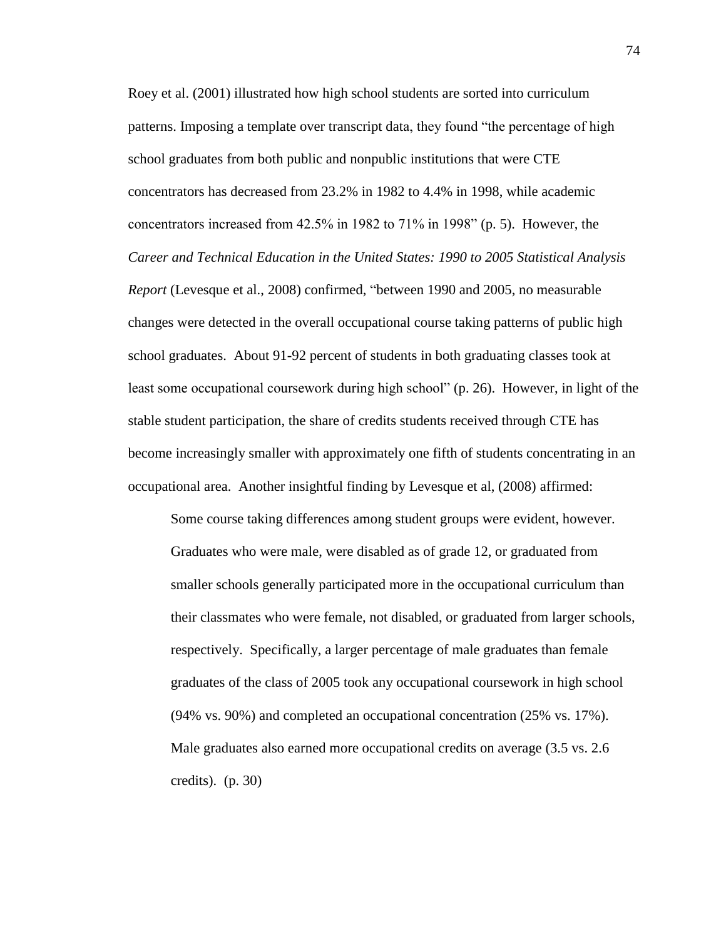Roey et al. (2001) illustrated how high school students are sorted into curriculum patterns. Imposing a template over transcript data, they found "the percentage of high school graduates from both public and nonpublic institutions that were CTE concentrators has decreased from 23.2% in 1982 to 4.4% in 1998, while academic concentrators increased from 42.5% in 1982 to 71% in 1998" (p. 5). However, the *Career and Technical Education in the United States: 1990 to 2005 Statistical Analysis Report* (Levesque et al., 2008) confirmed, "between 1990 and 2005, no measurable changes were detected in the overall occupational course taking patterns of public high school graduates. About 91-92 percent of students in both graduating classes took at least some occupational coursework during high school" (p. 26). However, in light of the stable student participation, the share of credits students received through CTE has become increasingly smaller with approximately one fifth of students concentrating in an occupational area. Another insightful finding by Levesque et al, (2008) affirmed:

Some course taking differences among student groups were evident, however. Graduates who were male, were disabled as of grade 12, or graduated from smaller schools generally participated more in the occupational curriculum than their classmates who were female, not disabled, or graduated from larger schools, respectively. Specifically, a larger percentage of male graduates than female graduates of the class of 2005 took any occupational coursework in high school (94% vs. 90%) and completed an occupational concentration (25% vs. 17%). Male graduates also earned more occupational credits on average (3.5 vs. 2.6 credits). (p. 30)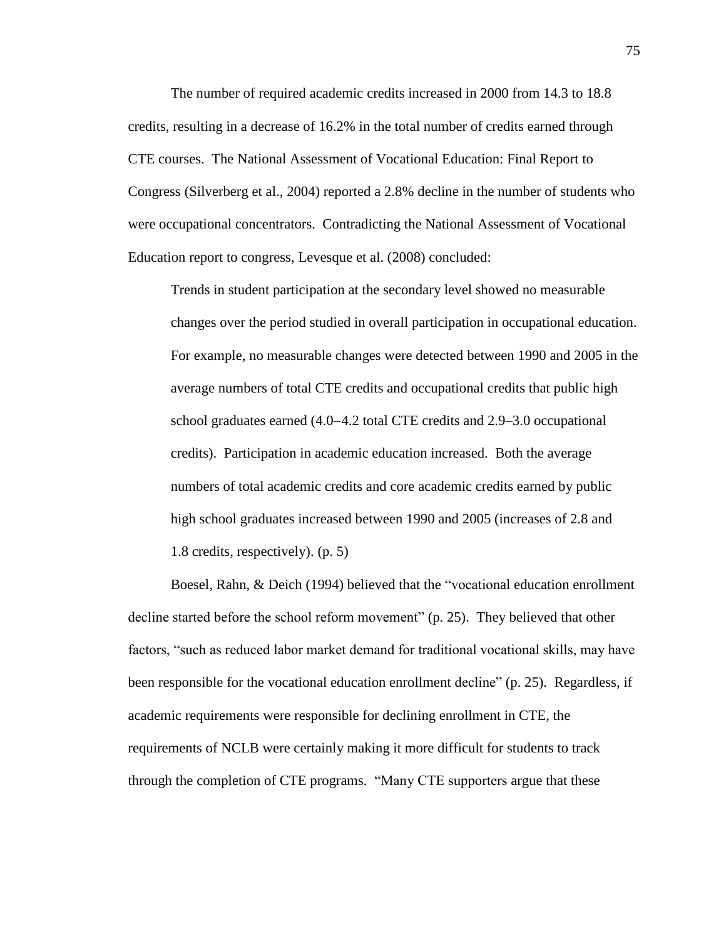The number of required academic credits increased in 2000 from 14.3 to 18.8 credits, resulting in a decrease of 16.2% in the total number of credits earned through CTE courses. The National Assessment of Vocational Education: Final Report to Congress (Silverberg et al., 2004) reported a 2.8% decline in the number of students who were occupational concentrators. Contradicting the National Assessment of Vocational Education report to congress, Levesque et al. (2008) concluded:

Trends in student participation at the secondary level showed no measurable changes over the period studied in overall participation in occupational education. For example, no measurable changes were detected between 1990 and 2005 in the average numbers of total CTE credits and occupational credits that public high school graduates earned (4.0–4.2 total CTE credits and 2.9–3.0 occupational credits). Participation in academic education increased. Both the average numbers of total academic credits and core academic credits earned by public high school graduates increased between 1990 and 2005 (increases of 2.8 and 1.8 credits, respectively). (p. 5)

Boesel, Rahn, & Deich (1994) believed that the "vocational education enrollment decline started before the school reform movement" (p. 25). They believed that other factors, "such as reduced labor market demand for traditional vocational skills, may have been responsible for the vocational education enrollment decline" (p. 25). Regardless, if academic requirements were responsible for declining enrollment in CTE, the requirements of NCLB were certainly making it more difficult for students to track through the completion of CTE programs. "Many CTE supporters argue that these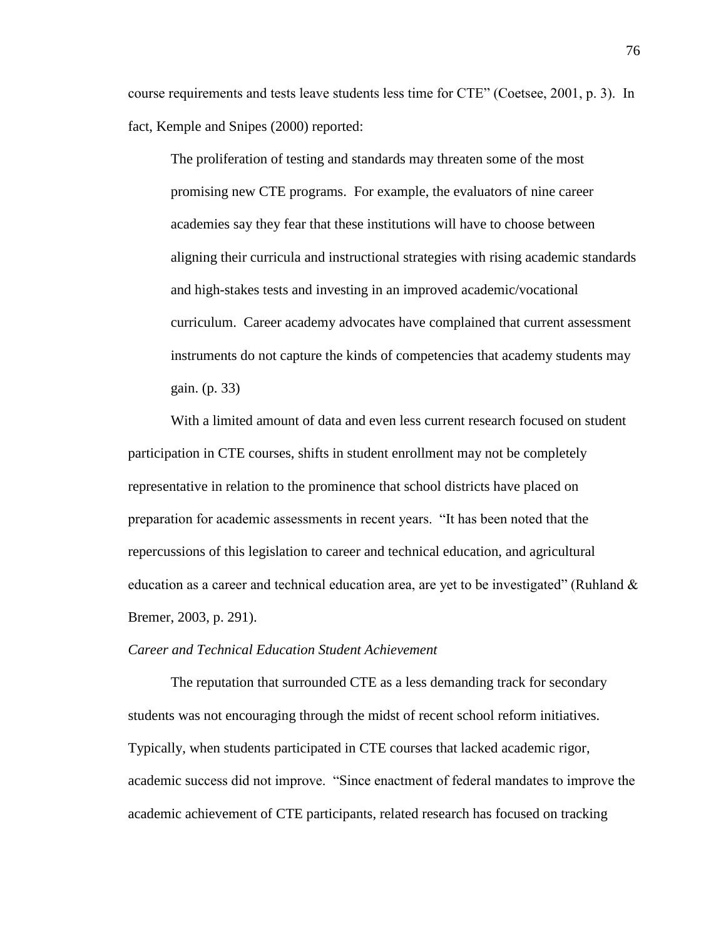course requirements and tests leave students less time for CTE" (Coetsee, 2001, p. 3). In fact, Kemple and Snipes (2000) reported:

The proliferation of testing and standards may threaten some of the most promising new CTE programs. For example, the evaluators of nine career academies say they fear that these institutions will have to choose between aligning their curricula and instructional strategies with rising academic standards and high-stakes tests and investing in an improved academic/vocational curriculum. Career academy advocates have complained that current assessment instruments do not capture the kinds of competencies that academy students may gain. (p. 33)

With a limited amount of data and even less current research focused on student participation in CTE courses, shifts in student enrollment may not be completely representative in relation to the prominence that school districts have placed on preparation for academic assessments in recent years. "It has been noted that the repercussions of this legislation to career and technical education, and agricultural education as a career and technical education area, are yet to be investigated" (Ruhland  $\&$ Bremer, 2003, p. 291).

#### *Career and Technical Education Student Achievement*

The reputation that surrounded CTE as a less demanding track for secondary students was not encouraging through the midst of recent school reform initiatives. Typically, when students participated in CTE courses that lacked academic rigor, academic success did not improve. "Since enactment of federal mandates to improve the academic achievement of CTE participants, related research has focused on tracking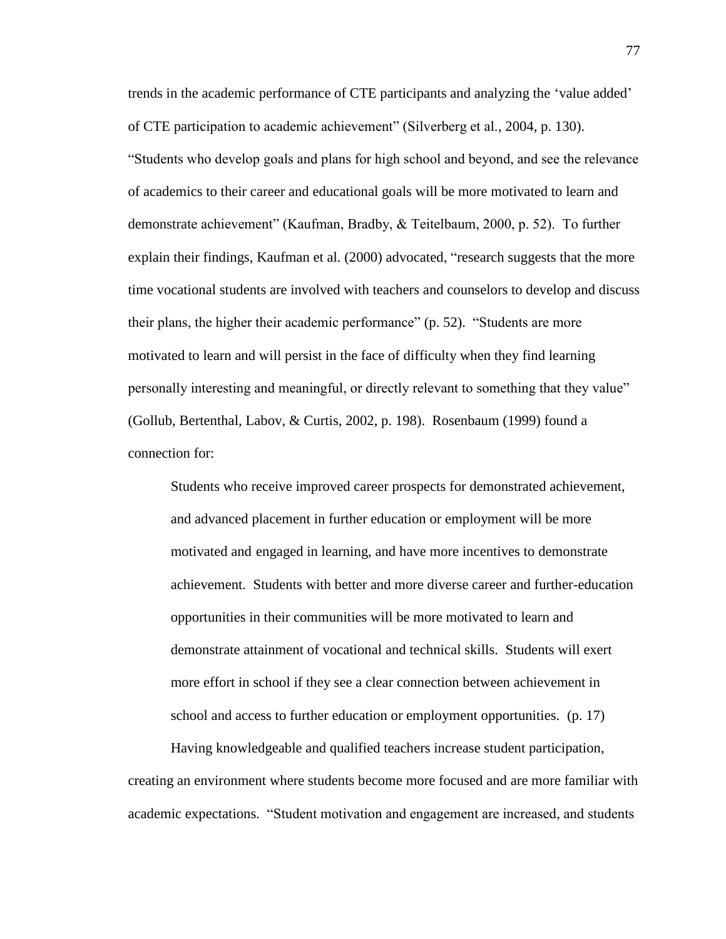trends in the academic performance of CTE participants and analyzing the 'value added' of CTE participation to academic achievement" (Silverberg et al., 2004, p. 130). "Students who develop goals and plans for high school and beyond, and see the relevance of academics to their career and educational goals will be more motivated to learn and demonstrate achievement" (Kaufman, Bradby, & Teitelbaum, 2000, p. 52). To further explain their findings, Kaufman et al. (2000) advocated, "research suggests that the more time vocational students are involved with teachers and counselors to develop and discuss their plans, the higher their academic performance" (p. 52). "Students are more motivated to learn and will persist in the face of difficulty when they find learning personally interesting and meaningful, or directly relevant to something that they value" (Gollub, Bertenthal, Labov, & Curtis, 2002, p. 198). Rosenbaum (1999) found a connection for:

Students who receive improved career prospects for demonstrated achievement, and advanced placement in further education or employment will be more motivated and engaged in learning, and have more incentives to demonstrate achievement. Students with better and more diverse career and further-education opportunities in their communities will be more motivated to learn and demonstrate attainment of vocational and technical skills. Students will exert more effort in school if they see a clear connection between achievement in school and access to further education or employment opportunities. (p. 17)

Having knowledgeable and qualified teachers increase student participation, creating an environment where students become more focused and are more familiar with academic expectations. "Student motivation and engagement are increased, and students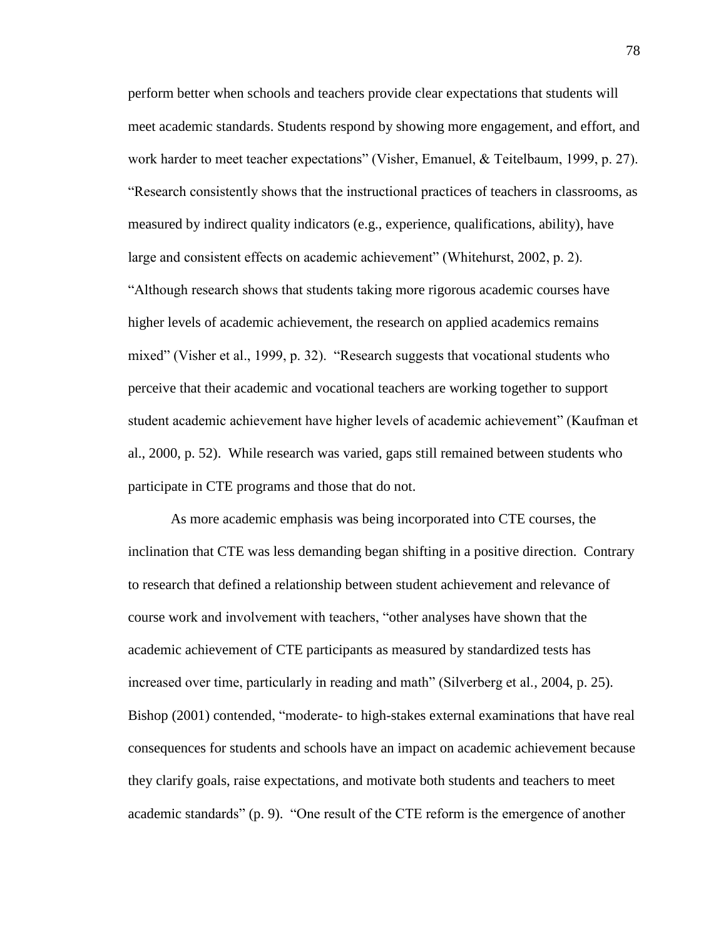perform better when schools and teachers provide clear expectations that students will meet academic standards. Students respond by showing more engagement, and effort, and work harder to meet teacher expectations" (Visher, Emanuel, & Teitelbaum, 1999, p. 27). "Research consistently shows that the instructional practices of teachers in classrooms, as measured by indirect quality indicators (e.g., experience, qualifications, ability), have large and consistent effects on academic achievement" (Whitehurst, 2002, p. 2). "Although research shows that students taking more rigorous academic courses have higher levels of academic achievement, the research on applied academics remains mixed" (Visher et al., 1999, p. 32). "Research suggests that vocational students who perceive that their academic and vocational teachers are working together to support student academic achievement have higher levels of academic achievement" (Kaufman et al., 2000, p. 52). While research was varied, gaps still remained between students who participate in CTE programs and those that do not.

As more academic emphasis was being incorporated into CTE courses, the inclination that CTE was less demanding began shifting in a positive direction. Contrary to research that defined a relationship between student achievement and relevance of course work and involvement with teachers, "other analyses have shown that the academic achievement of CTE participants as measured by standardized tests has increased over time, particularly in reading and math" (Silverberg et al., 2004, p. 25). Bishop (2001) contended, "moderate- to high-stakes external examinations that have real consequences for students and schools have an impact on academic achievement because they clarify goals, raise expectations, and motivate both students and teachers to meet academic standards" (p. 9). "One result of the CTE reform is the emergence of another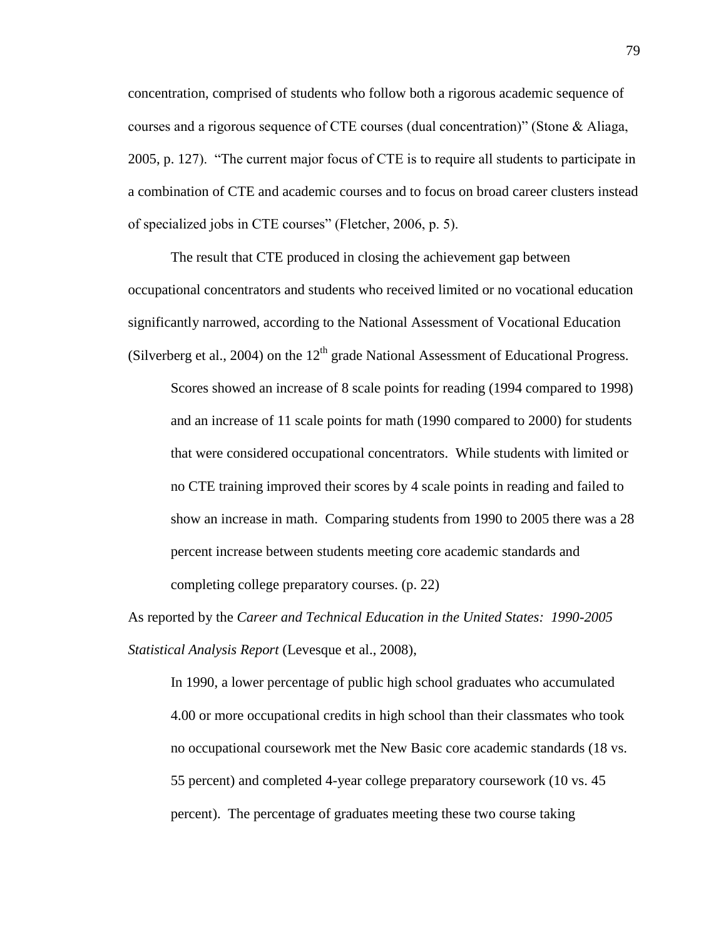concentration, comprised of students who follow both a rigorous academic sequence of courses and a rigorous sequence of CTE courses (dual concentration)" (Stone & Aliaga, 2005, p. 127). "The current major focus of CTE is to require all students to participate in a combination of CTE and academic courses and to focus on broad career clusters instead of specialized jobs in CTE courses" (Fletcher, 2006, p. 5).

The result that CTE produced in closing the achievement gap between occupational concentrators and students who received limited or no vocational education significantly narrowed, according to the National Assessment of Vocational Education (Silverberg et al., 2004) on the  $12<sup>th</sup>$  grade National Assessment of Educational Progress.

Scores showed an increase of 8 scale points for reading (1994 compared to 1998) and an increase of 11 scale points for math (1990 compared to 2000) for students that were considered occupational concentrators. While students with limited or no CTE training improved their scores by 4 scale points in reading and failed to show an increase in math. Comparing students from 1990 to 2005 there was a 28 percent increase between students meeting core academic standards and completing college preparatory courses. (p. 22)

As reported by the *Career and Technical Education in the United States: 1990-2005 Statistical Analysis Report* (Levesque et al., 2008),

In 1990, a lower percentage of public high school graduates who accumulated 4.00 or more occupational credits in high school than their classmates who took no occupational coursework met the New Basic core academic standards (18 vs. 55 percent) and completed 4-year college preparatory coursework (10 vs. 45 percent). The percentage of graduates meeting these two course taking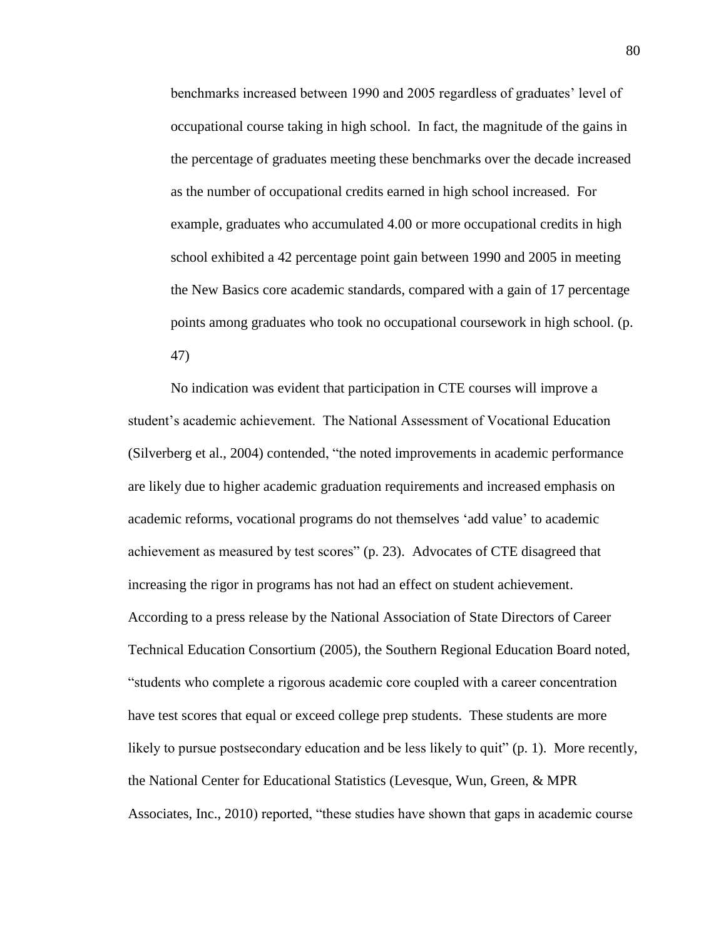benchmarks increased between 1990 and 2005 regardless of graduates' level of occupational course taking in high school. In fact, the magnitude of the gains in the percentage of graduates meeting these benchmarks over the decade increased as the number of occupational credits earned in high school increased. For example, graduates who accumulated 4.00 or more occupational credits in high school exhibited a 42 percentage point gain between 1990 and 2005 in meeting the New Basics core academic standards, compared with a gain of 17 percentage points among graduates who took no occupational coursework in high school. (p. 47)

No indication was evident that participation in CTE courses will improve a student's academic achievement. The National Assessment of Vocational Education (Silverberg et al., 2004) contended, "the noted improvements in academic performance are likely due to higher academic graduation requirements and increased emphasis on academic reforms, vocational programs do not themselves 'add value' to academic achievement as measured by test scores" (p. 23). Advocates of CTE disagreed that increasing the rigor in programs has not had an effect on student achievement. According to a press release by the National Association of State Directors of Career Technical Education Consortium (2005), the Southern Regional Education Board noted, "students who complete a rigorous academic core coupled with a career concentration have test scores that equal or exceed college prep students. These students are more likely to pursue postsecondary education and be less likely to quit" (p. 1). More recently, the National Center for Educational Statistics (Levesque, Wun, Green, & MPR Associates, Inc., 2010) reported, "these studies have shown that gaps in academic course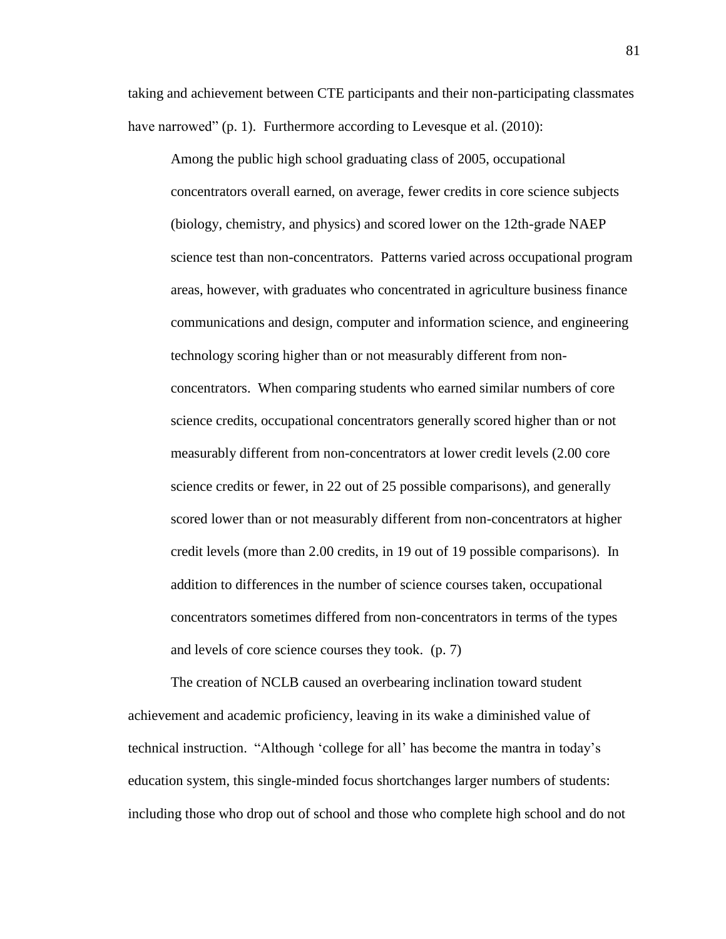taking and achievement between CTE participants and their non-participating classmates have narrowed" (p. 1). Furthermore according to Levesque et al. (2010):

Among the public high school graduating class of 2005, occupational concentrators overall earned, on average, fewer credits in core science subjects (biology, chemistry, and physics) and scored lower on the 12th-grade NAEP science test than non-concentrators. Patterns varied across occupational program areas, however, with graduates who concentrated in agriculture business finance communications and design, computer and information science, and engineering technology scoring higher than or not measurably different from nonconcentrators. When comparing students who earned similar numbers of core science credits, occupational concentrators generally scored higher than or not measurably different from non-concentrators at lower credit levels (2.00 core science credits or fewer, in 22 out of 25 possible comparisons), and generally scored lower than or not measurably different from non-concentrators at higher credit levels (more than 2.00 credits, in 19 out of 19 possible comparisons). In addition to differences in the number of science courses taken, occupational concentrators sometimes differed from non-concentrators in terms of the types and levels of core science courses they took. (p. 7)

The creation of NCLB caused an overbearing inclination toward student achievement and academic proficiency, leaving in its wake a diminished value of technical instruction. "Although 'college for all' has become the mantra in today's education system, this single-minded focus shortchanges larger numbers of students: including those who drop out of school and those who complete high school and do not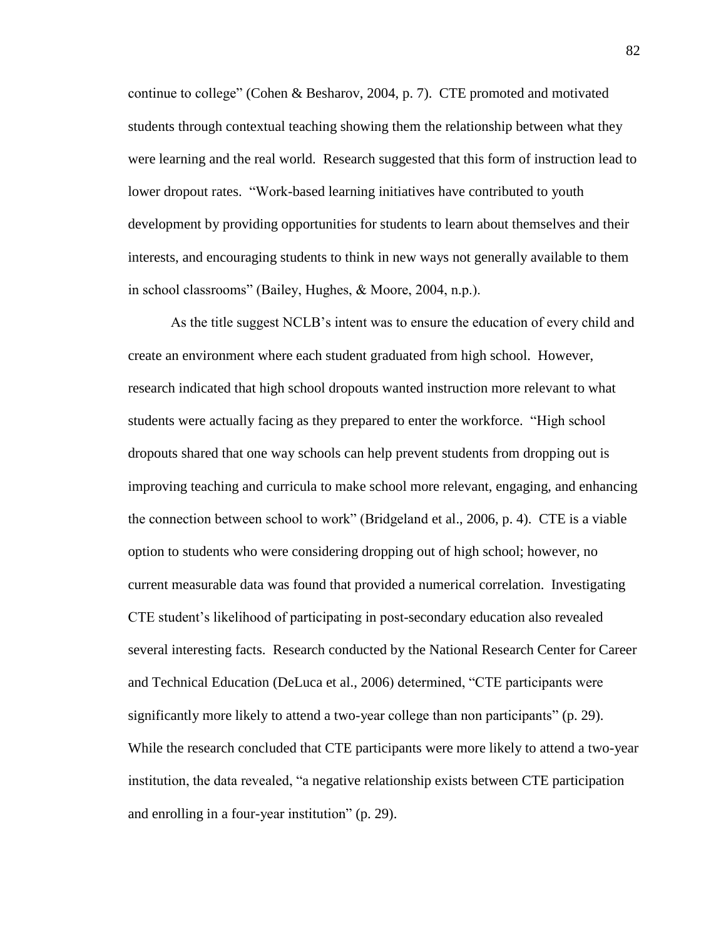continue to college" (Cohen & Besharov, 2004, p. 7). CTE promoted and motivated students through contextual teaching showing them the relationship between what they were learning and the real world. Research suggested that this form of instruction lead to lower dropout rates. "Work-based learning initiatives have contributed to youth development by providing opportunities for students to learn about themselves and their interests, and encouraging students to think in new ways not generally available to them in school classrooms" (Bailey, Hughes, & Moore, 2004, n.p.).

As the title suggest NCLB's intent was to ensure the education of every child and create an environment where each student graduated from high school. However, research indicated that high school dropouts wanted instruction more relevant to what students were actually facing as they prepared to enter the workforce. "High school dropouts shared that one way schools can help prevent students from dropping out is improving teaching and curricula to make school more relevant, engaging, and enhancing the connection between school to work" (Bridgeland et al., 2006, p. 4). CTE is a viable option to students who were considering dropping out of high school; however, no current measurable data was found that provided a numerical correlation. Investigating CTE student's likelihood of participating in post-secondary education also revealed several interesting facts. Research conducted by the National Research Center for Career and Technical Education (DeLuca et al., 2006) determined, "CTE participants were significantly more likely to attend a two-year college than non participants" (p. 29). While the research concluded that CTE participants were more likely to attend a two-year institution, the data revealed, "a negative relationship exists between CTE participation and enrolling in a four-year institution" (p. 29).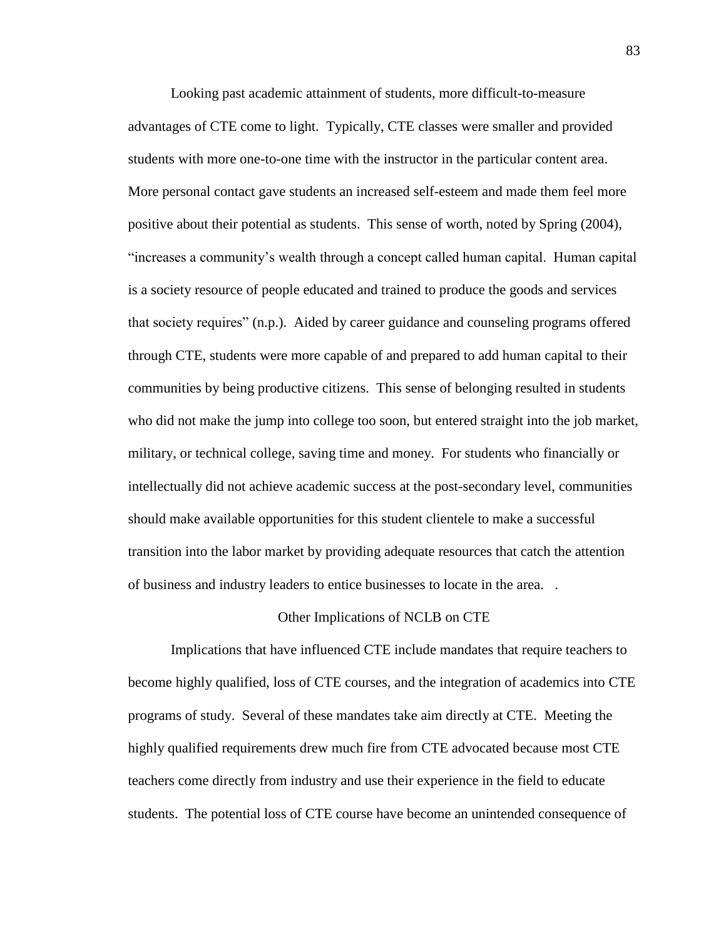Looking past academic attainment of students, more difficult-to-measure advantages of CTE come to light. Typically, CTE classes were smaller and provided students with more one-to-one time with the instructor in the particular content area. More personal contact gave students an increased self-esteem and made them feel more positive about their potential as students. This sense of worth, noted by Spring (2004), "increases a community's wealth through a concept called human capital. Human capital is a society resource of people educated and trained to produce the goods and services that society requires" (n.p.). Aided by career guidance and counseling programs offered through CTE, students were more capable of and prepared to add human capital to their communities by being productive citizens. This sense of belonging resulted in students who did not make the jump into college too soon, but entered straight into the job market, military, or technical college, saving time and money. For students who financially or intellectually did not achieve academic success at the post-secondary level, communities should make available opportunities for this student clientele to make a successful transition into the labor market by providing adequate resources that catch the attention of business and industry leaders to entice businesses to locate in the area. .

## Other Implications of NCLB on CTE

Implications that have influenced CTE include mandates that require teachers to become highly qualified, loss of CTE courses, and the integration of academics into CTE programs of study. Several of these mandates take aim directly at CTE. Meeting the highly qualified requirements drew much fire from CTE advocated because most CTE teachers come directly from industry and use their experience in the field to educate students. The potential loss of CTE course have become an unintended consequence of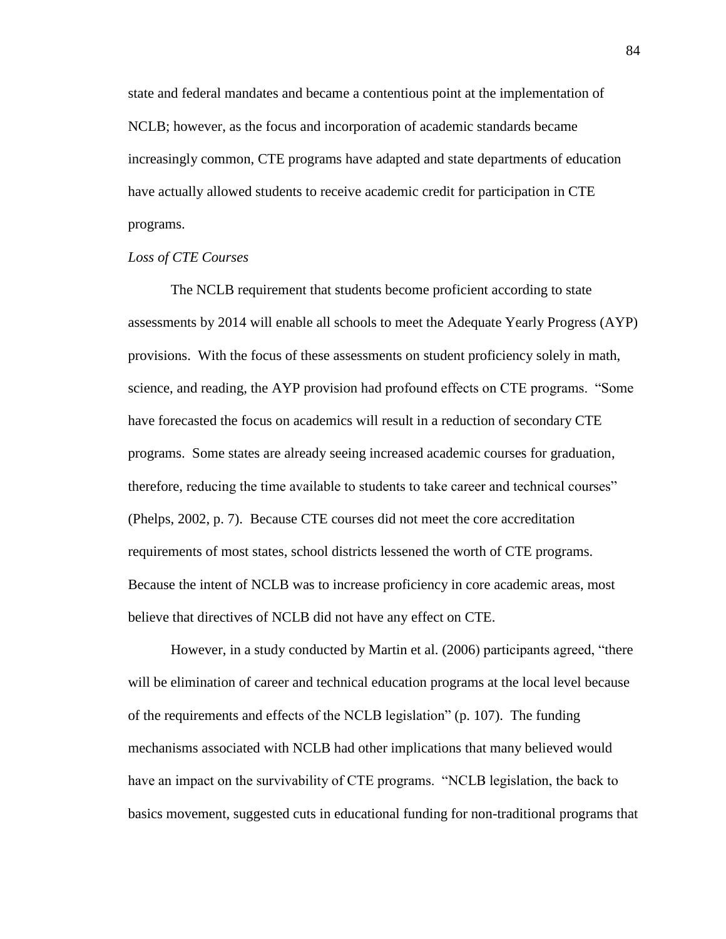state and federal mandates and became a contentious point at the implementation of NCLB; however, as the focus and incorporation of academic standards became increasingly common, CTE programs have adapted and state departments of education have actually allowed students to receive academic credit for participation in CTE programs.

## *Loss of CTE Courses*

The NCLB requirement that students become proficient according to state assessments by 2014 will enable all schools to meet the Adequate Yearly Progress (AYP) provisions. With the focus of these assessments on student proficiency solely in math, science, and reading, the AYP provision had profound effects on CTE programs. "Some have forecasted the focus on academics will result in a reduction of secondary CTE programs. Some states are already seeing increased academic courses for graduation, therefore, reducing the time available to students to take career and technical courses" (Phelps, 2002, p. 7). Because CTE courses did not meet the core accreditation requirements of most states, school districts lessened the worth of CTE programs. Because the intent of NCLB was to increase proficiency in core academic areas, most believe that directives of NCLB did not have any effect on CTE.

However, in a study conducted by Martin et al. (2006) participants agreed, "there will be elimination of career and technical education programs at the local level because of the requirements and effects of the NCLB legislation" (p. 107). The funding mechanisms associated with NCLB had other implications that many believed would have an impact on the survivability of CTE programs. "NCLB legislation, the back to basics movement, suggested cuts in educational funding for non-traditional programs that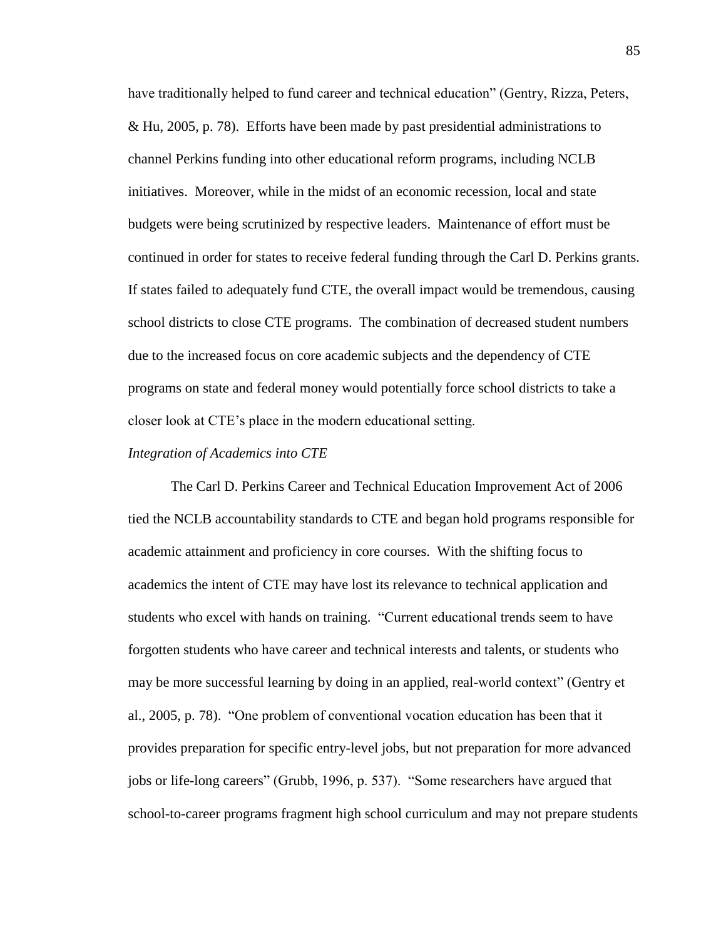have traditionally helped to fund career and technical education" (Gentry, Rizza, Peters, & Hu, 2005, p. 78). Efforts have been made by past presidential administrations to channel Perkins funding into other educational reform programs, including NCLB initiatives. Moreover, while in the midst of an economic recession, local and state budgets were being scrutinized by respective leaders. Maintenance of effort must be continued in order for states to receive federal funding through the Carl D. Perkins grants. If states failed to adequately fund CTE, the overall impact would be tremendous, causing school districts to close CTE programs. The combination of decreased student numbers due to the increased focus on core academic subjects and the dependency of CTE programs on state and federal money would potentially force school districts to take a closer look at CTE's place in the modern educational setting.

#### *Integration of Academics into CTE*

The Carl D. Perkins Career and Technical Education Improvement Act of 2006 tied the NCLB accountability standards to CTE and began hold programs responsible for academic attainment and proficiency in core courses. With the shifting focus to academics the intent of CTE may have lost its relevance to technical application and students who excel with hands on training. "Current educational trends seem to have forgotten students who have career and technical interests and talents, or students who may be more successful learning by doing in an applied, real-world context" (Gentry et al., 2005, p. 78). "One problem of conventional vocation education has been that it provides preparation for specific entry-level jobs, but not preparation for more advanced jobs or life-long careers" (Grubb, 1996, p. 537). "Some researchers have argued that school-to-career programs fragment high school curriculum and may not prepare students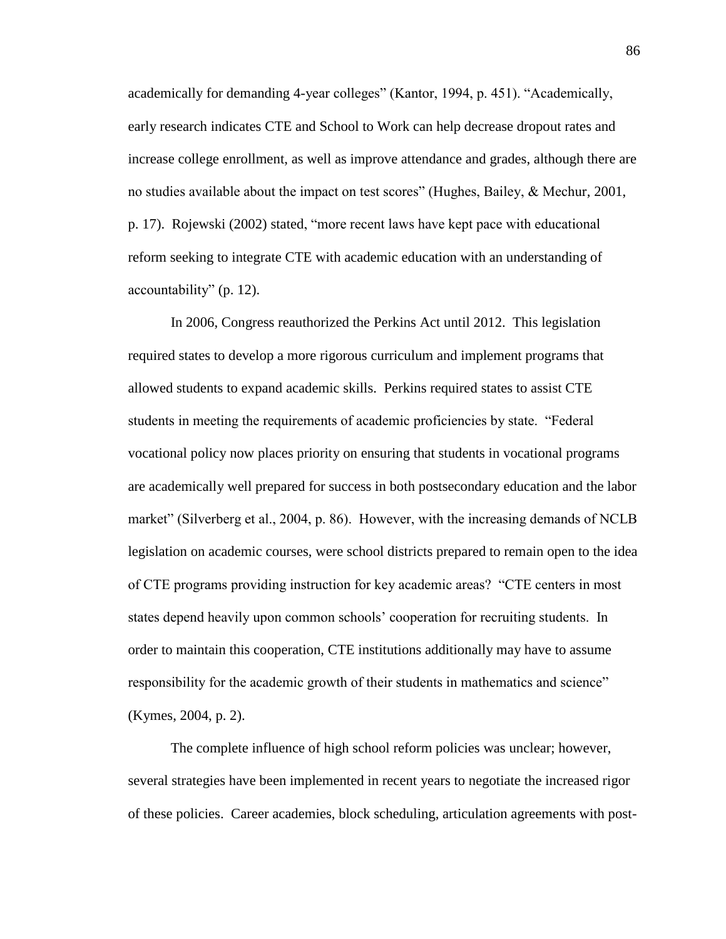academically for demanding 4-year colleges" (Kantor, 1994, p. 451). "Academically, early research indicates CTE and School to Work can help decrease dropout rates and increase college enrollment, as well as improve attendance and grades, although there are no studies available about the impact on test scores" (Hughes, Bailey, & Mechur, 2001, p. 17). Rojewski (2002) stated, "more recent laws have kept pace with educational reform seeking to integrate CTE with academic education with an understanding of accountability" (p. 12).

In 2006, Congress reauthorized the Perkins Act until 2012. This legislation required states to develop a more rigorous curriculum and implement programs that allowed students to expand academic skills. Perkins required states to assist CTE students in meeting the requirements of academic proficiencies by state. "Federal vocational policy now places priority on ensuring that students in vocational programs are academically well prepared for success in both postsecondary education and the labor market" (Silverberg et al., 2004, p. 86). However, with the increasing demands of NCLB legislation on academic courses, were school districts prepared to remain open to the idea of CTE programs providing instruction for key academic areas? "CTE centers in most states depend heavily upon common schools' cooperation for recruiting students. In order to maintain this cooperation, CTE institutions additionally may have to assume responsibility for the academic growth of their students in mathematics and science" (Kymes, 2004, p. 2).

The complete influence of high school reform policies was unclear; however, several strategies have been implemented in recent years to negotiate the increased rigor of these policies. Career academies, block scheduling, articulation agreements with post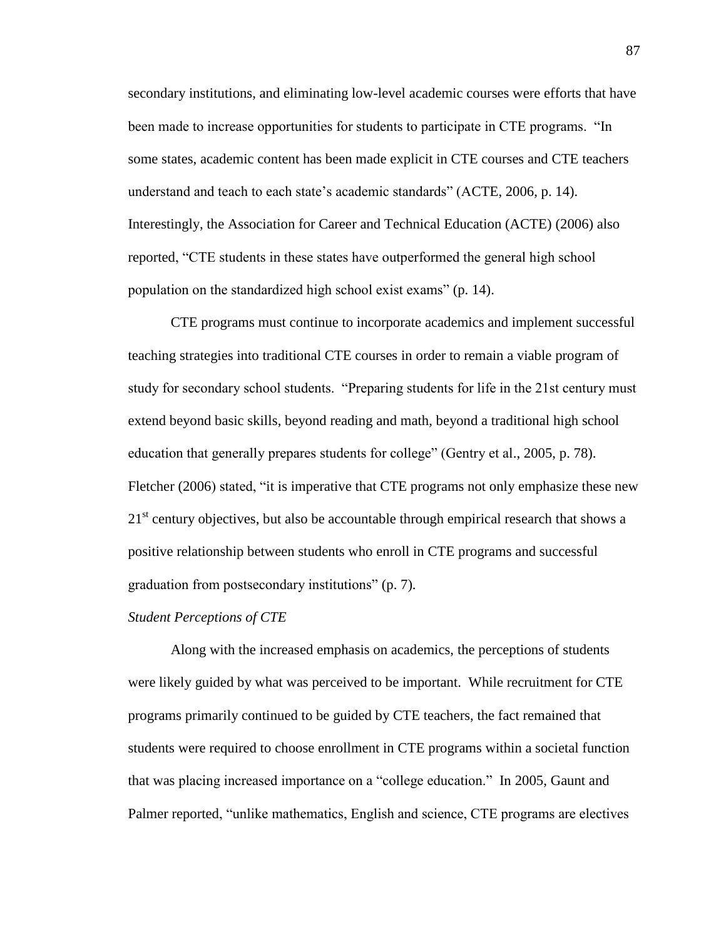secondary institutions, and eliminating low-level academic courses were efforts that have been made to increase opportunities for students to participate in CTE programs. "In some states, academic content has been made explicit in CTE courses and CTE teachers understand and teach to each state's academic standards" (ACTE, 2006, p. 14). Interestingly, the Association for Career and Technical Education (ACTE) (2006) also reported, "CTE students in these states have outperformed the general high school population on the standardized high school exist exams" (p. 14).

CTE programs must continue to incorporate academics and implement successful teaching strategies into traditional CTE courses in order to remain a viable program of study for secondary school students. "Preparing students for life in the 21st century must extend beyond basic skills, beyond reading and math, beyond a traditional high school education that generally prepares students for college" (Gentry et al., 2005, p. 78). Fletcher (2006) stated, "it is imperative that CTE programs not only emphasize these new  $21<sup>st</sup>$  century objectives, but also be accountable through empirical research that shows a positive relationship between students who enroll in CTE programs and successful graduation from postsecondary institutions" (p. 7).

## *Student Perceptions of CTE*

Along with the increased emphasis on academics, the perceptions of students were likely guided by what was perceived to be important. While recruitment for CTE programs primarily continued to be guided by CTE teachers, the fact remained that students were required to choose enrollment in CTE programs within a societal function that was placing increased importance on a "college education." In 2005, Gaunt and Palmer reported, "unlike mathematics, English and science, CTE programs are electives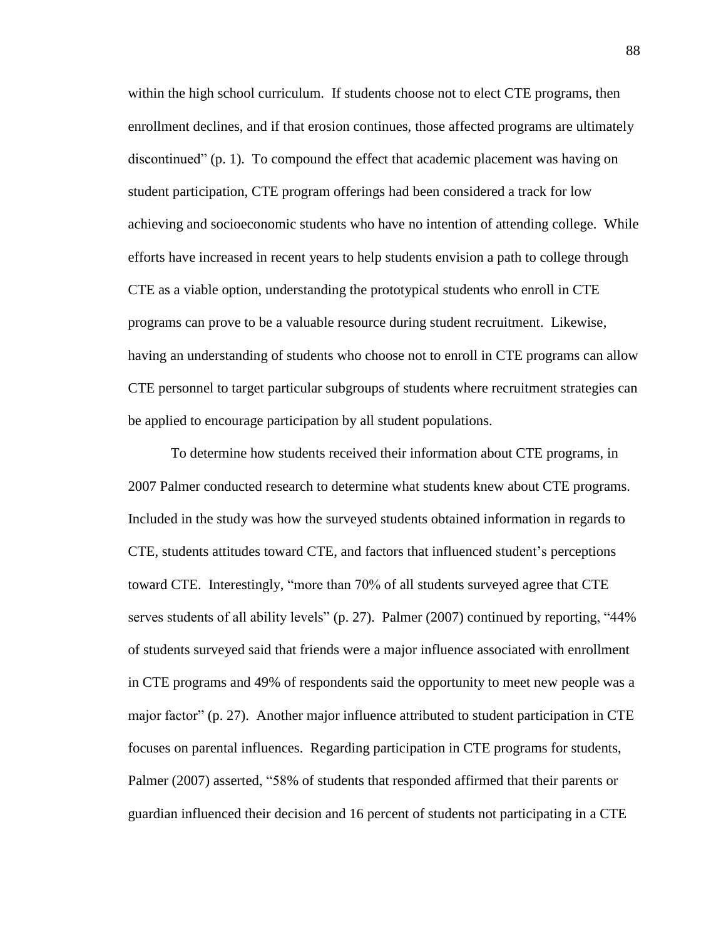within the high school curriculum. If students choose not to elect CTE programs, then enrollment declines, and if that erosion continues, those affected programs are ultimately discontinued" (p. 1). To compound the effect that academic placement was having on student participation, CTE program offerings had been considered a track for low achieving and socioeconomic students who have no intention of attending college. While efforts have increased in recent years to help students envision a path to college through CTE as a viable option, understanding the prototypical students who enroll in CTE programs can prove to be a valuable resource during student recruitment. Likewise, having an understanding of students who choose not to enroll in CTE programs can allow CTE personnel to target particular subgroups of students where recruitment strategies can be applied to encourage participation by all student populations.

To determine how students received their information about CTE programs, in 2007 Palmer conducted research to determine what students knew about CTE programs. Included in the study was how the surveyed students obtained information in regards to CTE, students attitudes toward CTE, and factors that influenced student's perceptions toward CTE. Interestingly, "more than 70% of all students surveyed agree that CTE serves students of all ability levels" (p. 27). Palmer (2007) continued by reporting, "44% of students surveyed said that friends were a major influence associated with enrollment in CTE programs and 49% of respondents said the opportunity to meet new people was a major factor" (p. 27). Another major influence attributed to student participation in CTE focuses on parental influences. Regarding participation in CTE programs for students, Palmer (2007) asserted, "58% of students that responded affirmed that their parents or guardian influenced their decision and 16 percent of students not participating in a CTE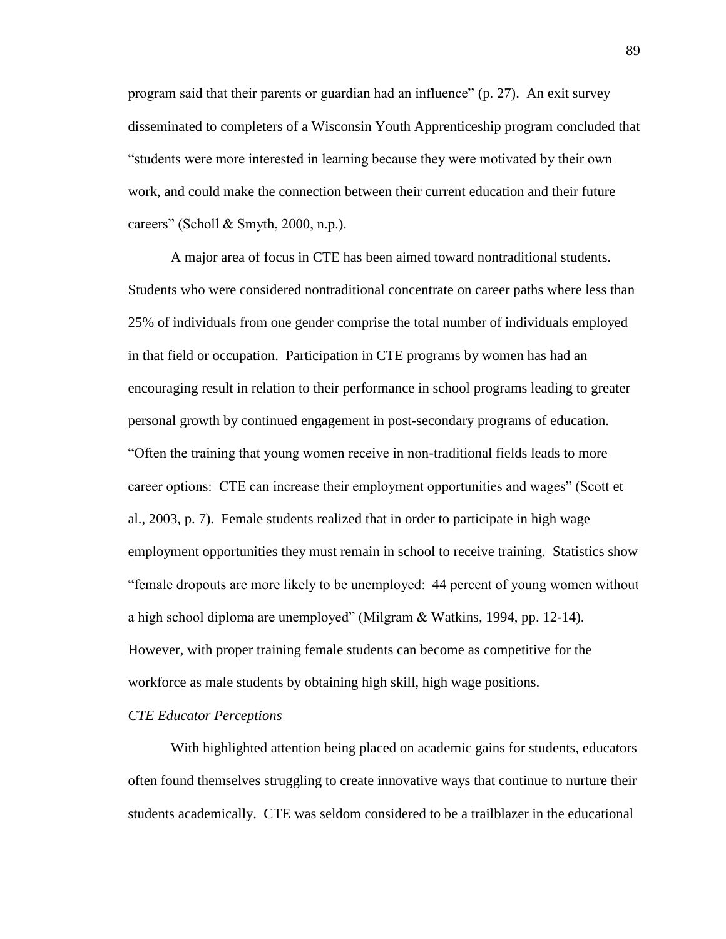program said that their parents or guardian had an influence" (p. 27). An exit survey disseminated to completers of a Wisconsin Youth Apprenticeship program concluded that "students were more interested in learning because they were motivated by their own work, and could make the connection between their current education and their future careers" (Scholl  $&$  Smyth, 2000, n.p.).

A major area of focus in CTE has been aimed toward nontraditional students. Students who were considered nontraditional concentrate on career paths where less than 25% of individuals from one gender comprise the total number of individuals employed in that field or occupation. Participation in CTE programs by women has had an encouraging result in relation to their performance in school programs leading to greater personal growth by continued engagement in post-secondary programs of education. "Often the training that young women receive in non-traditional fields leads to more career options: CTE can increase their employment opportunities and wages" (Scott et al., 2003, p. 7). Female students realized that in order to participate in high wage employment opportunities they must remain in school to receive training. Statistics show "female dropouts are more likely to be unemployed: 44 percent of young women without a high school diploma are unemployed" (Milgram & Watkins, 1994, pp. 12-14). However, with proper training female students can become as competitive for the workforce as male students by obtaining high skill, high wage positions.

## *CTE Educator Perceptions*

With highlighted attention being placed on academic gains for students, educators often found themselves struggling to create innovative ways that continue to nurture their students academically. CTE was seldom considered to be a trailblazer in the educational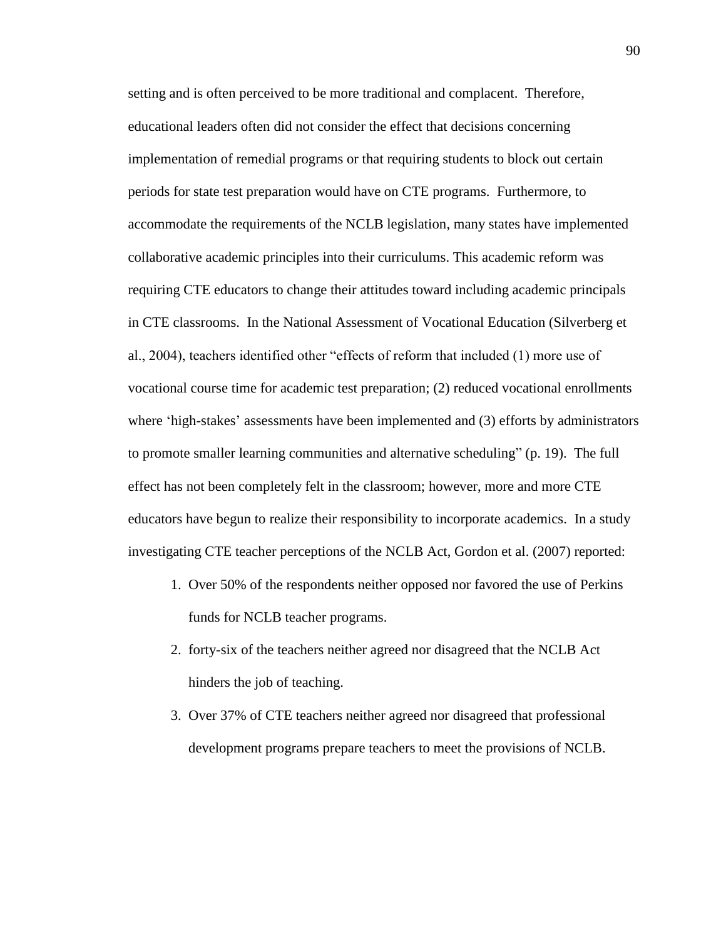setting and is often perceived to be more traditional and complacent. Therefore, educational leaders often did not consider the effect that decisions concerning implementation of remedial programs or that requiring students to block out certain periods for state test preparation would have on CTE programs. Furthermore, to accommodate the requirements of the NCLB legislation, many states have implemented collaborative academic principles into their curriculums. This academic reform was requiring CTE educators to change their attitudes toward including academic principals in CTE classrooms. In the National Assessment of Vocational Education (Silverberg et al., 2004), teachers identified other "effects of reform that included (1) more use of vocational course time for academic test preparation; (2) reduced vocational enrollments where 'high-stakes' assessments have been implemented and (3) efforts by administrators to promote smaller learning communities and alternative scheduling" (p. 19). The full effect has not been completely felt in the classroom; however, more and more CTE educators have begun to realize their responsibility to incorporate academics. In a study investigating CTE teacher perceptions of the NCLB Act, Gordon et al. (2007) reported:

- 1. Over 50% of the respondents neither opposed nor favored the use of Perkins funds for NCLB teacher programs.
- 2. forty-six of the teachers neither agreed nor disagreed that the NCLB Act hinders the job of teaching.
- 3. Over 37% of CTE teachers neither agreed nor disagreed that professional development programs prepare teachers to meet the provisions of NCLB.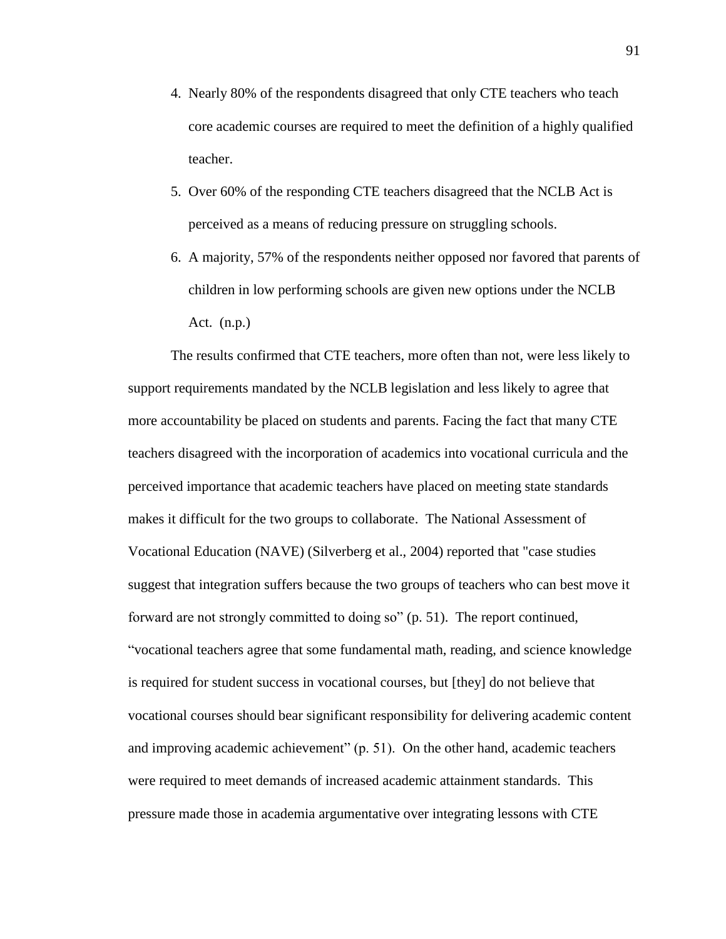- 4. Nearly 80% of the respondents disagreed that only CTE teachers who teach core academic courses are required to meet the definition of a highly qualified teacher.
- 5. Over 60% of the responding CTE teachers disagreed that the NCLB Act is perceived as a means of reducing pressure on struggling schools.
- 6. A majority, 57% of the respondents neither opposed nor favored that parents of children in low performing schools are given new options under the NCLB Act. (n.p.)

The results confirmed that CTE teachers, more often than not, were less likely to support requirements mandated by the NCLB legislation and less likely to agree that more accountability be placed on students and parents. Facing the fact that many CTE teachers disagreed with the incorporation of academics into vocational curricula and the perceived importance that academic teachers have placed on meeting state standards makes it difficult for the two groups to collaborate. The National Assessment of Vocational Education (NAVE) (Silverberg et al., 2004) reported that "case studies suggest that integration suffers because the two groups of teachers who can best move it forward are not strongly committed to doing so" (p. 51). The report continued, "vocational teachers agree that some fundamental math, reading, and science knowledge is required for student success in vocational courses, but [they] do not believe that vocational courses should bear significant responsibility for delivering academic content and improving academic achievement" (p. 51). On the other hand, academic teachers were required to meet demands of increased academic attainment standards. This pressure made those in academia argumentative over integrating lessons with CTE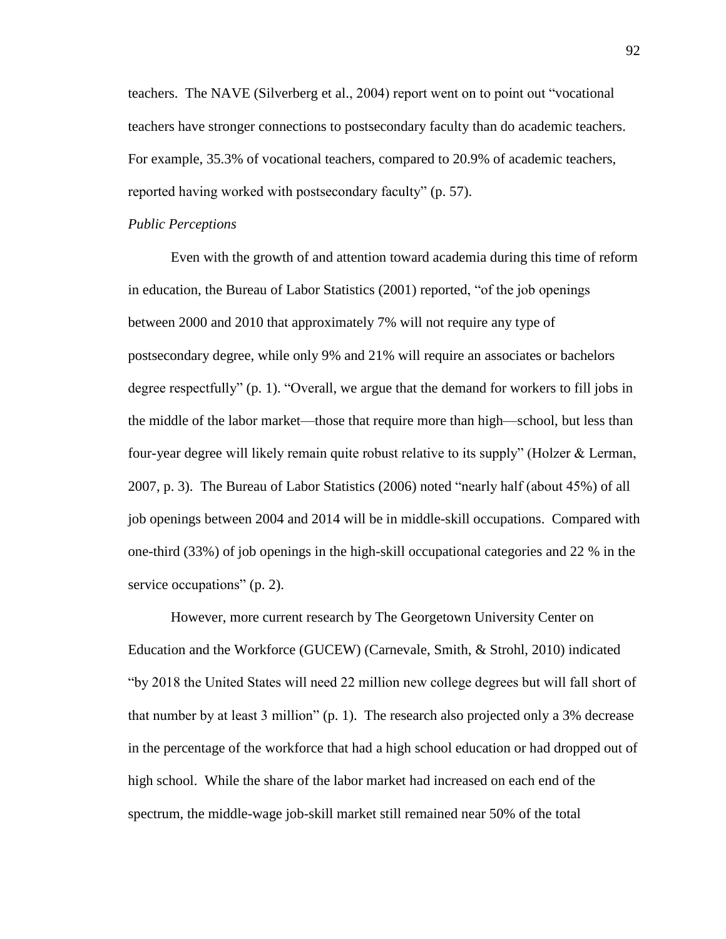teachers. The NAVE (Silverberg et al., 2004) report went on to point out "vocational teachers have stronger connections to postsecondary faculty than do academic teachers. For example, 35.3% of vocational teachers, compared to 20.9% of academic teachers, reported having worked with postsecondary faculty" (p. 57).

#### *Public Perceptions*

Even with the growth of and attention toward academia during this time of reform in education, the Bureau of Labor Statistics (2001) reported, "of the job openings between 2000 and 2010 that approximately 7% will not require any type of postsecondary degree, while only 9% and 21% will require an associates or bachelors degree respectfully" (p. 1). "Overall, we argue that the demand for workers to fill jobs in the middle of the labor market—those that require more than high—school, but less than four-year degree will likely remain quite robust relative to its supply" (Holzer & Lerman, 2007, p. 3). The Bureau of Labor Statistics (2006) noted "nearly half (about 45%) of all job openings between 2004 and 2014 will be in middle-skill occupations. Compared with one-third (33%) of job openings in the high-skill occupational categories and 22 % in the service occupations" (p. 2).

However, more current research by The Georgetown University Center on Education and the Workforce (GUCEW) (Carnevale, Smith, & Strohl, 2010) indicated "by 2018 the United States will need 22 million new college degrees but will fall short of that number by at least 3 million" (p. 1). The research also projected only a 3% decrease in the percentage of the workforce that had a high school education or had dropped out of high school. While the share of the labor market had increased on each end of the spectrum, the middle-wage job-skill market still remained near 50% of the total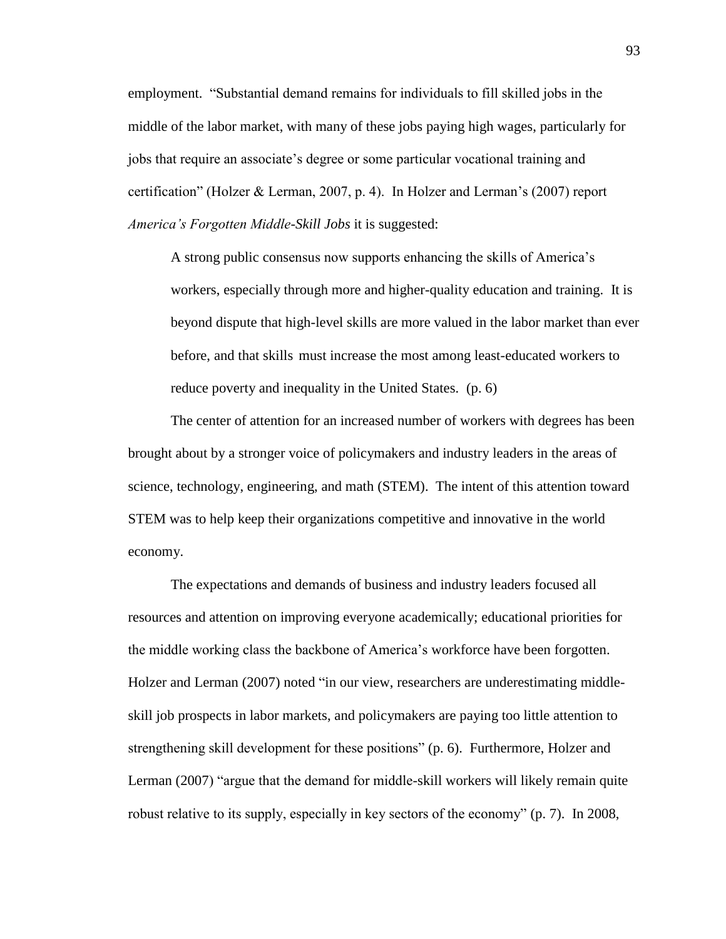employment. "Substantial demand remains for individuals to fill skilled jobs in the middle of the labor market, with many of these jobs paying high wages, particularly for jobs that require an associate's degree or some particular vocational training and certification" (Holzer & Lerman, 2007, p. 4). In Holzer and Lerman's (2007) report *America's Forgotten Middle-Skill Jobs* it is suggested:

A strong public consensus now supports enhancing the skills of America's workers, especially through more and higher-quality education and training. It is beyond dispute that high-level skills are more valued in the labor market than ever before, and that skills must increase the most among least-educated workers to reduce poverty and inequality in the United States. (p. 6)

The center of attention for an increased number of workers with degrees has been brought about by a stronger voice of policymakers and industry leaders in the areas of science, technology, engineering, and math (STEM). The intent of this attention toward STEM was to help keep their organizations competitive and innovative in the world economy.

The expectations and demands of business and industry leaders focused all resources and attention on improving everyone academically; educational priorities for the middle working class the backbone of America's workforce have been forgotten. Holzer and Lerman (2007) noted "in our view, researchers are underestimating middleskill job prospects in labor markets, and policymakers are paying too little attention to strengthening skill development for these positions" (p. 6). Furthermore, Holzer and Lerman (2007) "argue that the demand for middle-skill workers will likely remain quite robust relative to its supply, especially in key sectors of the economy" (p. 7). In 2008,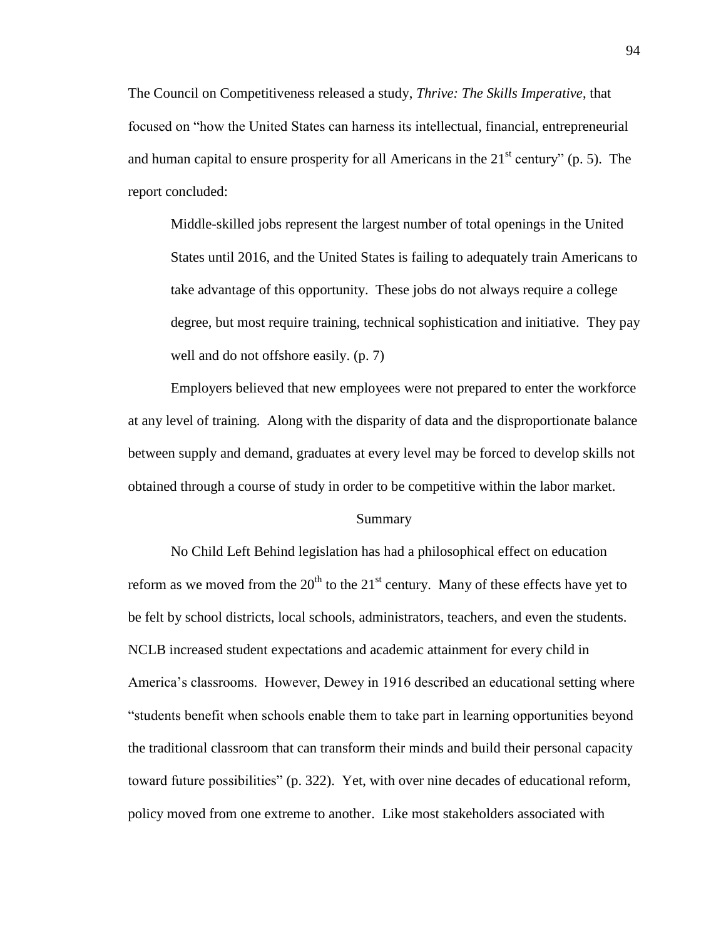The Council on Competitiveness released a study, *Thrive: The Skills Imperative*, that focused on "how the United States can harness its intellectual, financial, entrepreneurial and human capital to ensure prosperity for all Americans in the  $21<sup>st</sup>$  century" (p. 5). The report concluded:

Middle-skilled jobs represent the largest number of total openings in the United States until 2016, and the United States is failing to adequately train Americans to take advantage of this opportunity. These jobs do not always require a college degree, but most require training, technical sophistication and initiative. They pay well and do not offshore easily. (p. 7)

Employers believed that new employees were not prepared to enter the workforce at any level of training. Along with the disparity of data and the disproportionate balance between supply and demand, graduates at every level may be forced to develop skills not obtained through a course of study in order to be competitive within the labor market.

## Summary

No Child Left Behind legislation has had a philosophical effect on education reform as we moved from the  $20<sup>th</sup>$  to the  $21<sup>st</sup>$  century. Many of these effects have yet to be felt by school districts, local schools, administrators, teachers, and even the students. NCLB increased student expectations and academic attainment for every child in America's classrooms. However, Dewey in 1916 described an educational setting where "students benefit when schools enable them to take part in learning opportunities beyond the traditional classroom that can transform their minds and build their personal capacity toward future possibilities" (p. 322). Yet, with over nine decades of educational reform, policy moved from one extreme to another. Like most stakeholders associated with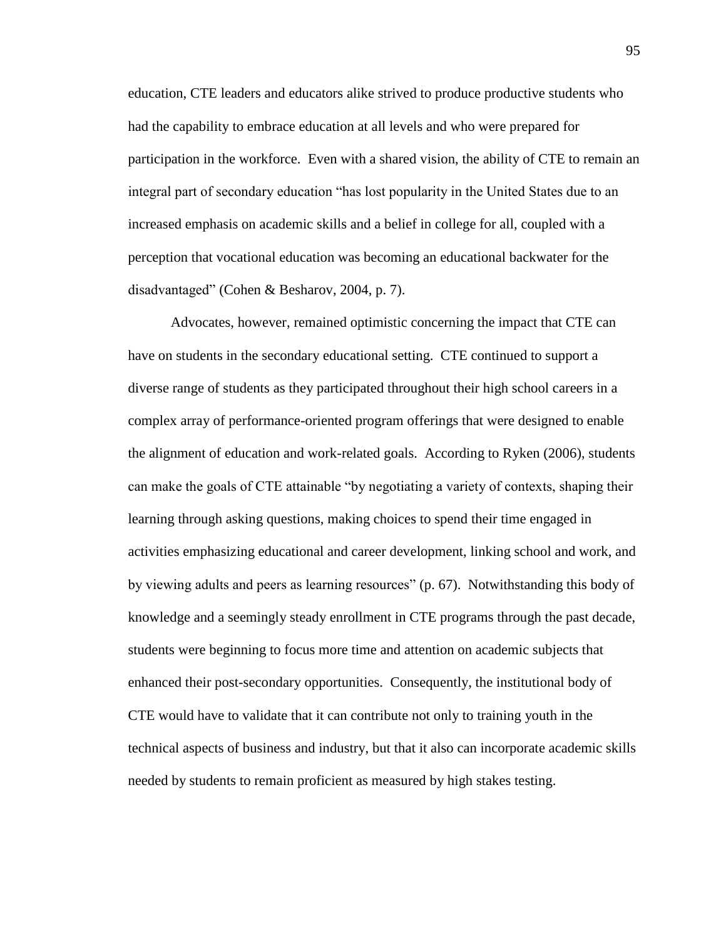education, CTE leaders and educators alike strived to produce productive students who had the capability to embrace education at all levels and who were prepared for participation in the workforce. Even with a shared vision, the ability of CTE to remain an integral part of secondary education "has lost popularity in the United States due to an increased emphasis on academic skills and a belief in college for all, coupled with a perception that vocational education was becoming an educational backwater for the disadvantaged" (Cohen & Besharov, 2004, p. 7).

Advocates, however, remained optimistic concerning the impact that CTE can have on students in the secondary educational setting. CTE continued to support a diverse range of students as they participated throughout their high school careers in a complex array of performance-oriented program offerings that were designed to enable the alignment of education and work-related goals. According to Ryken (2006), students can make the goals of CTE attainable "by negotiating a variety of contexts, shaping their learning through asking questions, making choices to spend their time engaged in activities emphasizing educational and career development, linking school and work, and by viewing adults and peers as learning resources" (p. 67). Notwithstanding this body of knowledge and a seemingly steady enrollment in CTE programs through the past decade, students were beginning to focus more time and attention on academic subjects that enhanced their post-secondary opportunities. Consequently, the institutional body of CTE would have to validate that it can contribute not only to training youth in the technical aspects of business and industry, but that it also can incorporate academic skills needed by students to remain proficient as measured by high stakes testing.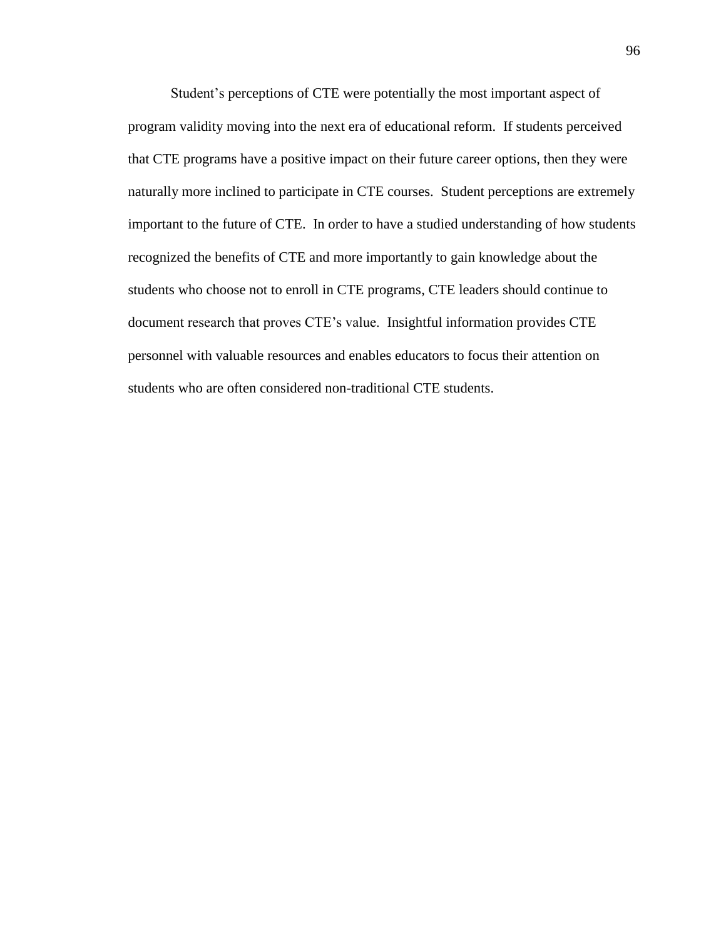Student's perceptions of CTE were potentially the most important aspect of program validity moving into the next era of educational reform. If students perceived that CTE programs have a positive impact on their future career options, then they were naturally more inclined to participate in CTE courses. Student perceptions are extremely important to the future of CTE. In order to have a studied understanding of how students recognized the benefits of CTE and more importantly to gain knowledge about the students who choose not to enroll in CTE programs, CTE leaders should continue to document research that proves CTE's value. Insightful information provides CTE personnel with valuable resources and enables educators to focus their attention on students who are often considered non-traditional CTE students.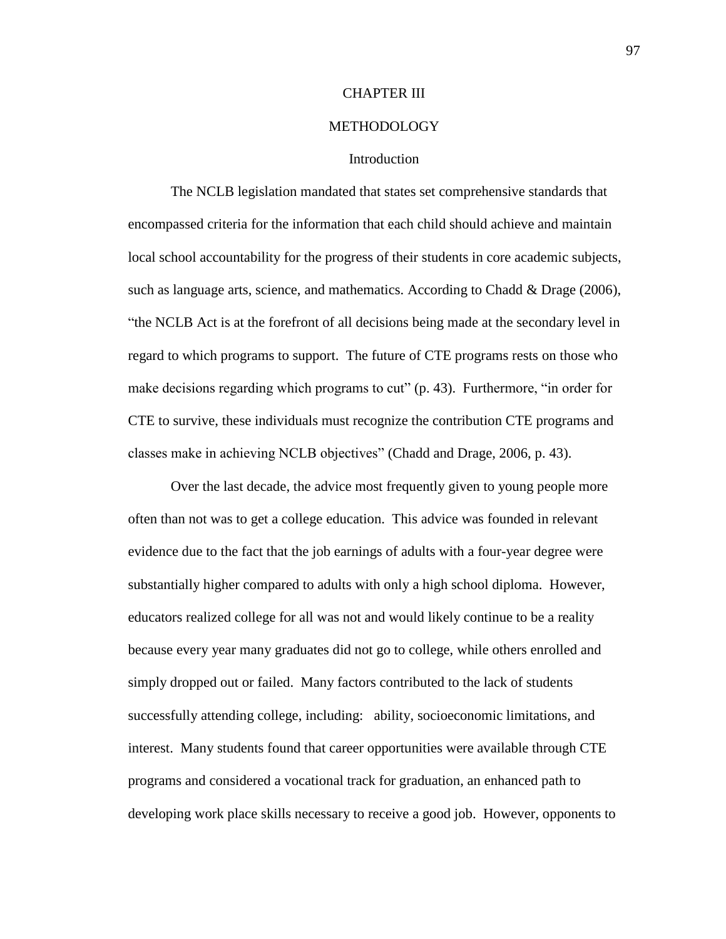### CHAPTER III

### METHODOLOGY

### Introduction

The NCLB legislation mandated that states set comprehensive standards that encompassed criteria for the information that each child should achieve and maintain local school accountability for the progress of their students in core academic subjects, such as language arts, science, and mathematics. According to Chadd & Drage (2006), "the NCLB Act is at the forefront of all decisions being made at the secondary level in regard to which programs to support. The future of CTE programs rests on those who make decisions regarding which programs to cut" (p. 43). Furthermore, "in order for CTE to survive, these individuals must recognize the contribution CTE programs and classes make in achieving NCLB objectives" (Chadd and Drage, 2006, p. 43).

Over the last decade, the advice most frequently given to young people more often than not was to get a college education. This advice was founded in relevant evidence due to the fact that the job earnings of adults with a four-year degree were substantially higher compared to adults with only a high school diploma. However, educators realized college for all was not and would likely continue to be a reality because every year many graduates did not go to college, while others enrolled and simply dropped out or failed. Many factors contributed to the lack of students successfully attending college, including: ability, socioeconomic limitations, and interest. Many students found that career opportunities were available through CTE programs and considered a vocational track for graduation, an enhanced path to developing work place skills necessary to receive a good job. However, opponents to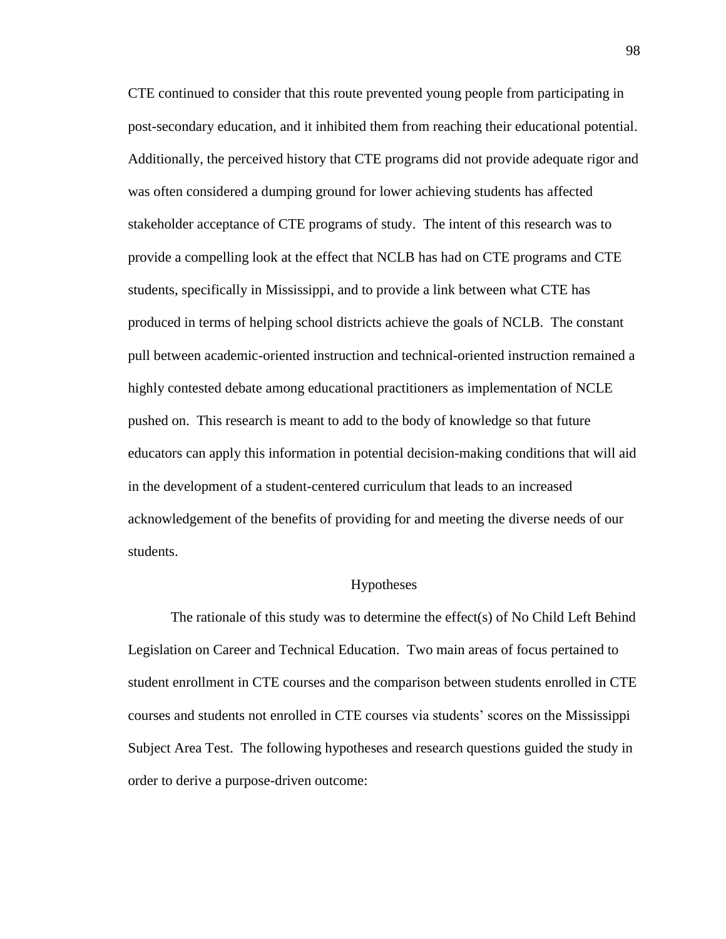CTE continued to consider that this route prevented young people from participating in post-secondary education, and it inhibited them from reaching their educational potential. Additionally, the perceived history that CTE programs did not provide adequate rigor and was often considered a dumping ground for lower achieving students has affected stakeholder acceptance of CTE programs of study. The intent of this research was to provide a compelling look at the effect that NCLB has had on CTE programs and CTE students, specifically in Mississippi, and to provide a link between what CTE has produced in terms of helping school districts achieve the goals of NCLB. The constant pull between academic-oriented instruction and technical-oriented instruction remained a highly contested debate among educational practitioners as implementation of NCLE pushed on. This research is meant to add to the body of knowledge so that future educators can apply this information in potential decision-making conditions that will aid in the development of a student-centered curriculum that leads to an increased acknowledgement of the benefits of providing for and meeting the diverse needs of our students.

### Hypotheses

The rationale of this study was to determine the effect(s) of No Child Left Behind Legislation on Career and Technical Education. Two main areas of focus pertained to student enrollment in CTE courses and the comparison between students enrolled in CTE courses and students not enrolled in CTE courses via students' scores on the Mississippi Subject Area Test. The following hypotheses and research questions guided the study in order to derive a purpose-driven outcome: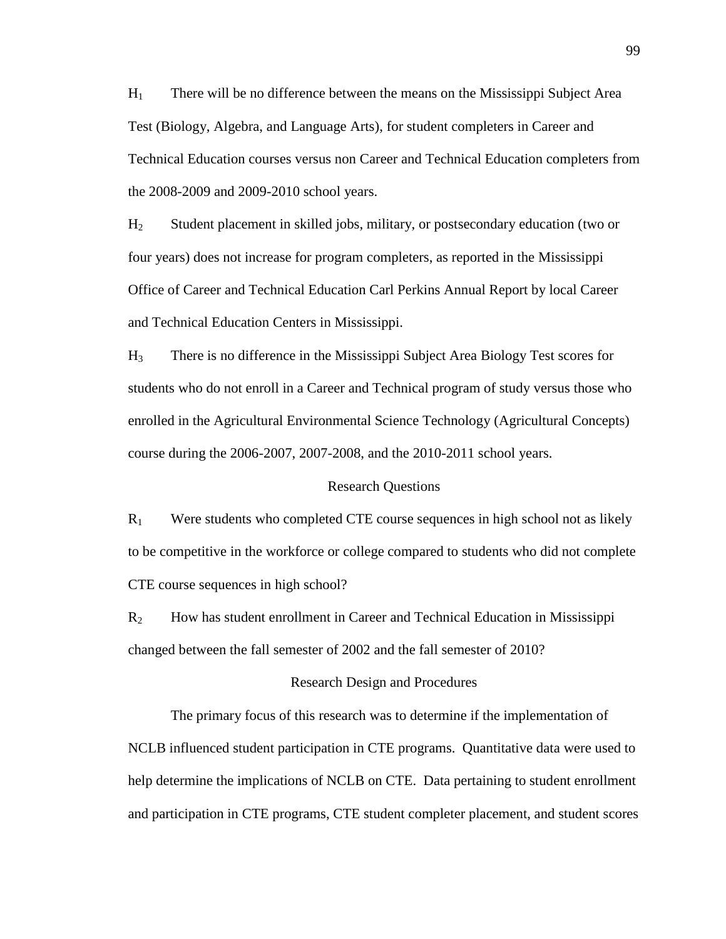H<sup>1</sup> There will be no difference between the means on the Mississippi Subject Area Test (Biology, Algebra, and Language Arts), for student completers in Career and Technical Education courses versus non Career and Technical Education completers from the 2008-2009 and 2009-2010 school years.

H<sup>2</sup> Student placement in skilled jobs, military, or postsecondary education (two or four years) does not increase for program completers, as reported in the Mississippi Office of Career and Technical Education Carl Perkins Annual Report by local Career and Technical Education Centers in Mississippi.

H<sup>3</sup> There is no difference in the Mississippi Subject Area Biology Test scores for students who do not enroll in a Career and Technical program of study versus those who enrolled in the Agricultural Environmental Science Technology (Agricultural Concepts) course during the 2006-2007, 2007-2008, and the 2010-2011 school years.

### Research Questions

 $R_1$  Were students who completed CTE course sequences in high school not as likely to be competitive in the workforce or college compared to students who did not complete CTE course sequences in high school?

R<sup>2</sup> How has student enrollment in Career and Technical Education in Mississippi changed between the fall semester of 2002 and the fall semester of 2010?

#### Research Design and Procedures

The primary focus of this research was to determine if the implementation of NCLB influenced student participation in CTE programs. Quantitative data were used to help determine the implications of NCLB on CTE. Data pertaining to student enrollment and participation in CTE programs, CTE student completer placement, and student scores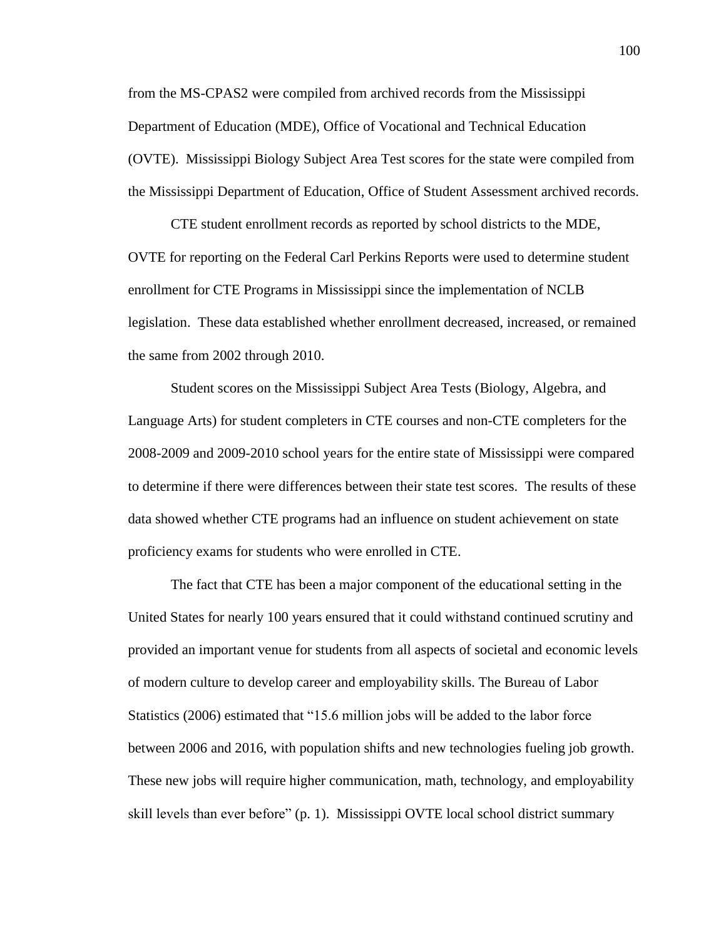from the MS-CPAS2 were compiled from archived records from the Mississippi Department of Education (MDE), Office of Vocational and Technical Education (OVTE). Mississippi Biology Subject Area Test scores for the state were compiled from the Mississippi Department of Education, Office of Student Assessment archived records.

CTE student enrollment records as reported by school districts to the MDE, OVTE for reporting on the Federal Carl Perkins Reports were used to determine student enrollment for CTE Programs in Mississippi since the implementation of NCLB legislation. These data established whether enrollment decreased, increased, or remained the same from 2002 through 2010.

Student scores on the Mississippi Subject Area Tests (Biology, Algebra, and Language Arts) for student completers in CTE courses and non-CTE completers for the 2008-2009 and 2009-2010 school years for the entire state of Mississippi were compared to determine if there were differences between their state test scores. The results of these data showed whether CTE programs had an influence on student achievement on state proficiency exams for students who were enrolled in CTE.

The fact that CTE has been a major component of the educational setting in the United States for nearly 100 years ensured that it could withstand continued scrutiny and provided an important venue for students from all aspects of societal and economic levels of modern culture to develop career and employability skills. The Bureau of Labor Statistics (2006) estimated that "15.6 million jobs will be added to the labor force between 2006 and 2016, with population shifts and new technologies fueling job growth. These new jobs will require higher communication, math, technology, and employability skill levels than ever before" (p. 1). Mississippi OVTE local school district summary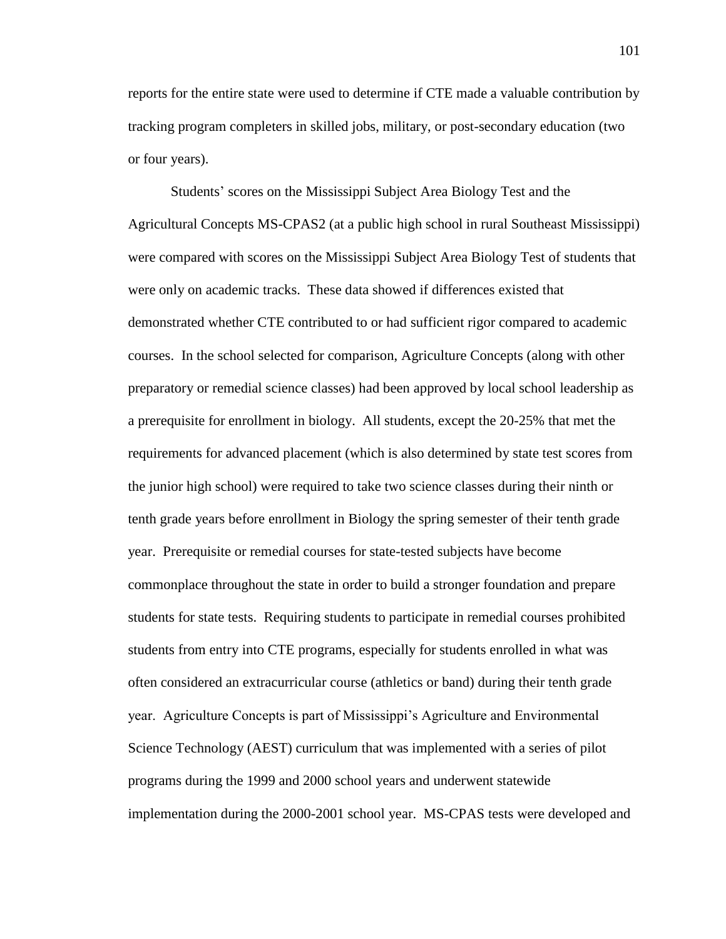reports for the entire state were used to determine if CTE made a valuable contribution by tracking program completers in skilled jobs, military, or post-secondary education (two or four years).

Students' scores on the Mississippi Subject Area Biology Test and the Agricultural Concepts MS-CPAS2 (at a public high school in rural Southeast Mississippi) were compared with scores on the Mississippi Subject Area Biology Test of students that were only on academic tracks. These data showed if differences existed that demonstrated whether CTE contributed to or had sufficient rigor compared to academic courses. In the school selected for comparison, Agriculture Concepts (along with other preparatory or remedial science classes) had been approved by local school leadership as a prerequisite for enrollment in biology. All students, except the 20-25% that met the requirements for advanced placement (which is also determined by state test scores from the junior high school) were required to take two science classes during their ninth or tenth grade years before enrollment in Biology the spring semester of their tenth grade year. Prerequisite or remedial courses for state-tested subjects have become commonplace throughout the state in order to build a stronger foundation and prepare students for state tests. Requiring students to participate in remedial courses prohibited students from entry into CTE programs, especially for students enrolled in what was often considered an extracurricular course (athletics or band) during their tenth grade year. Agriculture Concepts is part of Mississippi's Agriculture and Environmental Science Technology (AEST) curriculum that was implemented with a series of pilot programs during the 1999 and 2000 school years and underwent statewide implementation during the 2000-2001 school year. MS-CPAS tests were developed and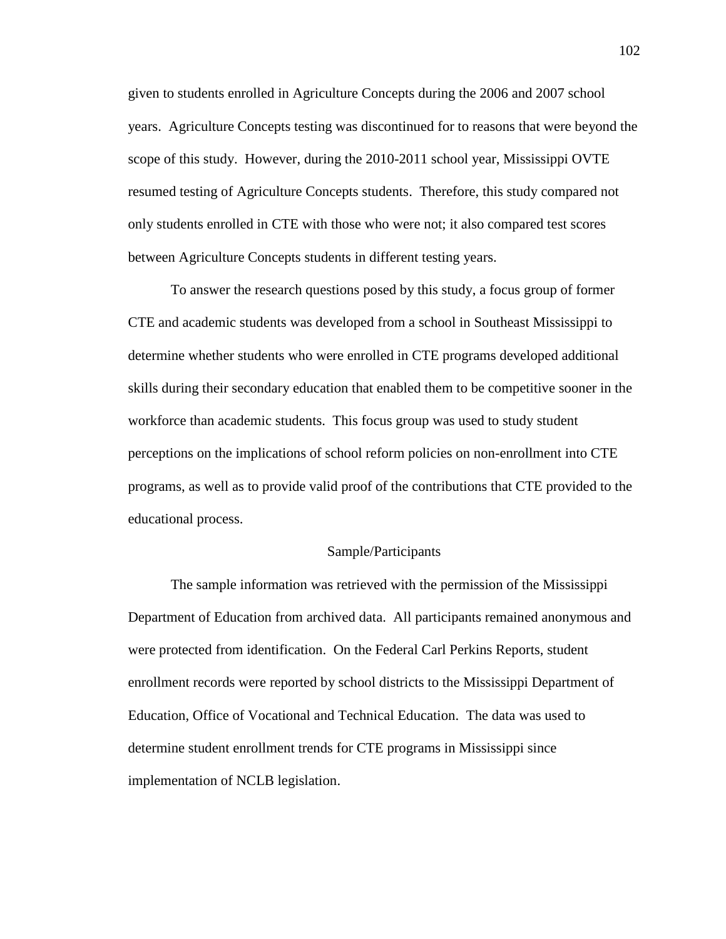given to students enrolled in Agriculture Concepts during the 2006 and 2007 school years. Agriculture Concepts testing was discontinued for to reasons that were beyond the scope of this study. However, during the 2010-2011 school year, Mississippi OVTE resumed testing of Agriculture Concepts students. Therefore, this study compared not only students enrolled in CTE with those who were not; it also compared test scores between Agriculture Concepts students in different testing years.

To answer the research questions posed by this study, a focus group of former CTE and academic students was developed from a school in Southeast Mississippi to determine whether students who were enrolled in CTE programs developed additional skills during their secondary education that enabled them to be competitive sooner in the workforce than academic students. This focus group was used to study student perceptions on the implications of school reform policies on non-enrollment into CTE programs, as well as to provide valid proof of the contributions that CTE provided to the educational process.

### Sample/Participants

The sample information was retrieved with the permission of the Mississippi Department of Education from archived data. All participants remained anonymous and were protected from identification. On the Federal Carl Perkins Reports, student enrollment records were reported by school districts to the Mississippi Department of Education, Office of Vocational and Technical Education. The data was used to determine student enrollment trends for CTE programs in Mississippi since implementation of NCLB legislation.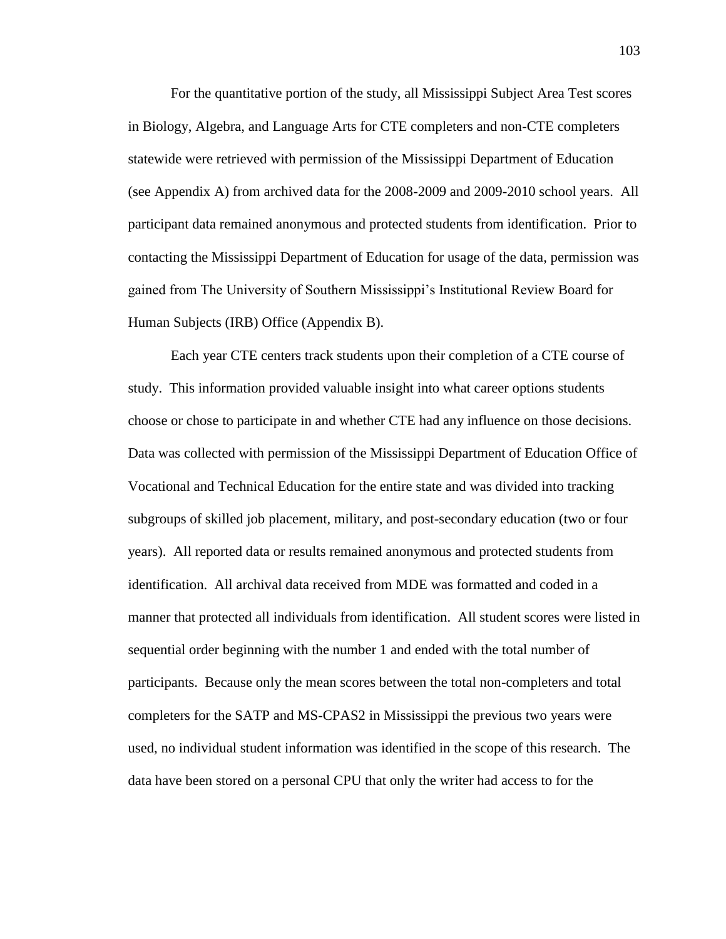For the quantitative portion of the study, all Mississippi Subject Area Test scores in Biology, Algebra, and Language Arts for CTE completers and non-CTE completers statewide were retrieved with permission of the Mississippi Department of Education (see Appendix A) from archived data for the 2008-2009 and 2009-2010 school years. All participant data remained anonymous and protected students from identification. Prior to contacting the Mississippi Department of Education for usage of the data, permission was gained from The University of Southern Mississippi's Institutional Review Board for Human Subjects (IRB) Office (Appendix B).

Each year CTE centers track students upon their completion of a CTE course of study. This information provided valuable insight into what career options students choose or chose to participate in and whether CTE had any influence on those decisions. Data was collected with permission of the Mississippi Department of Education Office of Vocational and Technical Education for the entire state and was divided into tracking subgroups of skilled job placement, military, and post-secondary education (two or four years). All reported data or results remained anonymous and protected students from identification. All archival data received from MDE was formatted and coded in a manner that protected all individuals from identification. All student scores were listed in sequential order beginning with the number 1 and ended with the total number of participants. Because only the mean scores between the total non-completers and total completers for the SATP and MS-CPAS2 in Mississippi the previous two years were used, no individual student information was identified in the scope of this research. The data have been stored on a personal CPU that only the writer had access to for the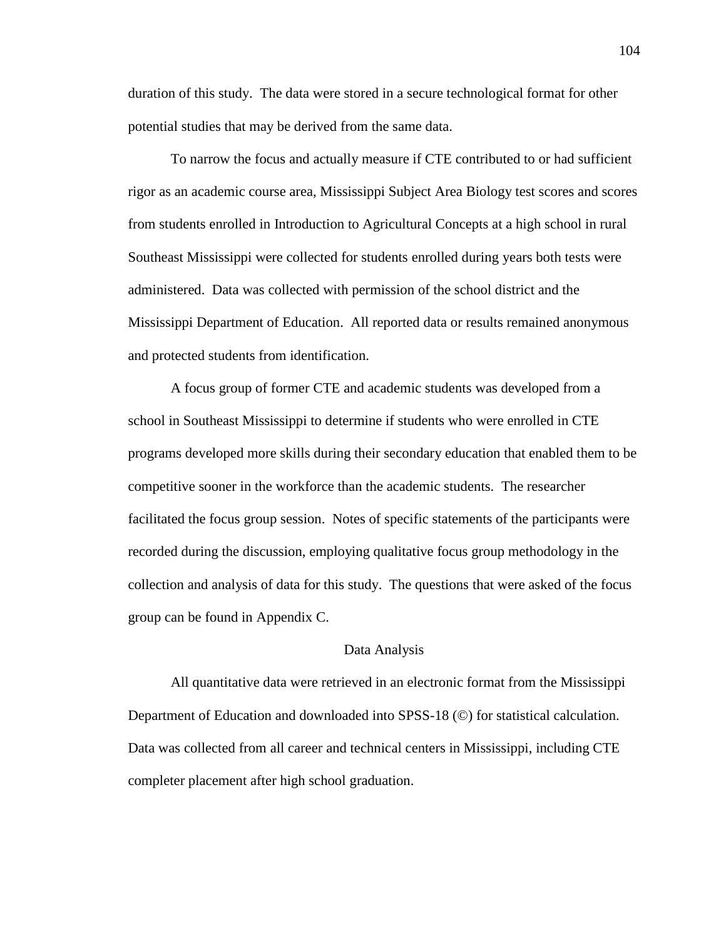duration of this study. The data were stored in a secure technological format for other potential studies that may be derived from the same data.

To narrow the focus and actually measure if CTE contributed to or had sufficient rigor as an academic course area, Mississippi Subject Area Biology test scores and scores from students enrolled in Introduction to Agricultural Concepts at a high school in rural Southeast Mississippi were collected for students enrolled during years both tests were administered. Data was collected with permission of the school district and the Mississippi Department of Education. All reported data or results remained anonymous and protected students from identification.

A focus group of former CTE and academic students was developed from a school in Southeast Mississippi to determine if students who were enrolled in CTE programs developed more skills during their secondary education that enabled them to be competitive sooner in the workforce than the academic students. The researcher facilitated the focus group session. Notes of specific statements of the participants were recorded during the discussion, employing qualitative focus group methodology in the collection and analysis of data for this study. The questions that were asked of the focus group can be found in Appendix C.

#### Data Analysis

All quantitative data were retrieved in an electronic format from the Mississippi Department of Education and downloaded into SPSS-18 (©) for statistical calculation. Data was collected from all career and technical centers in Mississippi, including CTE completer placement after high school graduation.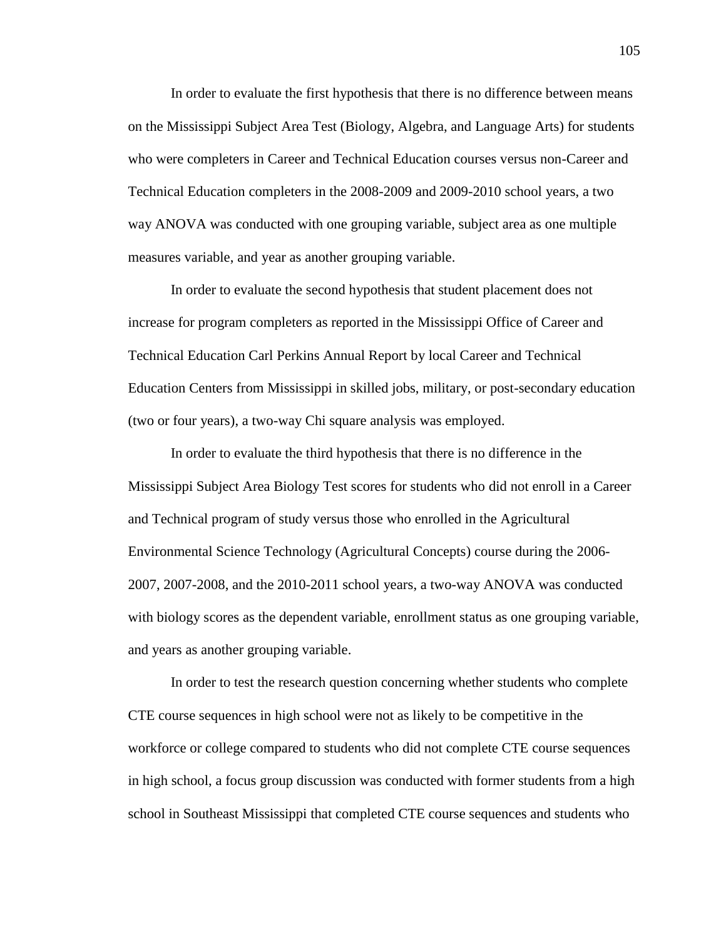In order to evaluate the first hypothesis that there is no difference between means on the Mississippi Subject Area Test (Biology, Algebra, and Language Arts) for students who were completers in Career and Technical Education courses versus non-Career and Technical Education completers in the 2008-2009 and 2009-2010 school years, a two way ANOVA was conducted with one grouping variable, subject area as one multiple measures variable, and year as another grouping variable.

In order to evaluate the second hypothesis that student placement does not increase for program completers as reported in the Mississippi Office of Career and Technical Education Carl Perkins Annual Report by local Career and Technical Education Centers from Mississippi in skilled jobs, military, or post-secondary education (two or four years), a two-way Chi square analysis was employed.

In order to evaluate the third hypothesis that there is no difference in the Mississippi Subject Area Biology Test scores for students who did not enroll in a Career and Technical program of study versus those who enrolled in the Agricultural Environmental Science Technology (Agricultural Concepts) course during the 2006- 2007, 2007-2008, and the 2010-2011 school years, a two-way ANOVA was conducted with biology scores as the dependent variable, enrollment status as one grouping variable, and years as another grouping variable.

In order to test the research question concerning whether students who complete CTE course sequences in high school were not as likely to be competitive in the workforce or college compared to students who did not complete CTE course sequences in high school, a focus group discussion was conducted with former students from a high school in Southeast Mississippi that completed CTE course sequences and students who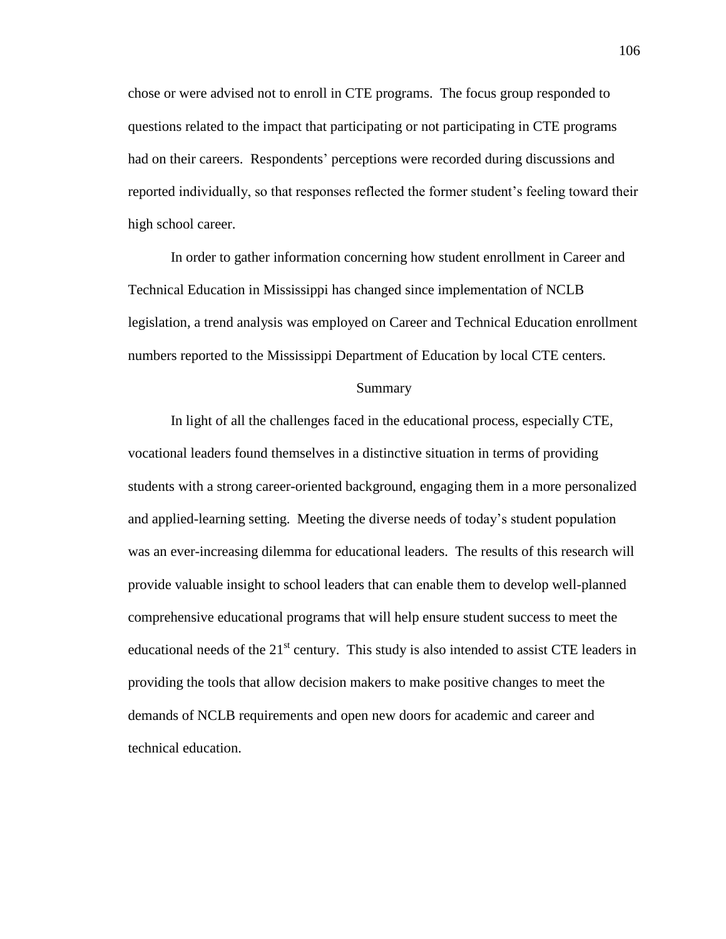chose or were advised not to enroll in CTE programs. The focus group responded to questions related to the impact that participating or not participating in CTE programs had on their careers. Respondents' perceptions were recorded during discussions and reported individually, so that responses reflected the former student's feeling toward their high school career.

In order to gather information concerning how student enrollment in Career and Technical Education in Mississippi has changed since implementation of NCLB legislation, a trend analysis was employed on Career and Technical Education enrollment numbers reported to the Mississippi Department of Education by local CTE centers.

#### Summary

In light of all the challenges faced in the educational process, especially CTE, vocational leaders found themselves in a distinctive situation in terms of providing students with a strong career-oriented background, engaging them in a more personalized and applied-learning setting. Meeting the diverse needs of today's student population was an ever-increasing dilemma for educational leaders. The results of this research will provide valuable insight to school leaders that can enable them to develop well-planned comprehensive educational programs that will help ensure student success to meet the educational needs of the  $21<sup>st</sup>$  century. This study is also intended to assist CTE leaders in providing the tools that allow decision makers to make positive changes to meet the demands of NCLB requirements and open new doors for academic and career and technical education.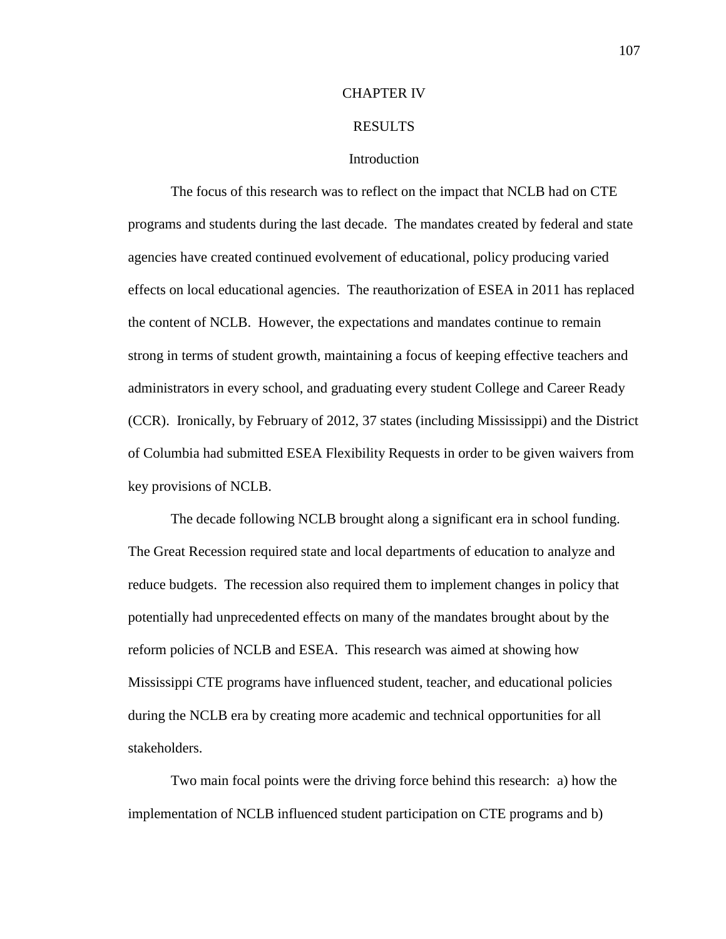### CHAPTER IV

### RESULTS

## Introduction

The focus of this research was to reflect on the impact that NCLB had on CTE programs and students during the last decade. The mandates created by federal and state agencies have created continued evolvement of educational, policy producing varied effects on local educational agencies. The reauthorization of ESEA in 2011 has replaced the content of NCLB. However, the expectations and mandates continue to remain strong in terms of student growth, maintaining a focus of keeping effective teachers and administrators in every school, and graduating every student College and Career Ready (CCR). Ironically, by February of 2012, 37 states (including Mississippi) and the District of Columbia had submitted ESEA Flexibility Requests in order to be given waivers from key provisions of NCLB.

The decade following NCLB brought along a significant era in school funding. The Great Recession required state and local departments of education to analyze and reduce budgets. The recession also required them to implement changes in policy that potentially had unprecedented effects on many of the mandates brought about by the reform policies of NCLB and ESEA. This research was aimed at showing how Mississippi CTE programs have influenced student, teacher, and educational policies during the NCLB era by creating more academic and technical opportunities for all stakeholders.

Two main focal points were the driving force behind this research: a) how the implementation of NCLB influenced student participation on CTE programs and b)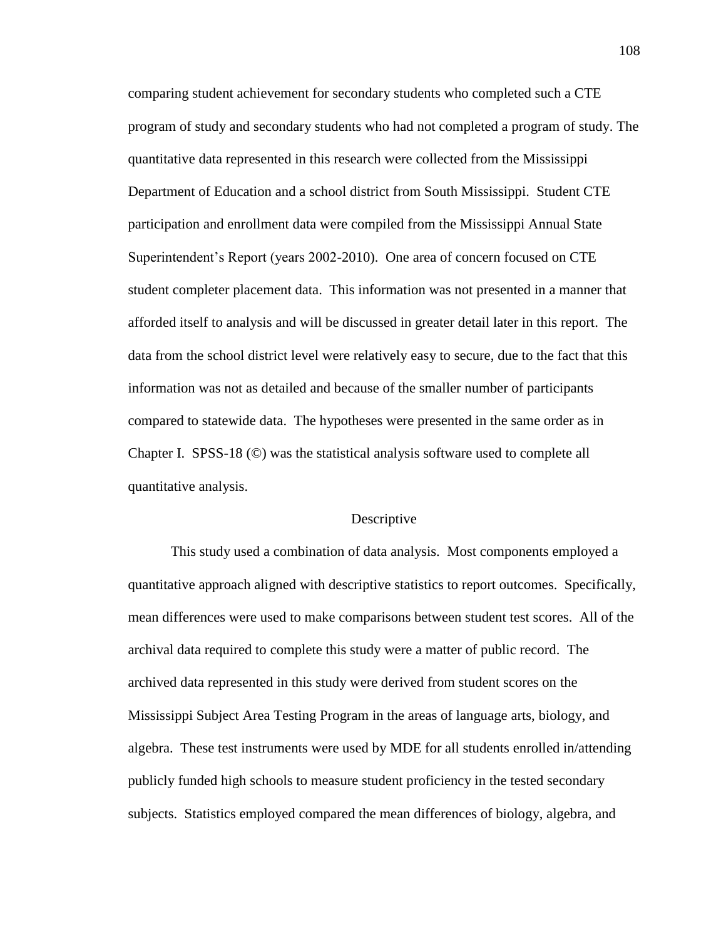comparing student achievement for secondary students who completed such a CTE program of study and secondary students who had not completed a program of study. The quantitative data represented in this research were collected from the Mississippi Department of Education and a school district from South Mississippi. Student CTE participation and enrollment data were compiled from the Mississippi Annual State Superintendent's Report (years 2002-2010). One area of concern focused on CTE student completer placement data. This information was not presented in a manner that afforded itself to analysis and will be discussed in greater detail later in this report. The data from the school district level were relatively easy to secure, due to the fact that this information was not as detailed and because of the smaller number of participants compared to statewide data. The hypotheses were presented in the same order as in Chapter I. SPSS-18 (©) was the statistical analysis software used to complete all quantitative analysis.

### **Descriptive**

This study used a combination of data analysis. Most components employed a quantitative approach aligned with descriptive statistics to report outcomes. Specifically, mean differences were used to make comparisons between student test scores. All of the archival data required to complete this study were a matter of public record. The archived data represented in this study were derived from student scores on the Mississippi Subject Area Testing Program in the areas of language arts, biology, and algebra. These test instruments were used by MDE for all students enrolled in/attending publicly funded high schools to measure student proficiency in the tested secondary subjects. Statistics employed compared the mean differences of biology, algebra, and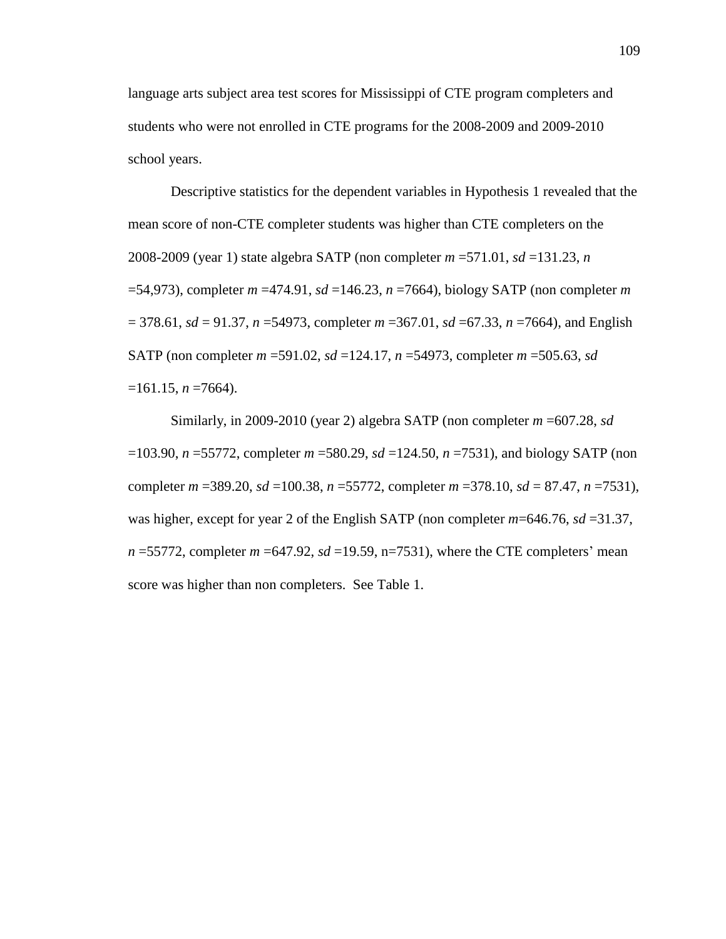language arts subject area test scores for Mississippi of CTE program completers and students who were not enrolled in CTE programs for the 2008-2009 and 2009-2010 school years.

Descriptive statistics for the dependent variables in Hypothesis 1 revealed that the mean score of non-CTE completer students was higher than CTE completers on the 2008-2009 (year 1) state algebra SATP (non completer *m* =571.01, *sd* =131.23, *n* =54,973), completer *m* =474.91, *sd* =146.23, *n* =7664), biology SATP (non completer *m* = 378.61, *sd* = 91.37, *n* =54973, completer *m* =367.01, *sd* =67.33, *n* =7664), and English SATP (non completer *m* =591.02, *sd* =124.17, *n* =54973, completer *m* =505.63, *sd*  $=161.15$ , *n*  $=7664$ ).

Similarly, in 2009-2010 (year 2) algebra SATP (non completer *m* =607.28, *sd* =103.90, *n* =55772, completer *m* =580.29, *sd* =124.50, *n* =7531), and biology SATP (non completer *m* =389.20, *sd* =100.38, *n* =55772, completer *m* =378.10, *sd* = 87.47, *n* =7531), was higher, except for year 2 of the English SATP (non completer *m*=646.76, *sd* =31.37,  $n = 55772$ , completer  $m = 647.92$ ,  $sd = 19.59$ ,  $n = 7531$ ), where the CTE completers' mean score was higher than non completers. See Table 1.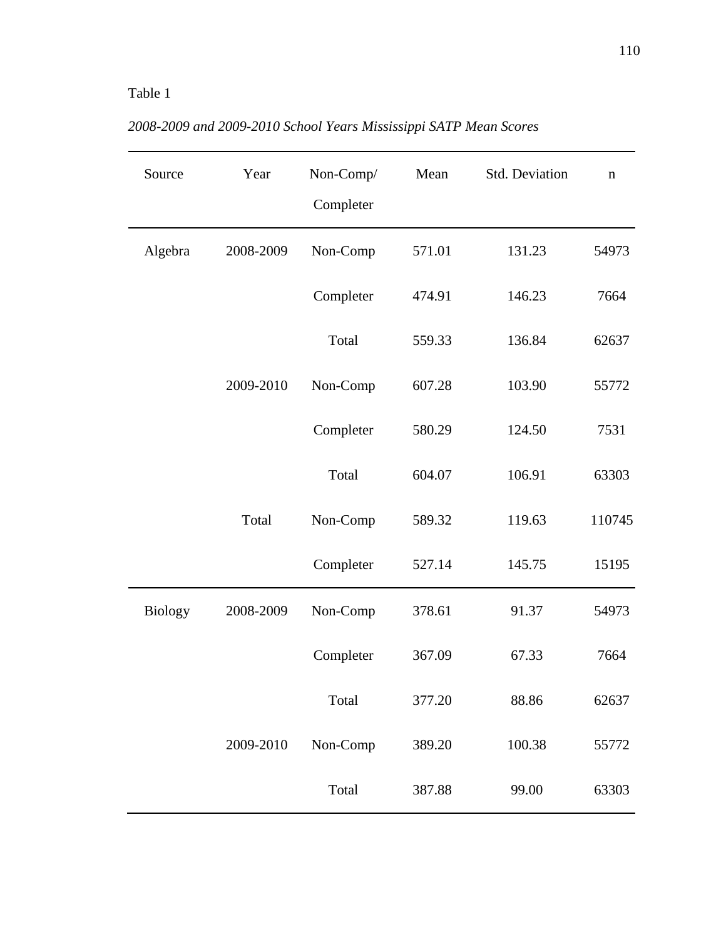# Table 1

| Source         | Year      | Non-Comp/<br>Completer | Mean   | Std. Deviation | $\mathbf n$ |
|----------------|-----------|------------------------|--------|----------------|-------------|
| Algebra        | 2008-2009 | Non-Comp               | 571.01 | 131.23         | 54973       |
|                |           | Completer              | 474.91 | 146.23         | 7664        |
|                |           | Total                  | 559.33 | 136.84         | 62637       |
|                | 2009-2010 | Non-Comp               | 607.28 | 103.90         | 55772       |
|                |           | Completer              | 580.29 | 124.50         | 7531        |
|                |           | Total                  | 604.07 | 106.91         | 63303       |
|                | Total     | Non-Comp               | 589.32 | 119.63         | 110745      |
|                |           | Completer              | 527.14 | 145.75         | 15195       |
| <b>Biology</b> | 2008-2009 | Non-Comp               | 378.61 | 91.37          | 54973       |
|                |           | Completer              | 367.09 | 67.33          | 7664        |
|                |           | Total                  | 377.20 | 88.86          | 62637       |
|                | 2009-2010 | Non-Comp               | 389.20 | 100.38         | 55772       |
|                |           | Total                  | 387.88 | 99.00          | 63303       |

*2008-2009 and 2009-2010 School Years Mississippi SATP Mean Scores*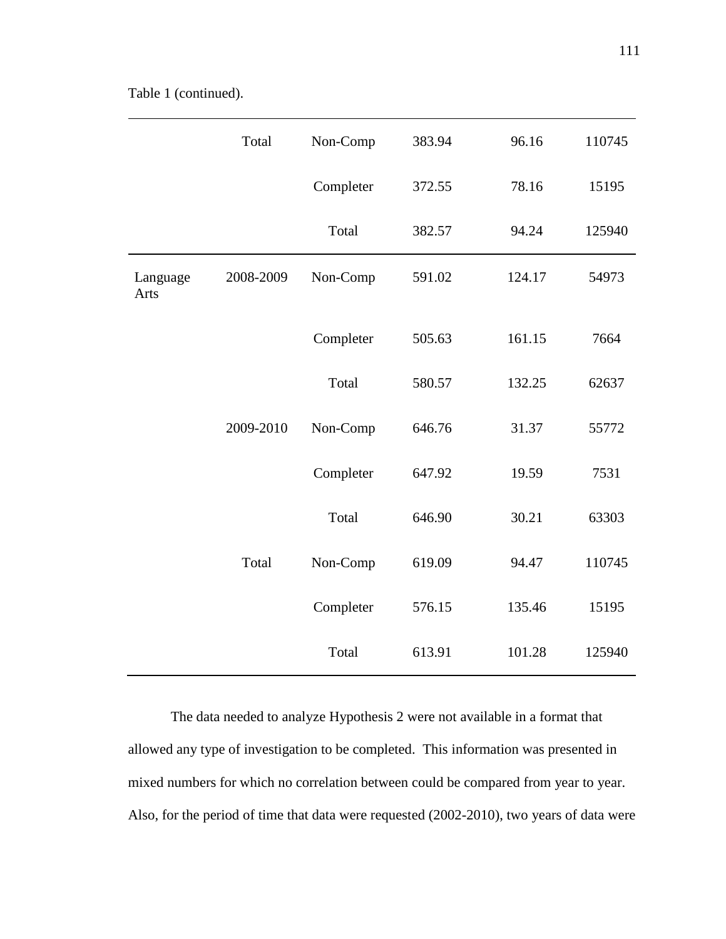|                  | Total     | Non-Comp  | 383.94 | 96.16  | 110745 |
|------------------|-----------|-----------|--------|--------|--------|
|                  |           | Completer | 372.55 | 78.16  | 15195  |
|                  |           | Total     | 382.57 | 94.24  | 125940 |
| Language<br>Arts | 2008-2009 | Non-Comp  | 591.02 | 124.17 | 54973  |
|                  |           | Completer | 505.63 | 161.15 | 7664   |
|                  |           | Total     | 580.57 | 132.25 | 62637  |
|                  | 2009-2010 | Non-Comp  | 646.76 | 31.37  | 55772  |
|                  |           | Completer | 647.92 | 19.59  | 7531   |
|                  |           | Total     | 646.90 | 30.21  | 63303  |
|                  | Total     | Non-Comp  | 619.09 | 94.47  | 110745 |
|                  |           | Completer | 576.15 | 135.46 | 15195  |
|                  |           | Total     | 613.91 | 101.28 | 125940 |

The data needed to analyze Hypothesis 2 were not available in a format that allowed any type of investigation to be completed. This information was presented in mixed numbers for which no correlation between could be compared from year to year. Also, for the period of time that data were requested (2002-2010), two years of data were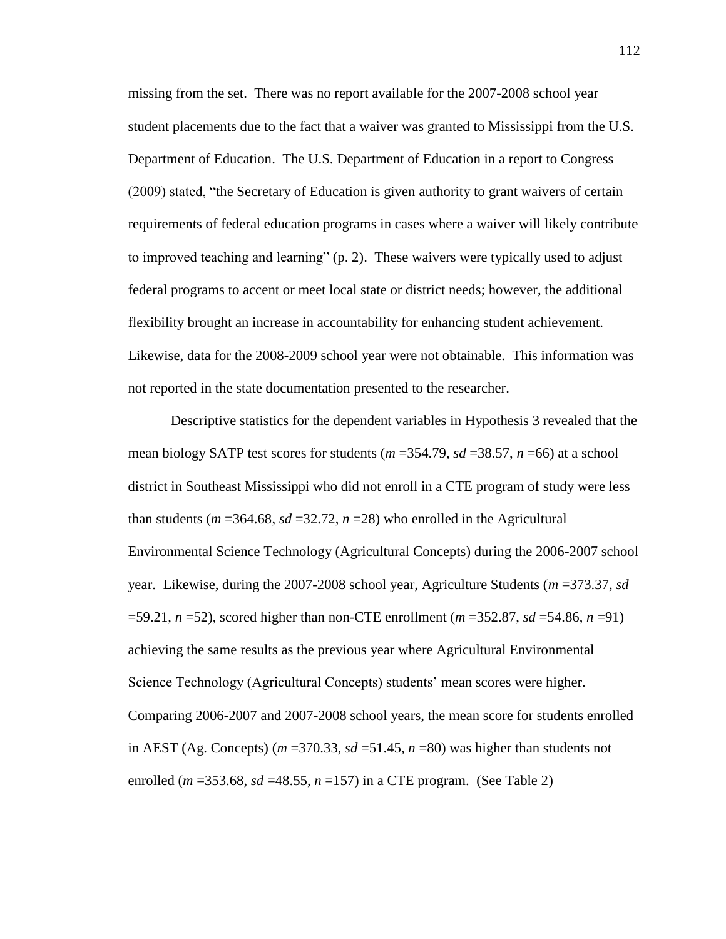missing from the set. There was no report available for the 2007-2008 school year student placements due to the fact that a waiver was granted to Mississippi from the U.S. Department of Education. The U.S. Department of Education in a report to Congress (2009) stated, "the Secretary of Education is given authority to grant waivers of certain requirements of federal education programs in cases where a waiver will likely contribute to improved teaching and learning" (p. 2). These waivers were typically used to adjust federal programs to accent or meet local state or district needs; however, the additional flexibility brought an increase in accountability for enhancing student achievement. Likewise, data for the 2008-2009 school year were not obtainable. This information was not reported in the state documentation presented to the researcher.

Descriptive statistics for the dependent variables in Hypothesis 3 revealed that the mean biology SATP test scores for students (*m* =354.79, *sd* =38.57, *n* =66) at a school district in Southeast Mississippi who did not enroll in a CTE program of study were less than students ( $m = 364.68$ ,  $sd = 32.72$ ,  $n = 28$ ) who enrolled in the Agricultural Environmental Science Technology (Agricultural Concepts) during the 2006-2007 school year. Likewise, during the 2007-2008 school year, Agriculture Students (*m* =373.37, *sd* =59.21, *n* =52), scored higher than non-CTE enrollment (*m* =352.87, *sd* =54.86, *n* =91) achieving the same results as the previous year where Agricultural Environmental Science Technology (Agricultural Concepts) students' mean scores were higher. Comparing 2006-2007 and 2007-2008 school years, the mean score for students enrolled in AEST (Ag. Concepts) ( $m = 370.33$ ,  $sd = 51.45$ ,  $n = 80$ ) was higher than students not enrolled ( $m = 353.68$ ,  $sd = 48.55$ ,  $n = 157$ ) in a CTE program. (See Table 2)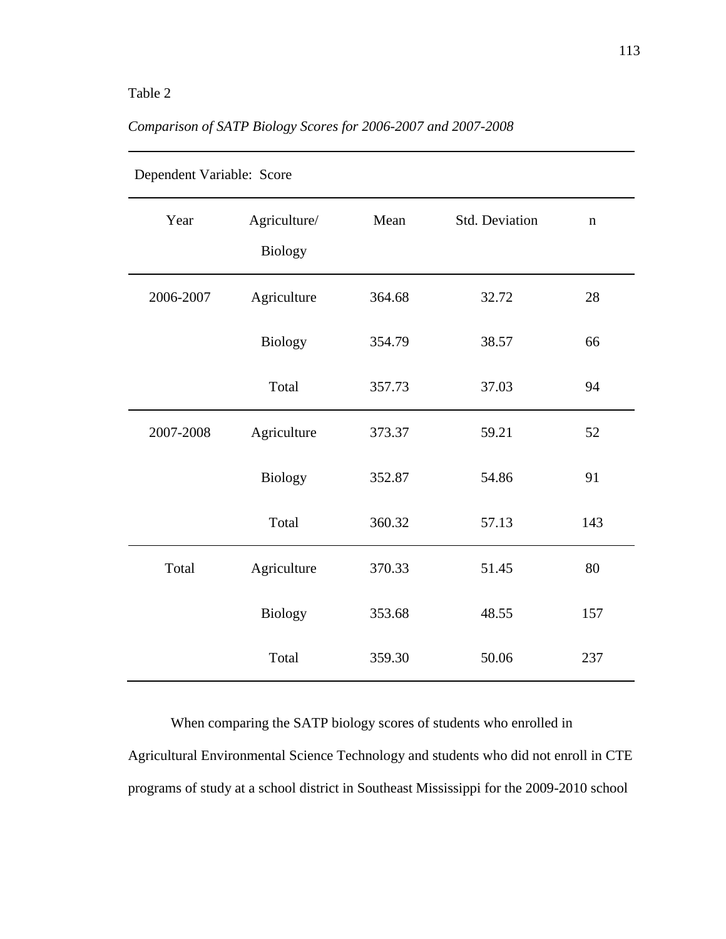# Table 2

| Dependent Variable: Score |                         |        |                |             |  |
|---------------------------|-------------------------|--------|----------------|-------------|--|
| Year                      | Agriculture/<br>Biology | Mean   | Std. Deviation | $\mathbf n$ |  |
| 2006-2007                 | Agriculture             | 364.68 | 32.72          | 28          |  |
|                           | Biology                 | 354.79 | 38.57          | 66          |  |
|                           | Total                   | 357.73 | 37.03          | 94          |  |
| 2007-2008                 | Agriculture             | 373.37 | 59.21          | 52          |  |
|                           | Biology                 | 352.87 | 54.86          | 91          |  |
|                           | Total                   | 360.32 | 57.13          | 143         |  |
| Total                     | Agriculture             | 370.33 | 51.45          | 80          |  |
|                           | <b>Biology</b>          | 353.68 | 48.55          | 157         |  |
|                           | Total                   | 359.30 | 50.06          | 237         |  |

# *Comparison of SATP Biology Scores for 2006-2007 and 2007-2008*

When comparing the SATP biology scores of students who enrolled in Agricultural Environmental Science Technology and students who did not enroll in CTE programs of study at a school district in Southeast Mississippi for the 2009-2010 school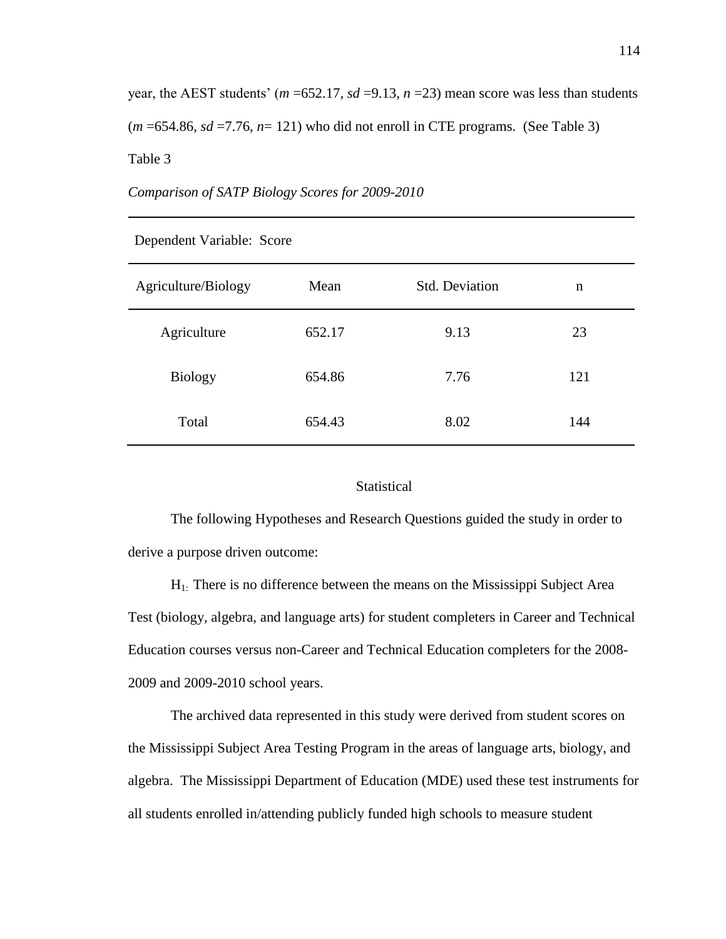year, the AEST students' ( $m = 652.17$ ,  $sd = 9.13$ ,  $n = 23$ ) mean score was less than students  $(m = 654.86, sd = 7.76, n = 121)$  who did not enroll in CTE programs. (See Table 3) Table 3

*Comparison of SATP Biology Scores for 2009-2010*

| Agriculture/Biology | Mean   | <b>Std. Deviation</b> | n   |
|---------------------|--------|-----------------------|-----|
| Agriculture         | 652.17 | 9.13                  | 23  |
| <b>Biology</b>      | 654.86 | 7.76                  | 121 |
| Total               | 654.43 | 8.02                  | 144 |

Dependent Variable: Score

### **Statistical**

The following Hypotheses and Research Questions guided the study in order to derive a purpose driven outcome:

H1: There is no difference between the means on the Mississippi Subject Area Test (biology, algebra, and language arts) for student completers in Career and Technical Education courses versus non-Career and Technical Education completers for the 2008- 2009 and 2009-2010 school years.

The archived data represented in this study were derived from student scores on the Mississippi Subject Area Testing Program in the areas of language arts, biology, and algebra. The Mississippi Department of Education (MDE) used these test instruments for all students enrolled in/attending publicly funded high schools to measure student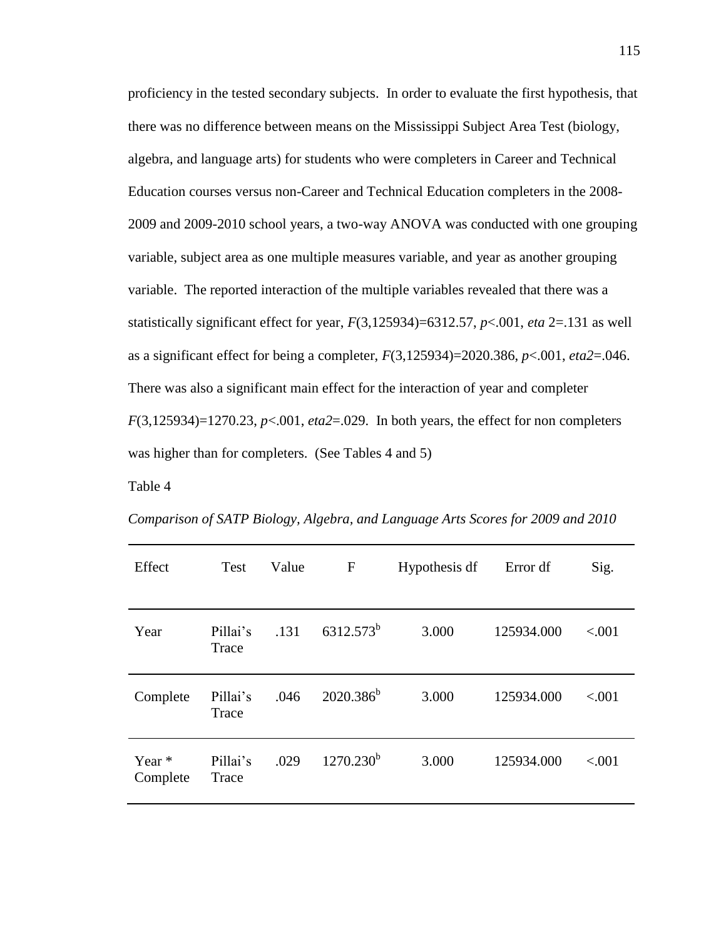proficiency in the tested secondary subjects. In order to evaluate the first hypothesis, that there was no difference between means on the Mississippi Subject Area Test (biology, algebra, and language arts) for students who were completers in Career and Technical Education courses versus non-Career and Technical Education completers in the 2008- 2009 and 2009-2010 school years, a two-way ANOVA was conducted with one grouping variable, subject area as one multiple measures variable, and year as another grouping variable. The reported interaction of the multiple variables revealed that there was a statistically significant effect for year, *F*(3,125934)=6312.57, *p*<.001, *eta* 2=.131 as well as a significant effect for being a completer, *F*(3,125934)=2020.386, *p*<.001, *eta2*=.046. There was also a significant main effect for the interaction of year and completer *F*(3,125934)=1270.23, *p*<.001, *eta2*=.029. In both years, the effect for non completers was higher than for completers. (See Tables 4 and 5)

Table 4

| Effect               | Test              | Value | F              | Hypothesis df | Error df   | Sig.   |
|----------------------|-------------------|-------|----------------|---------------|------------|--------|
| Year                 | Pillai's<br>Trace | .131  | $6312.573^b$   | 3.000         | 125934.000 | < .001 |
| Complete             | Pillai's<br>Trace | .046  | $2020.386^b$   | 3.000         | 125934.000 | < .001 |
| Year $*$<br>Complete | Pillai's<br>Trace | .029  | $1270.230^{b}$ | 3.000         | 125934.000 | < .001 |

*Comparison of SATP Biology, Algebra, and Language Arts Scores for 2009 and 2010*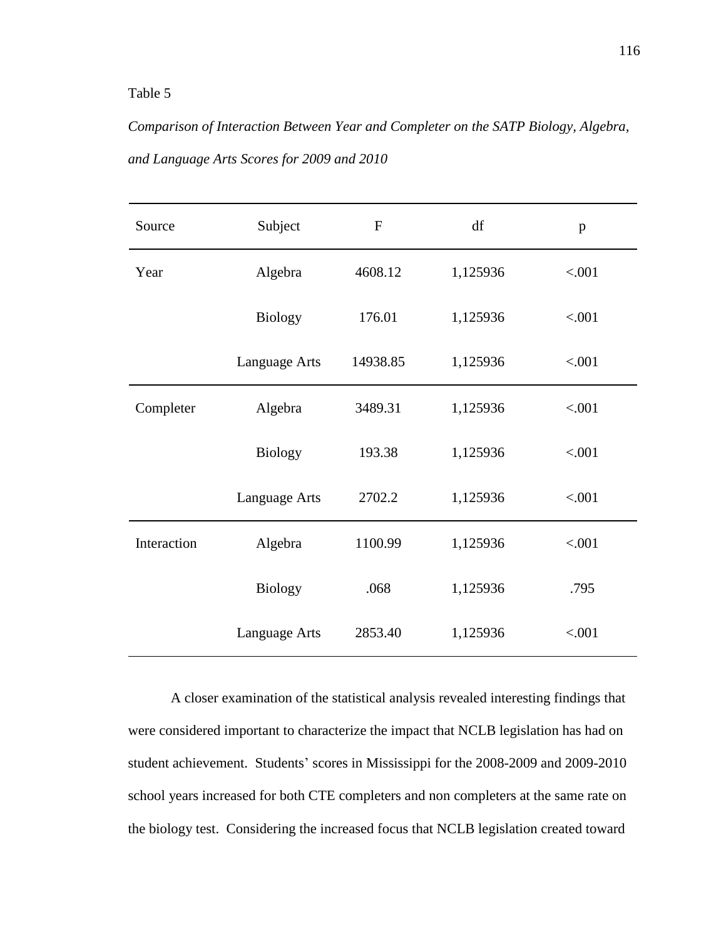# Table 5

*Comparison of Interaction Between Year and Completer on the SATP Biology, Algebra, and Language Arts Scores for 2009 and 2010*

| Source      | Subject        | $\mathbf{F}$ | df       | p      |
|-------------|----------------|--------------|----------|--------|
| Year        | Algebra        | 4608.12      | 1,125936 | < .001 |
|             | <b>Biology</b> | 176.01       | 1,125936 | < .001 |
|             | Language Arts  | 14938.85     | 1,125936 | < .001 |
| Completer   | Algebra        | 3489.31      | 1,125936 | < .001 |
|             | <b>Biology</b> | 193.38       | 1,125936 | < .001 |
|             | Language Arts  | 2702.2       | 1,125936 | < .001 |
| Interaction | Algebra        | 1100.99      | 1,125936 | < .001 |
|             | <b>Biology</b> | .068         | 1,125936 | .795   |
|             | Language Arts  | 2853.40      | 1,125936 | < .001 |

A closer examination of the statistical analysis revealed interesting findings that were considered important to characterize the impact that NCLB legislation has had on student achievement. Students' scores in Mississippi for the 2008-2009 and 2009-2010 school years increased for both CTE completers and non completers at the same rate on the biology test. Considering the increased focus that NCLB legislation created toward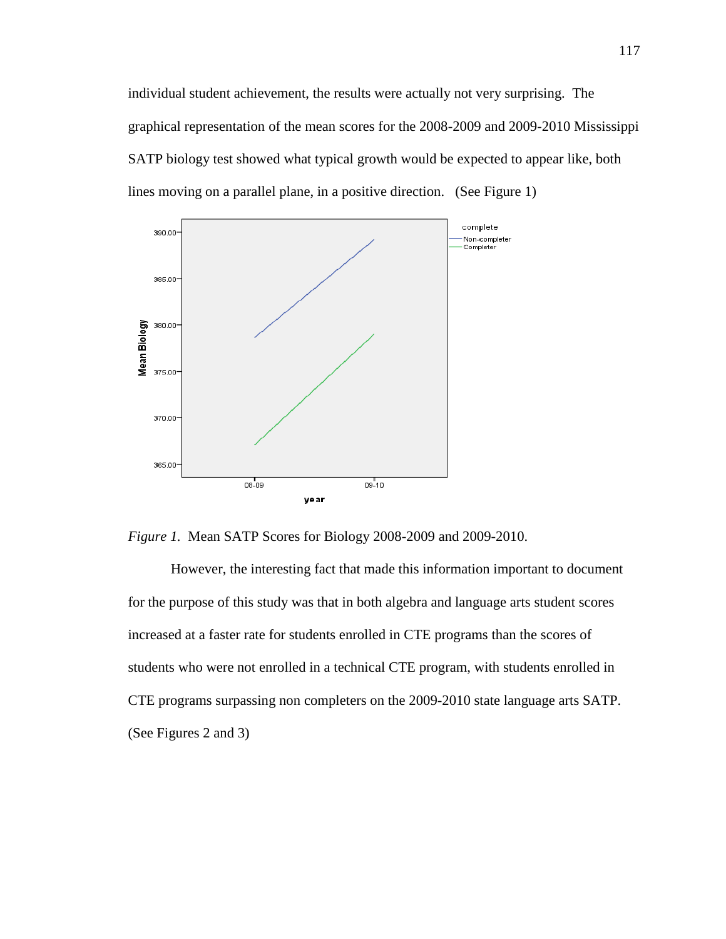individual student achievement, the results were actually not very surprising. The graphical representation of the mean scores for the 2008-2009 and 2009-2010 Mississippi SATP biology test showed what typical growth would be expected to appear like, both lines moving on a parallel plane, in a positive direction. (See Figure 1)



*Figure 1.* Mean SATP Scores for Biology 2008-2009 and 2009-2010.

However, the interesting fact that made this information important to document for the purpose of this study was that in both algebra and language arts student scores increased at a faster rate for students enrolled in CTE programs than the scores of students who were not enrolled in a technical CTE program, with students enrolled in CTE programs surpassing non completers on the 2009-2010 state language arts SATP. (See Figures 2 and 3)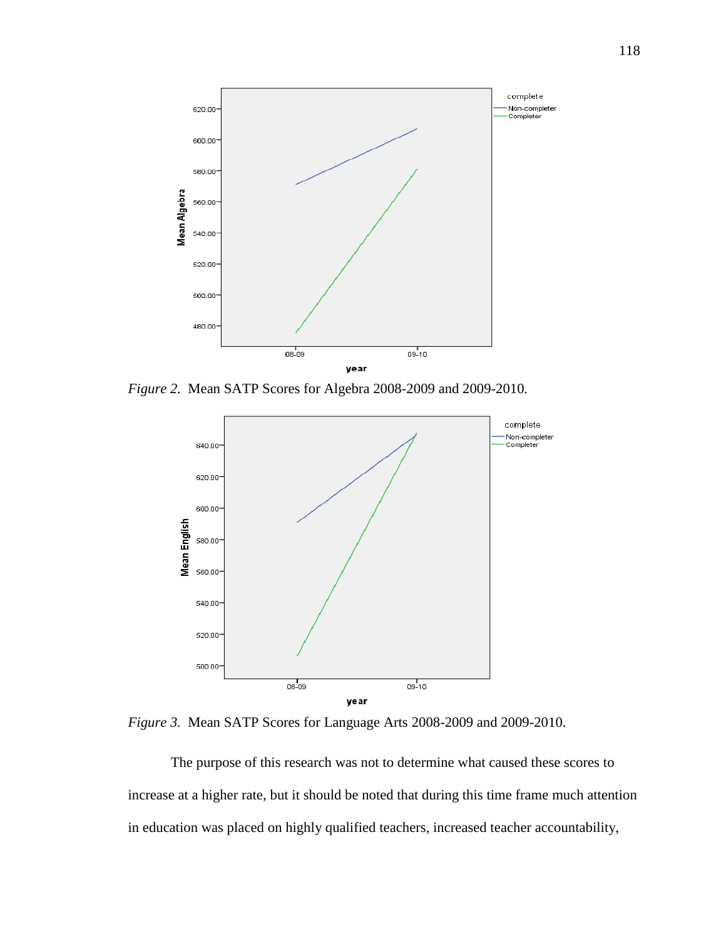

*Figure 2.* Mean SATP Scores for Algebra 2008-2009 and 2009-2010*.*



*Figure 3.* Mean SATP Scores for Language Arts 2008-2009 and 2009-2010.

The purpose of this research was not to determine what caused these scores to increase at a higher rate, but it should be noted that during this time frame much attention in education was placed on highly qualified teachers, increased teacher accountability,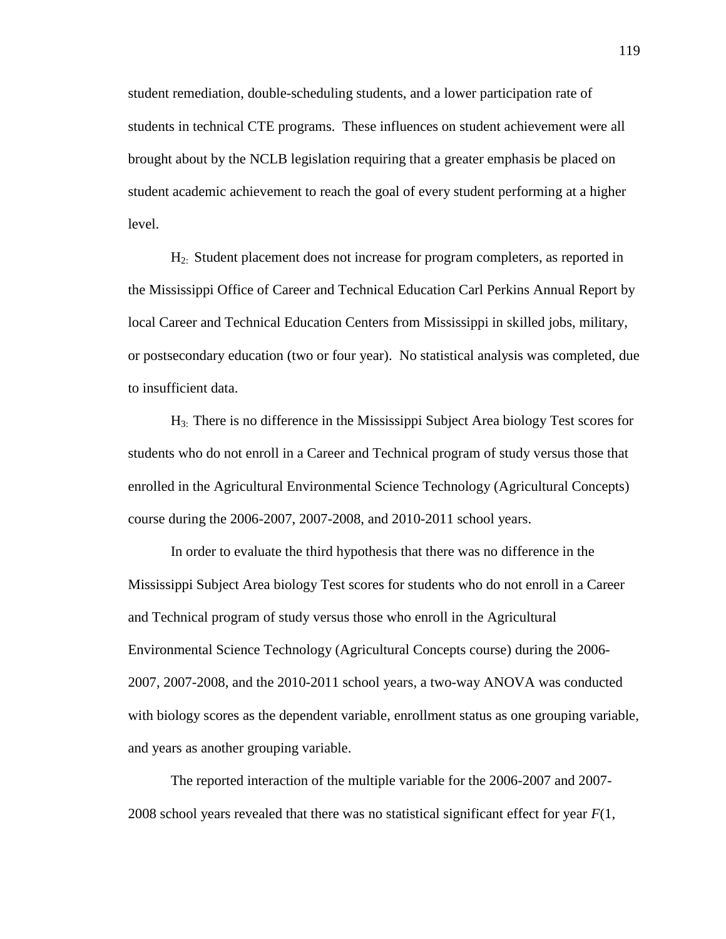student remediation, double-scheduling students, and a lower participation rate of students in technical CTE programs. These influences on student achievement were all brought about by the NCLB legislation requiring that a greater emphasis be placed on student academic achievement to reach the goal of every student performing at a higher level.

H2: Student placement does not increase for program completers, as reported in the Mississippi Office of Career and Technical Education Carl Perkins Annual Report by local Career and Technical Education Centers from Mississippi in skilled jobs, military, or postsecondary education (two or four year). No statistical analysis was completed, due to insufficient data.

H3: There is no difference in the Mississippi Subject Area biology Test scores for students who do not enroll in a Career and Technical program of study versus those that enrolled in the Agricultural Environmental Science Technology (Agricultural Concepts) course during the 2006-2007, 2007-2008, and 2010-2011 school years.

In order to evaluate the third hypothesis that there was no difference in the Mississippi Subject Area biology Test scores for students who do not enroll in a Career and Technical program of study versus those who enroll in the Agricultural Environmental Science Technology (Agricultural Concepts course) during the 2006- 2007, 2007-2008, and the 2010-2011 school years, a two-way ANOVA was conducted with biology scores as the dependent variable, enrollment status as one grouping variable, and years as another grouping variable.

The reported interaction of the multiple variable for the 2006-2007 and 2007- 2008 school years revealed that there was no statistical significant effect for year *F*(1,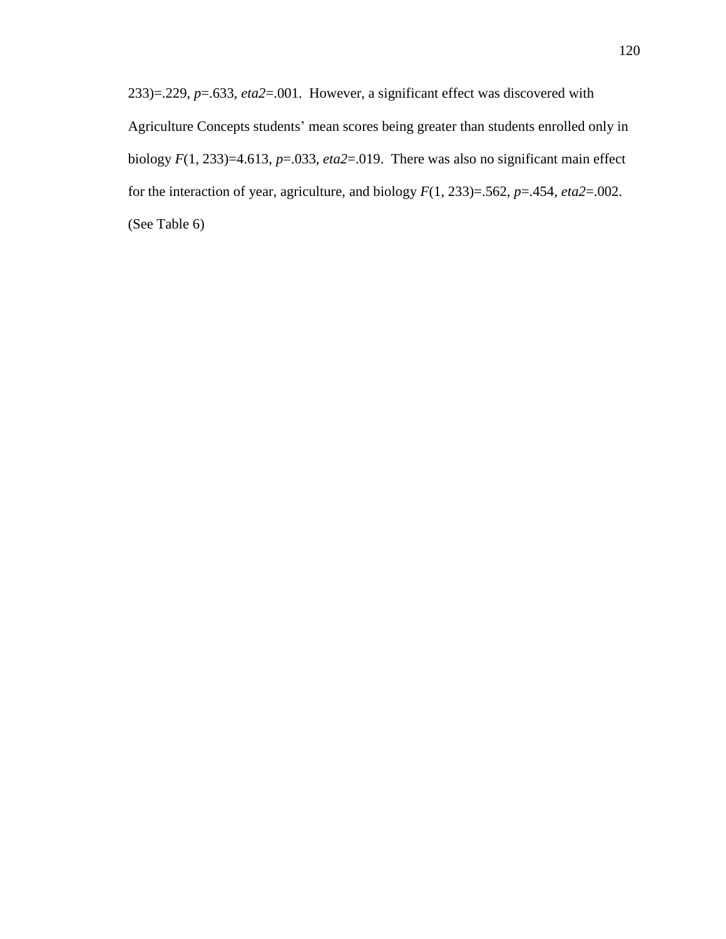233)=.229, *p*=.633, *eta2*=.001. However, a significant effect was discovered with Agriculture Concepts students' mean scores being greater than students enrolled only in biology *F*(1, 233)=4.613, *p*=.033, *eta2*=.019. There was also no significant main effect for the interaction of year, agriculture, and biology *F*(1, 233)=.562, *p*=.454, *eta2*=.002. (See Table 6)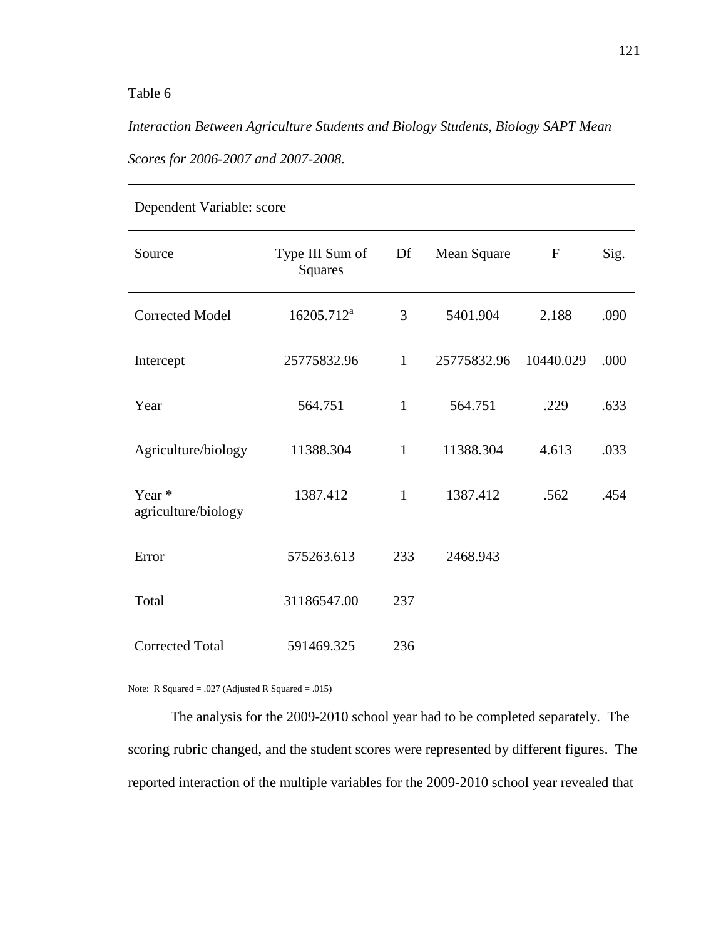# Table 6

*Interaction Between Agriculture Students and Biology Students, Biology SAPT Mean Scores for 2006-2007 and 2007-2008.*

| Source                        | Type III Sum of<br><b>Squares</b> | Df           | Mean Square | $\mathbf F$ | Sig. |
|-------------------------------|-----------------------------------|--------------|-------------|-------------|------|
| <b>Corrected Model</b>        | 16205.712 <sup>a</sup>            | 3            | 5401.904    | 2.188       | .090 |
| Intercept                     | 25775832.96                       | $\mathbf{1}$ | 25775832.96 | 10440.029   | .000 |
| Year                          | 564.751                           | $\mathbf{1}$ | 564.751     | .229        | .633 |
| Agriculture/biology           | 11388.304                         | $\mathbf{1}$ | 11388.304   | 4.613       | .033 |
| Year *<br>agriculture/biology | 1387.412                          | $\mathbf{1}$ | 1387.412    | .562        | .454 |
| Error                         | 575263.613                        | 233          | 2468.943    |             |      |
| Total                         | 31186547.00                       | 237          |             |             |      |
| <b>Corrected Total</b>        | 591469.325                        | 236          |             |             |      |

Dependent Variable: score

Note: R Squared = .027 (Adjusted R Squared = .015)

The analysis for the 2009-2010 school year had to be completed separately. The scoring rubric changed, and the student scores were represented by different figures. The reported interaction of the multiple variables for the 2009-2010 school year revealed that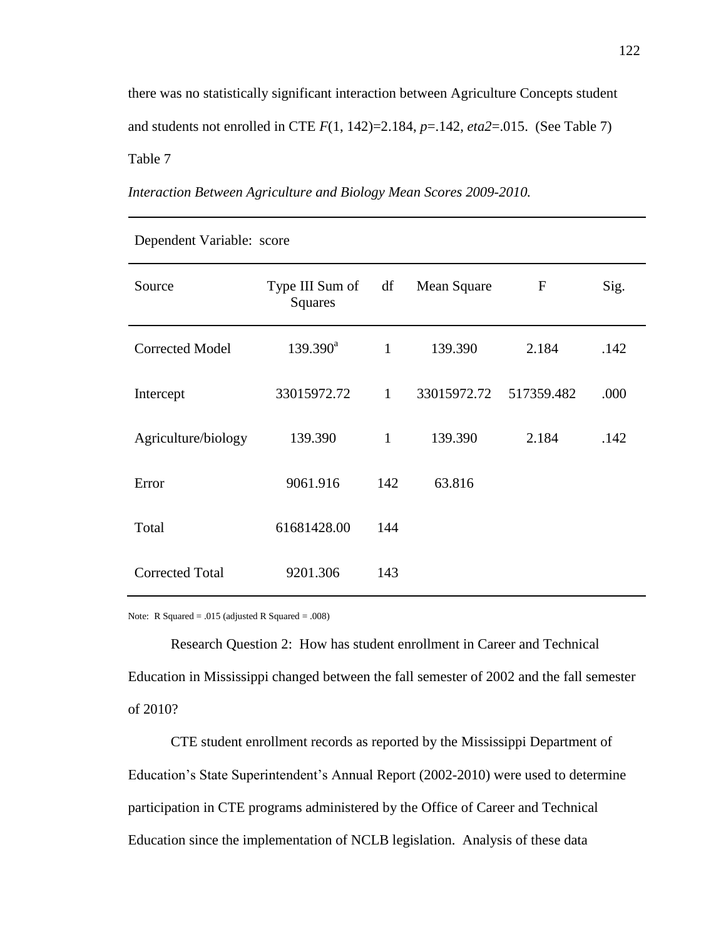there was no statistically significant interaction between Agriculture Concepts student and students not enrolled in CTE  $F(1, 142)=2.184$ ,  $p=.142$ ,  $eta2=.015$ . (See Table 7) Table 7

*Interaction Between Agriculture and Biology Mean Scores 2009-2010.* 

| Source                 | Type III Sum of<br><b>Squares</b> | df           | Mean Square | $\mathbf{F}$ | Sig. |
|------------------------|-----------------------------------|--------------|-------------|--------------|------|
| <b>Corrected Model</b> | $139.390^a$                       | $\mathbf{1}$ | 139.390     | 2.184        | .142 |
| Intercept              | 33015972.72                       | $\mathbf{1}$ | 33015972.72 | 517359.482   | .000 |
| Agriculture/biology    | 139.390                           | $\mathbf{1}$ | 139.390     | 2.184        | .142 |
| Error                  | 9061.916                          | 142          | 63.816      |              |      |
| Total                  | 61681428.00                       | 144          |             |              |      |
| <b>Corrected Total</b> | 9201.306                          | 143          |             |              |      |

Dependent Variable: score

Note: R Squared = .015 (adjusted R Squared = .008)

Research Question 2: How has student enrollment in Career and Technical Education in Mississippi changed between the fall semester of 2002 and the fall semester of 2010?

CTE student enrollment records as reported by the Mississippi Department of Education's State Superintendent's Annual Report (2002-2010) were used to determine participation in CTE programs administered by the Office of Career and Technical Education since the implementation of NCLB legislation. Analysis of these data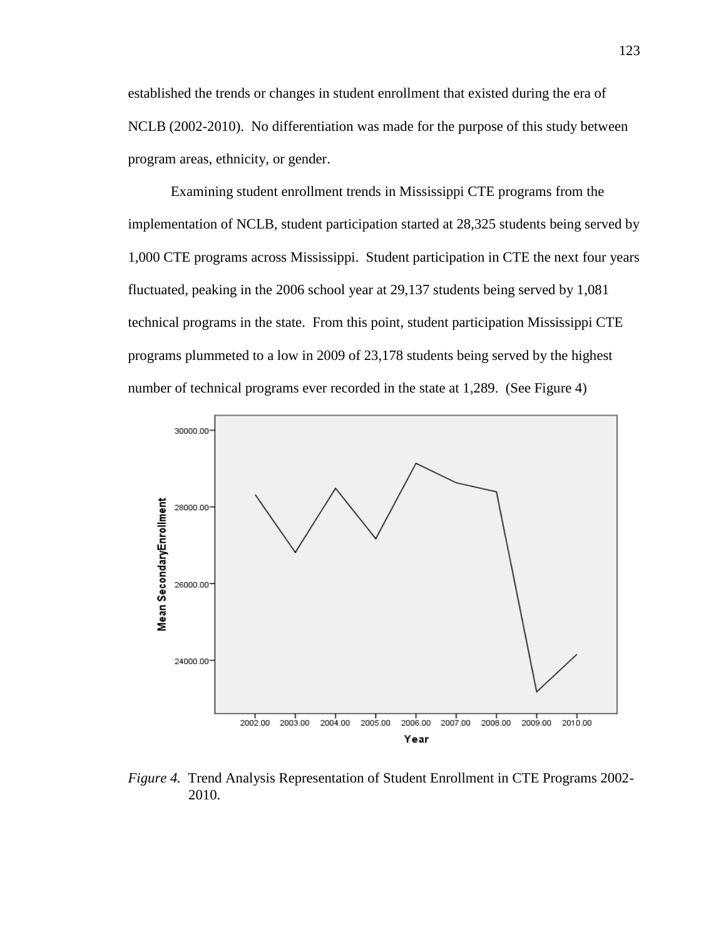established the trends or changes in student enrollment that existed during the era of NCLB (2002-2010). No differentiation was made for the purpose of this study between program areas, ethnicity, or gender.

Examining student enrollment trends in Mississippi CTE programs from the implementation of NCLB, student participation started at 28,325 students being served by 1,000 CTE programs across Mississippi. Student participation in CTE the next four years fluctuated, peaking in the 2006 school year at 29,137 students being served by 1,081 technical programs in the state. From this point, student participation Mississippi CTE programs plummeted to a low in 2009 of 23,178 students being served by the highest number of technical programs ever recorded in the state at 1,289. (See Figure 4)



*Figure 4.* Trend Analysis Representation of Student Enrollment in CTE Programs 2002- 2010.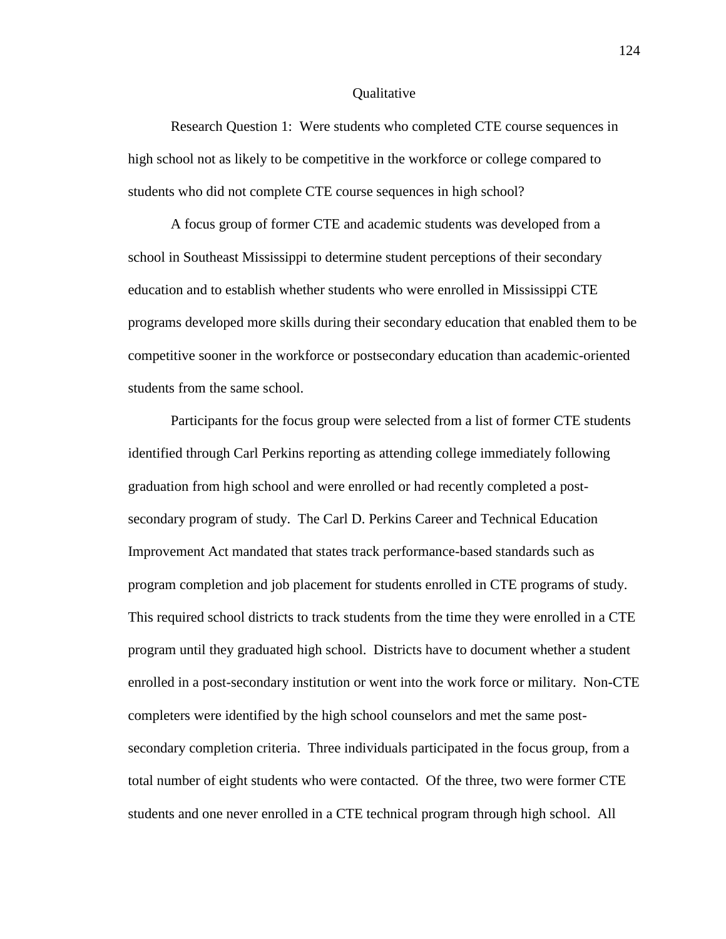#### **Oualitative**

Research Question 1: Were students who completed CTE course sequences in high school not as likely to be competitive in the workforce or college compared to students who did not complete CTE course sequences in high school?

A focus group of former CTE and academic students was developed from a school in Southeast Mississippi to determine student perceptions of their secondary education and to establish whether students who were enrolled in Mississippi CTE programs developed more skills during their secondary education that enabled them to be competitive sooner in the workforce or postsecondary education than academic-oriented students from the same school.

Participants for the focus group were selected from a list of former CTE students identified through Carl Perkins reporting as attending college immediately following graduation from high school and were enrolled or had recently completed a postsecondary program of study. The Carl D. Perkins Career and Technical Education Improvement Act mandated that states track performance-based standards such as program completion and job placement for students enrolled in CTE programs of study. This required school districts to track students from the time they were enrolled in a CTE program until they graduated high school. Districts have to document whether a student enrolled in a post-secondary institution or went into the work force or military. Non-CTE completers were identified by the high school counselors and met the same postsecondary completion criteria. Three individuals participated in the focus group, from a total number of eight students who were contacted. Of the three, two were former CTE students and one never enrolled in a CTE technical program through high school. All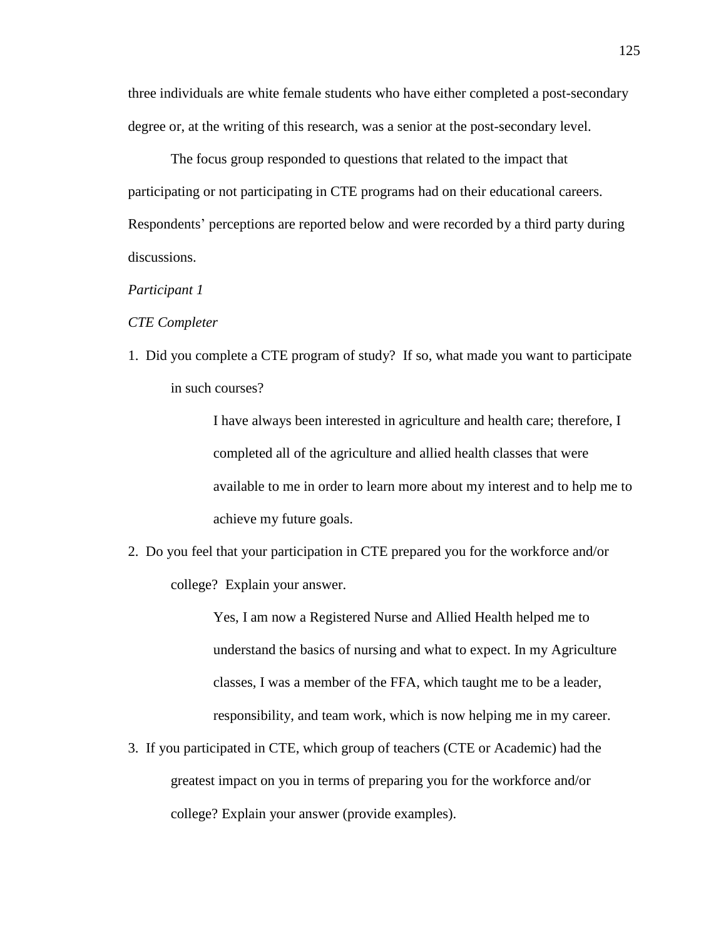three individuals are white female students who have either completed a post-secondary degree or, at the writing of this research, was a senior at the post-secondary level.

The focus group responded to questions that related to the impact that participating or not participating in CTE programs had on their educational careers. Respondents' perceptions are reported below and were recorded by a third party during discussions.

### *Participant 1*

### *CTE Completer*

1. Did you complete a CTE program of study? If so, what made you want to participate in such courses?

> I have always been interested in agriculture and health care; therefore, I completed all of the agriculture and allied health classes that were available to me in order to learn more about my interest and to help me to achieve my future goals.

2. Do you feel that your participation in CTE prepared you for the workforce and/or college? Explain your answer.

> Yes, I am now a Registered Nurse and Allied Health helped me to understand the basics of nursing and what to expect. In my Agriculture classes, I was a member of the FFA, which taught me to be a leader, responsibility, and team work, which is now helping me in my career.

3. If you participated in CTE, which group of teachers (CTE or Academic) had the greatest impact on you in terms of preparing you for the workforce and/or college? Explain your answer (provide examples).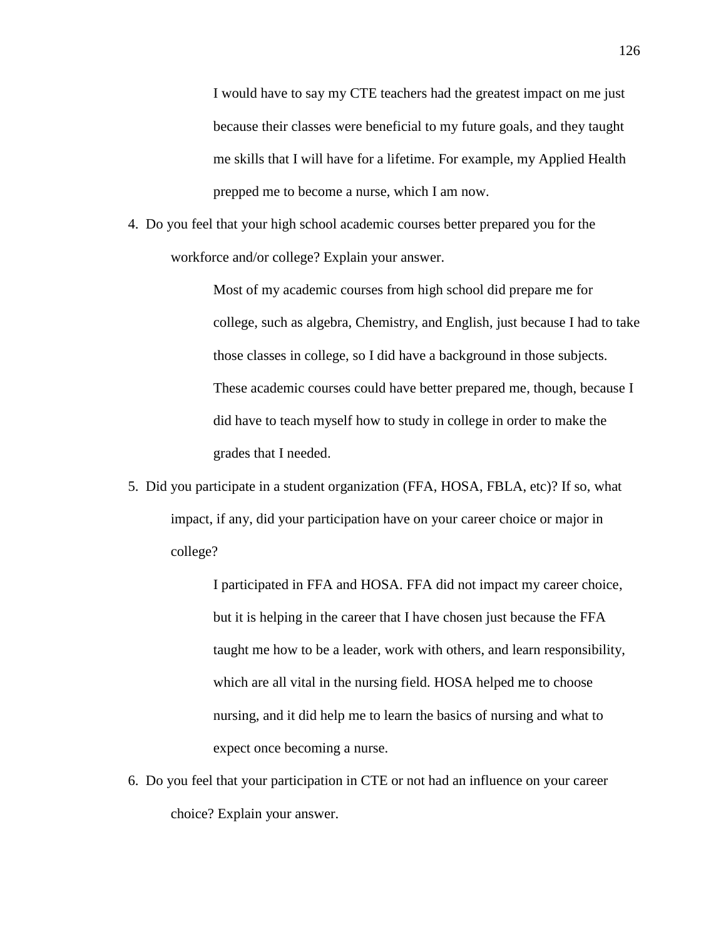I would have to say my CTE teachers had the greatest impact on me just because their classes were beneficial to my future goals, and they taught me skills that I will have for a lifetime. For example, my Applied Health prepped me to become a nurse, which I am now.

4. Do you feel that your high school academic courses better prepared you for the workforce and/or college? Explain your answer.

> Most of my academic courses from high school did prepare me for college, such as algebra, Chemistry, and English, just because I had to take those classes in college, so I did have a background in those subjects. These academic courses could have better prepared me, though, because I did have to teach myself how to study in college in order to make the grades that I needed.

5. Did you participate in a student organization (FFA, HOSA, FBLA, etc)? If so, what impact, if any, did your participation have on your career choice or major in college?

> I participated in FFA and HOSA. FFA did not impact my career choice, but it is helping in the career that I have chosen just because the FFA taught me how to be a leader, work with others, and learn responsibility, which are all vital in the nursing field. HOSA helped me to choose nursing, and it did help me to learn the basics of nursing and what to expect once becoming a nurse.

6. Do you feel that your participation in CTE or not had an influence on your career choice? Explain your answer.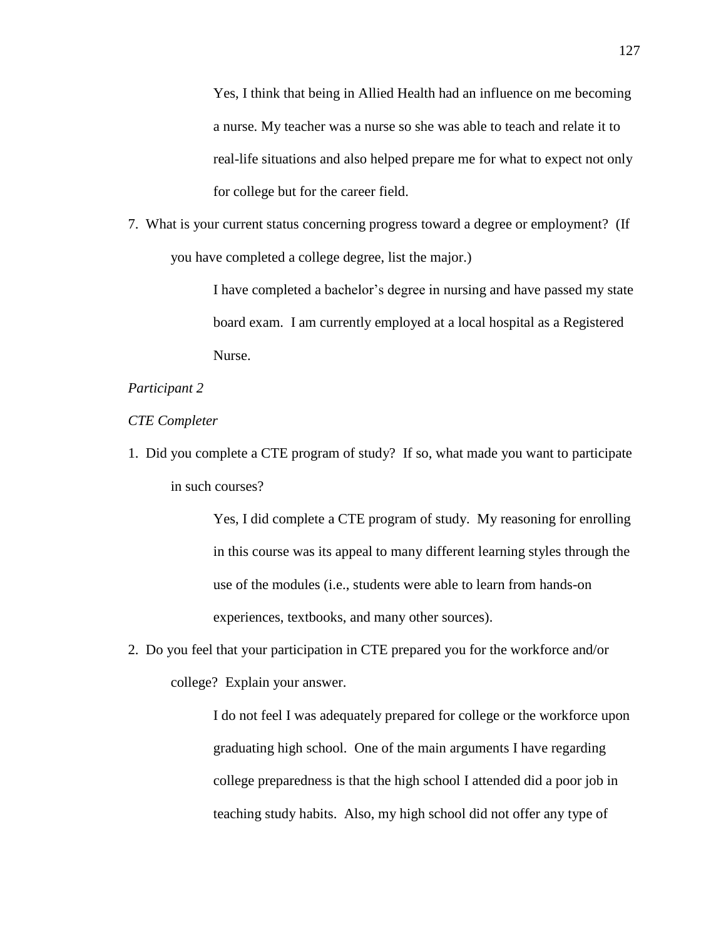Yes, I think that being in Allied Health had an influence on me becoming a nurse. My teacher was a nurse so she was able to teach and relate it to real-life situations and also helped prepare me for what to expect not only for college but for the career field.

7. What is your current status concerning progress toward a degree or employment? (If you have completed a college degree, list the major.)

> I have completed a bachelor's degree in nursing and have passed my state board exam. I am currently employed at a local hospital as a Registered Nurse.

# *Participant 2*

# *CTE Completer*

1. Did you complete a CTE program of study? If so, what made you want to participate in such courses?

> Yes, I did complete a CTE program of study. My reasoning for enrolling in this course was its appeal to many different learning styles through the use of the modules (i.e., students were able to learn from hands-on experiences, textbooks, and many other sources).

2. Do you feel that your participation in CTE prepared you for the workforce and/or college? Explain your answer.

> I do not feel I was adequately prepared for college or the workforce upon graduating high school. One of the main arguments I have regarding college preparedness is that the high school I attended did a poor job in teaching study habits. Also, my high school did not offer any type of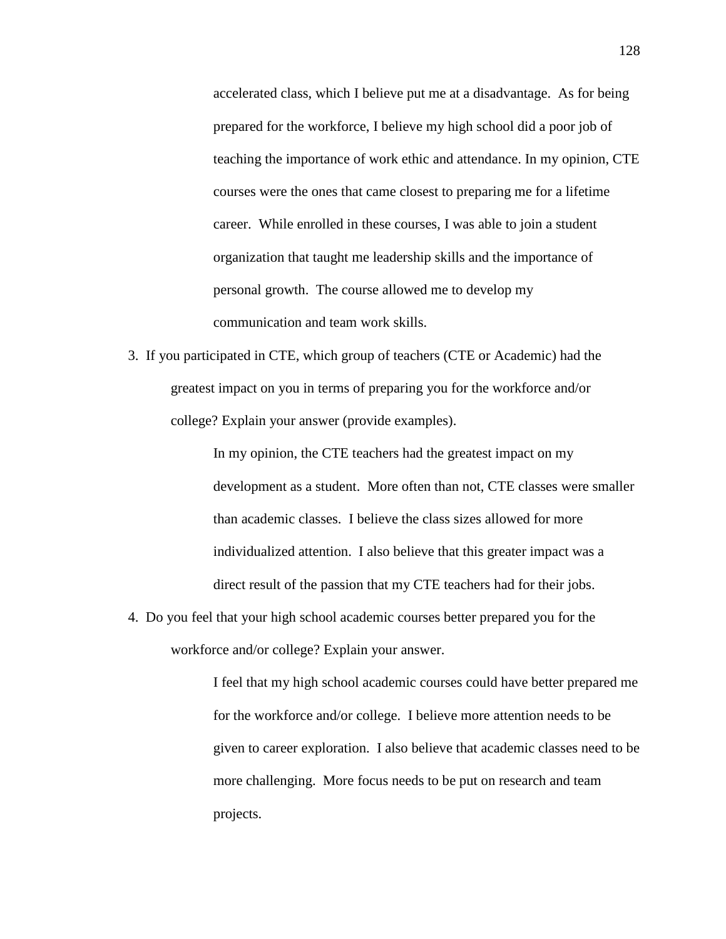accelerated class, which I believe put me at a disadvantage. As for being prepared for the workforce, I believe my high school did a poor job of teaching the importance of work ethic and attendance. In my opinion, CTE courses were the ones that came closest to preparing me for a lifetime career. While enrolled in these courses, I was able to join a student organization that taught me leadership skills and the importance of personal growth. The course allowed me to develop my communication and team work skills.

3. If you participated in CTE, which group of teachers (CTE or Academic) had the greatest impact on you in terms of preparing you for the workforce and/or college? Explain your answer (provide examples).

> In my opinion, the CTE teachers had the greatest impact on my development as a student. More often than not, CTE classes were smaller than academic classes. I believe the class sizes allowed for more individualized attention. I also believe that this greater impact was a direct result of the passion that my CTE teachers had for their jobs.

4. Do you feel that your high school academic courses better prepared you for the workforce and/or college? Explain your answer.

> I feel that my high school academic courses could have better prepared me for the workforce and/or college. I believe more attention needs to be given to career exploration. I also believe that academic classes need to be more challenging. More focus needs to be put on research and team projects.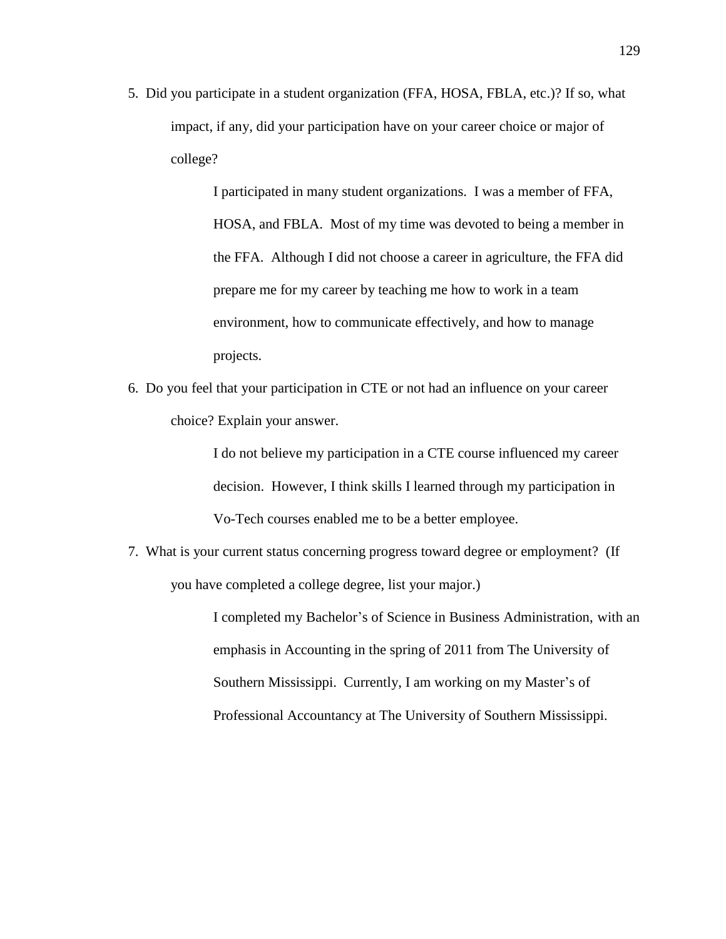5. Did you participate in a student organization (FFA, HOSA, FBLA, etc.)? If so, what impact, if any, did your participation have on your career choice or major of college?

> I participated in many student organizations. I was a member of FFA, HOSA, and FBLA. Most of my time was devoted to being a member in the FFA. Although I did not choose a career in agriculture, the FFA did prepare me for my career by teaching me how to work in a team environment, how to communicate effectively, and how to manage projects.

6. Do you feel that your participation in CTE or not had an influence on your career choice? Explain your answer.

> I do not believe my participation in a CTE course influenced my career decision. However, I think skills I learned through my participation in Vo-Tech courses enabled me to be a better employee.

7. What is your current status concerning progress toward degree or employment? (If you have completed a college degree, list your major.)

> I completed my Bachelor's of Science in Business Administration, with an emphasis in Accounting in the spring of 2011 from The University of Southern Mississippi. Currently, I am working on my Master's of Professional Accountancy at The University of Southern Mississippi.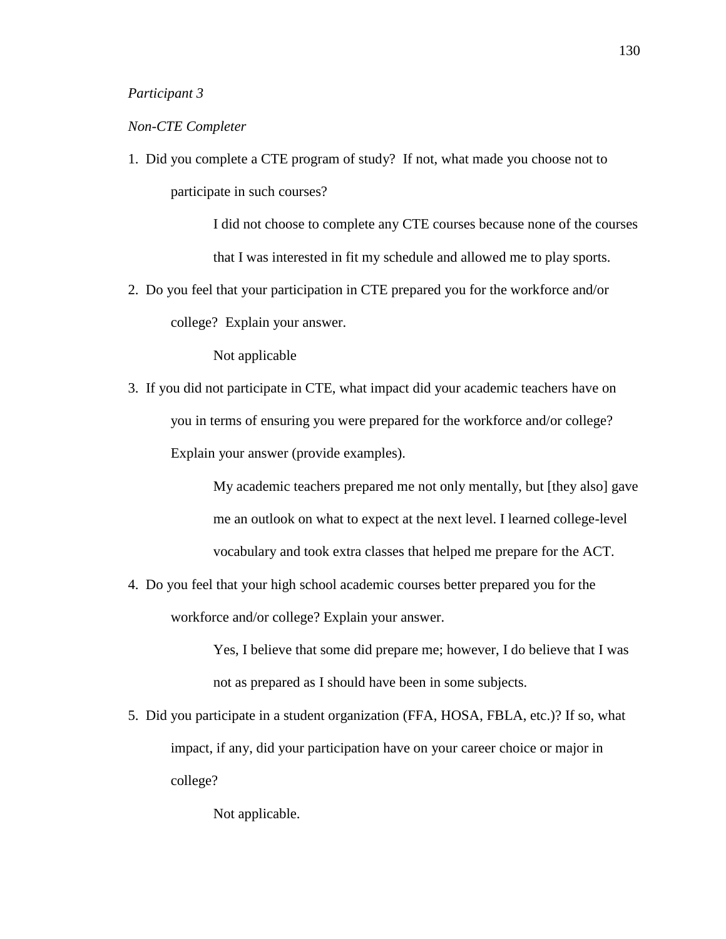### *Participant 3*

### *Non-CTE Completer*

1. Did you complete a CTE program of study? If not, what made you choose not to participate in such courses?

> I did not choose to complete any CTE courses because none of the courses that I was interested in fit my schedule and allowed me to play sports.

2. Do you feel that your participation in CTE prepared you for the workforce and/or college? Explain your answer.

Not applicable

3. If you did not participate in CTE, what impact did your academic teachers have on you in terms of ensuring you were prepared for the workforce and/or college? Explain your answer (provide examples).

> My academic teachers prepared me not only mentally, but [they also] gave me an outlook on what to expect at the next level. I learned college-level vocabulary and took extra classes that helped me prepare for the ACT.

4. Do you feel that your high school academic courses better prepared you for the workforce and/or college? Explain your answer.

> Yes, I believe that some did prepare me; however, I do believe that I was not as prepared as I should have been in some subjects.

5. Did you participate in a student organization (FFA, HOSA, FBLA, etc.)? If so, what impact, if any, did your participation have on your career choice or major in college?

Not applicable.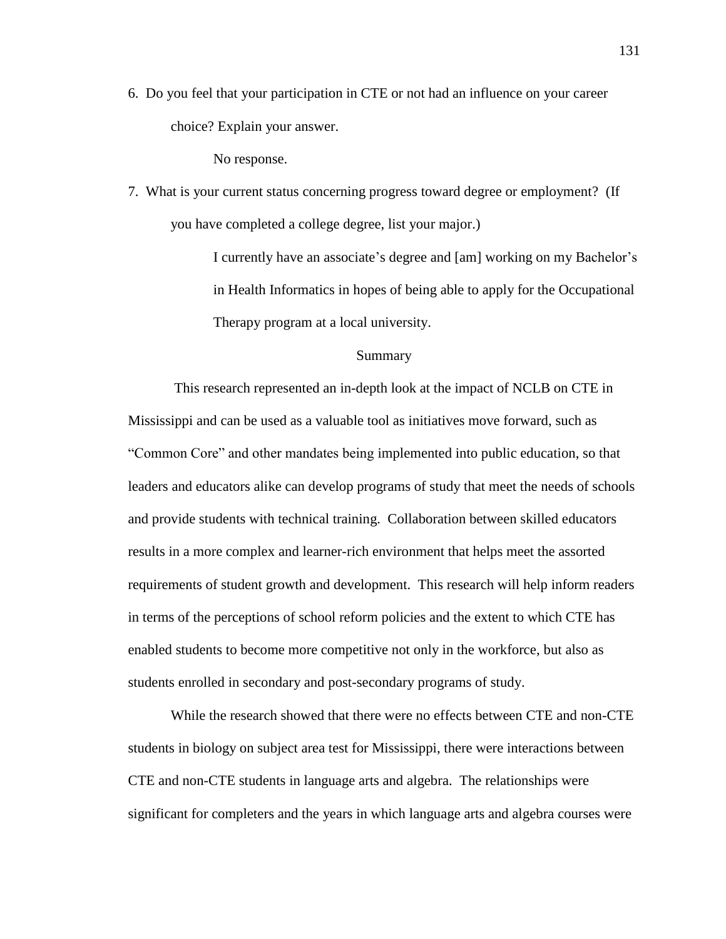6. Do you feel that your participation in CTE or not had an influence on your career choice? Explain your answer.

No response.

7. What is your current status concerning progress toward degree or employment? (If you have completed a college degree, list your major.)

> I currently have an associate's degree and [am] working on my Bachelor's in Health Informatics in hopes of being able to apply for the Occupational Therapy program at a local university.

### Summary

This research represented an in-depth look at the impact of NCLB on CTE in Mississippi and can be used as a valuable tool as initiatives move forward, such as "Common Core" and other mandates being implemented into public education, so that leaders and educators alike can develop programs of study that meet the needs of schools and provide students with technical training. Collaboration between skilled educators results in a more complex and learner-rich environment that helps meet the assorted requirements of student growth and development. This research will help inform readers in terms of the perceptions of school reform policies and the extent to which CTE has enabled students to become more competitive not only in the workforce, but also as students enrolled in secondary and post-secondary programs of study.

While the research showed that there were no effects between CTE and non-CTE students in biology on subject area test for Mississippi, there were interactions between CTE and non-CTE students in language arts and algebra. The relationships were significant for completers and the years in which language arts and algebra courses were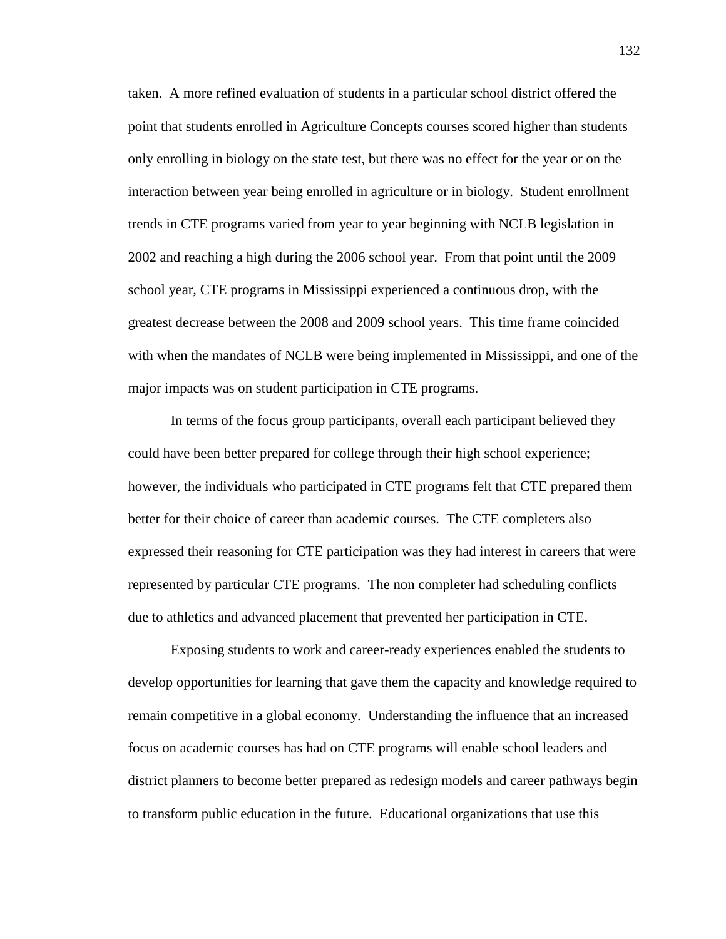taken. A more refined evaluation of students in a particular school district offered the point that students enrolled in Agriculture Concepts courses scored higher than students only enrolling in biology on the state test, but there was no effect for the year or on the interaction between year being enrolled in agriculture or in biology. Student enrollment trends in CTE programs varied from year to year beginning with NCLB legislation in 2002 and reaching a high during the 2006 school year. From that point until the 2009 school year, CTE programs in Mississippi experienced a continuous drop, with the greatest decrease between the 2008 and 2009 school years. This time frame coincided with when the mandates of NCLB were being implemented in Mississippi, and one of the major impacts was on student participation in CTE programs.

In terms of the focus group participants, overall each participant believed they could have been better prepared for college through their high school experience; however, the individuals who participated in CTE programs felt that CTE prepared them better for their choice of career than academic courses. The CTE completers also expressed their reasoning for CTE participation was they had interest in careers that were represented by particular CTE programs. The non completer had scheduling conflicts due to athletics and advanced placement that prevented her participation in CTE.

Exposing students to work and career-ready experiences enabled the students to develop opportunities for learning that gave them the capacity and knowledge required to remain competitive in a global economy. Understanding the influence that an increased focus on academic courses has had on CTE programs will enable school leaders and district planners to become better prepared as redesign models and career pathways begin to transform public education in the future. Educational organizations that use this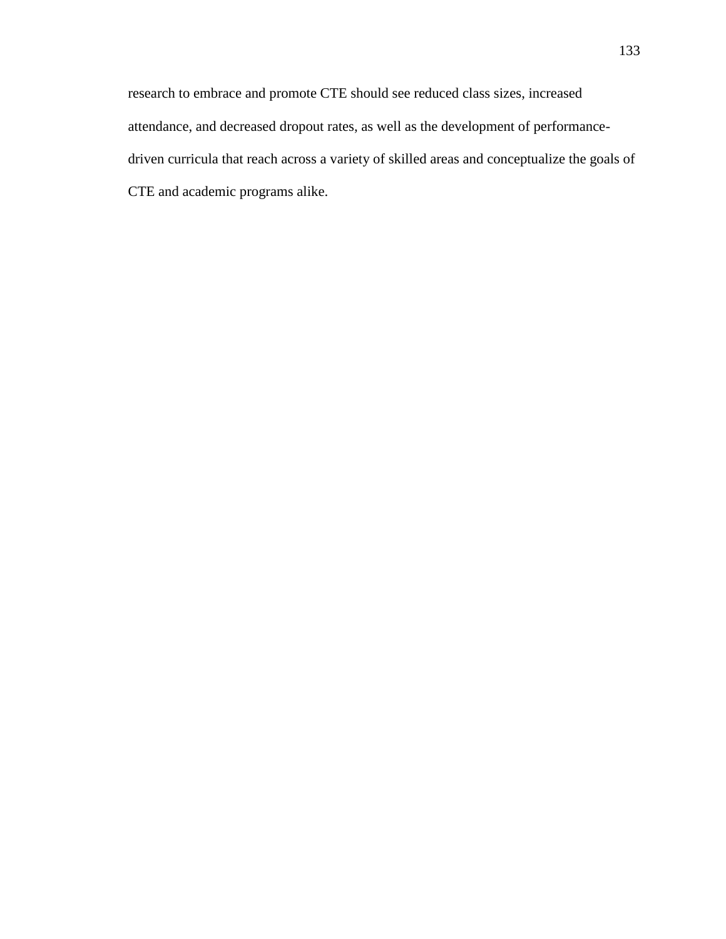research to embrace and promote CTE should see reduced class sizes, increased attendance, and decreased dropout rates, as well as the development of performancedriven curricula that reach across a variety of skilled areas and conceptualize the goals of CTE and academic programs alike.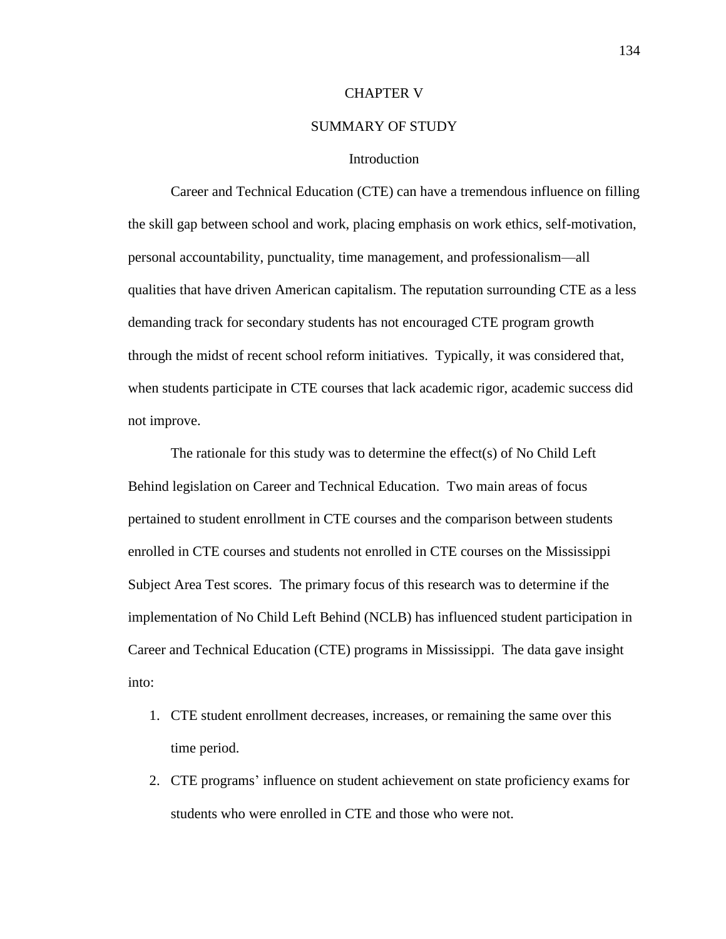#### CHAPTER V

## SUMMARY OF STUDY

#### **Introduction**

Career and Technical Education (CTE) can have a tremendous influence on filling the skill gap between school and work, placing emphasis on work ethics, self-motivation, personal accountability, punctuality, time management, and professionalism—all qualities that have driven American capitalism. The reputation surrounding CTE as a less demanding track for secondary students has not encouraged CTE program growth through the midst of recent school reform initiatives. Typically, it was considered that, when students participate in CTE courses that lack academic rigor, academic success did not improve.

The rationale for this study was to determine the effect(s) of No Child Left Behind legislation on Career and Technical Education. Two main areas of focus pertained to student enrollment in CTE courses and the comparison between students enrolled in CTE courses and students not enrolled in CTE courses on the Mississippi Subject Area Test scores. The primary focus of this research was to determine if the implementation of No Child Left Behind (NCLB) has influenced student participation in Career and Technical Education (CTE) programs in Mississippi. The data gave insight into:

- 1. CTE student enrollment decreases, increases, or remaining the same over this time period.
- 2. CTE programs' influence on student achievement on state proficiency exams for students who were enrolled in CTE and those who were not.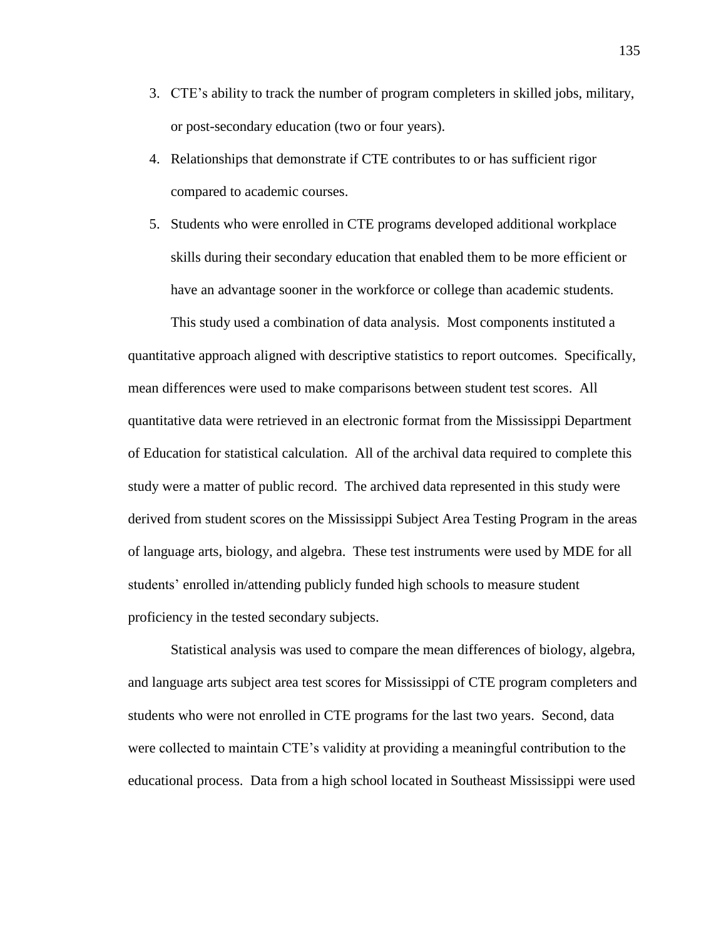- 3. CTE's ability to track the number of program completers in skilled jobs, military, or post-secondary education (two or four years).
- 4. Relationships that demonstrate if CTE contributes to or has sufficient rigor compared to academic courses.
- 5. Students who were enrolled in CTE programs developed additional workplace skills during their secondary education that enabled them to be more efficient or have an advantage sooner in the workforce or college than academic students.

This study used a combination of data analysis. Most components instituted a quantitative approach aligned with descriptive statistics to report outcomes. Specifically, mean differences were used to make comparisons between student test scores. All quantitative data were retrieved in an electronic format from the Mississippi Department of Education for statistical calculation. All of the archival data required to complete this study were a matter of public record. The archived data represented in this study were derived from student scores on the Mississippi Subject Area Testing Program in the areas of language arts, biology, and algebra. These test instruments were used by MDE for all students' enrolled in/attending publicly funded high schools to measure student proficiency in the tested secondary subjects.

Statistical analysis was used to compare the mean differences of biology, algebra, and language arts subject area test scores for Mississippi of CTE program completers and students who were not enrolled in CTE programs for the last two years. Second, data were collected to maintain CTE's validity at providing a meaningful contribution to the educational process. Data from a high school located in Southeast Mississippi were used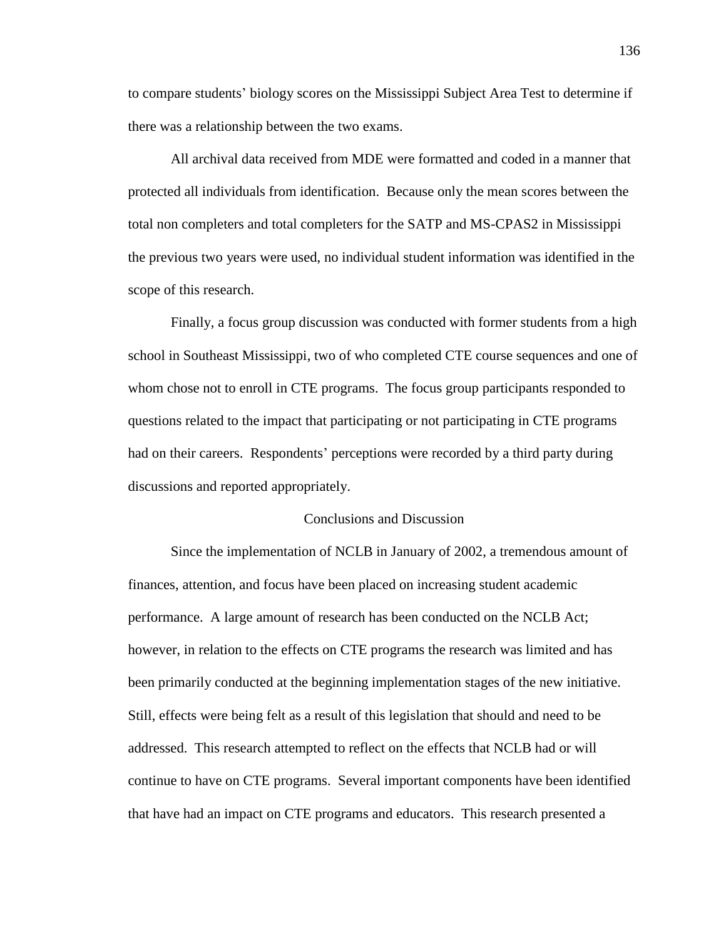to compare students' biology scores on the Mississippi Subject Area Test to determine if there was a relationship between the two exams.

All archival data received from MDE were formatted and coded in a manner that protected all individuals from identification. Because only the mean scores between the total non completers and total completers for the SATP and MS-CPAS2 in Mississippi the previous two years were used, no individual student information was identified in the scope of this research.

Finally, a focus group discussion was conducted with former students from a high school in Southeast Mississippi, two of who completed CTE course sequences and one of whom chose not to enroll in CTE programs. The focus group participants responded to questions related to the impact that participating or not participating in CTE programs had on their careers. Respondents' perceptions were recorded by a third party during discussions and reported appropriately.

#### Conclusions and Discussion

Since the implementation of NCLB in January of 2002, a tremendous amount of finances, attention, and focus have been placed on increasing student academic performance. A large amount of research has been conducted on the NCLB Act; however, in relation to the effects on CTE programs the research was limited and has been primarily conducted at the beginning implementation stages of the new initiative. Still, effects were being felt as a result of this legislation that should and need to be addressed. This research attempted to reflect on the effects that NCLB had or will continue to have on CTE programs. Several important components have been identified that have had an impact on CTE programs and educators. This research presented a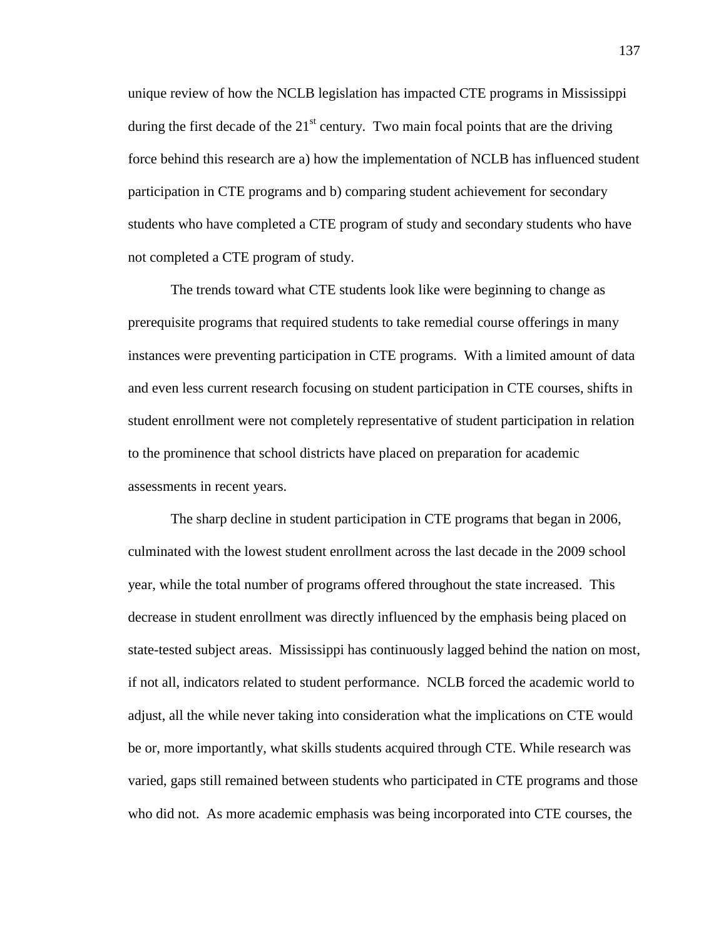unique review of how the NCLB legislation has impacted CTE programs in Mississippi during the first decade of the  $21<sup>st</sup>$  century. Two main focal points that are the driving force behind this research are a) how the implementation of NCLB has influenced student participation in CTE programs and b) comparing student achievement for secondary students who have completed a CTE program of study and secondary students who have not completed a CTE program of study.

The trends toward what CTE students look like were beginning to change as prerequisite programs that required students to take remedial course offerings in many instances were preventing participation in CTE programs. With a limited amount of data and even less current research focusing on student participation in CTE courses, shifts in student enrollment were not completely representative of student participation in relation to the prominence that school districts have placed on preparation for academic assessments in recent years.

The sharp decline in student participation in CTE programs that began in 2006, culminated with the lowest student enrollment across the last decade in the 2009 school year, while the total number of programs offered throughout the state increased. This decrease in student enrollment was directly influenced by the emphasis being placed on state-tested subject areas. Mississippi has continuously lagged behind the nation on most, if not all, indicators related to student performance. NCLB forced the academic world to adjust, all the while never taking into consideration what the implications on CTE would be or, more importantly, what skills students acquired through CTE. While research was varied, gaps still remained between students who participated in CTE programs and those who did not. As more academic emphasis was being incorporated into CTE courses, the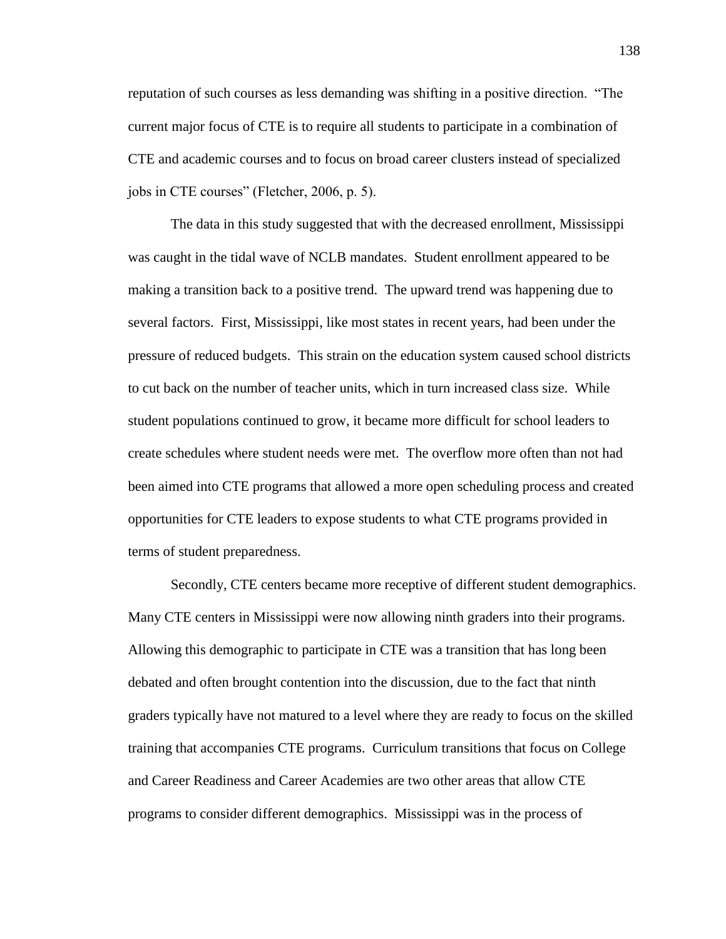reputation of such courses as less demanding was shifting in a positive direction. "The current major focus of CTE is to require all students to participate in a combination of CTE and academic courses and to focus on broad career clusters instead of specialized jobs in CTE courses" (Fletcher, 2006, p. 5).

The data in this study suggested that with the decreased enrollment, Mississippi was caught in the tidal wave of NCLB mandates. Student enrollment appeared to be making a transition back to a positive trend. The upward trend was happening due to several factors. First, Mississippi, like most states in recent years, had been under the pressure of reduced budgets. This strain on the education system caused school districts to cut back on the number of teacher units, which in turn increased class size. While student populations continued to grow, it became more difficult for school leaders to create schedules where student needs were met. The overflow more often than not had been aimed into CTE programs that allowed a more open scheduling process and created opportunities for CTE leaders to expose students to what CTE programs provided in terms of student preparedness.

Secondly, CTE centers became more receptive of different student demographics. Many CTE centers in Mississippi were now allowing ninth graders into their programs. Allowing this demographic to participate in CTE was a transition that has long been debated and often brought contention into the discussion, due to the fact that ninth graders typically have not matured to a level where they are ready to focus on the skilled training that accompanies CTE programs. Curriculum transitions that focus on College and Career Readiness and Career Academies are two other areas that allow CTE programs to consider different demographics. Mississippi was in the process of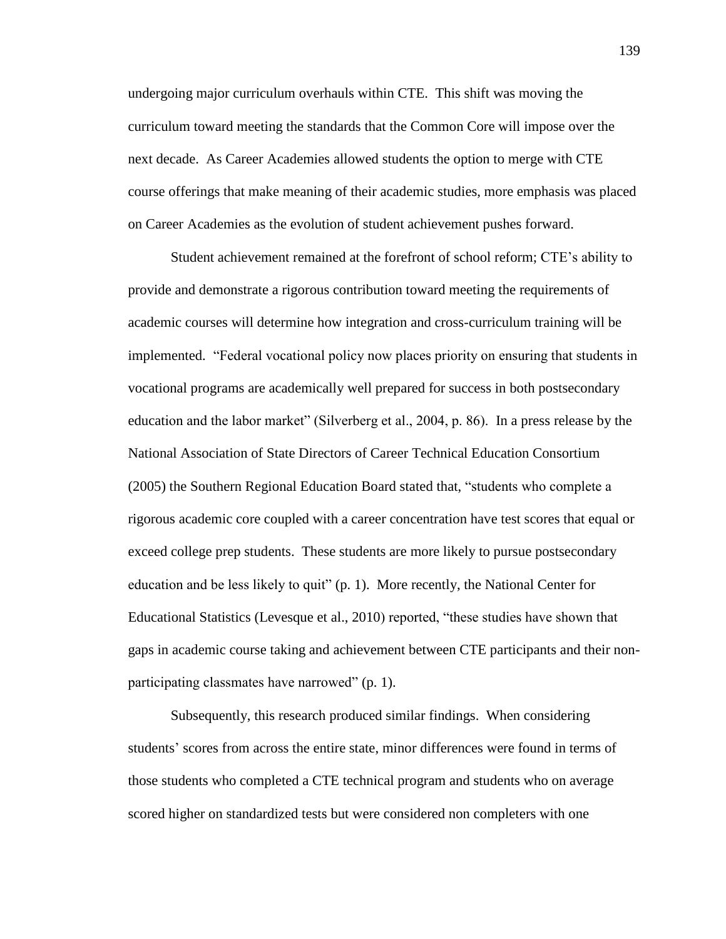undergoing major curriculum overhauls within CTE. This shift was moving the curriculum toward meeting the standards that the Common Core will impose over the next decade. As Career Academies allowed students the option to merge with CTE course offerings that make meaning of their academic studies, more emphasis was placed on Career Academies as the evolution of student achievement pushes forward.

Student achievement remained at the forefront of school reform; CTE's ability to provide and demonstrate a rigorous contribution toward meeting the requirements of academic courses will determine how integration and cross-curriculum training will be implemented. "Federal vocational policy now places priority on ensuring that students in vocational programs are academically well prepared for success in both postsecondary education and the labor market" (Silverberg et al., 2004, p. 86). In a press release by the National Association of State Directors of Career Technical Education Consortium (2005) the Southern Regional Education Board stated that, "students who complete a rigorous academic core coupled with a career concentration have test scores that equal or exceed college prep students. These students are more likely to pursue postsecondary education and be less likely to quit" (p. 1). More recently, the National Center for Educational Statistics (Levesque et al., 2010) reported, "these studies have shown that gaps in academic course taking and achievement between CTE participants and their nonparticipating classmates have narrowed" (p. 1).

Subsequently, this research produced similar findings. When considering students' scores from across the entire state, minor differences were found in terms of those students who completed a CTE technical program and students who on average scored higher on standardized tests but were considered non completers with one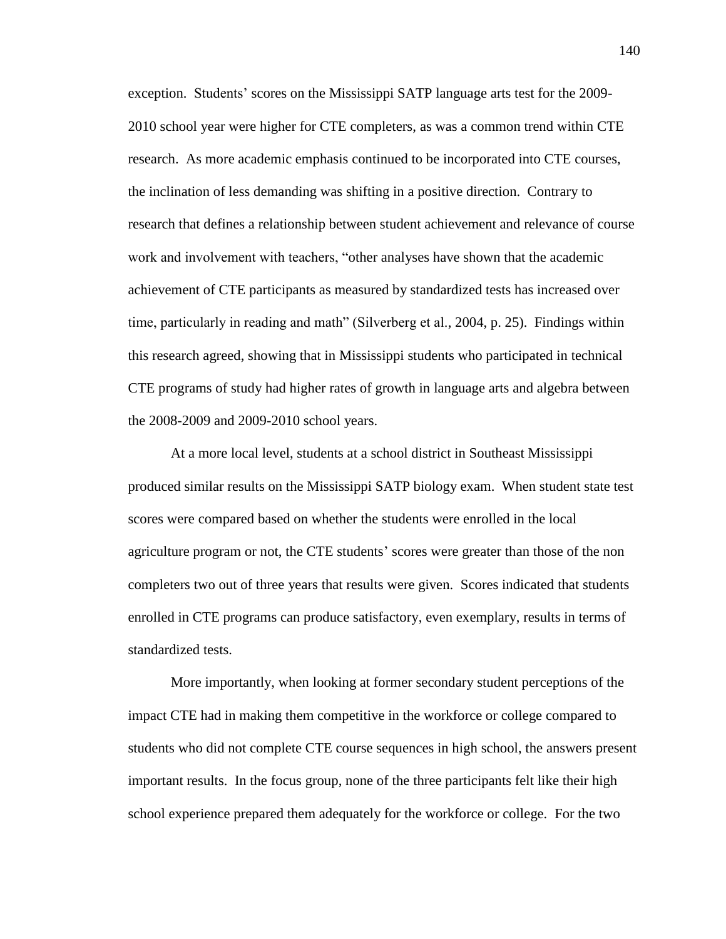exception. Students' scores on the Mississippi SATP language arts test for the 2009- 2010 school year were higher for CTE completers, as was a common trend within CTE research. As more academic emphasis continued to be incorporated into CTE courses, the inclination of less demanding was shifting in a positive direction. Contrary to research that defines a relationship between student achievement and relevance of course work and involvement with teachers, "other analyses have shown that the academic achievement of CTE participants as measured by standardized tests has increased over time, particularly in reading and math" (Silverberg et al., 2004, p. 25). Findings within this research agreed, showing that in Mississippi students who participated in technical CTE programs of study had higher rates of growth in language arts and algebra between the 2008-2009 and 2009-2010 school years.

At a more local level, students at a school district in Southeast Mississippi produced similar results on the Mississippi SATP biology exam. When student state test scores were compared based on whether the students were enrolled in the local agriculture program or not, the CTE students' scores were greater than those of the non completers two out of three years that results were given. Scores indicated that students enrolled in CTE programs can produce satisfactory, even exemplary, results in terms of standardized tests.

More importantly, when looking at former secondary student perceptions of the impact CTE had in making them competitive in the workforce or college compared to students who did not complete CTE course sequences in high school, the answers present important results. In the focus group, none of the three participants felt like their high school experience prepared them adequately for the workforce or college. For the two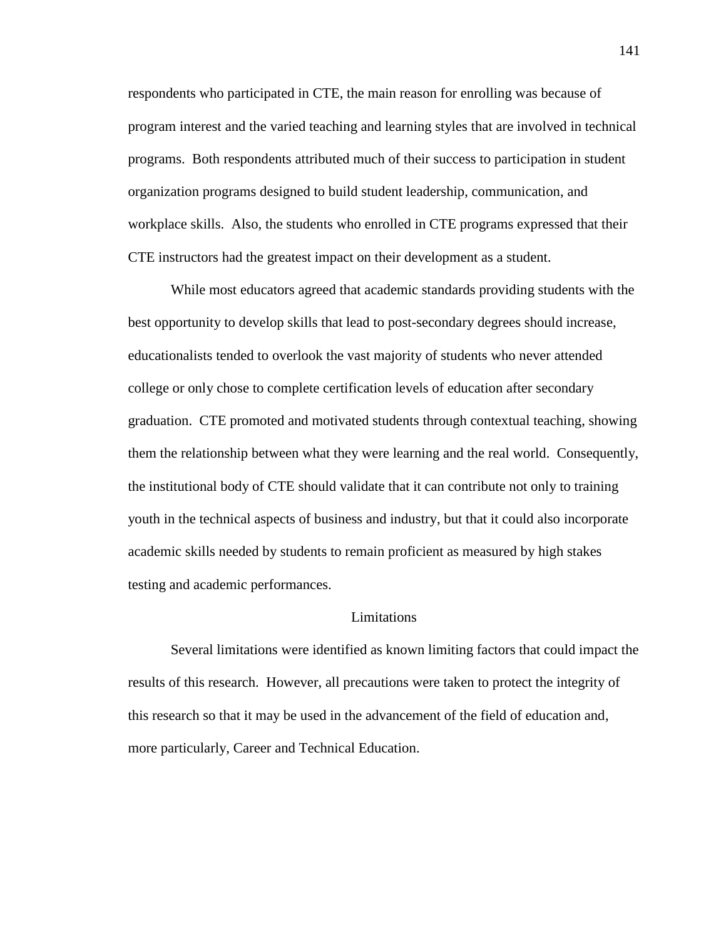respondents who participated in CTE, the main reason for enrolling was because of program interest and the varied teaching and learning styles that are involved in technical programs. Both respondents attributed much of their success to participation in student organization programs designed to build student leadership, communication, and workplace skills. Also, the students who enrolled in CTE programs expressed that their CTE instructors had the greatest impact on their development as a student.

While most educators agreed that academic standards providing students with the best opportunity to develop skills that lead to post-secondary degrees should increase, educationalists tended to overlook the vast majority of students who never attended college or only chose to complete certification levels of education after secondary graduation. CTE promoted and motivated students through contextual teaching, showing them the relationship between what they were learning and the real world. Consequently, the institutional body of CTE should validate that it can contribute not only to training youth in the technical aspects of business and industry, but that it could also incorporate academic skills needed by students to remain proficient as measured by high stakes testing and academic performances.

#### Limitations

Several limitations were identified as known limiting factors that could impact the results of this research. However, all precautions were taken to protect the integrity of this research so that it may be used in the advancement of the field of education and, more particularly, Career and Technical Education.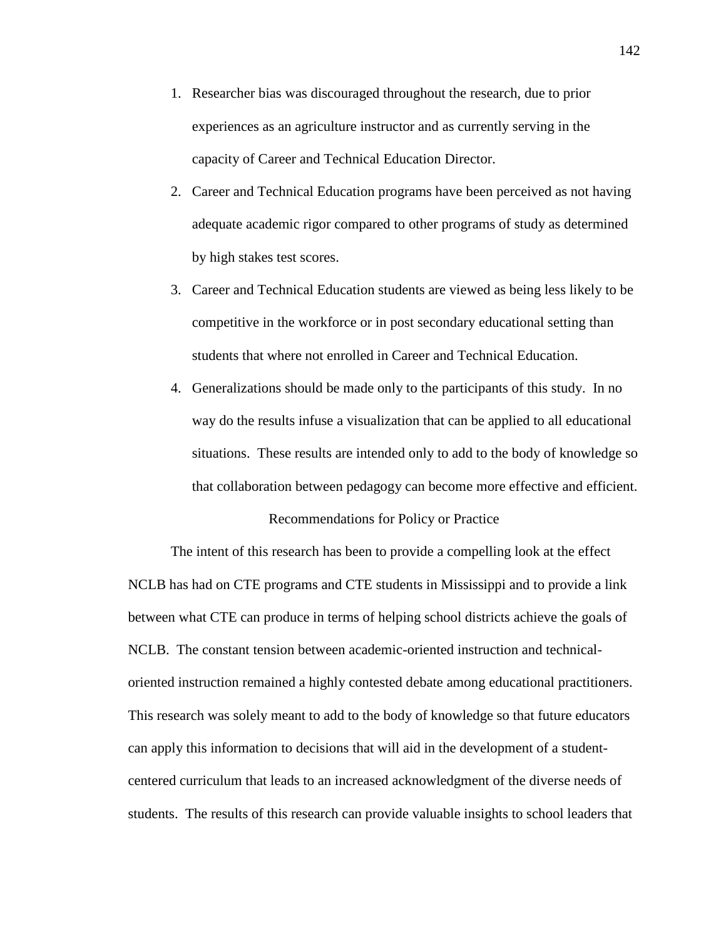- 1. Researcher bias was discouraged throughout the research, due to prior experiences as an agriculture instructor and as currently serving in the capacity of Career and Technical Education Director.
- 2. Career and Technical Education programs have been perceived as not having adequate academic rigor compared to other programs of study as determined by high stakes test scores.
- 3. Career and Technical Education students are viewed as being less likely to be competitive in the workforce or in post secondary educational setting than students that where not enrolled in Career and Technical Education.
- 4. Generalizations should be made only to the participants of this study. In no way do the results infuse a visualization that can be applied to all educational situations. These results are intended only to add to the body of knowledge so that collaboration between pedagogy can become more effective and efficient. Recommendations for Policy or Practice

The intent of this research has been to provide a compelling look at the effect NCLB has had on CTE programs and CTE students in Mississippi and to provide a link between what CTE can produce in terms of helping school districts achieve the goals of NCLB. The constant tension between academic-oriented instruction and technicaloriented instruction remained a highly contested debate among educational practitioners. This research was solely meant to add to the body of knowledge so that future educators can apply this information to decisions that will aid in the development of a studentcentered curriculum that leads to an increased acknowledgment of the diverse needs of students. The results of this research can provide valuable insights to school leaders that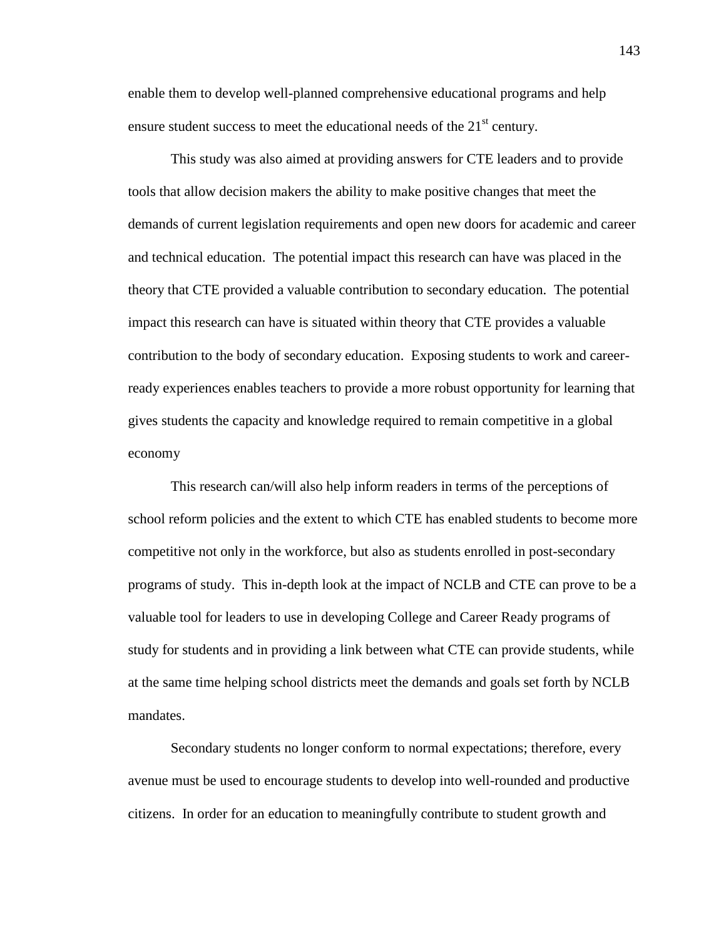enable them to develop well-planned comprehensive educational programs and help ensure student success to meet the educational needs of the  $21<sup>st</sup>$  century.

This study was also aimed at providing answers for CTE leaders and to provide tools that allow decision makers the ability to make positive changes that meet the demands of current legislation requirements and open new doors for academic and career and technical education. The potential impact this research can have was placed in the theory that CTE provided a valuable contribution to secondary education. The potential impact this research can have is situated within theory that CTE provides a valuable contribution to the body of secondary education. Exposing students to work and careerready experiences enables teachers to provide a more robust opportunity for learning that gives students the capacity and knowledge required to remain competitive in a global economy

This research can/will also help inform readers in terms of the perceptions of school reform policies and the extent to which CTE has enabled students to become more competitive not only in the workforce, but also as students enrolled in post-secondary programs of study. This in-depth look at the impact of NCLB and CTE can prove to be a valuable tool for leaders to use in developing College and Career Ready programs of study for students and in providing a link between what CTE can provide students, while at the same time helping school districts meet the demands and goals set forth by NCLB mandates.

Secondary students no longer conform to normal expectations; therefore, every avenue must be used to encourage students to develop into well-rounded and productive citizens. In order for an education to meaningfully contribute to student growth and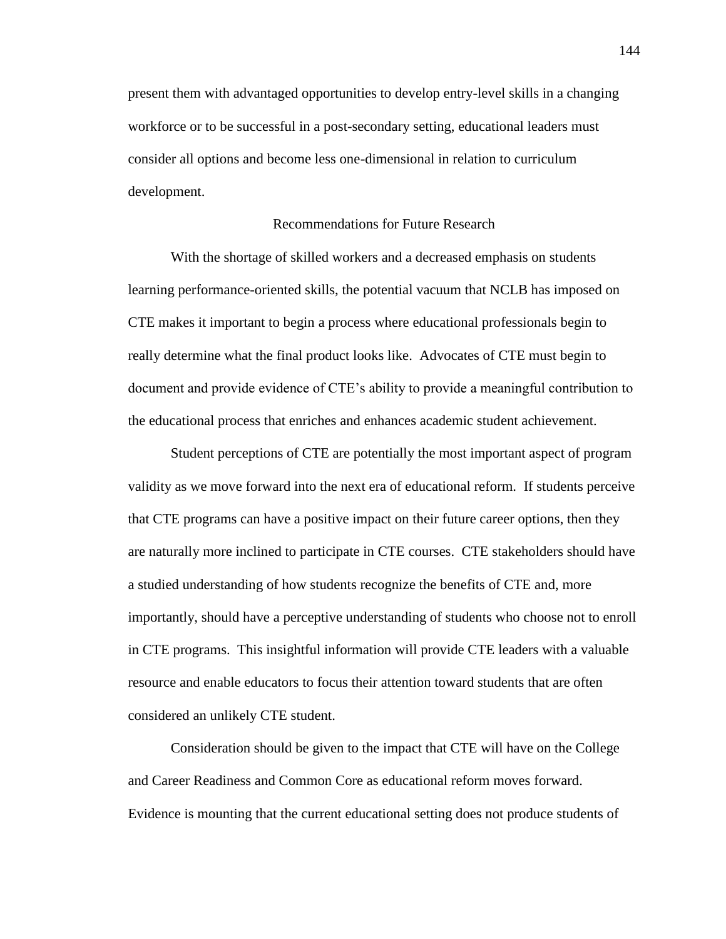present them with advantaged opportunities to develop entry-level skills in a changing workforce or to be successful in a post-secondary setting, educational leaders must consider all options and become less one-dimensional in relation to curriculum development.

#### Recommendations for Future Research

With the shortage of skilled workers and a decreased emphasis on students learning performance-oriented skills, the potential vacuum that NCLB has imposed on CTE makes it important to begin a process where educational professionals begin to really determine what the final product looks like. Advocates of CTE must begin to document and provide evidence of CTE's ability to provide a meaningful contribution to the educational process that enriches and enhances academic student achievement.

Student perceptions of CTE are potentially the most important aspect of program validity as we move forward into the next era of educational reform. If students perceive that CTE programs can have a positive impact on their future career options, then they are naturally more inclined to participate in CTE courses. CTE stakeholders should have a studied understanding of how students recognize the benefits of CTE and, more importantly, should have a perceptive understanding of students who choose not to enroll in CTE programs. This insightful information will provide CTE leaders with a valuable resource and enable educators to focus their attention toward students that are often considered an unlikely CTE student.

Consideration should be given to the impact that CTE will have on the College and Career Readiness and Common Core as educational reform moves forward. Evidence is mounting that the current educational setting does not produce students of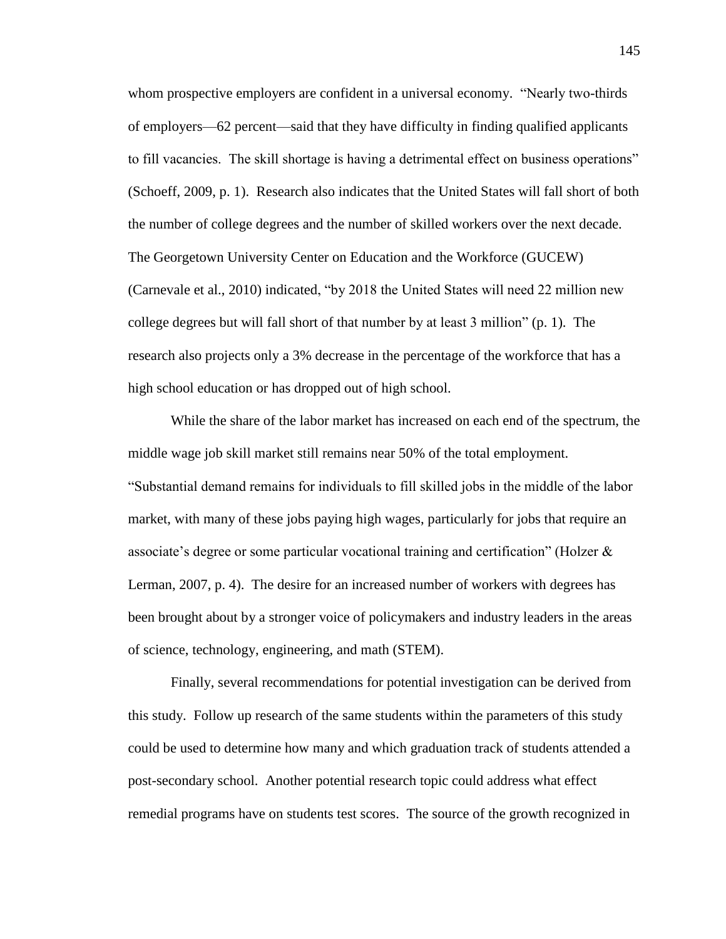whom prospective employers are confident in a universal economy. "Nearly two-thirds of employers—62 percent—said that they have difficulty in finding qualified applicants to fill vacancies. The skill shortage is having a detrimental effect on business operations" (Schoeff, 2009, p. 1). Research also indicates that the United States will fall short of both the number of college degrees and the number of skilled workers over the next decade. The Georgetown University Center on Education and the Workforce (GUCEW) (Carnevale et al., 2010) indicated, "by 2018 the United States will need 22 million new college degrees but will fall short of that number by at least 3 million" (p. 1). The research also projects only a 3% decrease in the percentage of the workforce that has a high school education or has dropped out of high school.

While the share of the labor market has increased on each end of the spectrum, the middle wage job skill market still remains near 50% of the total employment. "Substantial demand remains for individuals to fill skilled jobs in the middle of the labor market, with many of these jobs paying high wages, particularly for jobs that require an associate's degree or some particular vocational training and certification" (Holzer & Lerman, 2007, p. 4). The desire for an increased number of workers with degrees has been brought about by a stronger voice of policymakers and industry leaders in the areas of science, technology, engineering, and math (STEM).

Finally, several recommendations for potential investigation can be derived from this study. Follow up research of the same students within the parameters of this study could be used to determine how many and which graduation track of students attended a post-secondary school. Another potential research topic could address what effect remedial programs have on students test scores. The source of the growth recognized in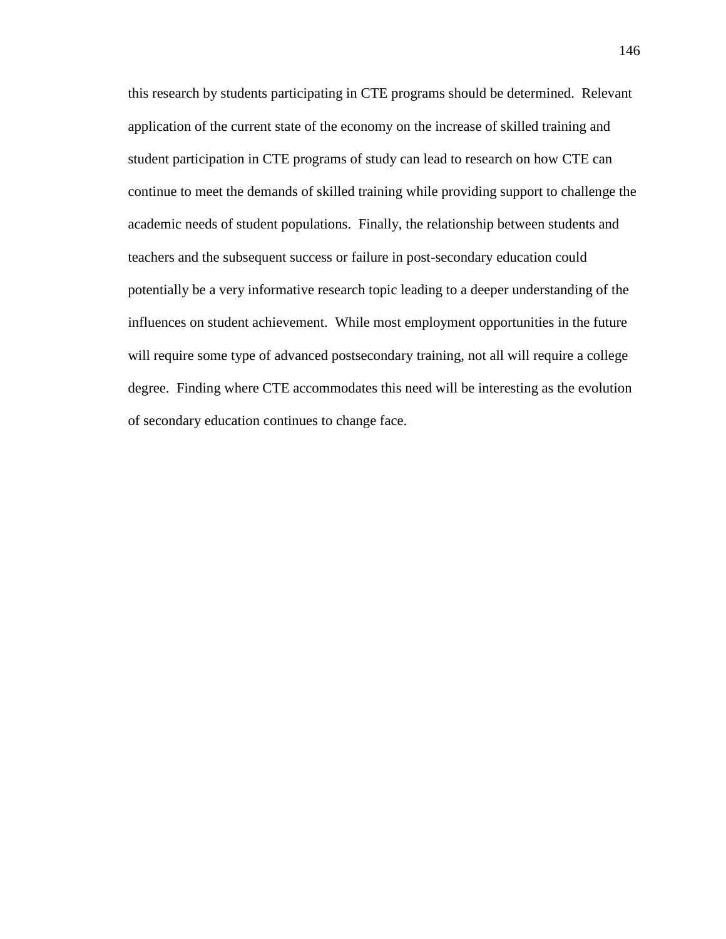this research by students participating in CTE programs should be determined. Relevant application of the current state of the economy on the increase of skilled training and student participation in CTE programs of study can lead to research on how CTE can continue to meet the demands of skilled training while providing support to challenge the academic needs of student populations. Finally, the relationship between students and teachers and the subsequent success or failure in post-secondary education could potentially be a very informative research topic leading to a deeper understanding of the influences on student achievement. While most employment opportunities in the future will require some type of advanced postsecondary training, not all will require a college degree. Finding where CTE accommodates this need will be interesting as the evolution of secondary education continues to change face.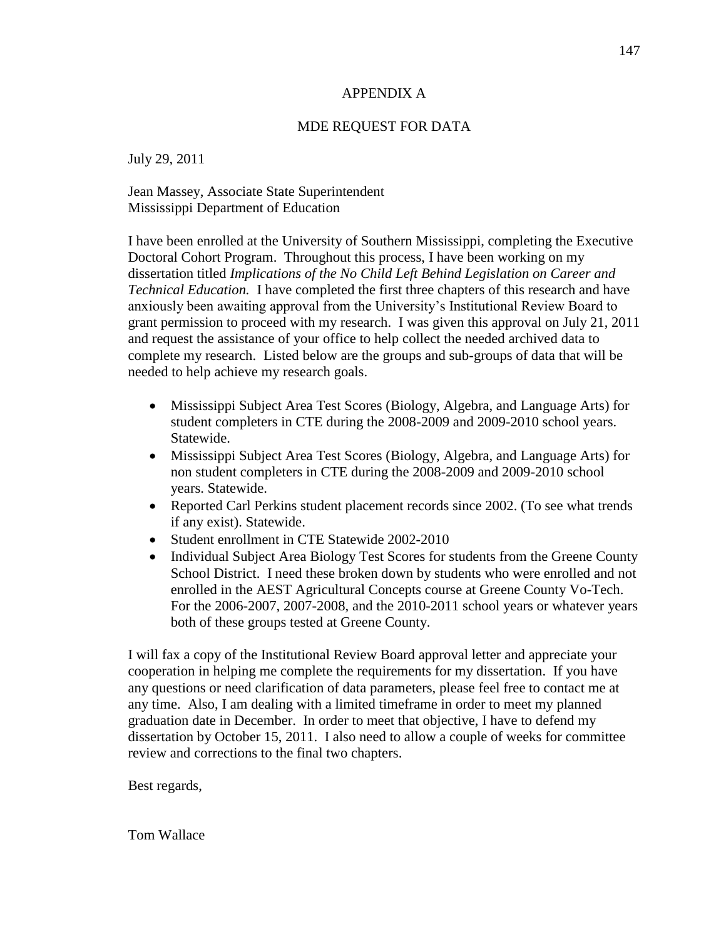## APPENDIX A

# MDE REQUEST FOR DATA

July 29, 2011

Jean Massey, Associate State Superintendent Mississippi Department of Education

I have been enrolled at the University of Southern Mississippi, completing the Executive Doctoral Cohort Program. Throughout this process, I have been working on my dissertation titled *Implications of the No Child Left Behind Legislation on Career and Technical Education.* I have completed the first three chapters of this research and have anxiously been awaiting approval from the University's Institutional Review Board to grant permission to proceed with my research. I was given this approval on July 21, 2011 and request the assistance of your office to help collect the needed archived data to complete my research. Listed below are the groups and sub-groups of data that will be needed to help achieve my research goals.

- Mississippi Subject Area Test Scores (Biology, Algebra, and Language Arts) for student completers in CTE during the 2008-2009 and 2009-2010 school years. Statewide.
- Mississippi Subject Area Test Scores (Biology, Algebra, and Language Arts) for non student completers in CTE during the 2008-2009 and 2009-2010 school years. Statewide.
- Reported Carl Perkins student placement records since 2002. (To see what trends if any exist). Statewide.
- Student enrollment in CTE Statewide 2002-2010
- Individual Subject Area Biology Test Scores for students from the Greene County School District. I need these broken down by students who were enrolled and not enrolled in the AEST Agricultural Concepts course at Greene County Vo-Tech. For the 2006-2007, 2007-2008, and the 2010-2011 school years or whatever years both of these groups tested at Greene County.

I will fax a copy of the Institutional Review Board approval letter and appreciate your cooperation in helping me complete the requirements for my dissertation. If you have any questions or need clarification of data parameters, please feel free to contact me at any time. Also, I am dealing with a limited timeframe in order to meet my planned graduation date in December. In order to meet that objective, I have to defend my dissertation by October 15, 2011. I also need to allow a couple of weeks for committee review and corrections to the final two chapters.

Best regards,

Tom Wallace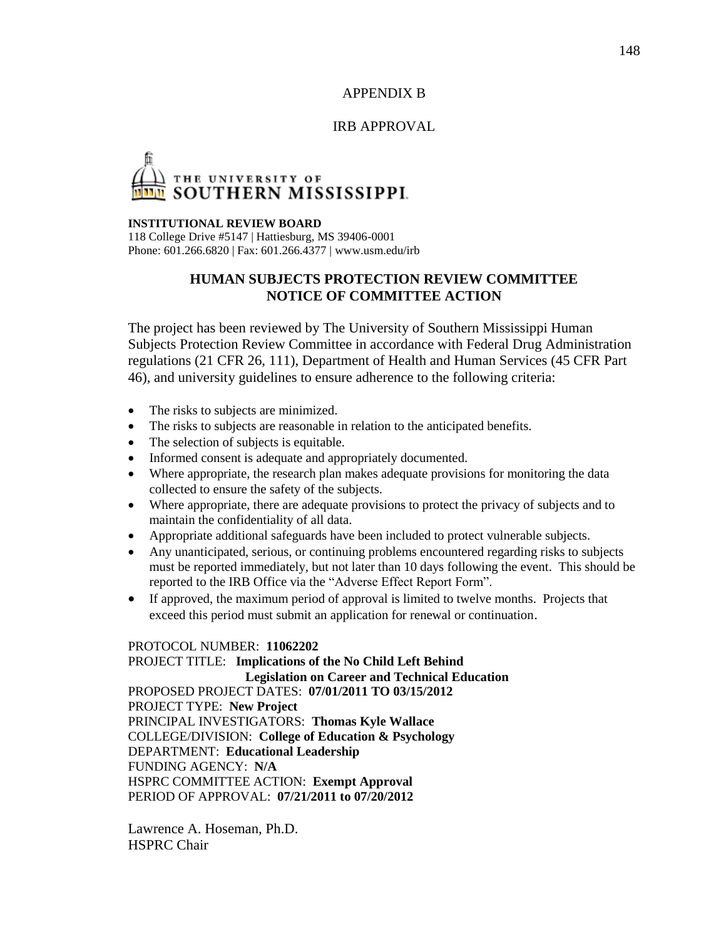# APPENDIX B

#### IRB APPROVAL

# THE UNIVERSITY OF<br>SOUTHERN MISSISSIPPI.

#### **INSTITUTIONAL REVIEW BOARD**

118 College Drive #5147 | Hattiesburg, MS 39406-0001 Phone: 601.266.6820 | Fax: 601.266.4377 | www.usm.edu/irb

# **HUMAN SUBJECTS PROTECTION REVIEW COMMITTEE NOTICE OF COMMITTEE ACTION**

The project has been reviewed by The University of Southern Mississippi Human Subjects Protection Review Committee in accordance with Federal Drug Administration regulations (21 CFR 26, 111), Department of Health and Human Services (45 CFR Part 46), and university guidelines to ensure adherence to the following criteria:

- The risks to subjects are minimized.
- The risks to subjects are reasonable in relation to the anticipated benefits.
- The selection of subjects is equitable.
- Informed consent is adequate and appropriately documented.
- Where appropriate, the research plan makes adequate provisions for monitoring the data collected to ensure the safety of the subjects.
- Where appropriate, there are adequate provisions to protect the privacy of subjects and to maintain the confidentiality of all data.
- Appropriate additional safeguards have been included to protect vulnerable subjects.
- Any unanticipated, serious, or continuing problems encountered regarding risks to subjects must be reported immediately, but not later than 10 days following the event. This should be reported to the IRB Office via the "Adverse Effect Report Form".
- If approved, the maximum period of approval is limited to twelve months. Projects that exceed this period must submit an application for renewal or continuation.

#### PROTOCOL NUMBER: **11062202**

PROJECT TITLE: **Implications of the No Child Left Behind Legislation on Career and Technical Education** PROPOSED PROJECT DATES: **07/01/2011 TO 03/15/2012** PROJECT TYPE: **New Project** PRINCIPAL INVESTIGATORS: **Thomas Kyle Wallace** COLLEGE/DIVISION: **College of Education & Psychology** DEPARTMENT: **Educational Leadership** FUNDING AGENCY: **N/A** HSPRC COMMITTEE ACTION: **Exempt Approval** PERIOD OF APPROVAL: **07/21/2011 to 07/20/2012**

Lawrence A. Hoseman, Ph.D. HSPRC Chair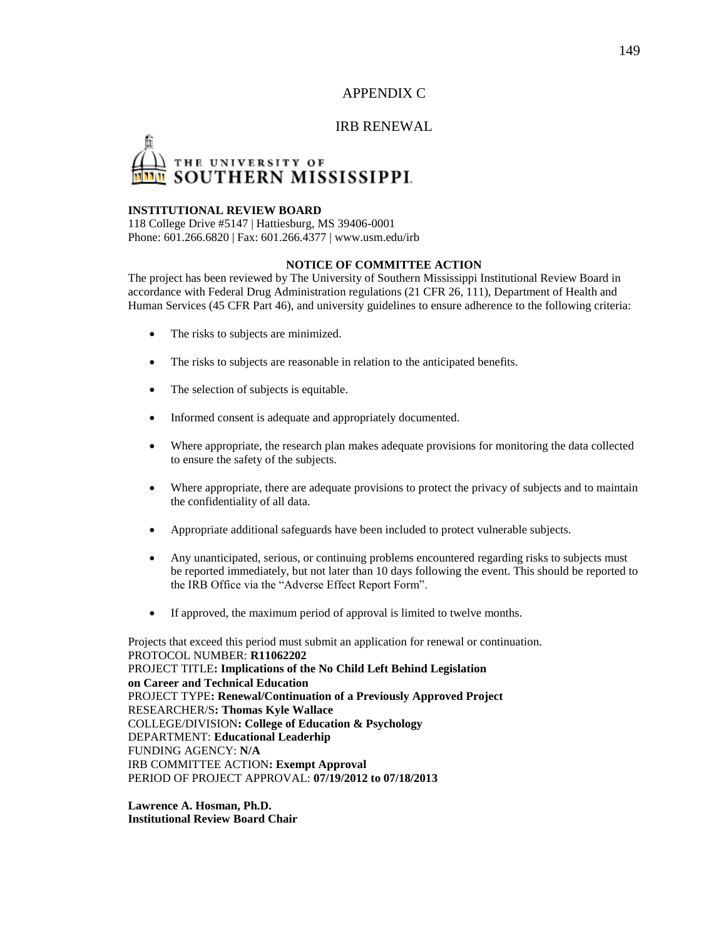APPENDIX C

#### IRB RENEWAL

# THE UNIVERSITY OF<br>SOUTHERN MISSISSIPPI.

#### **INSTITUTIONAL REVIEW BOARD**

118 College Drive #5147 | Hattiesburg, MS 39406-0001 Phone: 601.266.6820 | Fax: 601.266.4377 | www.usm.edu/irb

#### **NOTICE OF COMMITTEE ACTION**

The project has been reviewed by The University of Southern Mississippi Institutional Review Board in accordance with Federal Drug Administration regulations (21 CFR 26, 111), Department of Health and Human Services (45 CFR Part 46), and university guidelines to ensure adherence to the following criteria:

- The risks to subjects are minimized.
- The risks to subjects are reasonable in relation to the anticipated benefits.
- The selection of subjects is equitable.
- Informed consent is adequate and appropriately documented.
- Where appropriate, the research plan makes adequate provisions for monitoring the data collected to ensure the safety of the subjects.
- Where appropriate, there are adequate provisions to protect the privacy of subjects and to maintain the confidentiality of all data.
- Appropriate additional safeguards have been included to protect vulnerable subjects.
- Any unanticipated, serious, or continuing problems encountered regarding risks to subjects must be reported immediately, but not later than 10 days following the event. This should be reported to the IRB Office via the "Adverse Effect Report Form".
- If approved, the maximum period of approval is limited to twelve months.

Projects that exceed this period must submit an application for renewal or continuation. PROTOCOL NUMBER: **R11062202**  PROJECT TITLE**: Implications of the No Child Left Behind Legislation on Career and Technical Education**  PROJECT TYPE**: Renewal/Continuation of a Previously Approved Project**  RESEARCHER/S**: Thomas Kyle Wallace**  COLLEGE/DIVISION**: College of Education & Psychology**  DEPARTMENT: **Educational Leaderhip**  FUNDING AGENCY: **N/A**  IRB COMMITTEE ACTION**: Exempt Approval**  PERIOD OF PROJECT APPROVAL: **07/19/2012 to 07/18/2013** 

**Lawrence A. Hosman, Ph.D. Institutional Review Board Chair**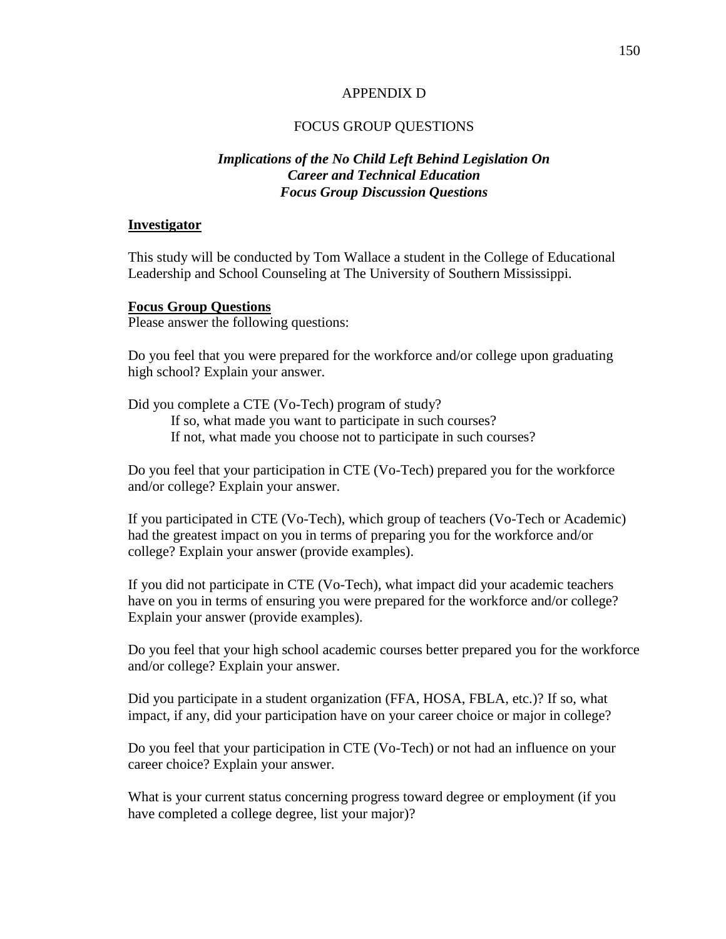#### APPENDIX D

#### FOCUS GROUP QUESTIONS

# *Implications of the No Child Left Behind Legislation On Career and Technical Education Focus Group Discussion Questions*

#### **Investigator**

This study will be conducted by Tom Wallace a student in the College of Educational Leadership and School Counseling at The University of Southern Mississippi.

#### **Focus Group Questions**

Please answer the following questions:

Do you feel that you were prepared for the workforce and/or college upon graduating high school? Explain your answer.

Did you complete a CTE (Vo-Tech) program of study? If so, what made you want to participate in such courses? If not, what made you choose not to participate in such courses?

Do you feel that your participation in CTE (Vo-Tech) prepared you for the workforce and/or college? Explain your answer.

If you participated in CTE (Vo-Tech), which group of teachers (Vo-Tech or Academic) had the greatest impact on you in terms of preparing you for the workforce and/or college? Explain your answer (provide examples).

If you did not participate in CTE (Vo-Tech), what impact did your academic teachers have on you in terms of ensuring you were prepared for the workforce and/or college? Explain your answer (provide examples).

Do you feel that your high school academic courses better prepared you for the workforce and/or college? Explain your answer.

Did you participate in a student organization (FFA, HOSA, FBLA, etc.)? If so, what impact, if any, did your participation have on your career choice or major in college?

Do you feel that your participation in CTE (Vo-Tech) or not had an influence on your career choice? Explain your answer.

What is your current status concerning progress toward degree or employment (if you have completed a college degree, list your major)?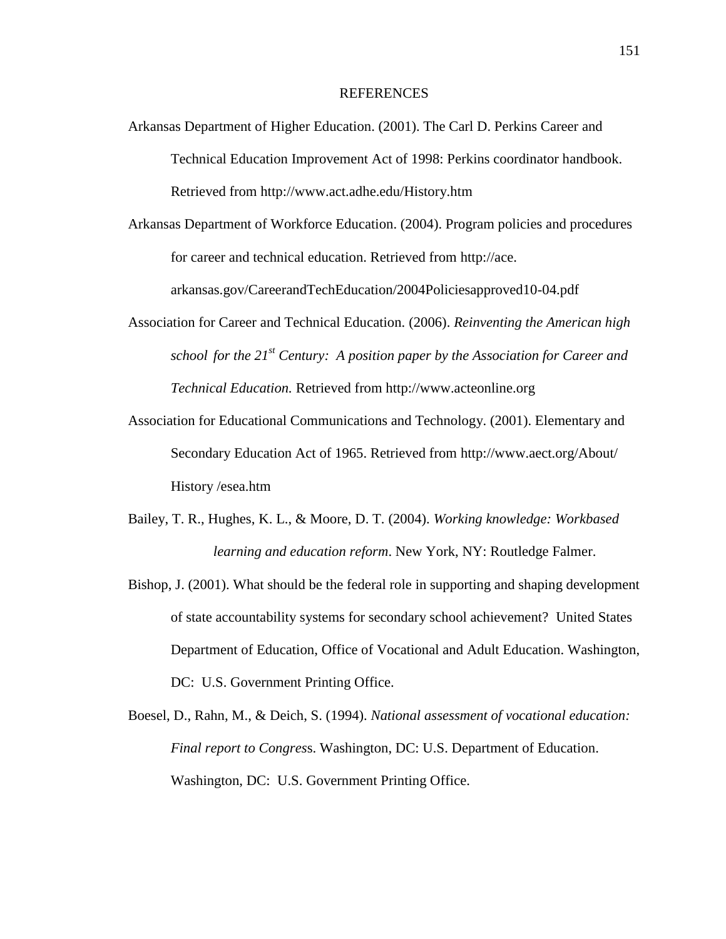#### REFERENCES

- Arkansas Department of Higher Education. (2001). The Carl D. Perkins Career and Technical Education Improvement Act of 1998: Perkins coordinator handbook. Retrieved from http://www.act.adhe.edu/History.htm
- Arkansas Department of Workforce Education. (2004). Program policies and procedures for career and technical education. Retrieved from http://ace.

arkansas.gov/CareerandTechEducation/2004Policiesapproved10-04.pdf

- Association for Career and Technical Education. (2006). *Reinventing the American high school for the 21st Century: A position paper by the Association for Career and Technical Education.* Retrieved from http://www.acteonline.org
- Association for Educational Communications and Technology. (2001). Elementary and Secondary Education Act of 1965. Retrieved from http://www.aect.org/About/ History /esea.htm
- Bailey, T. R., Hughes, K. L., & Moore, D. T. (2004). *Working knowledge: Workbased learning and education reform*. New York, NY: Routledge Falmer.
- Bishop, J. (2001). What should be the federal role in supporting and shaping development of state accountability systems for secondary school achievement? United States Department of Education, Office of Vocational and Adult Education. Washington, DC: U.S. Government Printing Office.
- Boesel, D., Rahn, M., & Deich, S. (1994). *National assessment of vocational education: Final report to Congres*s. Washington, DC: U.S. Department of Education. Washington, DC: U.S. Government Printing Office.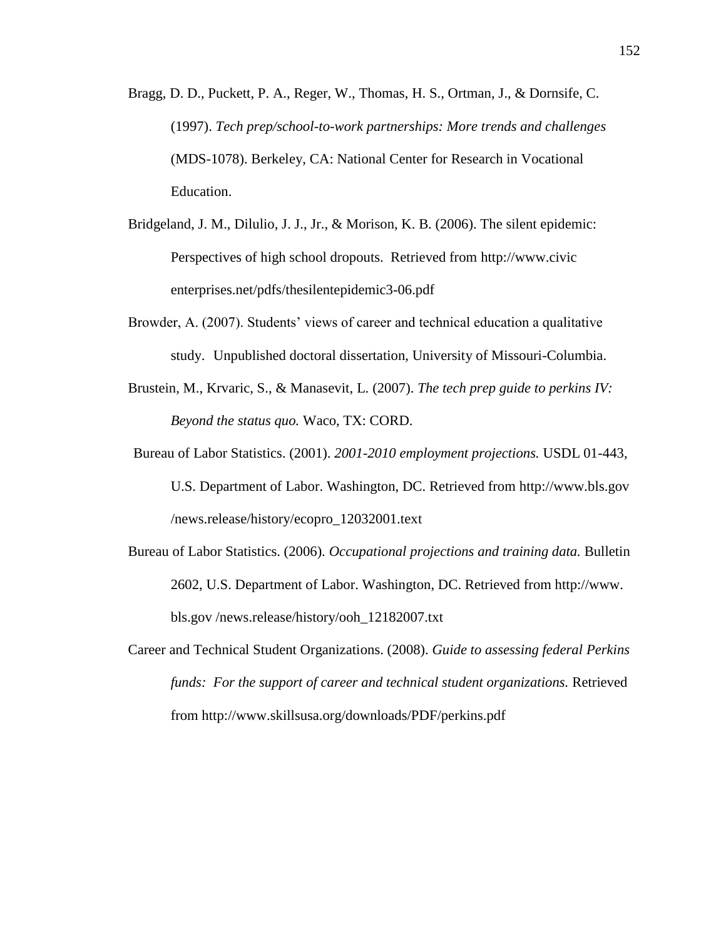- Bragg, D. D., Puckett, P. A., Reger, W., Thomas, H. S., Ortman, J., & Dornsife, C. (1997). *Tech prep/school-to-work partnerships: More trends and challenges*  (MDS-1078). Berkeley, CA: National Center for Research in Vocational Education.
- Bridgeland, J. M., Dilulio, J. J., Jr., & Morison, K. B. (2006). The silent epidemic: Perspectives of high school dropouts. Retrieved from http://www.civic enterprises.net/pdfs/thesilentepidemic3-06.pdf
- Browder, A. (2007). Students' views of career and technical education a qualitative study. Unpublished doctoral dissertation, University of Missouri-Columbia.
- Brustein, M., Krvaric, S., & Manasevit, L. (2007). *The tech prep guide to perkins IV: Beyond the status quo.* Waco, TX: CORD.
- Bureau of Labor Statistics. (2001). *2001-2010 employment projections.* USDL 01-443, U.S. Department of Labor. Washington, DC. Retrieved from http://www.bls.gov /news.release/history/ecopro\_12032001.text
- Bureau of Labor Statistics. (2006). *Occupational projections and training data.* Bulletin 2602, U.S. Department of Labor. Washington, DC. Retrieved from http://www. bls.gov /news.release/history/ooh\_12182007.txt
- Career and Technical Student Organizations. (2008). *Guide to assessing federal Perkins funds: For the support of career and technical student organizations.* Retrieved from http://www.skillsusa.org/downloads/PDF/perkins.pdf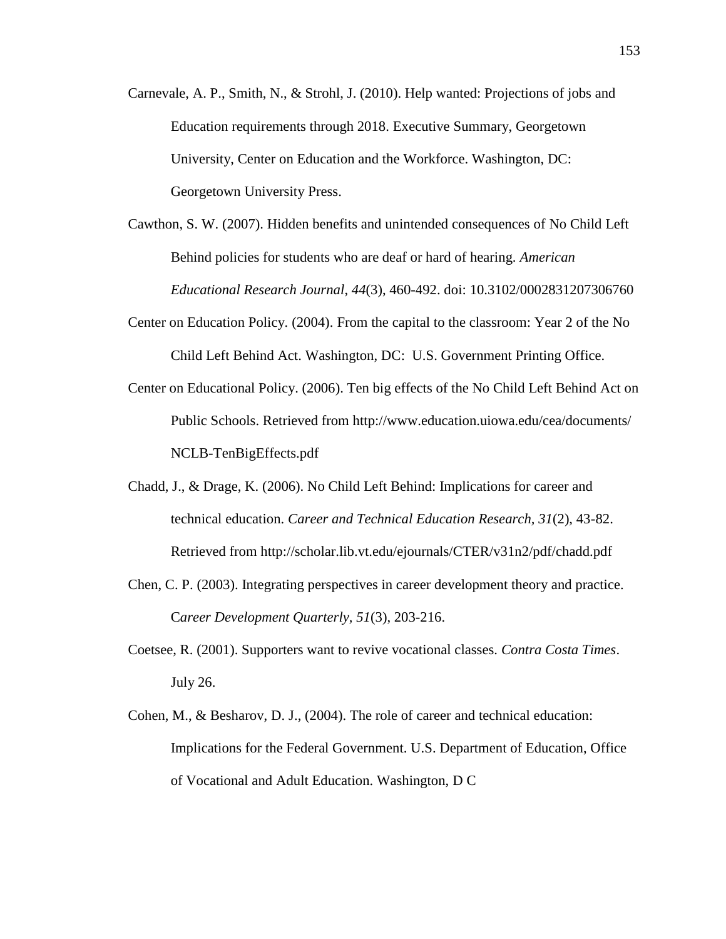- Carnevale, A. P., Smith, N., & Strohl, J. (2010). Help wanted: Projections of jobs and Education requirements through 2018. Executive Summary, Georgetown University, Center on Education and the Workforce. Washington, DC: Georgetown University Press.
- Cawthon, S. W. (2007). Hidden benefits and unintended consequences of No Child Left Behind policies for students who are deaf or hard of hearing. *American Educational Research Journal*, *44*(3), 460-492. doi: 10.3102/0002831207306760
- Center on Education Policy. (2004). From the capital to the classroom: Year 2 of the No Child Left Behind Act. Washington, DC: U.S. Government Printing Office.
- Center on Educational Policy. (2006). Ten big effects of the No Child Left Behind Act on Public Schools. Retrieved from http://www.education.uiowa.edu/cea/documents/ NCLB-TenBigEffects.pdf
- Chadd, J., & Drage, K. (2006). No Child Left Behind: Implications for career and technical education. *Career and Technical Education Research, 31*(2), 43-82. Retrieved from http://scholar.lib.vt.edu/ejournals/CTER/v31n2/pdf/chadd.pdf
- Chen, C. P. (2003). Integrating perspectives in career development theory and practice. C*areer Development Quarterly, 51*(3), 203-216.
- Coetsee, R. (2001). Supporters want to revive vocational classes. *Contra Costa Times*. July 26.
- Cohen, M., & Besharov, D. J., (2004). The role of career and technical education: Implications for the Federal Government. U.S. Department of Education, Office of Vocational and Adult Education. Washington, D C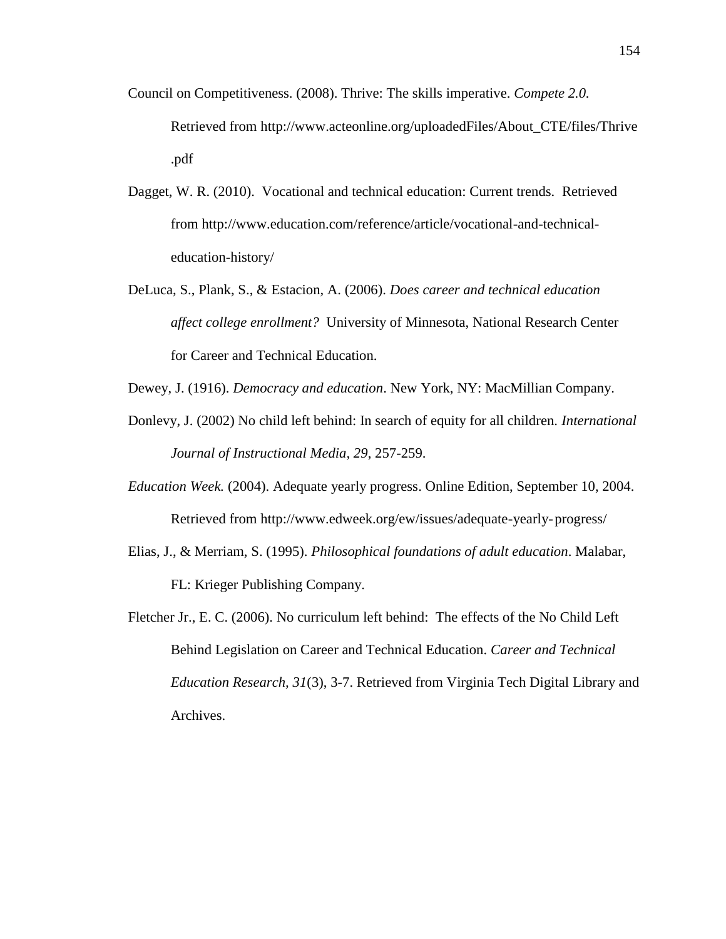- Council on Competitiveness. (2008). Thrive: The skills imperative. *Compete 2.0.* Retrieved from http://www.acteonline.org/uploadedFiles/About\_CTE/files/Thrive .pdf
- Dagget, W. R. (2010). Vocational and technical education: Current trends. Retrieved from http://www.education.com/reference/article/vocational-and-technicaleducation-history/
- DeLuca, S., Plank, S., & Estacion, A. (2006). *Does career and technical education affect college enrollment?* University of Minnesota, National Research Center for Career and Technical Education.
- Dewey, J. (1916). *Democracy and education*. New York, NY: MacMillian Company.
- Donlevy, J. (2002) No child left behind: In search of equity for all children. *International Journal of Instructional Media, 29*, 257-259.
- *Education Week.* (2004). Adequate yearly progress. Online Edition, September 10, 2004. Retrieved from http://www.edweek.org/ew/issues/adequate-yearly-progress/
- Elias, J., & Merriam, S. (1995). *Philosophical foundations of adult education*. Malabar, FL: Krieger Publishing Company.
- Fletcher Jr., E. C. (2006). No curriculum left behind: The effects of the No Child Left Behind Legislation on Career and Technical Education. *Career and Technical Education Research, 31*(3), 3-7. Retrieved from Virginia Tech Digital Library and Archives.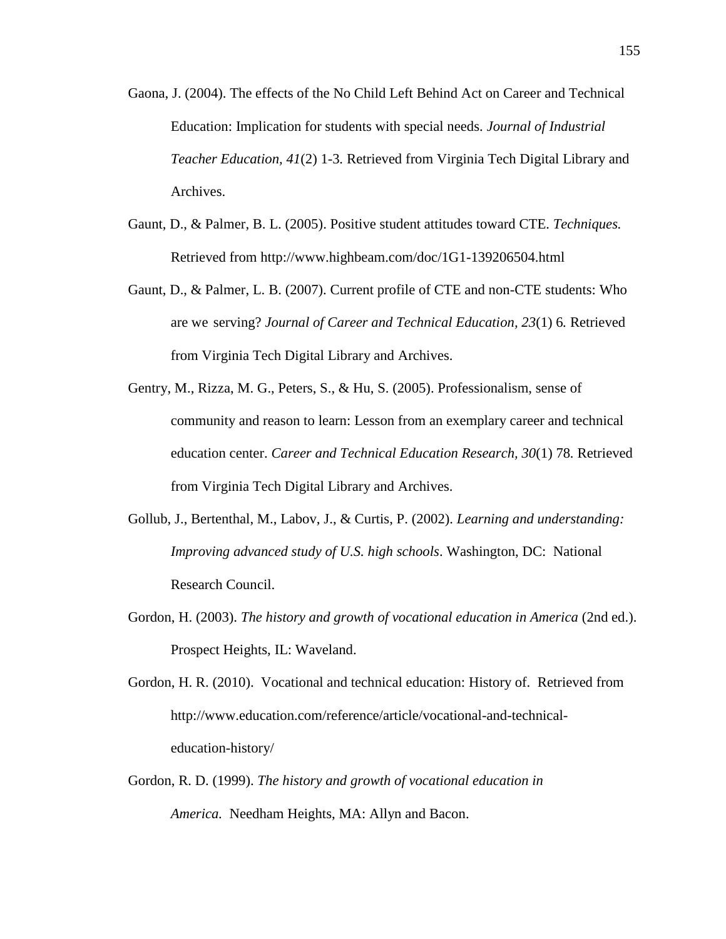- Gaona, J. (2004). The effects of the No Child Left Behind Act on Career and Technical Education: Implication for students with special needs. *Journal of Industrial Teacher Education, 41*(2) 1-3*.* Retrieved from Virginia Tech Digital Library and Archives.
- Gaunt, D., & Palmer, B. L. (2005). Positive student attitudes toward CTE. *Techniques.* Retrieved from http://www.highbeam.com/doc/1G1-139206504.html
- Gaunt, D., & Palmer, L. B. (2007). Current profile of CTE and non-CTE students: Who are we serving? *Journal of Career and Technical Education, 23*(1) 6*.* Retrieved from Virginia Tech Digital Library and Archives.
- Gentry, M., Rizza, M. G., Peters, S., & Hu, S. (2005). Professionalism, sense of community and reason to learn: Lesson from an exemplary career and technical education center. *Career and Technical Education Research, 30*(1) 78*.* Retrieved from Virginia Tech Digital Library and Archives.
- Gollub, J., Bertenthal, M., Labov, J., & Curtis, P. (2002). *Learning and understanding: Improving advanced study of U.S. high schools*. Washington, DC: National Research Council.
- Gordon, H. (2003). *The history and growth of vocational education in America* (2nd ed.). Prospect Heights, IL: Waveland.

Gordon, H. R. (2010). Vocational and technical education: History of. Retrieved from http://www.education.com/reference/article/vocational-and-technicaleducation-history/

Gordon, R. D. (1999). *The history and growth of vocational education in America.* Needham Heights, MA: Allyn and Bacon.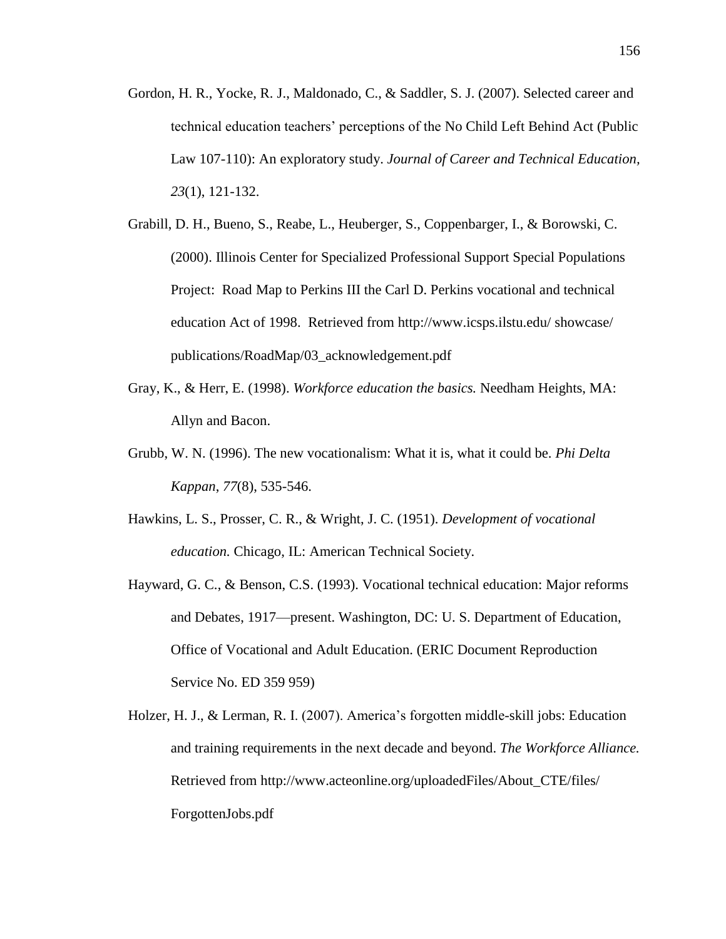- Gordon, H. R., Yocke, R. J., Maldonado, C., & Saddler, S. J. (2007). Selected career and technical education teachers' perceptions of the No Child Left Behind Act (Public Law 107-110): An exploratory study. *Journal of Career and Technical Education, 23*(1), 121-132.
- Grabill, D. H., Bueno, S., Reabe, L., Heuberger, S., Coppenbarger, I., & Borowski, C. (2000). Illinois Center for Specialized Professional Support Special Populations Project: Road Map to Perkins III the Carl D. Perkins vocational and technical education Act of 1998. Retrieved from http://www.icsps.ilstu.edu/ showcase/ publications/RoadMap/03\_acknowledgement.pdf
- Gray, K., & Herr, E. (1998). *Workforce education the basics.* Needham Heights, MA: Allyn and Bacon.
- Grubb, W. N. (1996). The new vocationalism: What it is, what it could be. *Phi Delta Kappan*, *77*(8), 535-546.
- Hawkins, L. S., Prosser, C. R., & Wright, J. C. (1951). *Development of vocational education.* Chicago, IL: American Technical Society.
- Hayward, G. C., & Benson, C.S. (1993). Vocational technical education: Major reforms and Debates, 1917—present. Washington, DC: U. S. Department of Education, Office of Vocational and Adult Education. (ERIC Document Reproduction Service No. ED 359 959)
- Holzer, H. J., & Lerman, R. I. (2007). America's forgotten middle-skill jobs: Education and training requirements in the next decade and beyond. *The Workforce Alliance.* Retrieved from http://www.acteonline.org/uploadedFiles/About\_CTE/files/ ForgottenJobs.pdf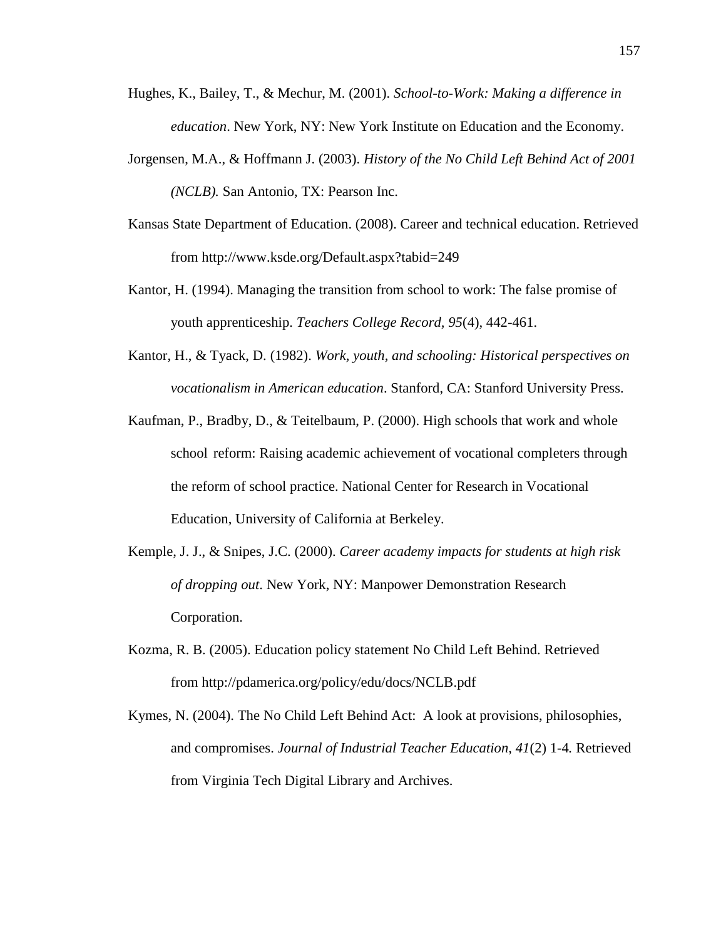- Hughes, K., Bailey, T., & Mechur, M. (2001). *School-to-Work: Making a difference in education*. New York, NY: New York Institute on Education and the Economy.
- Jorgensen, M.A., & Hoffmann J. (2003). *History of the No Child Left Behind Act of 2001 (NCLB).* San Antonio, TX: Pearson Inc.
- Kansas State Department of Education. (2008). Career and technical education. Retrieved from http://www.ksde.org/Default.aspx?tabid=249
- Kantor, H. (1994). Managing the transition from school to work: The false promise of youth apprenticeship. *Teachers College Record, 95*(4)*,* 442-461.
- Kantor, H., & Tyack, D. (1982). *Work, youth, and schooling: Historical perspectives on vocationalism in American education*. Stanford, CA: Stanford University Press.
- Kaufman, P., Bradby, D., & Teitelbaum, P. (2000). High schools that work and whole school reform: Raising academic achievement of vocational completers through the reform of school practice. National Center for Research in Vocational Education, University of California at Berkeley.
- Kemple, J. J., & Snipes, J.C. (2000). *Career academy impacts for students at high risk of dropping out*. New York, NY: Manpower Demonstration Research Corporation.
- Kozma, R. B. (2005). Education policy statement No Child Left Behind. Retrieved from http://pdamerica.org/policy/edu/docs/NCLB.pdf
- Kymes, N. (2004). The No Child Left Behind Act: A look at provisions, philosophies, and compromises. *Journal of Industrial Teacher Education, 41*(2) 1-4*.* Retrieved from Virginia Tech Digital Library and Archives.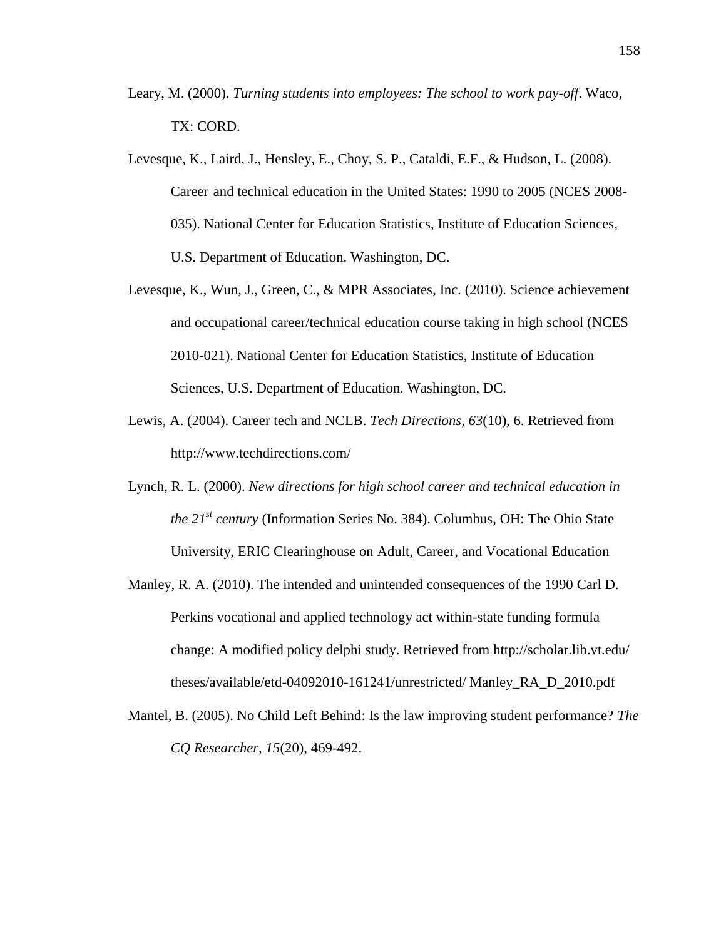- Leary, M. (2000). *Turning students into employees: The school to work pay-off*. Waco, TX: CORD.
- Levesque, K., Laird, J., Hensley, E., Choy, S. P., Cataldi, E.F., & Hudson, L. (2008). Career and technical education in the United States: 1990 to 2005 (NCES 2008- 035). National Center for Education Statistics, Institute of Education Sciences, U.S. Department of Education. Washington, DC.
- Levesque, K., Wun, J., Green, C., & MPR Associates, Inc. (2010). Science achievement and occupational career/technical education course taking in high school (NCES 2010-021). National Center for Education Statistics, Institute of Education Sciences, U.S. Department of Education. Washington, DC.
- Lewis, A. (2004). Career tech and NCLB. *Tech Directions, 63*(10), 6. Retrieved from http://www.techdirections.com/
- Lynch, R. L. (2000). *New directions for high school career and technical education in the 21st century* (Information Series No. 384). Columbus, OH: The Ohio State University, ERIC Clearinghouse on Adult, Career, and Vocational Education
- Manley, R. A. (2010). The intended and unintended consequences of the 1990 Carl D. Perkins vocational and applied technology act within-state funding formula change: A modified policy delphi study. Retrieved from http://scholar.lib.vt.edu/ theses/available/etd-04092010-161241/unrestricted/ Manley\_RA\_D\_2010.pdf
- Mantel, B. (2005). No Child Left Behind: Is the law improving student performance? *The CQ Researcher, 15*(20), 469-492.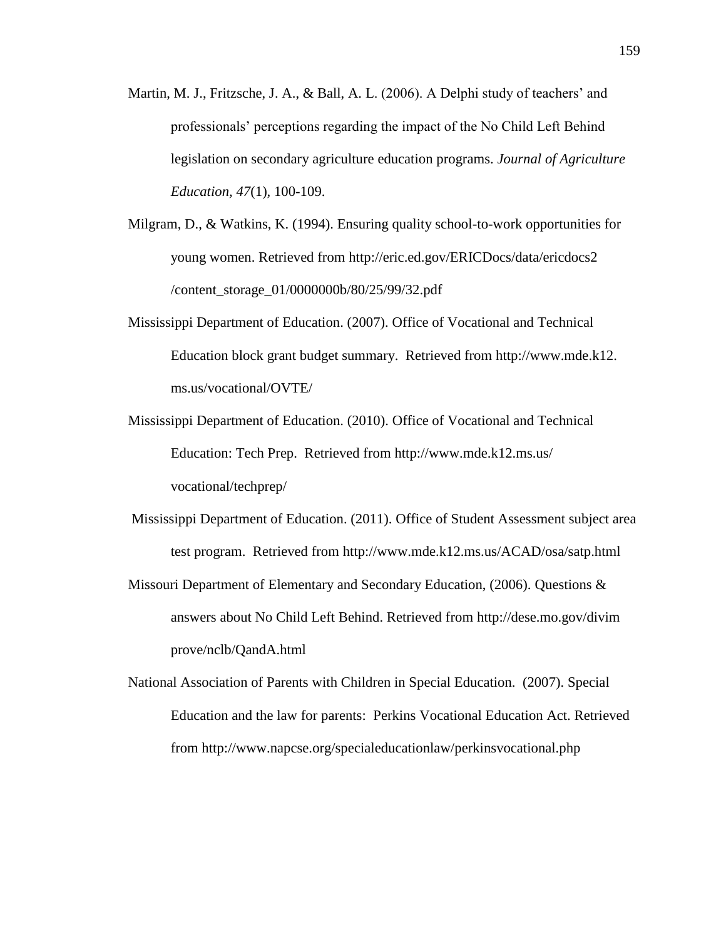- Martin, M. J., Fritzsche, J. A., & Ball, A. L. (2006). A Delphi study of teachers' and professionals' perceptions regarding the impact of the No Child Left Behind legislation on secondary agriculture education programs. *Journal of Agriculture Education, 47*(1)*,* 100-109.
- Milgram, D., & Watkins, K. (1994). Ensuring quality school-to-work opportunities for young women. Retrieved from http://eric.ed.gov/ERICDocs/data/ericdocs2 /content\_storage\_01/0000000b/80/25/99/32.pdf
- Mississippi Department of Education. (2007). Office of Vocational and Technical Education block grant budget summary. Retrieved from http://www.mde.k12. ms.us/vocational/OVTE/
- Mississippi Department of Education. (2010). Office of Vocational and Technical Education: Tech Prep. Retrieved from http://www.mde.k12.ms.us/ vocational/techprep/
- Mississippi Department of Education. (2011). Office of Student Assessment subject area test program. Retrieved from http://www.mde.k12.ms.us/ACAD/osa/satp.html
- Missouri Department of Elementary and Secondary Education, (2006). Questions & answers about No Child Left Behind. Retrieved from http://dese.mo.gov/divim prove/nclb/QandA.html
- National Association of Parents with Children in Special Education. (2007). Special Education and the law for parents: Perkins Vocational Education Act. Retrieved from http://www.napcse.org/specialeducationlaw/perkinsvocational.php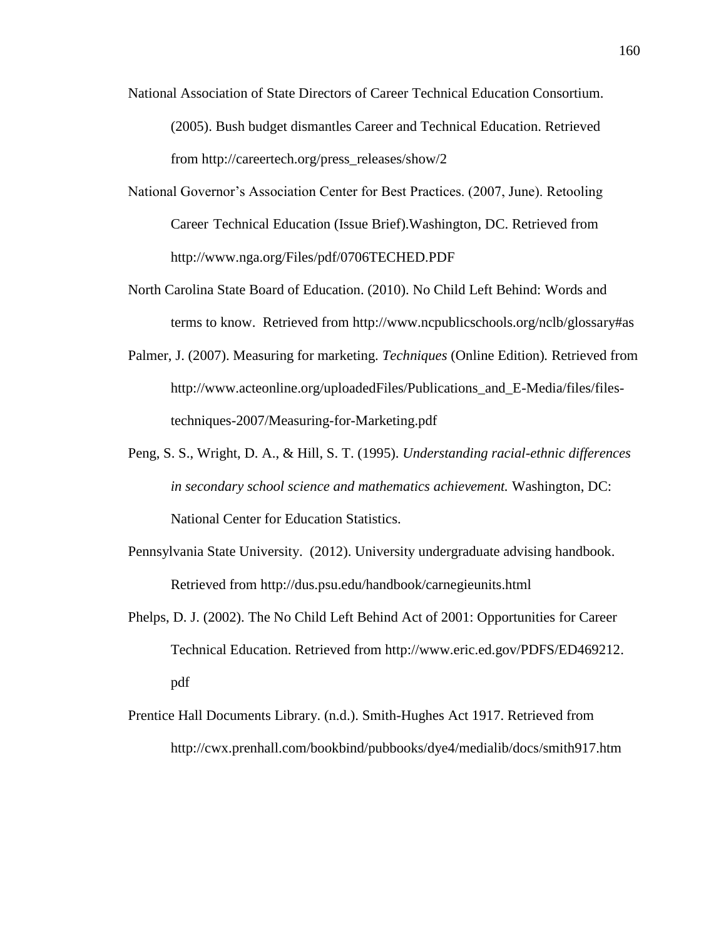- National Association of State Directors of Career Technical Education Consortium. (2005). Bush budget dismantles Career and Technical Education. Retrieved from http://careertech.org/press\_releases/show/2
- National Governor's Association Center for Best Practices. (2007, June). Retooling Career Technical Education (Issue Brief).Washington, DC. Retrieved from http://www.nga.org/Files/pdf/0706TECHED.PDF
- North Carolina State Board of Education. (2010). No Child Left Behind: Words and terms to know. Retrieved from http://www.ncpublicschools.org/nclb/glossary#as
- Palmer, J. (2007). Measuring for marketing. *Techniques* (Online Edition)*.* Retrieved from http://www.acteonline.org/uploadedFiles/Publications\_and\_E-Media/files/filestechniques-2007/Measuring-for-Marketing.pdf
- Peng, S. S., Wright, D. A., & Hill, S. T. (1995). *Understanding racial-ethnic differences in secondary school science and mathematics achievement.* Washington, DC: National Center for Education Statistics.
- Pennsylvania State University. (2012). University undergraduate advising handbook. Retrieved from http://dus.psu.edu/handbook/carnegieunits.html
- Phelps, D. J. (2002). The No Child Left Behind Act of 2001: Opportunities for Career Technical Education. Retrieved from http://www.eric.ed.gov/PDFS/ED469212. pdf
- Prentice Hall Documents Library. (n.d.). Smith-Hughes Act 1917. Retrieved from http://cwx.prenhall.com/bookbind/pubbooks/dye4/medialib/docs/smith917.htm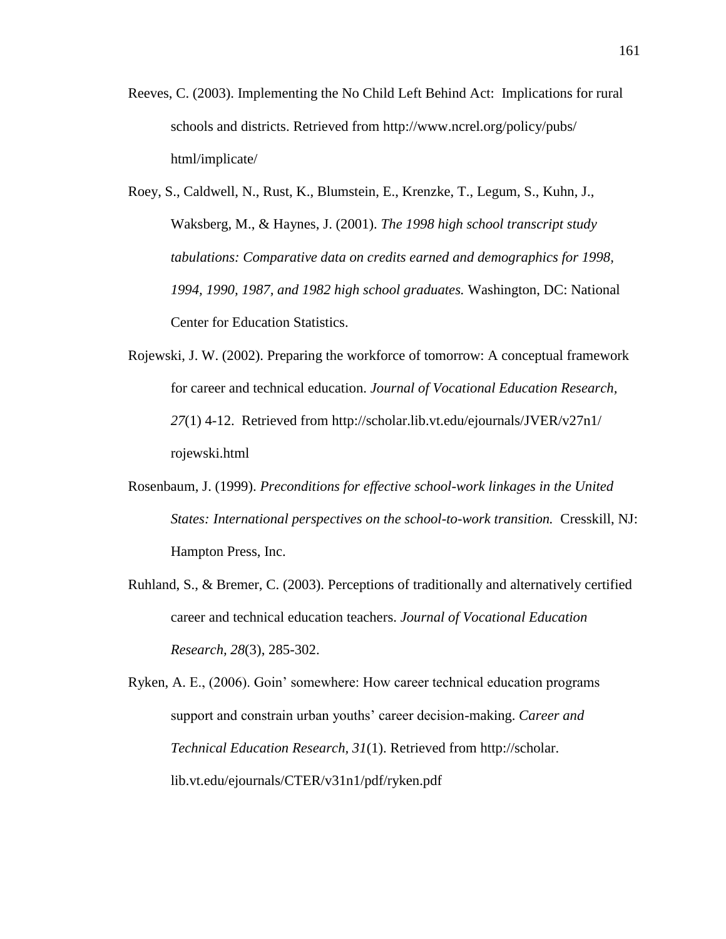- Reeves, C. (2003). Implementing the No Child Left Behind Act: Implications for rural schools and districts. Retrieved from http://www.ncrel.org/policy/pubs/ html/implicate/
- Roey, S., Caldwell, N., Rust, K., Blumstein, E., Krenzke, T., Legum, S., Kuhn, J., Waksberg, M., & Haynes, J. (2001). *The 1998 high school transcript study tabulations: Comparative data on credits earned and demographics for 1998, 1994, 1990, 1987, and 1982 high school graduates.* Washington, DC: National Center for Education Statistics.
- Rojewski, J. W. (2002). Preparing the workforce of tomorrow: A conceptual framework for career and technical education. *Journal of Vocational Education Research, 27*(1) 4-12. Retrieved from http://scholar.lib.vt.edu/ejournals/JVER/v27n1/ rojewski.html
- Rosenbaum, J. (1999). *Preconditions for effective school-work linkages in the United States: International perspectives on the school-to-work transition.* Cresskill, NJ: Hampton Press, Inc.
- Ruhland, S., & Bremer, C. (2003). Perceptions of traditionally and alternatively certified career and technical education teachers. *Journal of Vocational Education Research, 28*(3), 285-302.

Ryken, A. E., (2006). Goin' somewhere: How career technical education programs support and constrain urban youths' career decision-making. *Career and Technical Education Research, 31*(1). Retrieved from http://scholar. lib.vt.edu/ejournals/CTER/v31n1/pdf/ryken.pdf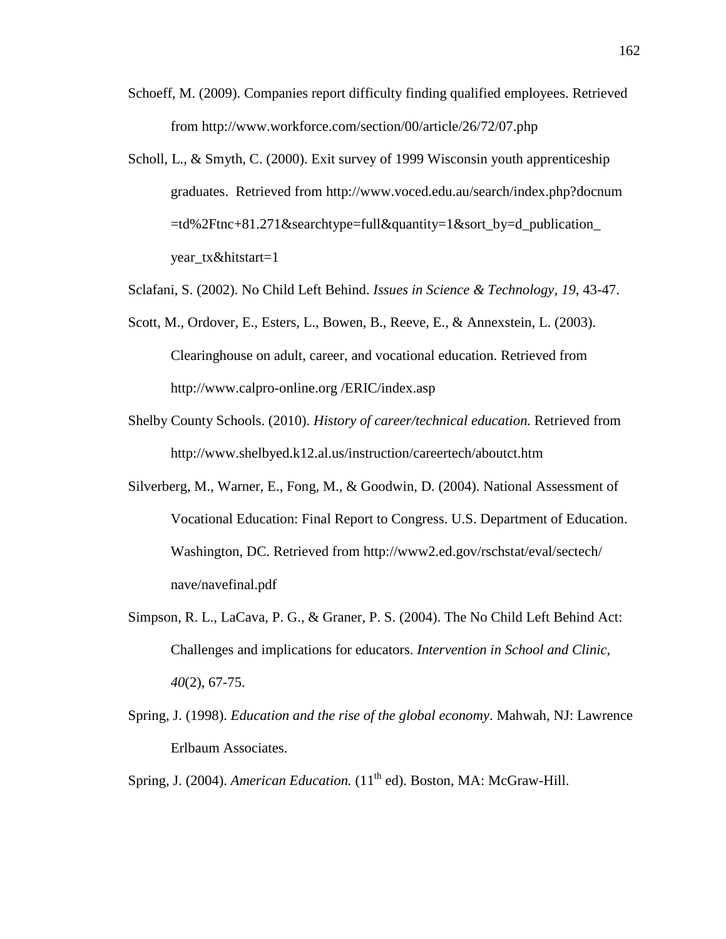- Schoeff, M. (2009). Companies report difficulty finding qualified employees. Retrieved from http://www.workforce.com/section/00/article/26/72/07.php
- Scholl, L., & Smyth, C. (2000). Exit survey of 1999 Wisconsin youth apprenticeship graduates. Retrieved from http://www.voced.edu.au/search/index.php?docnum =td%2Ftnc+81.271&searchtype=full&quantity=1&sort\_by=d\_publication\_ year\_tx&hitstart=1
- Sclafani, S. (2002). No Child Left Behind. *Issues in Science & Technology, 19*, 43-47.
- Scott, M., Ordover, E., Esters, L., Bowen, B., Reeve, E., & Annexstein, L. (2003). Clearinghouse on adult, career, and vocational education. Retrieved from http://www.calpro-online.org /ERIC/index.asp
- Shelby County Schools. (2010). *History of career/technical education.* Retrieved from http://www.shelbyed.k12.al.us/instruction/careertech/aboutct.htm
- Silverberg, M., Warner, E., Fong, M., & Goodwin, D. (2004). National Assessment of Vocational Education: Final Report to Congress. U.S. Department of Education. Washington, DC. Retrieved from http://www2.ed.gov/rschstat/eval/sectech/ nave/navefinal.pdf
- Simpson, R. L., LaCava, P. G., & Graner, P. S. (2004). The No Child Left Behind Act: Challenges and implications for educators. *Intervention in School and Clinic, 40*(2), 67-75.
- Spring, J. (1998). *Education and the rise of the global economy*. Mahwah, NJ: Lawrence Erlbaum Associates.
- Spring, J. (2004). *American Education.* (11<sup>th</sup> ed). Boston, MA: McGraw-Hill.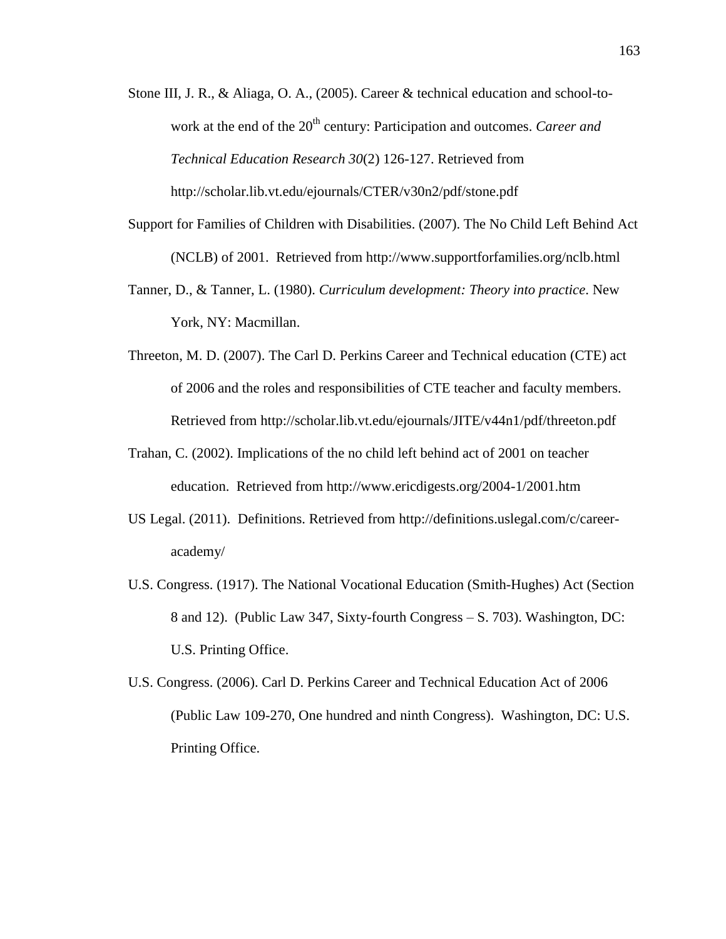Stone III, J. R., & Aliaga, O. A., (2005). Career & technical education and school-towork at the end of the 20<sup>th</sup> century: Participation and outcomes. *Career and Technical Education Research 30*(2) 126-127. Retrieved from http://scholar.lib.vt.edu/ejournals/CTER/v30n2/pdf/stone.pdf

- Support for Families of Children with Disabilities. (2007). The No Child Left Behind Act (NCLB) of 2001. Retrieved from http://www.supportforfamilies.org/nclb.html
- Tanner, D., & Tanner, L. (1980). *Curriculum development: Theory into practice*. New York, NY: Macmillan.
- Threeton, M. D. (2007). The Carl D. Perkins Career and Technical education (CTE) act of 2006 and the roles and responsibilities of CTE teacher and faculty members. Retrieved from http://scholar.lib.vt.edu/ejournals/JITE/v44n1/pdf/threeton.pdf
- Trahan, C. (2002). Implications of the no child left behind act of 2001 on teacher education. Retrieved from http://www.ericdigests.org/2004-1/2001.htm
- US Legal. (2011). Definitions. Retrieved from http://definitions.uslegal.com/c/careeracademy/
- U.S. Congress. (1917). The National Vocational Education (Smith-Hughes) Act (Section 8 and 12). (Public Law 347, Sixty-fourth Congress – S. 703). Washington, DC: U.S. Printing Office.
- U.S. Congress. (2006). Carl D. Perkins Career and Technical Education Act of 2006 (Public Law 109-270, One hundred and ninth Congress). Washington, DC: U.S. Printing Office.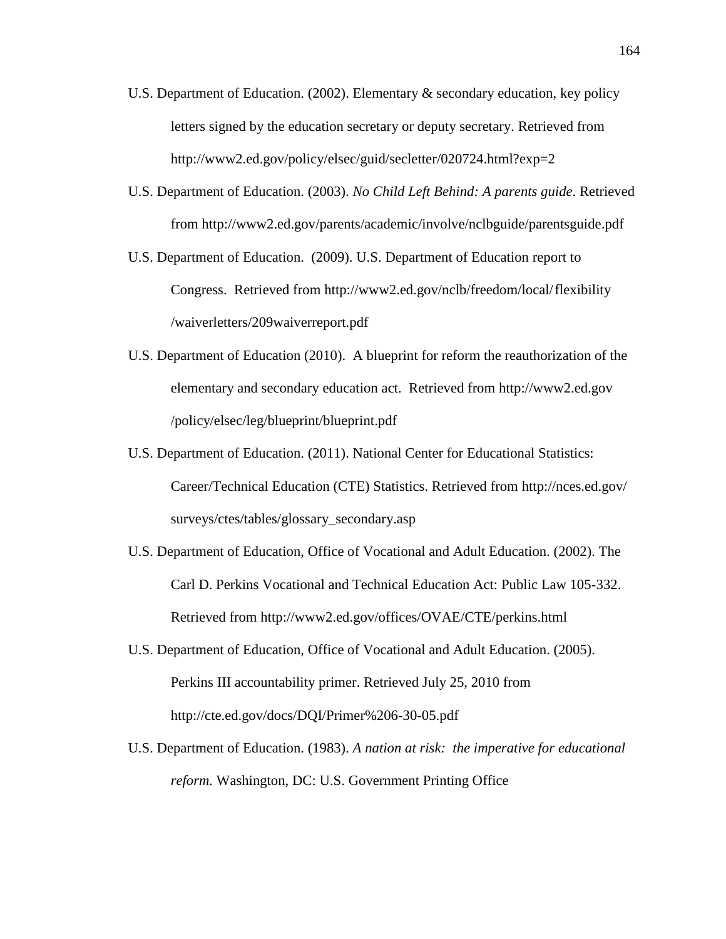- U.S. Department of Education. (2002). Elementary  $\&$  secondary education, key policy letters signed by the education secretary or deputy secretary. Retrieved from http://www2.ed.gov/policy/elsec/guid/secletter/020724.html?exp=2
- U.S. Department of Education. (2003). *No Child Left Behind: A parents guide*. Retrieved from http://www2.ed.gov/parents/academic/involve/nclbguide/parentsguide.pdf
- U.S. Department of Education. (2009). U.S. Department of Education report to Congress. Retrieved from http://www2.ed.gov/nclb/freedom/local/flexibility /waiverletters/209waiverreport.pdf
- U.S. Department of Education (2010). A blueprint for reform the reauthorization of the elementary and secondary education act. Retrieved from http://www2.ed.gov /policy/elsec/leg/blueprint/blueprint.pdf
- U.S. Department of Education. (2011). National Center for Educational Statistics: Career/Technical Education (CTE) Statistics. Retrieved from http://nces.ed.gov/ surveys/ctes/tables/glossary\_secondary.asp
- U.S. Department of Education, Office of Vocational and Adult Education. (2002). The Carl D. Perkins Vocational and Technical Education Act: Public Law 105-332. Retrieved from http://www2.ed.gov/offices/OVAE/CTE/perkins.html
- U.S. Department of Education, Office of Vocational and Adult Education. (2005). Perkins III accountability primer. Retrieved July 25, 2010 from http://cte.ed.gov/docs/DQI/Primer%206-30-05.pdf
- U.S. Department of Education. (1983). *A nation at risk: the imperative for educational reform.* Washington, DC: U.S. Government Printing Office